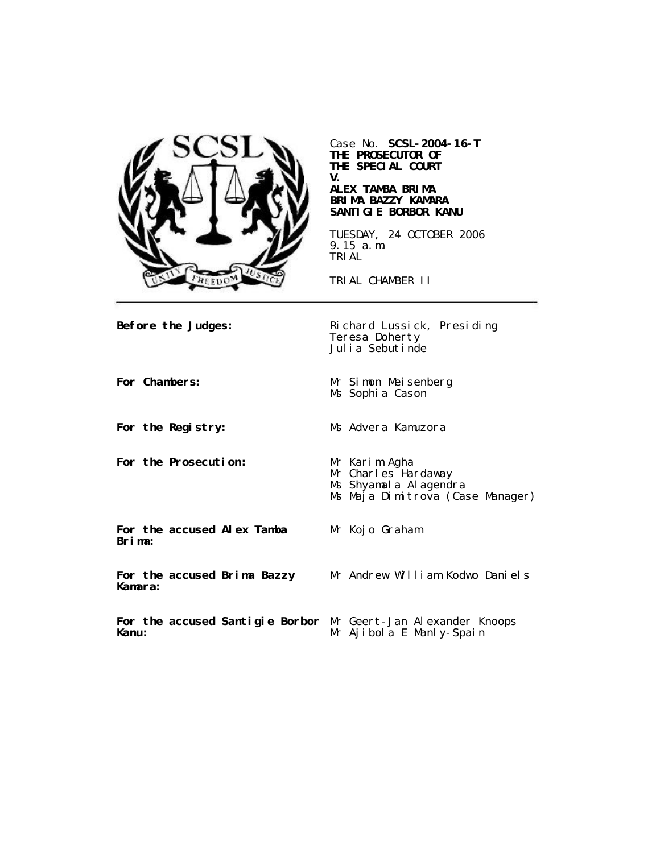

Case No. **SCSL-2004-16-T THE PROSECUTOR OF THE SPECIAL COURT V.**

#### **ALEX TAMBA BRIMA BRIMA BAZZY KAMARA SANTIGIE BORBOR KANU**

TUESDAY, 24 OCTOBER 2006 9.15 a.m. TRIAL

TRIAL CHAMBER II

**Before the Judges:** Richard Lussick, Presiding Teresa Doherty Julia Sebutinde **For Chambers:** Mr Simon Meisenberg Ms Sophia Cason **For the Registry:** Ms Advera Kamuzora **For the Prosecution:** Mr Karim Agha Mr Charles Hardaway Ms Shyamala Alagendra Ms Maja Dimitrova (Case Manager) **For the accused Alex Tamba Brima:** Mr Kojo Graham **For the accused Brima Bazzy Kamara:** Mr Andrew William Kodwo Daniels **For the accused Santigie Borbor** Mr Geert-Jan Alexander Knoops **Kanu:** Mr Ajibola E Manly-Spain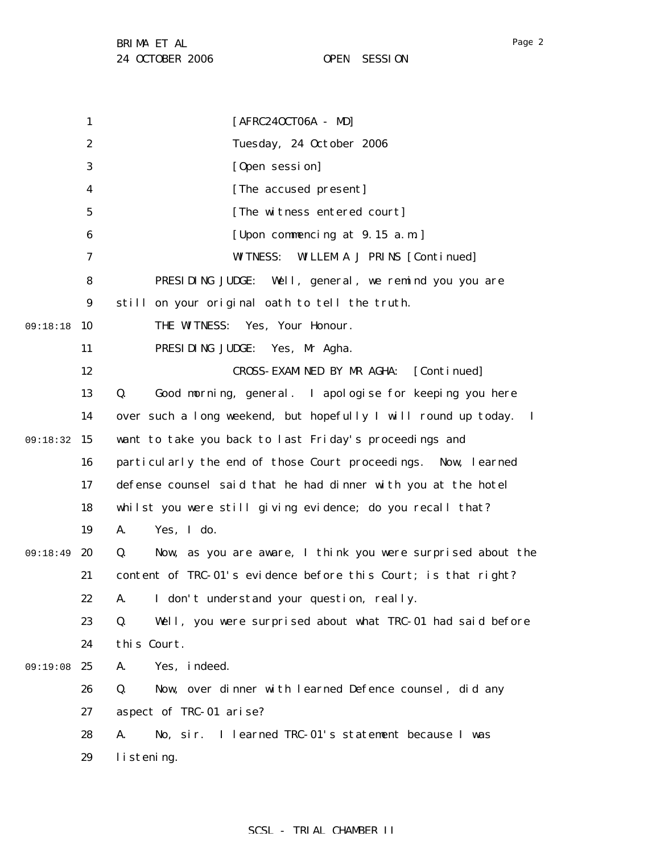Page 2

|          | $\mathbf{1}$     | $[AFRC240CT06A - MD]$                                             |
|----------|------------------|-------------------------------------------------------------------|
|          | $\boldsymbol{2}$ | Tuesday, 24 October 2006                                          |
|          | 3                | [Open session]                                                    |
|          | 4                | [The accused present]                                             |
|          | $\mathbf 5$      | [The witness entered court]                                       |
|          | 6                | [Upon commencing at 9.15 a.m.]                                    |
|          | 7                | <b>WITNESS:</b><br><b>WILLEM A J PRINS [Continued]</b>            |
|          | 8                | PRESIDING JUDGE:<br>Well, general, we remind you you are          |
|          | $\boldsymbol{9}$ | still on your original oath to tell the truth.                    |
| 09:18:18 | 10               | THE WITNESS: Yes, Your Honour.                                    |
|          | 11               | PRESIDING JUDGE: Yes, Mr Agha.                                    |
|          | 12               | CROSS-EXAMINED BY MR AGHA:<br>[Continued]                         |
|          | 13               | Good morning, general. I apologise for keeping you here<br>Q.     |
|          | 14               | over such a long weekend, but hopefully I will round up today. I  |
| 09:18:32 | 15               | want to take you back to last Friday's proceedings and            |
|          | 16               | particularly the end of those Court proceedings. Now, learned     |
|          | 17               | defense counsel said that he had dinner with you at the hotel     |
|          | 18               | whilst you were still giving evidence; do you recall that?        |
|          | 19               | Yes, I do.<br>A.                                                  |
| 09:18:49 | 20               | Now, as you are aware, I think you were surprised about the<br>Q. |
|          | 21               | content of TRC-01's evidence before this Court; is that right?    |
|          | 22               | A. I don't understand your question, really.                      |
|          | 23               | Q.<br>Well, you were surprised about what TRC-01 had said before  |
|          | 24               | this Court.                                                       |
| 09:19:08 | 25               | Yes, indeed.<br>A.                                                |
|          | 26               | Q.<br>Now, over dinner with learned Defence counsel, did any      |
|          | 27               | aspect of TRC-01 arise?                                           |
|          | 28               | I learned TRC-01's statement because I was<br>A.<br>No, sir.      |
|          | 29               | listening.                                                        |
|          |                  |                                                                   |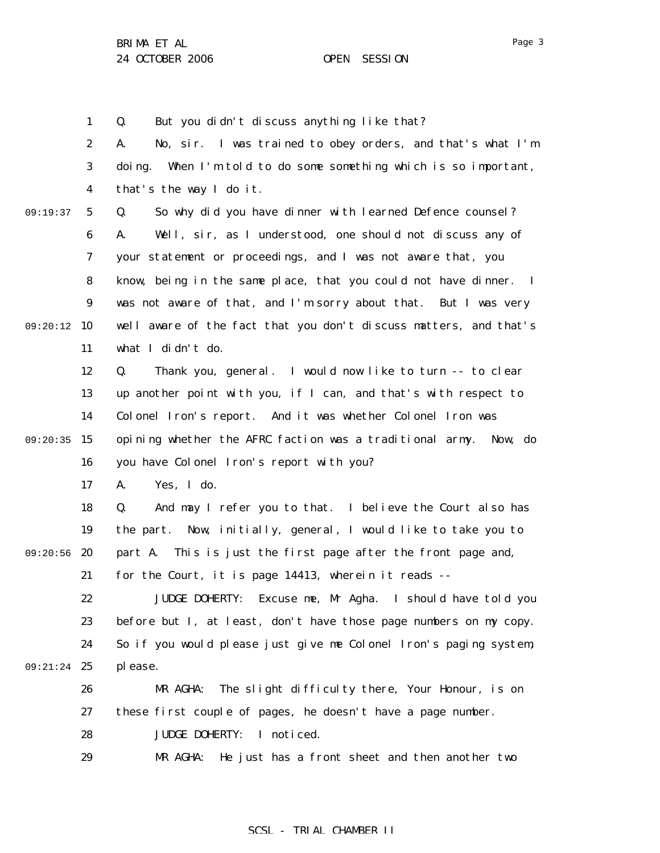1

Page 3

2 3 4 5 6 7 8 9 09:20:12 10 11 12 13 14 09:20:35 15 16 17 18 19 09:20:56 20 21 22 23 24 09:21:24 25 26 27 28 29 09:19:37 A. No, sir. I was trained to obey orders, and that's what I'm doing. When I'm told to do some something which is so important, that's the way I do it. Q. So why did you have dinner with learned Defence counsel? A. Well, sir, as I understood, one should not discuss any of your statement or proceedings, and I was not aware that, you know, being in the same place, that you could not have dinner. I was not aware of that, and I'm sorry about that. But I was very well aware of the fact that you don't discuss matters, and that's what I didn't do. Q. Thank you, general. I would now like to turn -- to clear up another point with you, if I can, and that's with respect to Colonel Iron's report. And it was whether Colonel Iron was opining whether the AFRC faction was a traditional army. Now, do you have Colonel Iron's report with you? A. Yes, I do. Q. And may I refer you to that. I believe the Court also has the part. Now, initially, general, I would like to take you to part A. This is just the first page after the front page and, for the Court, it is page 14413, wherein it reads -- JUDGE DOHERTY: Excuse me, Mr Agha. I should have told you before but I, at least, don't have those page numbers on my copy. So if you would please just give me Colonel Iron's paging system, please. MR AGHA: The slight difficulty there, Your Honour, is on these first couple of pages, he doesn't have a page number. JUDGE DOHERTY: I noticed. MR AGHA: He just has a front sheet and then another two

Q. But you didn't discuss anything like that?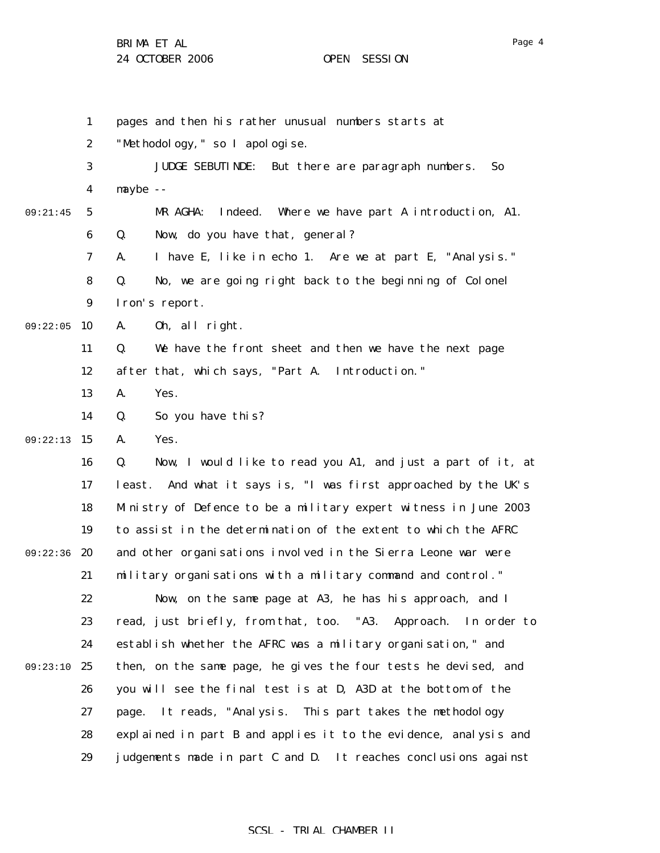Page 4

|          | 1                | pages and then his rather unusual numbers starts at                  |
|----------|------------------|----------------------------------------------------------------------|
|          | $\boldsymbol{2}$ | "Methodology, " so I apologise.                                      |
|          | 3                | But there are paragraph numbers.<br><b>JUDGE SEBUTINDE:</b><br>So    |
|          | 4                | $mxybe -$                                                            |
| 09:21:45 | 5                | Where we have part A introduction, A1.<br>MR AGHA:<br>Indeed.        |
|          | 6                | Now, do you have that, general?<br>Q.                                |
|          | 7                | I have E, like in echo 1. Are we at part E, "Analysis."<br>A.        |
|          | 8                | Q.<br>No, we are going right back to the beginning of Colonel        |
|          | 9                | Iron's report.                                                       |
| 09:22:05 | 10               | 0h, all right.<br>A.                                                 |
|          | 11               | Q.<br>We have the front sheet and then we have the next page         |
|          | 12               | after that, which says, "Part A. Introduction."                      |
|          | 13               | A.<br>Yes.                                                           |
|          | 14               | So you have this?<br>Q.                                              |
| 09:22:13 | 15               | Yes.<br>A.                                                           |
|          | 16               | Q.<br>Now, I would like to read you A1, and just a part of it, at    |
|          | 17               | least. And what it says is, "I was first approached by the UK's      |
|          | 18               | Ministry of Defence to be a military expert witness in June 2003     |
|          | 19               | to assist in the determination of the extent to which the AFRC       |
| 09:22:36 | -20              | and other organisations involved in the Sierra Leone war were        |
|          | 21               | military organisations with a military command and control."         |
|          | 22               | Now, on the same page at A3, he has his approach, and I              |
|          | 23               | read, just briefly, from that, too. "A3.<br>Approach.<br>In order to |
|          | 24               | establish whether the AFRC was a military organisation," and         |
| 09:23:10 | 25               | then, on the same page, he gives the four tests he devised, and      |
|          | 26               | you will see the final test is at D, A3D at the bottom of the        |
|          | 27               | page. It reads, "Analysis. This part takes the methodology           |
|          | 28               | explained in part B and applies it to the evidence, analysis and     |
|          | 29               | judgements made in part C and D. It reaches conclusions against      |
|          |                  |                                                                      |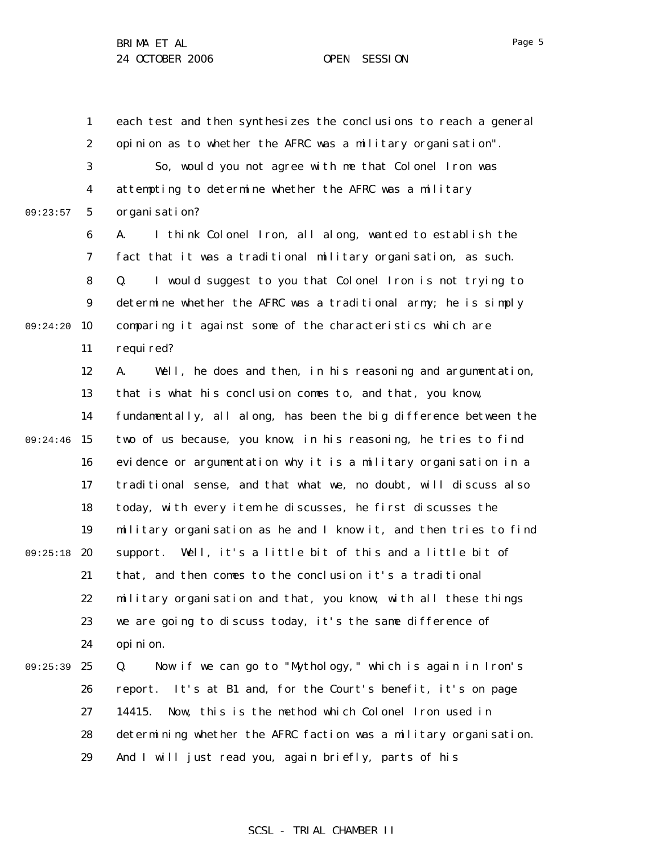1 2 3 4 5 6 7 8 9 09:24:20 10 11 12 13 14 09:24:46 15 16 17 18 19 09:25:18 20 21 22 23 24 25 26 27 28 29 09:23:57 09:25:39 each test and then synthesizes the conclusions to reach a general opinion as to whether the AFRC was a military organisation". So, would you not agree with me that Colonel Iron was attempting to determine whether the AFRC was a military organisation? A. I think Colonel Iron, all along, wanted to establish the fact that it was a traditional military organisation, as such. Q. I would suggest to you that Colonel Iron is not trying to determine whether the AFRC was a traditional army; he is simply comparing it against some of the characteristics which are required? A. Well, he does and then, in his reasoning and argumentation, that is what his conclusion comes to, and that, you know, fundamentally, all along, has been the big difference between the two of us because, you know, in his reasoning, he tries to find evidence or argumentation why it is a military organisation in a traditional sense, and that what we, no doubt, will discuss also today, with every item he discusses, he first discusses the military organisation as he and I know it, and then tries to find support. Well, it's a little bit of this and a little bit of that, and then comes to the conclusion it's a traditional military organisation and that, you know, with all these things we are going to discuss today, it's the same difference of opinion. Q. Now if we can go to "Mythology," which is again in Iron's report. It's at B1 and, for the Court's benefit, it's on page 14415. Now, this is the method which Colonel Iron used in determining whether the AFRC faction was a military organisation. And I will just read you, again briefly, parts of his

#### Page 5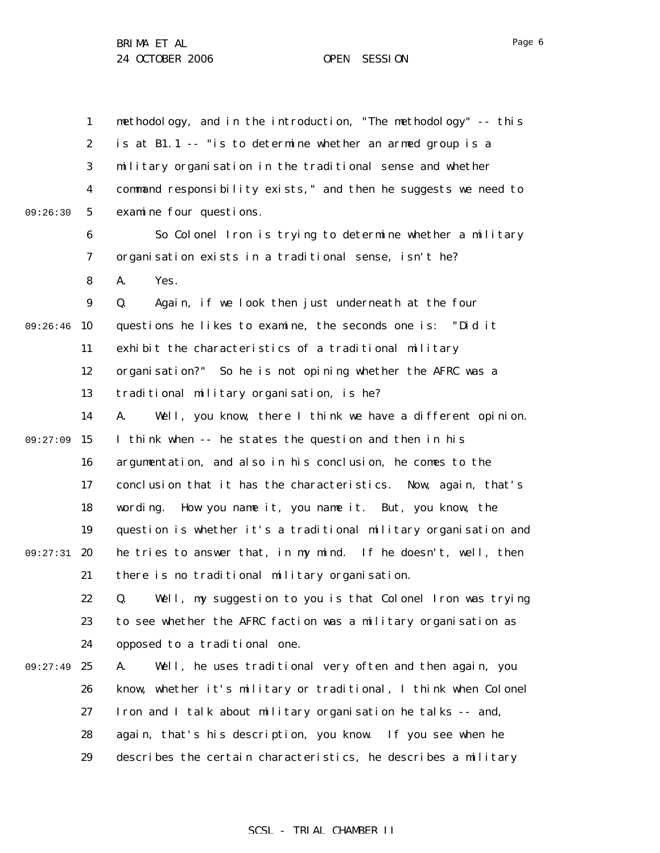1 2 3 4 5 6 7 8 9 09:26:46 10 11 12 13 14 09:27:09 15 16 17 18 19 09:27:31 20 21 22 23 24 09:27:49 25 26 27 28 29 09:26:30 methodology, and in the introduction, "The methodology" -- this is at B1.1 -- "is to determine whether an armed group is a military organisation in the traditional sense and whether command responsibility exists," and then he suggests we need to examine four questions. So Colonel Iron is trying to determine whether a military organisation exists in a traditional sense, isn't he? A. Yes. Q. Again, if we look then just underneath at the four questions he likes to examine, the seconds one is: "Did it exhibit the characteristics of a traditional military organisation?" So he is not opining whether the AFRC was a traditional military organisation, is he? A. Well, you know, there I think we have a different opinion. I think when -- he states the question and then in his argumentation, and also in his conclusion, he comes to the conclusion that it has the characteristics. Now, again, that's wording. How you name it, you name it. But, you know, the question is whether it's a traditional military organisation and he tries to answer that, in my mind. If he doesn't, well, then there is no traditional military organisation. Q. Well, my suggestion to you is that Colonel Iron was trying to see whether the AFRC faction was a military organisation as opposed to a traditional one. A. Well, he uses traditional very often and then again, you know, whether it's military or traditional, I think when Colonel Iron and I talk about military organisation he talks -- and, again, that's his description, you know. If you see when he describes the certain characteristics, he describes a military

Page 6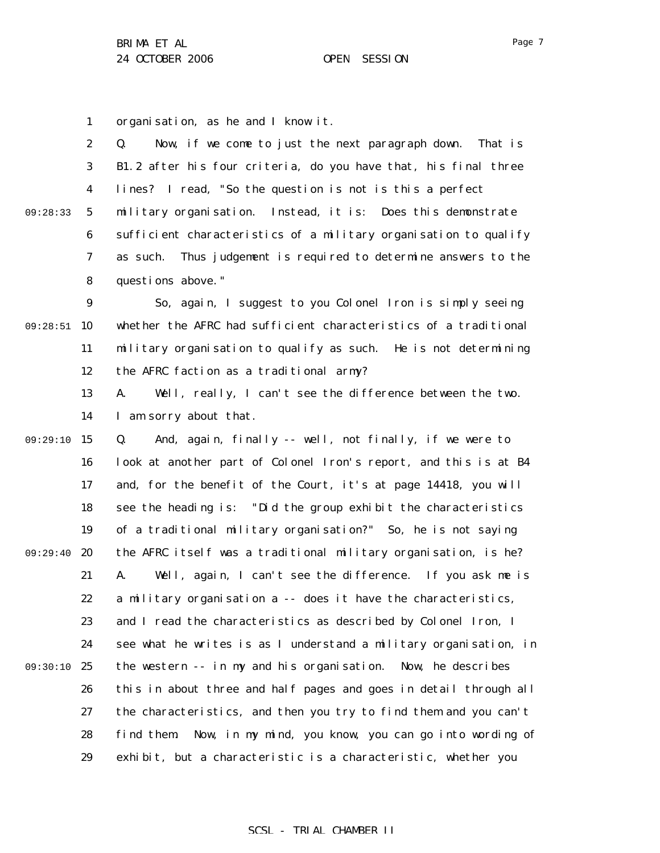1 organisation, as he and I know it.

|              | $\mathbf{2}$            | $\mathbf{Q}$ .<br>Now, if we come to just the next paragraph down. That is |
|--------------|-------------------------|----------------------------------------------------------------------------|
|              | 3 <sup>1</sup>          | B1.2 after his four criteria, do you have that, his final three            |
|              | $\overline{\mathbf{4}}$ | lines? I read, "So the question is not is this a perfect                   |
| $09:28:33$ 5 |                         | military organisation. Instead, it is: Does this demonstrate               |
|              | 6                       | sufficient characteristics of a military organisation to qualify           |
|              | 7                       | as such. Thus judgement is required to determine answers to the            |
|              | 8                       | questions above."                                                          |
|              |                         |                                                                            |

9 09:28:51 10 11 12 So, again, I suggest to you Colonel Iron is simply seeing whether the AFRC had sufficient characteristics of a traditional military organisation to qualify as such. He is not determining the AFRC faction as a traditional army?

> 13 14 A. Well, really, I can't see the difference between the two. I am sorry about that.

09:29:10 15 16 17 18 19 09:29:40 20 21 22 23 24 09:30:10 25 26 27 28 29 Q. And, again, finally -- well, not finally, if we were to look at another part of Colonel Iron's report, and this is at B4 and, for the benefit of the Court, it's at page 14418, you will see the heading is: "Did the group exhibit the characteristics of a traditional military organisation?" So, he is not saying the AFRC itself was a traditional military organisation, is he? A. Well, again, I can't see the difference. If you ask me is a military organisation a -- does it have the characteristics, and I read the characteristics as described by Colonel Iron, I see what he writes is as I understand a military organisation, in the western -- in my and his organisation. Now, he describes this in about three and half pages and goes in detail through all the characteristics, and then you try to find them and you can't find them. Now, in my mind, you know, you can go into wording of exhibit, but a characteristic is a characteristic, whether you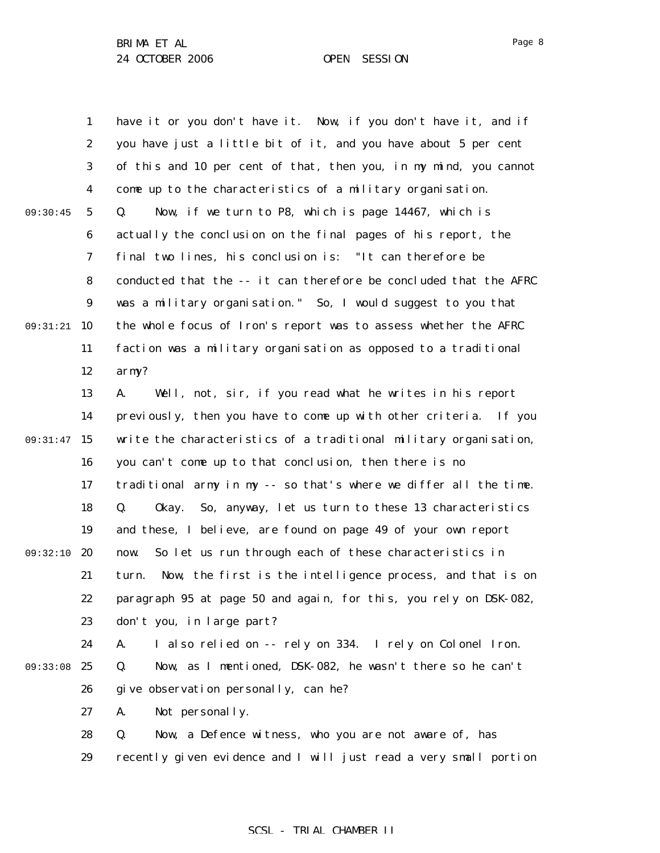Page 8

1 2 3 4 5 6 7 8 9 09:31:21 10 11 12 13 14 09:31:47 15 16 17 18 19 09:32:10 20 21 22 23 24 09:33:08 25 26 27 28 29 09:30:45 have it or you don't have it. Now, if you don't have it, and if you have just a little bit of it, and you have about 5 per cent of this and 10 per cent of that, then you, in my mind, you cannot come up to the characteristics of a military organisation. Q. Now, if we turn to P8, which is page 14467, which is actually the conclusion on the final pages of his report, the final two lines, his conclusion is: "It can therefore be conducted that the -- it can therefore be concluded that the AFRC was a military organisation." So, I would suggest to you that the whole focus of Iron's report was to assess whether the AFRC faction was a military organisation as opposed to a traditional army? A. Well, not, sir, if you read what he writes in his report previously, then you have to come up with other criteria. If you write the characteristics of a traditional military organisation, you can't come up to that conclusion, then there is no traditional army in my -- so that's where we differ all the time. Q. Okay. So, anyway, let us turn to these 13 characteristics and these, I believe, are found on page 49 of your own report now. So let us run through each of these characteristics in turn. Now, the first is the intelligence process, and that is on paragraph 95 at page 50 and again, for this, you rely on DSK-082, don't you, in large part? A. I also relied on -- rely on 334. I rely on Colonel Iron. Q. Now, as I mentioned, DSK-082, he wasn't there so he can't give observation personally, can he? A. Not personally. Q. Now, a Defence witness, who you are not aware of, has recently given evidence and I will just read a very small portion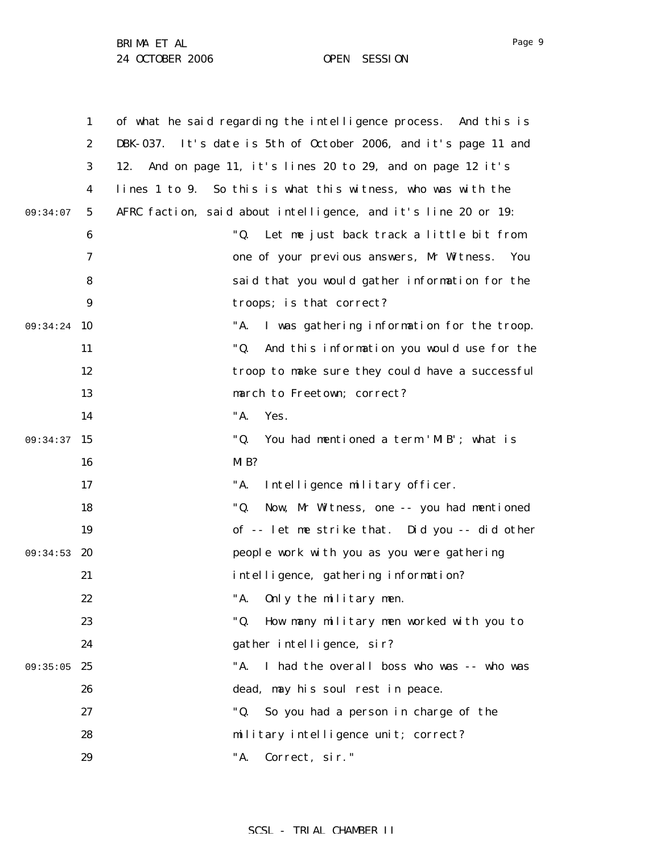BRIMA ET AL

24 OCTOBER 2006 OPEN SESSION

1 2 3 4 5 6 7 8 9 09:34:24 10 11 12 13 14 09:34:37 15 16 17 18 19 09:34:53 20 21 22 23 24 09:35:05 25 26 27 28 29 09:34:07 of what he said regarding the intelligence process. And this is DBK-037. It's date is 5th of October 2006, and it's page 11 and 12. And on page 11, it's lines 20 to 29, and on page 12 it's lines 1 to 9. So this is what this witness, who was with the AFRC faction, said about intelligence, and it's line 20 or 19: "Q. Let me just back track a little bit from one of your previous answers, Mr Witness. You said that you would gather information for the troops; is that correct? "A. I was gathering information for the troop. "Q. And this information you would use for the troop to make sure they could have a successful march to Freetown; correct? "A. Yes. "Q. You had mentioned a term 'MIB'; what is M<sub>B?</sub> "A. Intelligence military officer. "Q. Now, Mr Witness, one -- you had mentioned of -- let me strike that. Did you -- did other people work with you as you were gathering intelligence, gathering information? "A. Only the military men. "Q. How many military men worked with you to gather intelligence, sir? "A. I had the overall boss who was -- who was dead, may his soul rest in peace. "Q. So you had a person in charge of the military intelligence unit; correct? "A. Correct, sir."

SCSL - TRIAL CHAMBER II

Page 9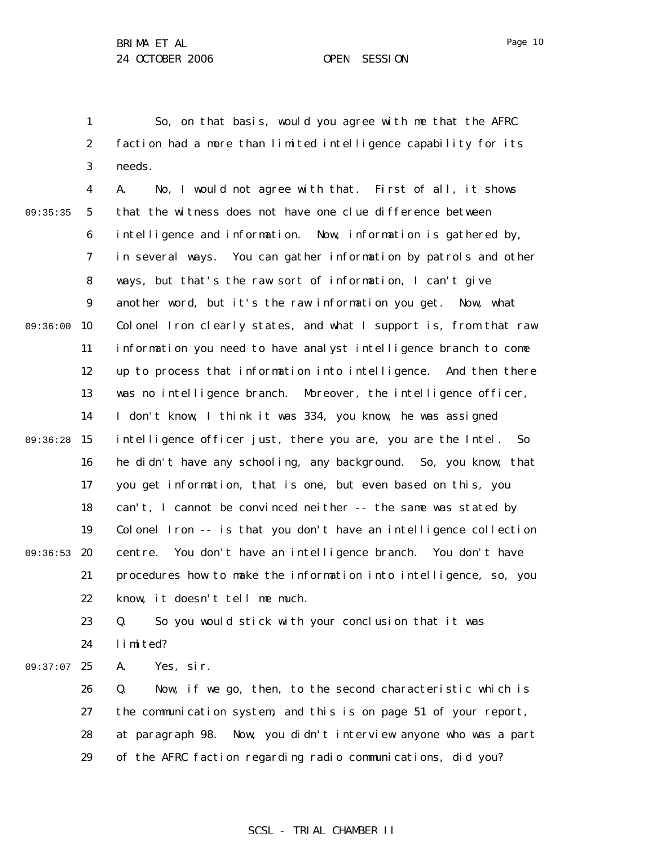1 2 3 So, on that basis, would you agree with me that the AFRC faction had a more than limited intelligence capability for its needs.

4 5 6 7 8 9 09:36:00 10 11 12 13 14 09:36:28 15 16 17 18 19 09:36:53 20 21 22 09:35:35 A. No, I would not agree with that. First of all, it shows that the witness does not have one clue difference between intelligence and information. Now, information is gathered by, in several ways. You can gather information by patrols and other ways, but that's the raw sort of information, I can't give another word, but it's the raw information you get. Now, what Colonel Iron clearly states, and what I support is, from that raw information you need to have analyst intelligence branch to come up to process that information into intelligence. And then there was no intelligence branch. Moreover, the intelligence officer, I don't know, I think it was 334, you know, he was assigned intelligence officer just, there you are, you are the Intel. So he didn't have any schooling, any background. So, you know, that you get information, that is one, but even based on this, you can't, I cannot be convinced neither -- the same was stated by Colonel Iron -- is that you don't have an intelligence collection centre. You don't have an intelligence branch. You don't have procedures how to make the information into intelligence, so, you know, it doesn't tell me much.

23 24 Q. So you would stick with your conclusion that it was limited?

09:37:07 25 A. Yes, sir.

> 26 27 28 29 Q. Now, if we go, then, to the second characteristic which is the communication system, and this is on page 51 of your report, at paragraph 98. Now, you didn't interview anyone who was a part of the AFRC faction regarding radio communications, did you?

# Page 10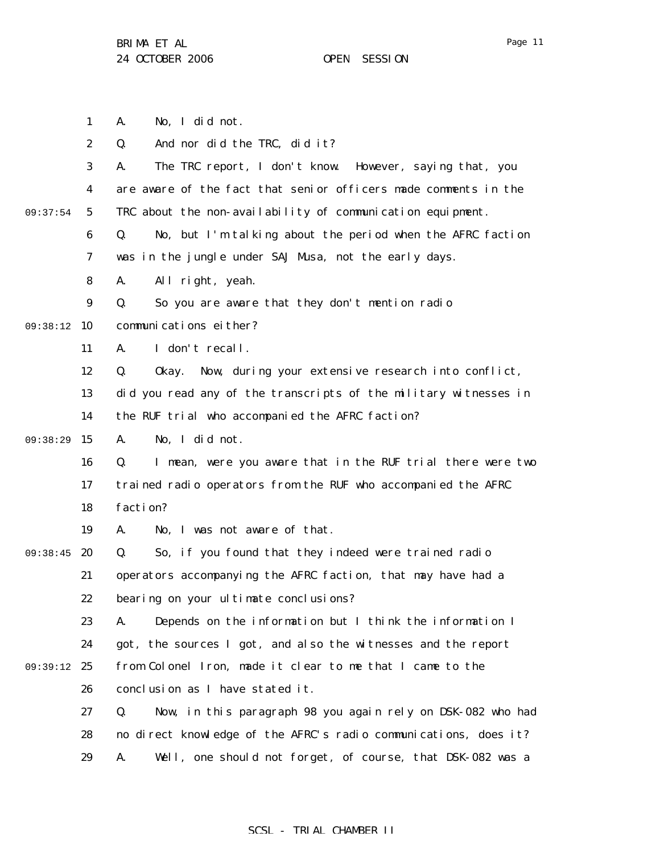1 2 3 4 5 6 7 8 9 09:38:12 10 11 12 13 14 09:38:29 15 16 17 18 19 09:38:45 20 21 22 23 24 09:39:12 25 26 27 28 29 09:37:54 A. No, I did not. Q. And nor did the TRC, did it? A. The TRC report, I don't know. However, saying that, you are aware of the fact that senior officers made comments in the TRC about the non-availability of communication equipment. Q. No, but I'm talking about the period when the AFRC faction was in the jungle under SAJ Musa, not the early days. A. All right, yeah. Q. So you are aware that they don't mention radio communications either? A. I don't recall. Q. Okay. Now, during your extensive research into conflict, did you read any of the transcripts of the military witnesses in the RUF trial who accompanied the AFRC faction? A. No, I did not. Q. I mean, were you aware that in the RUF trial there were two trained radio operators from the RUF who accompanied the AFRC faction? A. No, I was not aware of that. Q. So, if you found that they indeed were trained radio operators accompanying the AFRC faction, that may have had a bearing on your ultimate conclusions? A. Depends on the information but I think the information I got, the sources I got, and also the witnesses and the report from Colonel Iron, made it clear to me that I came to the conclusion as I have stated it. Q. Now, in this paragraph 98 you again rely on DSK-082 who had no direct knowledge of the AFRC's radio communications, does it? A. Well, one should not forget, of course, that DSK-082 was a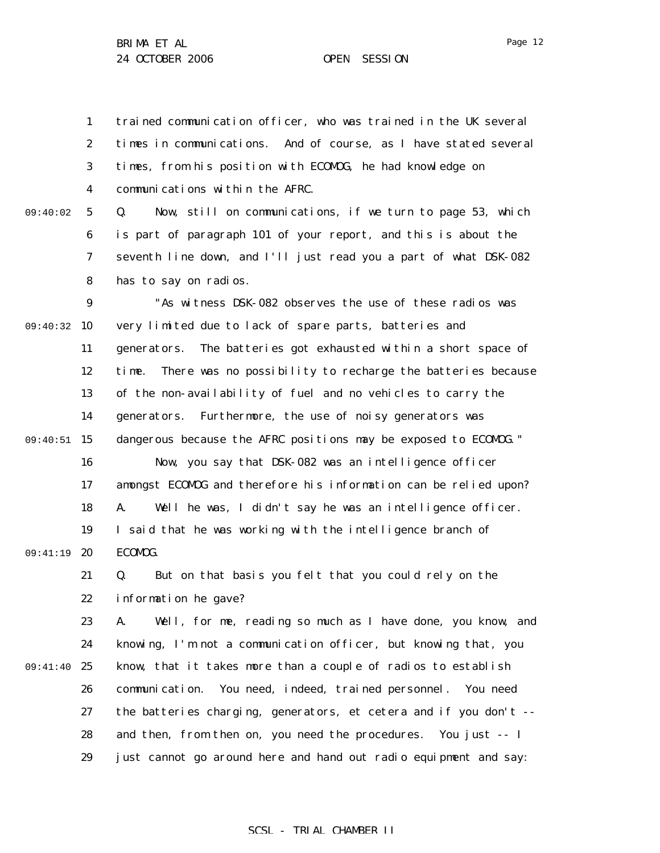Page 12

1 2 3 4 trained communication officer, who was trained in the UK several times in communications. And of course, as I have stated several times, from his position with ECOMOG, he had knowledge on communications within the AFRC.

5 6 7 8 09:40:02 Q. Now, still on communications, if we turn to page 53, which is part of paragraph 101 of your report, and this is about the seventh line down, and I'll just read you a part of what DSK-082 has to say on radios.

9 09:40:32 10 11 12 13 14 09:40:51 15 16 17 18 19 09:41:19 20 21 22 23 24 09:41:40 25 26 27 28 "As witness DSK-082 observes the use of these radios was very limited due to lack of spare parts, batteries and generators. The batteries got exhausted within a short space of time. There was no possibility to recharge the batteries because of the non-availability of fuel and no vehicles to carry the generators. Furthermore, the use of noisy generators was dangerous because the AFRC positions may be exposed to ECOMOG." Now, you say that DSK-082 was an intelligence officer amongst ECOMOG and therefore his information can be relied upon? A. Well he was, I didn't say he was an intelligence officer. I said that he was working with the intelligence branch of ECOMOG. Q. But on that basis you felt that you could rely on the information he gave? A. Well, for me, reading so much as I have done, you know, and knowing, I'm not a communication officer, but knowing that, you know, that it takes more than a couple of radios to establish communication. You need, indeed, trained personnel. You need the batteries charging, generators, et cetera and if you don't - and then, from then on, you need the procedures. You just -- I

> 29 just cannot go around here and hand out radio equipment and say: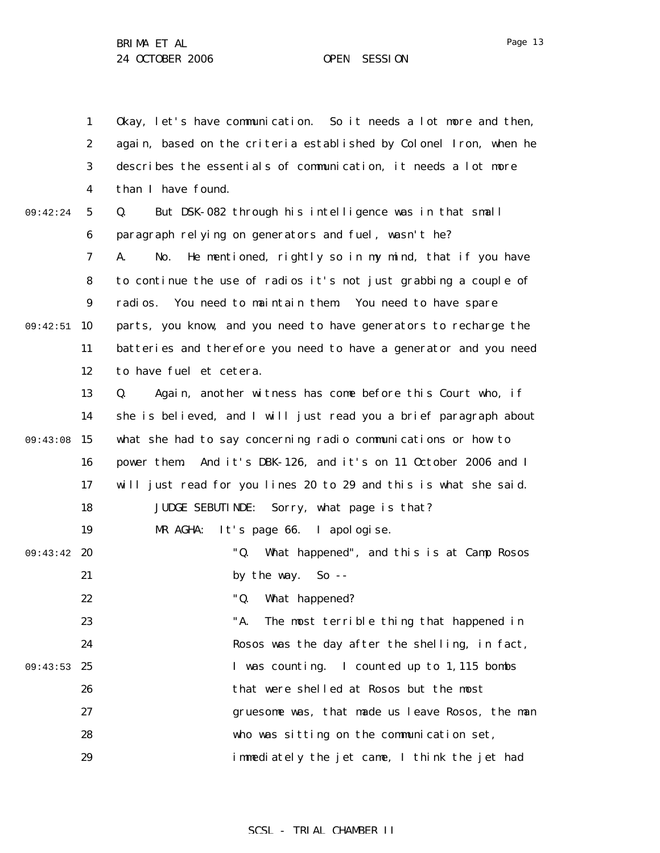1 2 3 4 5 6 7 8 9 09:42:51 10 11 12 13 14 09:43:08 15 16 17 18 19 09:43:42 20 21 22 23 24 09:43:53 25 26 27 28 29 09:42:24 Okay, let's have communication. So it needs a lot more and then, again, based on the criteria established by Colonel Iron, when he describes the essentials of communication, it needs a lot more than I have found. Q. But DSK-082 through his intelligence was in that small paragraph relying on generators and fuel, wasn't he? A. No. He mentioned, rightly so in my mind, that if you have to continue the use of radios it's not just grabbing a couple of radios. You need to maintain them. You need to have spare parts, you know, and you need to have generators to recharge the batteries and therefore you need to have a generator and you need to have fuel et cetera. Q. Again, another witness has come before this Court who, if she is believed, and I will just read you a brief paragraph about what she had to say concerning radio communications or how to power them. And it's DBK-126, and it's on 11 October 2006 and I will just read for you lines 20 to 29 and this is what she said. JUDGE SEBUTINDE: Sorry, what page is that? MR AGHA: It's page 66. I apologise. "Q. What happened", and this is at Camp Rosos by the way. So -- "Q. What happened? "A. The most terrible thing that happened in Rosos was the day after the shelling, in fact, I was counting. I counted up to 1,115 bombs that were shelled at Rosos but the most gruesome was, that made us leave Rosos, the man who was sitting on the communication set, immediately the jet came, I think the jet had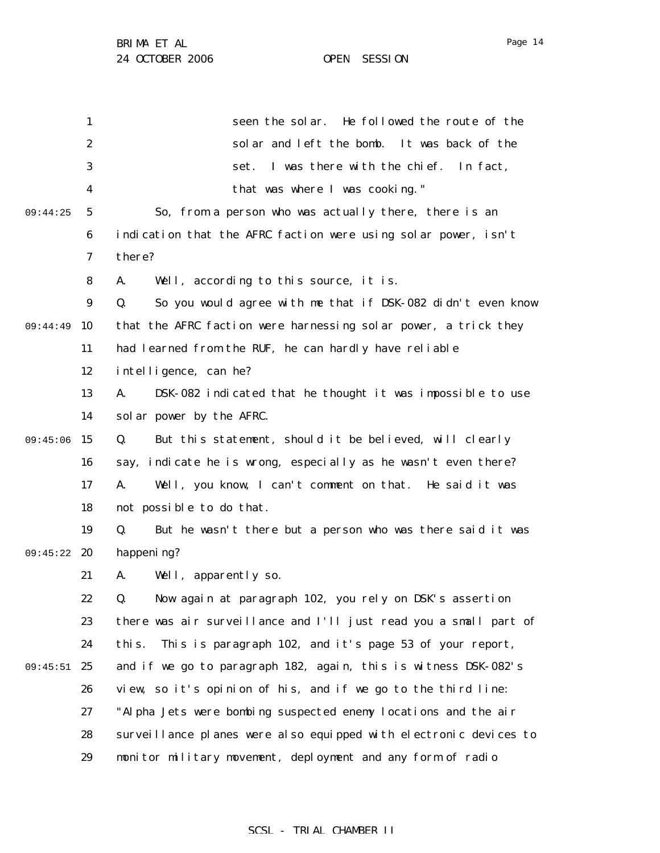1 2 3 4 5 6 7 8 9 09:44:49 10 11 12 13 14 09:45:06 15 16 17 18 19 09:45:22 20 21 22 23 24 09:45:51 25 26 27 28 29 09:44:25 seen the solar. He followed the route of the solar and left the bomb. It was back of the set. I was there with the chief. In fact, that was where I was cooking." So, from a person who was actually there, there is an indication that the AFRC faction were using solar power, isn't there? A. Well, according to this source, it is. Q. So you would agree with me that if DSK-082 didn't even know that the AFRC faction were harnessing solar power, a trick they had learned from the RUF, he can hardly have reliable intelligence, can he? A. DSK-082 indicated that he thought it was impossible to use solar power by the AFRC. Q. But this statement, should it be believed, will clearly say, indicate he is wrong, especially as he wasn't even there? A. Well, you know, I can't comment on that. He said it was not possible to do that. Q. But he wasn't there but a person who was there said it was happening? A. Well, apparently so. Q. Now again at paragraph 102, you rely on DSK's assertion there was air surveillance and I'll just read you a small part of this. This is paragraph 102, and it's page 53 of your report, and if we go to paragraph 182, again, this is witness DSK-082's view, so it's opinion of his, and if we go to the third line: "Alpha Jets were bombing suspected enemy locations and the air surveillance planes were also equipped with electronic devices to monitor military movement, deployment and any form of radio

Page 14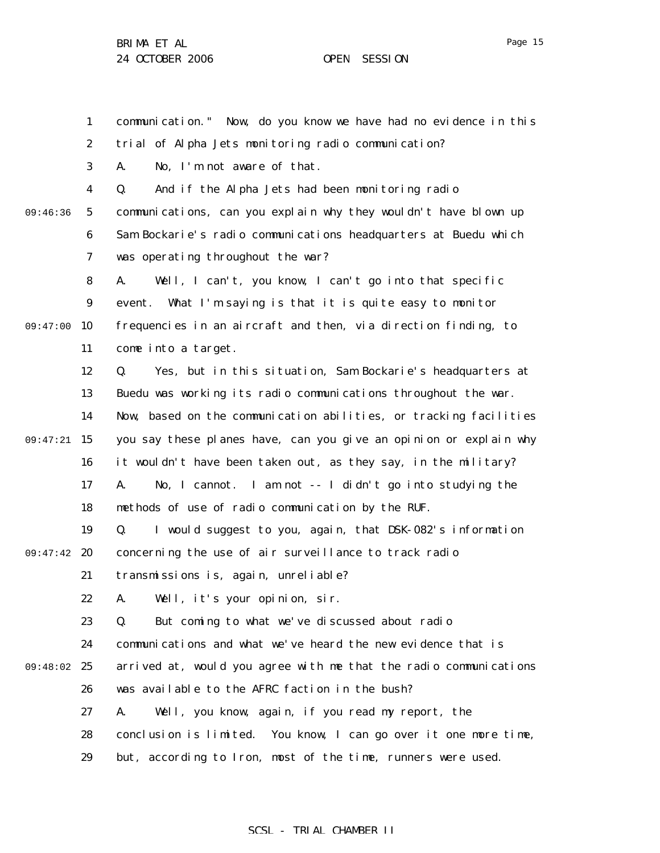Page 15

1 2 3 4 5 6 7 8 9 09:47:00 10 11 12 13 14 09:47:21 15 16 17 18 19 09:47:42 20 21 22 23 24 09:48:02 25 26 27 28 29 09:46:36 communication." Now, do you know we have had no evidence in this trial of Alpha Jets monitoring radio communication? A. No, I'm not aware of that. Q. And if the Alpha Jets had been monitoring radio communications, can you explain why they wouldn't have blown up Sam Bockarie's radio communications headquarters at Buedu which was operating throughout the war? A. Well, I can't, you know, I can't go into that specific event. What I'm saying is that it is quite easy to monitor frequencies in an aircraft and then, via direction finding, to come into a target. Q. Yes, but in this situation, Sam Bockarie's headquarters at Buedu was working its radio communications throughout the war. Now, based on the communication abilities, or tracking facilities you say these planes have, can you give an opinion or explain why it wouldn't have been taken out, as they say, in the military? A. No, I cannot. I am not -- I didn't go into studying the methods of use of radio communication by the RUF. Q. I would suggest to you, again, that DSK-082's information concerning the use of air surveillance to track radio transmissions is, again, unreliable? A. Well, it's your opinion, sir. Q. But coming to what we've discussed about radio communications and what we've heard the new evidence that is arrived at, would you agree with me that the radio communications was available to the AFRC faction in the bush? A. Well, you know, again, if you read my report, the conclusion is limited. You know, I can go over it one more time, but, according to Iron, most of the time, runners were used.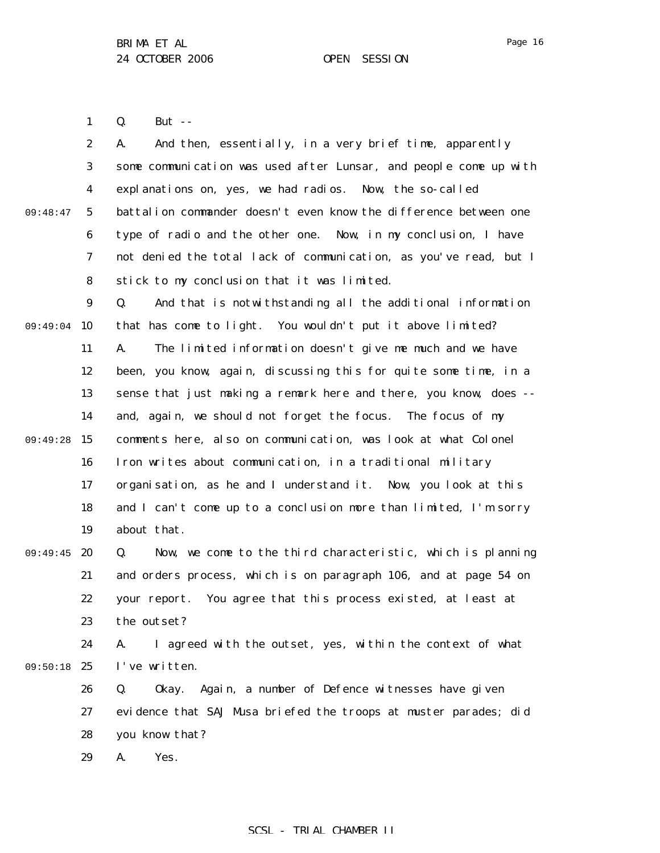1 Q. But --

|          | $\boldsymbol{2}$ | And then, essentially, in a very brief time, apparently<br>A.     |
|----------|------------------|-------------------------------------------------------------------|
|          | 3                | some communication was used after Lunsar, and people come up with |
|          | $\boldsymbol{4}$ | explanations on, yes, we had radios. Now, the so-called           |
| 09:48:47 | $\mathbf{5}$     | battalion commander doesn't even know the difference between one  |
|          | 6                | type of radio and the other one. Now, in my conclusion, I have    |
|          | 7                | not denied the total lack of communication, as you've read, but I |
|          | 8                | stick to my conclusion that it was limited.                       |
|          | $\boldsymbol{9}$ | Q.<br>And that is notwithstanding all the additional information  |
| 09:49:04 | 10               | that has come to light. You wouldn't put it above limited?        |
|          | 11               | The limited information doesn't give me much and we have<br>A.    |
|          | 12               | been, you know, again, discussing this for quite some time, in a  |
|          | 13               | sense that just making a remark here and there, you know, does -- |
|          | 14               | and, again, we should not forget the focus. The focus of my       |
| 09:49:28 | 15               | comments here, also on communication, was look at what Colonel    |
|          | 16               | Iron writes about communication, in a traditional military        |
|          | 17               | organisation, as he and I understand it. Now, you look at this    |
|          | 18               | and I can't come up to a conclusion more than limited, I'm sorry  |
|          | 19               | about that.                                                       |
| 09:49:45 | 20               | Now, we come to the third characteristic, which is planning<br>Q. |
|          | 21               | and orders process, which is on paragraph 106, and at page 54 on  |
|          | 22               | You agree that this process existed, at least at<br>your report.  |
|          | 23               | the outset?                                                       |
|          | 24               | I agreed with the outset, yes, within the context of what<br>A.   |
| 09:50:18 | 25               | I've written.                                                     |
|          | 26               | Again, a number of Defence witnesses have given<br>Q.<br>0kay.    |
|          | 27               | evidence that SAJ Musa briefed the troops at muster parades; did  |
|          | 28               | you know that?                                                    |
|          | 29               | A.<br>Yes.                                                        |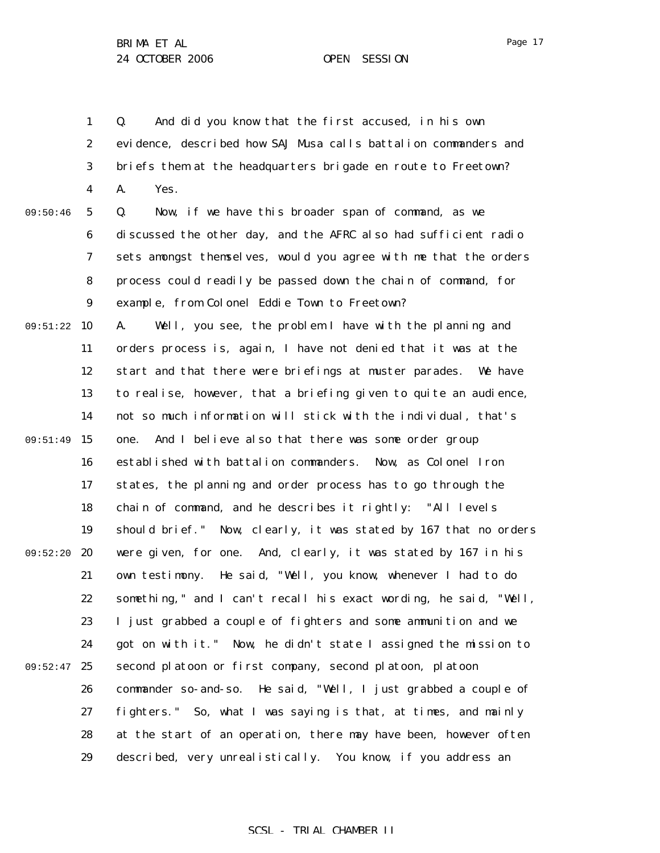1 2 3 4 5 6 7 8 9 09:51:22 10 11 12 13 14 09:51:49 15 16 17 18 19 09:52:20 20 21 22 23 24 09:52:47 25 26 27 28 29 09:50:46 Q. And did you know that the first accused, in his own evidence, described how SAJ Musa calls battalion commanders and briefs them at the headquarters brigade en route to Freetown? A. Yes. Q. Now, if we have this broader span of command, as we discussed the other day, and the AFRC also had sufficient radio sets amongst themselves, would you agree with me that the orders process could readily be passed down the chain of command, for example, from Colonel Eddie Town to Freetown? A. Well, you see, the problem I have with the planning and orders process is, again, I have not denied that it was at the start and that there were briefings at muster parades. We have to realise, however, that a briefing given to quite an audience, not so much information will stick with the individual, that's one. And I believe also that there was some order group established with battalion commanders. Now, as Colonel Iron states, the planning and order process has to go through the chain of command, and he describes it rightly: "All levels should brief." Now, clearly, it was stated by 167 that no orders were given, for one. And, clearly, it was stated by 167 in his own testimony. He said, "Well, you know, whenever I had to do something," and I can't recall his exact wording, he said, "Well, I just grabbed a couple of fighters and some ammunition and we got on with it." Now, he didn't state I assigned the mission to second platoon or first company, second platoon, platoon commander so-and-so. He said, "Well, I just grabbed a couple of fighters." So, what I was saying is that, at times, and mainly at the start of an operation, there may have been, however often described, very unrealistically. You know, if you address an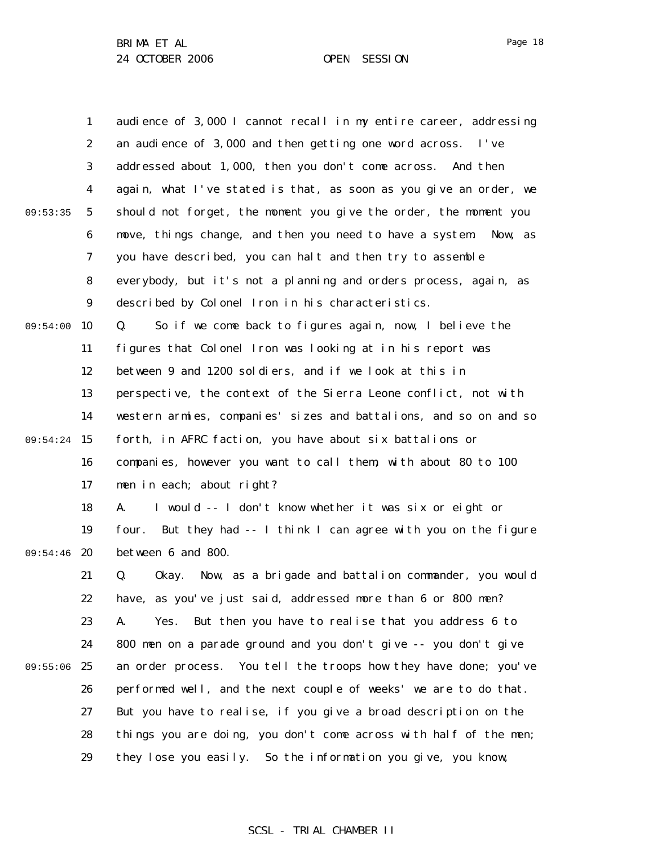1 2 3 4 5 6 7 8 9 09:54:00 10 11 12 13 14 09:54:24 15 16 17 18 19 09:54:46 20 21 22 23 24 09:55:06 25 26 27 28 29 09:53:35 audience of 3,000 I cannot recall in my entire career, addressing an audience of 3,000 and then getting one word across. I've addressed about 1,000, then you don't come across. And then again, what I've stated is that, as soon as you give an order, we should not forget, the moment you give the order, the moment you move, things change, and then you need to have a system. Now, as you have described, you can halt and then try to assemble everybody, but it's not a planning and orders process, again, as described by Colonel Iron in his characteristics. Q. So if we come back to figures again, now, I believe the figures that Colonel Iron was looking at in his report was between 9 and 1200 soldiers, and if we look at this in perspective, the context of the Sierra Leone conflict, not with western armies, companies' sizes and battalions, and so on and so forth, in AFRC faction, you have about six battalions or companies, however you want to call them, with about 80 to 100 men in each; about right? A. I would -- I don't know whether it was six or eight or four. But they had -- I think I can agree with you on the figure between 6 and 800. Q. Okay. Now, as a brigade and battalion commander, you would have, as you've just said, addressed more than 6 or 800 men? A. Yes. But then you have to realise that you address 6 to 800 men on a parade ground and you don't give -- you don't give an order process. You tell the troops how they have done; you've performed well, and the next couple of weeks' we are to do that. But you have to realise, if you give a broad description on the things you are doing, you don't come across with half of the men; they lose you easily. So the information you give, you know,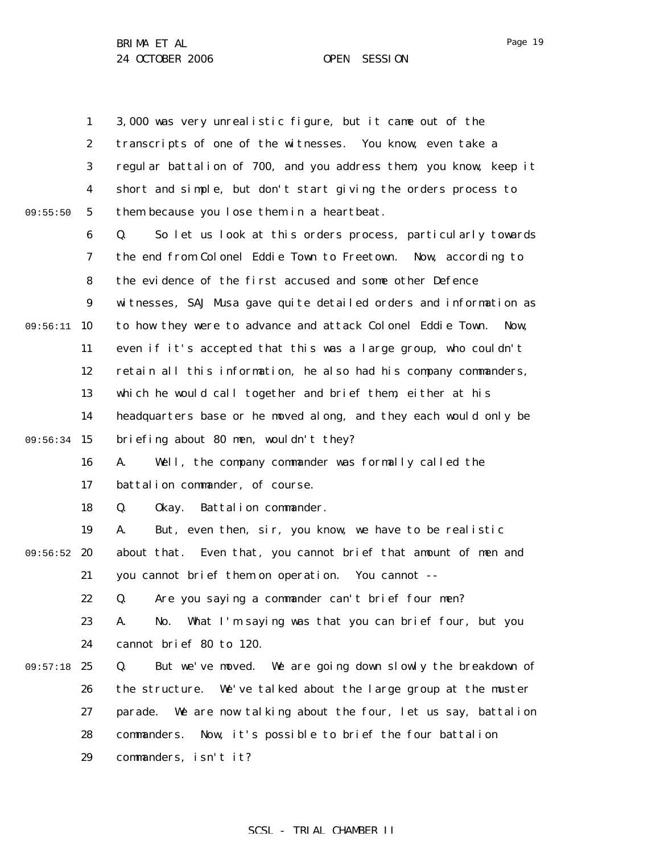|          | $\mathbf{1}$     | 3,000 was very unrealistic figure, but it came out of the           |
|----------|------------------|---------------------------------------------------------------------|
|          | $\boldsymbol{2}$ | transcripts of one of the witnesses. You know, even take a          |
|          |                  |                                                                     |
|          | 3                | regular battalion of 700, and you address them, you know, keep it   |
|          | 4                | short and simple, but don't start giving the orders process to      |
| 09:55:50 | $\sqrt{5}$       | them because you lose them in a heartbeat.                          |
|          | 6                | So let us look at this orders process, particularly towards<br>Q.   |
|          | 7                | the end from Colonel Eddie Town to Freetown. Now, according to      |
|          | 8                | the evidence of the first accused and some other Defence            |
|          | $\boldsymbol{9}$ | witnesses, SAJ Musa gave quite detailed orders and information as   |
| 09:56:11 | 10               | to how they were to advance and attack Colonel Eddie Town.<br>Now.  |
|          | 11               | even if it's accepted that this was a large group, who couldn't     |
|          | 12               | retain all this information, he also had his company commanders,    |
|          | 13               | which he would call together and brief them, either at his          |
|          | 14               | headquarters base or he moved along, and they each would only be    |
| 09:56:34 | 15               | briefing about 80 men, wouldn't they?                               |
|          | 16               | Well, the company commander was formally called the<br>A.           |
|          | 17               | battalion commander, of course.                                     |
|          | 18               | Battalion commander.<br>Q.<br>0kay.                                 |
|          | 19               | But, even then, sir, you know, we have to be realistic<br>A.        |
| 09:56:52 | 20               | about that. Even that, you cannot brief that amount of men and      |
|          | 21               | you cannot brief them on operation. You cannot --                   |
|          | 22               | Are you saying a commander can't brief four men?<br>Q.              |
|          | 23               | What I'm saying was that you can brief four, but you<br>A.<br>No.   |
|          | 24               | cannot brief 80 to 120.                                             |
| 09:57:18 | 25               | But we've moved. We are going down slowly the breakdown of<br>Q.    |
|          | 26               | the structure. We've talked about the large group at the muster     |
|          | 27               | We are now talking about the four, let us say, battalion<br>parade. |
|          | 28               | Now, it's possible to brief the four battalion<br>commanders.       |
|          | 29               | commanders, isn't it?                                               |

Page 19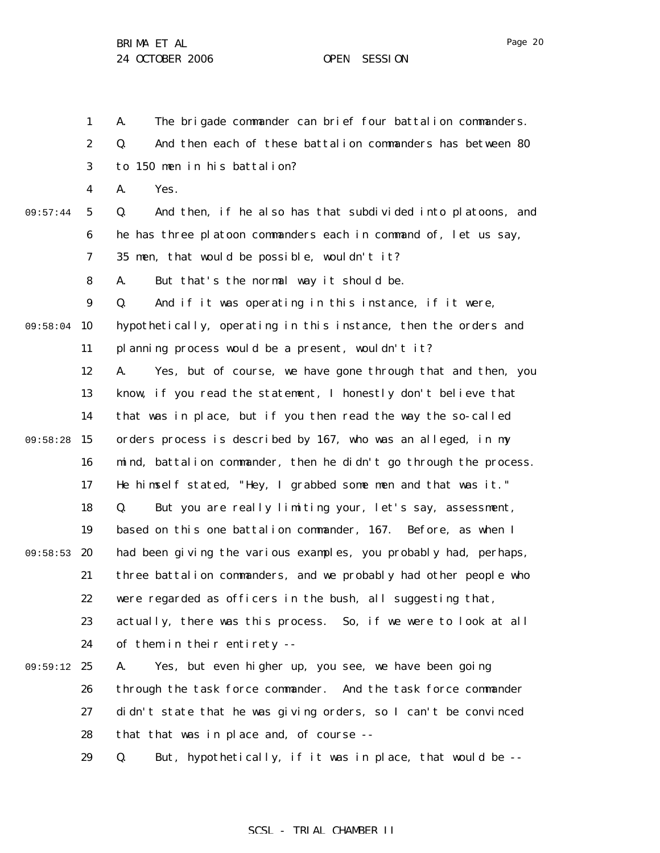Page 20

1 2 3 4 5 6 7 8 9 09:58:04 10 11 12 13 14 09:58:28 15 16 17 18 19 09:58:53 20 21 22 23 24 09:59:12 25 26 27 28 29 09:57:44 A. The brigade commander can brief four battalion commanders. Q. And then each of these battalion commanders has between 80 to 150 men in his battalion? A. Yes. Q. And then, if he also has that subdivided into platoons, and he has three platoon commanders each in command of, let us say, 35 men, that would be possible, wouldn't it? A. But that's the normal way it should be. Q. And if it was operating in this instance, if it were, hypothetically, operating in this instance, then the orders and planning process would be a present, wouldn't it? A. Yes, but of course, we have gone through that and then, you know, if you read the statement, I honestly don't believe that that was in place, but if you then read the way the so-called orders process is described by 167, who was an alleged, in my mind, battalion commander, then he didn't go through the process. He himself stated, "Hey, I grabbed some men and that was it." Q. But you are really limiting your, let's say, assessment, based on this one battalion commander, 167. Before, as when I had been giving the various examples, you probably had, perhaps, three battalion commanders, and we probably had other people who were regarded as officers in the bush, all suggesting that, actually, there was this process. So, if we were to look at all of them in their entirety -- A. Yes, but even higher up, you see, we have been going through the task force commander. And the task force commander didn't state that he was giving orders, so I can't be convinced that that was in place and, of course -- Q. But, hypothetically, if it was in place, that would be --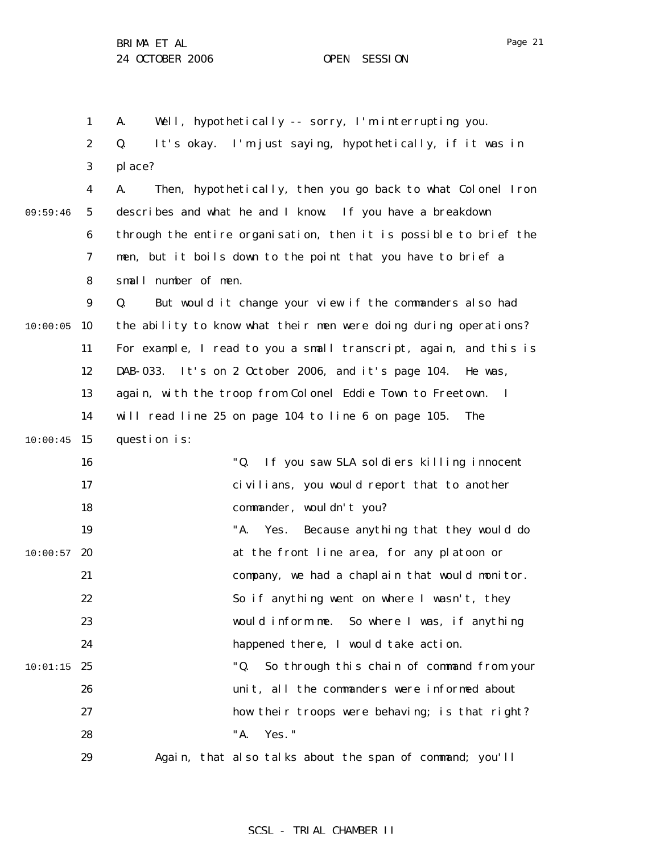Page 21

1 2 3 4 5 6 7 8 9 10:00:05 10 11 12 13 14  $10:00:45$  15 16 17 18 19  $10:00:57$  20 21 22 23 24  $10:01:15$  25 26 27 28 29 09:59:46 A. Well, hypothetically -- sorry, I'm interrupting you. Q. It's okay. I'm just saying, hypothetically, if it was in place? A. Then, hypothetically, then you go back to what Colonel Iron describes and what he and I know. If you have a breakdown through the entire organisation, then it is possible to brief the men, but it boils down to the point that you have to brief a small number of men. Q. But would it change your view if the commanders also had the ability to know what their men were doing during operations? For example, I read to you a small transcript, again, and this is DAB-033. It's on 2 October 2006, and it's page 104. He was, again, with the troop from Colonel Eddie Town to Freetown. I will read line 25 on page 104 to line 6 on page 105. The question is: "Q. If you saw SLA soldiers killing innocent civilians, you would report that to another commander, wouldn't you? "A. Yes. Because anything that they would do at the front line area, for any platoon or company, we had a chaplain that would monitor. So if anything went on where I wasn't, they would inform me. So where I was, if anything happened there, I would take action. "Q. So through this chain of command from your unit, all the commanders were informed about how their troops were behaving; is that right? "A. Yes." Again, that also talks about the span of command; you'll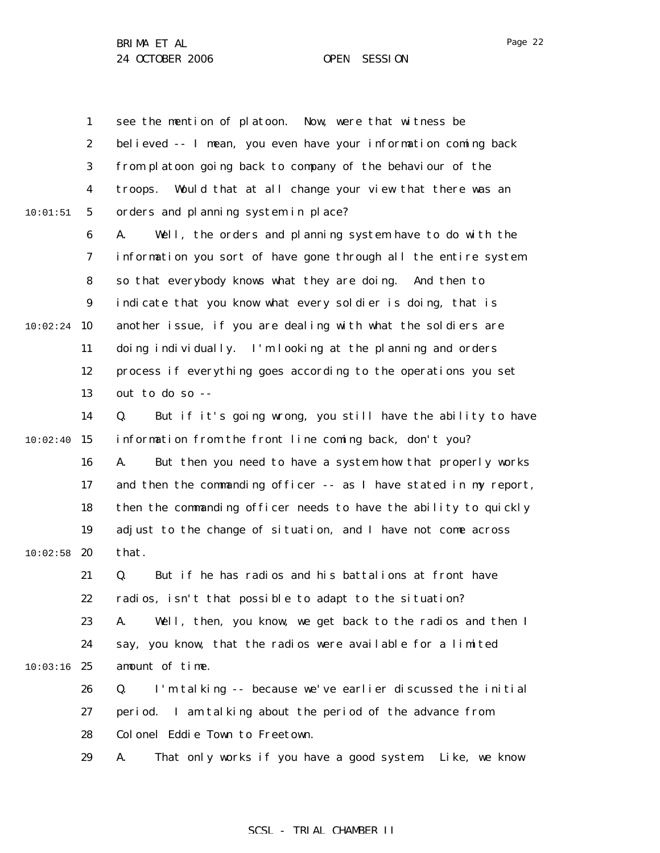1 2 3 4 5 6 7 8 9  $10:02:24$  10 11 12 13 14  $10:02:40$  15 16 17 18 19  $10:02:58$  20 21 22 23 24  $10:03:16$  25 26 27 28 29 10:01:51 see the mention of platoon. Now, were that witness be believed -- I mean, you even have your information coming back from platoon going back to company of the behaviour of the troops. Would that at all change your view that there was an orders and planning system in place? A. Well, the orders and planning system have to do with the information you sort of have gone through all the entire system so that everybody knows what they are doing. And then to indicate that you know what every soldier is doing, that is another issue, if you are dealing with what the soldiers are doing individually. I'm looking at the planning and orders process if everything goes according to the operations you set out to do so -- Q. But if it's going wrong, you still have the ability to have information from the front line coming back, don't you? A. But then you need to have a system how that properly works and then the commanding officer -- as I have stated in my report, then the commanding officer needs to have the ability to quickly adjust to the change of situation, and I have not come across that. Q. But if he has radios and his battalions at front have radios, isn't that possible to adapt to the situation? A. Well, then, you know, we get back to the radios and then I say, you know, that the radios were available for a limited amount of time. Q. I'm talking -- because we've earlier discussed the initial period. I am talking about the period of the advance from Colonel Eddie Town to Freetown. A. That only works if you have a good system. Like, we know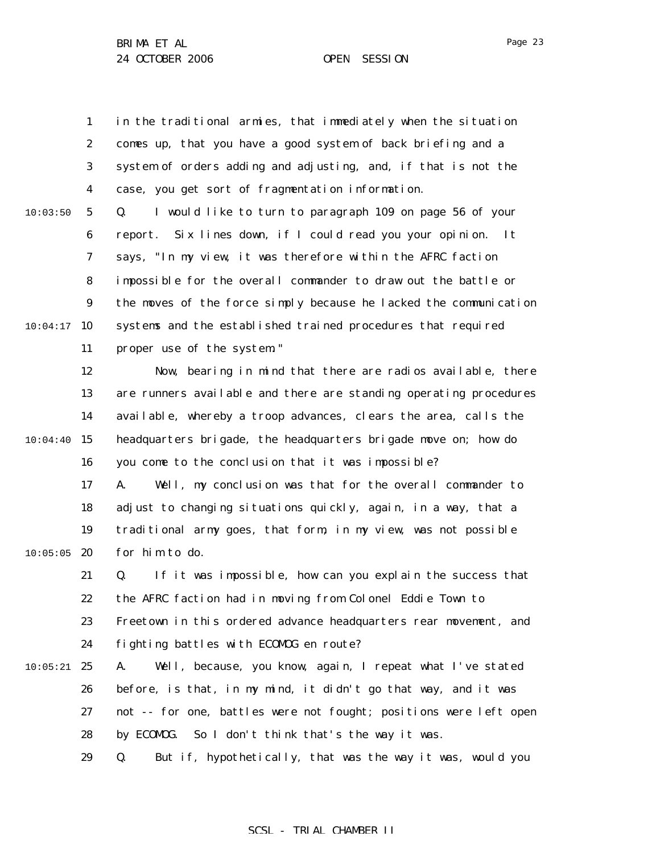1 2 3 4 5 6 7 8 9  $10:04:17$  10 11 12 13 14  $10:04:40$  15 16 17 18 19  $10:05:05$  20 21 22 23 24  $10:05:21$  25 26 27 28 29 10:03:50 in the traditional armies, that immediately when the situation comes up, that you have a good system of back briefing and a system of orders adding and adjusting, and, if that is not the case, you get sort of fragmentation information. Q. I would like to turn to paragraph 109 on page 56 of your report. Six lines down, if I could read you your opinion. It says, "In my view, it was therefore within the AFRC faction impossible for the overall commander to draw out the battle or the moves of the force simply because he lacked the communication systems and the established trained procedures that required proper use of the system." Now, bearing in mind that there are radios available, there are runners available and there are standing operating procedures available, whereby a troop advances, clears the area, calls the headquarters brigade, the headquarters brigade move on; how do you come to the conclusion that it was impossible? A. Well, my conclusion was that for the overall commander to adjust to changing situations quickly, again, in a way, that a traditional army goes, that form, in my view, was not possible for him to do. Q. If it was impossible, how can you explain the success that the AFRC faction had in moving from Colonel Eddie Town to Freetown in this ordered advance headquarters rear movement, and fighting battles with ECOMOG en route? A. Well, because, you know, again, I repeat what I've stated before, is that, in my mind, it didn't go that way, and it was not -- for one, battles were not fought; positions were left open by ECOMOG. So I don't think that's the way it was. Q. But if, hypothetically, that was the way it was, would you

### SCSL - TRIAL CHAMBER II

Page 23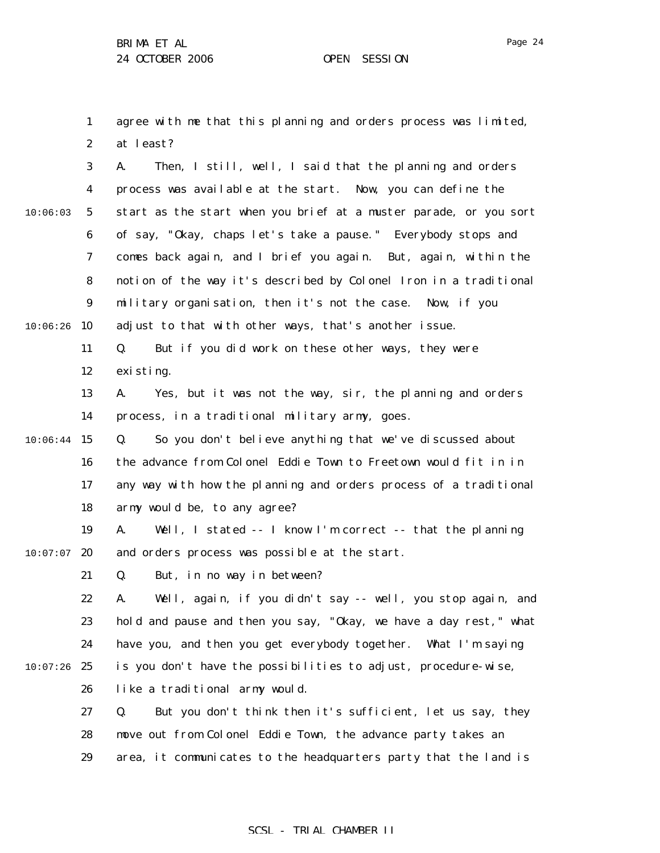1 2 agree with me that this planning and orders process was limited, at least?

3 4 5 6 7 8 9  $10:06:26$  10 11 12 13 14  $10:06:44$  15 16 17 18 19  $10:07:07$  20 21 22 23 24  $10:07:26$  25 26 27 28 29 10:06:03 A. Then, I still, well, I said that the planning and orders process was available at the start. Now, you can define the start as the start when you brief at a muster parade, or you sort of say, "Okay, chaps let's take a pause." Everybody stops and comes back again, and I brief you again. But, again, within the notion of the way it's described by Colonel Iron in a traditional military organisation, then it's not the case. Now, if you adjust to that with other ways, that's another issue. Q. But if you did work on these other ways, they were existing. A. Yes, but it was not the way, sir, the planning and orders process, in a traditional military army, goes. Q. So you don't believe anything that we've discussed about the advance from Colonel Eddie Town to Freetown would fit in in any way with how the planning and orders process of a traditional army would be, to any agree? A. Well, I stated -- I know I'm correct -- that the planning and orders process was possible at the start. Q. But, in no way in between? A. Well, again, if you didn't say -- well, you stop again, and hold and pause and then you say, "Okay, we have a day rest," what have you, and then you get everybody together. What I'm saying is you don't have the possibilities to adjust, procedure-wise, like a traditional army would. Q. But you don't think then it's sufficient, let us say, they move out from Colonel Eddie Town, the advance party takes an area, it communicates to the headquarters party that the land is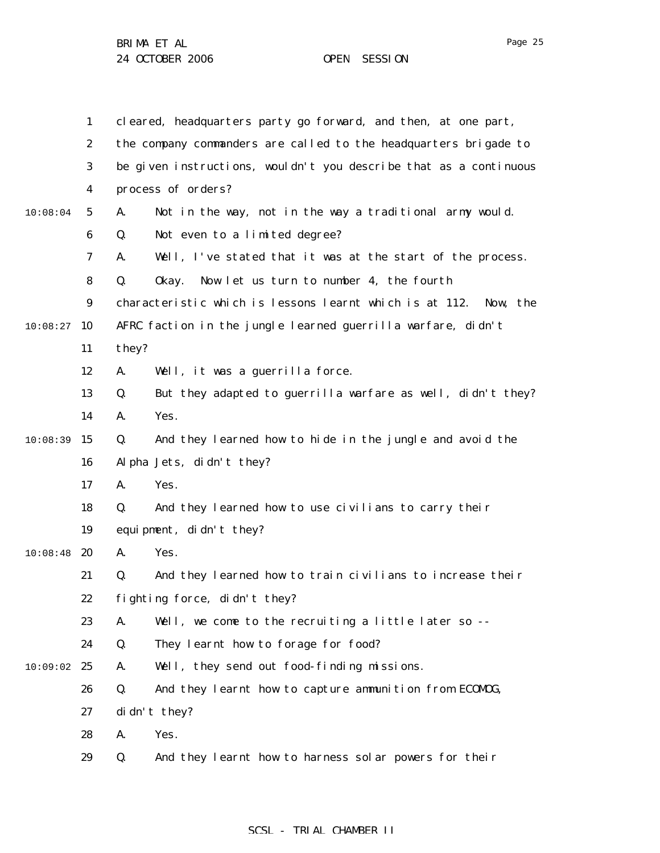1 2 3 4 5 6 7 8 9  $10:08:27$  10 11 12 13 14  $10:08:39$  15 16 17 18 19  $10:08:48$  20 21 22 23 24  $10:09:02$  25 26 27 28 29 10:08:04 cleared, headquarters party go forward, and then, at one part, the company commanders are called to the headquarters brigade to be given instructions, wouldn't you describe that as a continuous process of orders? A. Not in the way, not in the way a traditional army would. Q. Not even to a limited degree? A. Well, I've stated that it was at the start of the process. Q. Okay. Now let us turn to number 4, the fourth characteristic which is lessons learnt which is at 112. Now, the AFRC faction in the jungle learned guerrilla warfare, didn't they? A. Well, it was a guerrilla force. Q. But they adapted to guerrilla warfare as well, didn't they? A. Yes. Q. And they learned how to hide in the jungle and avoid the Alpha Jets, didn't they? A. Yes. Q. And they learned how to use civilians to carry their equipment, didn't they? A. Yes. Q. And they learned how to train civilians to increase their fighting force, didn't they? A. Well, we come to the recruiting a little later so -- Q. They learnt how to forage for food? A. Well, they send out food-finding missions. Q. And they learnt how to capture ammunition from ECOMOG, didn't they? A. Yes. Q. And they learnt how to harness solar powers for their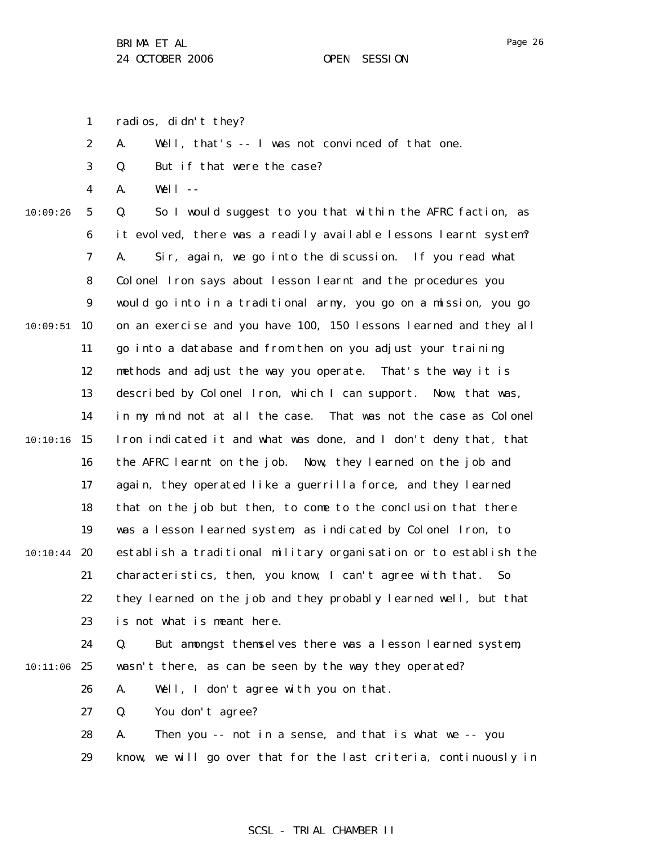Page 26

1 radios, didn't they?

2 A. Well, that's -- I was not convinced of that one.

3 Q. But if that were the case?

4 A. Well --

10:09:26

5 6 7 8 9  $10:09:51$  10 11 12 13 14  $10:10:16$  15 16 17 18 19  $10:10:44$  20 21 22 23 24 Q. So I would suggest to you that within the AFRC faction, as it evolved, there was a readily available lessons learnt system? A. Sir, again, we go into the discussion. If you read what Colonel Iron says about lesson learnt and the procedures you would go into in a traditional army, you go on a mission, you go on an exercise and you have 100, 150 lessons learned and they all go into a database and from then on you adjust your training methods and adjust the way you operate. That's the way it is described by Colonel Iron, which I can support. Now, that was, in my mind not at all the case. That was not the case as Colonel Iron indicated it and what was done, and I don't deny that, that the AFRC learnt on the job. Now, they learned on the job and again, they operated like a guerrilla force, and they learned that on the job but then, to come to the conclusion that there was a lesson learned system, as indicated by Colonel Iron, to establish a traditional military organisation or to establish the characteristics, then, you know, I can't agree with that. So they learned on the job and they probably learned well, but that is not what is meant here. Q. But amongst themselves there was a lesson learned system,

10:11:06 25 wasn't there, as can be seen by the way they operated?

> 26 A. Well, I don't agree with you on that.

27 Q. You don't agree?

|    | 28 A. | Then you -- not in a sense, and that is what we -- you            |
|----|-------|-------------------------------------------------------------------|
| 29 |       | know, we will go over that for the last criteria, continuously in |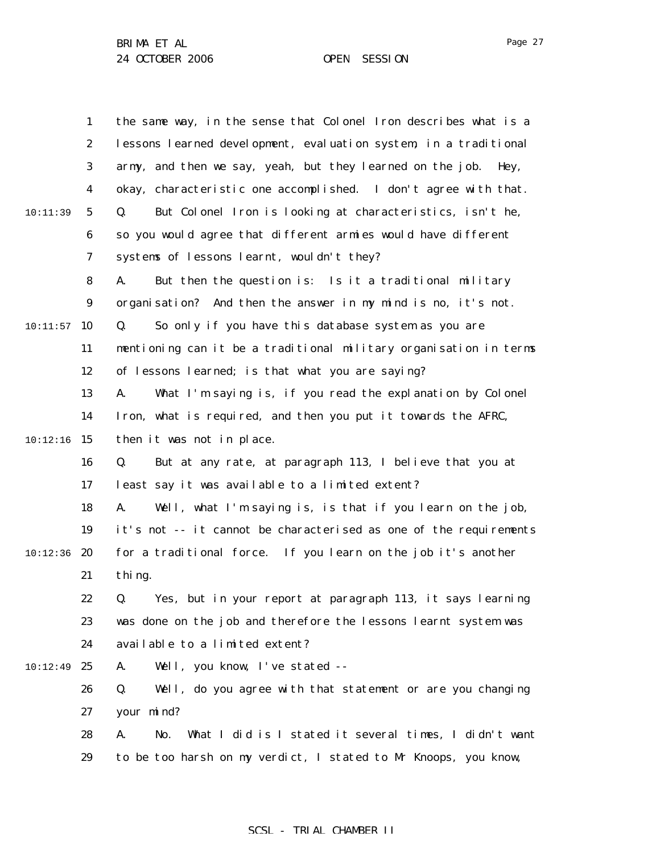| 1                | the same way, in the sense that Colonel Iron describes what is a    |
|------------------|---------------------------------------------------------------------|
| $\boldsymbol{2}$ | lessons learned development, evaluation system, in a traditional    |
| 3                | army, and then we say, yeah, but they learned on the job.<br>Hey,   |
| $\boldsymbol{4}$ | okay, characteristic one accomplished. I don't agree with that.     |
| 5                | But Colonel Iron is looking at characteristics, isn't he,<br>Q.     |
| $\boldsymbol{6}$ | so you would agree that different armies would have different       |
| 7                | systems of lessons learnt, wouldn't they?                           |
| 8                | But then the question is: Is it a traditional military<br>A.        |
| 9                | organisation? And then the answer in my mind is no, it's not.       |
| 10               | So only if you have this database system as you are<br>Q.           |
| 11               | mentioning can it be a traditional military organisation in terms   |
| 12               | of lessons learned; is that what you are saying?                    |
| 13               | What I'm saying is, if you read the explanation by Colonel<br>A.    |
| 14               | Iron, what is required, and then you put it towards the AFRC,       |
| 15               | then it was not in place.                                           |
| 16               | Q.<br>But at any rate, at paragraph 113, I believe that you at      |
| 17               | least say it was available to a limited extent?                     |
| 18               | Well, what I'm saying is, is that if you learn on the job,<br>A.    |
| 19               | it's not -- it cannot be characterised as one of the requirements   |
| 20               | for a traditional force. If you learn on the job it's another       |
| 21               | thing.                                                              |
| 22               | Q. Yes, but in your report at paragraph 113, it says learning       |
| 23               | was done on the job and therefore the lessons learnt system was     |
| 24               | available to a limited extent?                                      |
| 25               | Well, you know, I've stated --<br>A.                                |
| 26               | Q.<br>Well, do you agree with that statement or are you changing    |
| 27               | your mind?                                                          |
| 28               | What I did is I stated it several times, I didn't want<br>A.<br>No. |
| 29               | to be too harsh on my verdict, I stated to Mr Knoops, you know,     |
|                  |                                                                     |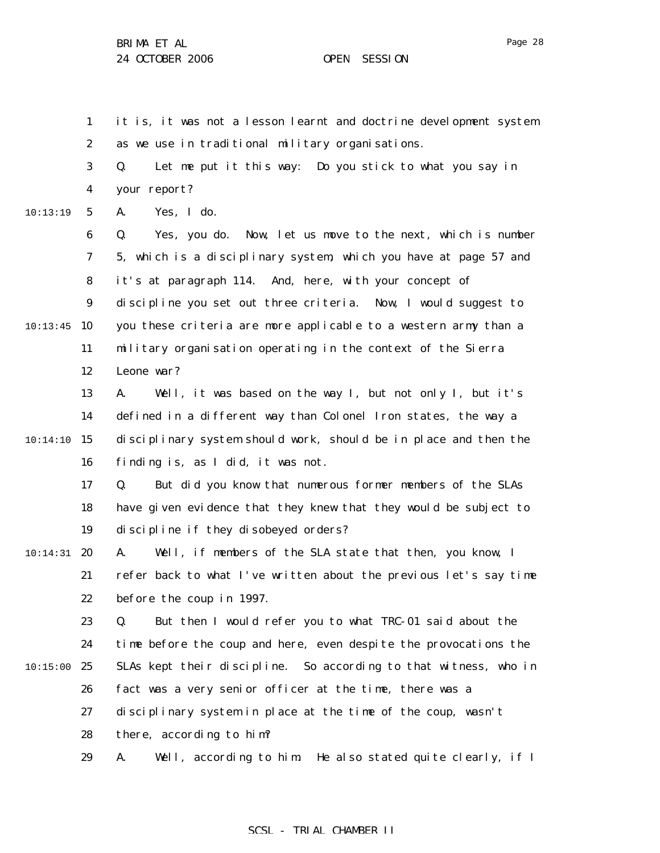1 2 it is, it was not a lesson learnt and doctrine development system as we use in traditional military organisations.

3 4 Q. Let me put it this way: Do you stick to what you say in your report?

5 10:13:19 A. Yes, I do.

6 7 8 9 10:13:45 10 11 12 Q. Yes, you do. Now, let us move to the next, which is number 5, which is a disciplinary system, which you have at page 57 and it's at paragraph 114. And, here, with your concept of discipline you set out three criteria. Now, I would suggest to you these criteria are more applicable to a western army than a military organisation operating in the context of the Sierra Leone war?

13 14 10:14:10 15 16 A. Well, it was based on the way I, but not only I, but it's defined in a different way than Colonel Iron states, the way a disciplinary system should work, should be in place and then the finding is, as I did, it was not.

> 17 18 19 Q. But did you know that numerous former members of the SLAs have given evidence that they knew that they would be subject to discipline if they disobeyed orders?

 $10:14:31$  20 21 22 A. Well, if members of the SLA state that then, you know, I refer back to what I've written about the previous let's say time before the coup in 1997.

23 24 10:15:00 25 26 27 Q. But then I would refer you to what TRC-01 said about the time before the coup and here, even despite the provocations the SLAs kept their discipline. So according to that witness, who in fact was a very senior officer at the time, there was a disciplinary system in place at the time of the coup, wasn't

> 28 there, according to him?

29 A. Well, according to him. He also stated quite clearly, if I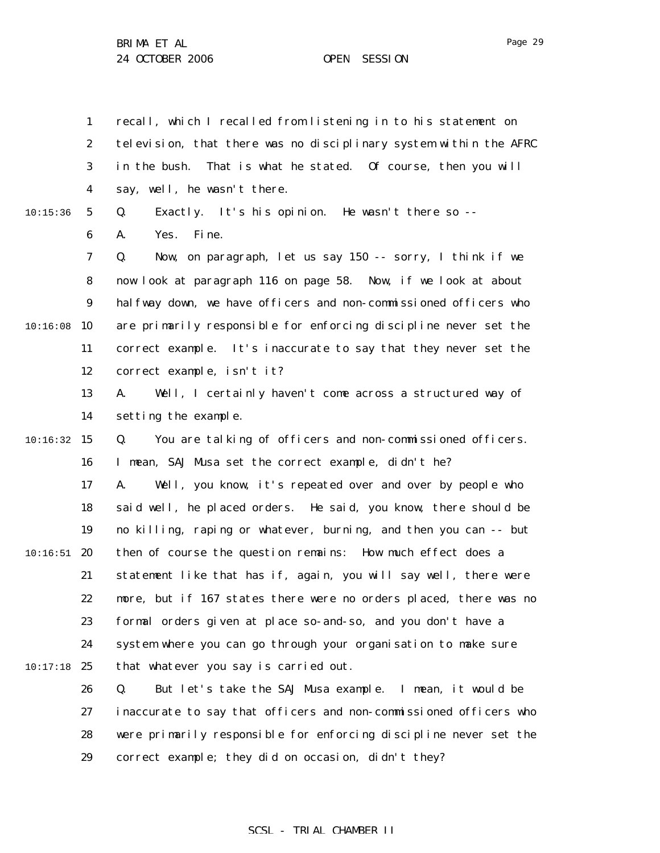1 2 3 4 recall, which I recalled from listening in to his statement on television, that there was no disciplinary system within the AFRC in the bush. That is what he stated. Of course, then you will say, well, he wasn't there.

#### 10:15:36

5 6 Q. Exactly. It's his opinion. He wasn't there so -- A. Yes. Fine.

7 8 9 10:16:08 10 11 12 Q. Now, on paragraph, let us say 150 -- sorry, I think if we now look at paragraph 116 on page 58. Now, if we look at about halfway down, we have officers and non-commissioned officers who are primarily responsible for enforcing discipline never set the correct example. It's inaccurate to say that they never set the correct example, isn't it?

> 13 14 A. Well, I certainly haven't come across a structured way of setting the example.

 $10:16:32$  15 16 Q. You are talking of officers and non-commissioned officers. I mean, SAJ Musa set the correct example, didn't he?

17 18 19  $10:16:51$  20 21 22 23 24 10:17:18 25 A. Well, you know, it's repeated over and over by people who said well, he placed orders. He said, you know, there should be no killing, raping or whatever, burning, and then you can -- but then of course the question remains: How much effect does a statement like that has if, again, you will say well, there were more, but if 167 states there were no orders placed, there was no formal orders given at place so-and-so, and you don't have a system where you can go through your organisation to make sure that whatever you say is carried out.

26 27 28 29 Q. But let's take the SAJ Musa example. I mean, it would be inaccurate to say that officers and non-commissioned officers who were primarily responsible for enforcing discipline never set the correct example; they did on occasion, didn't they?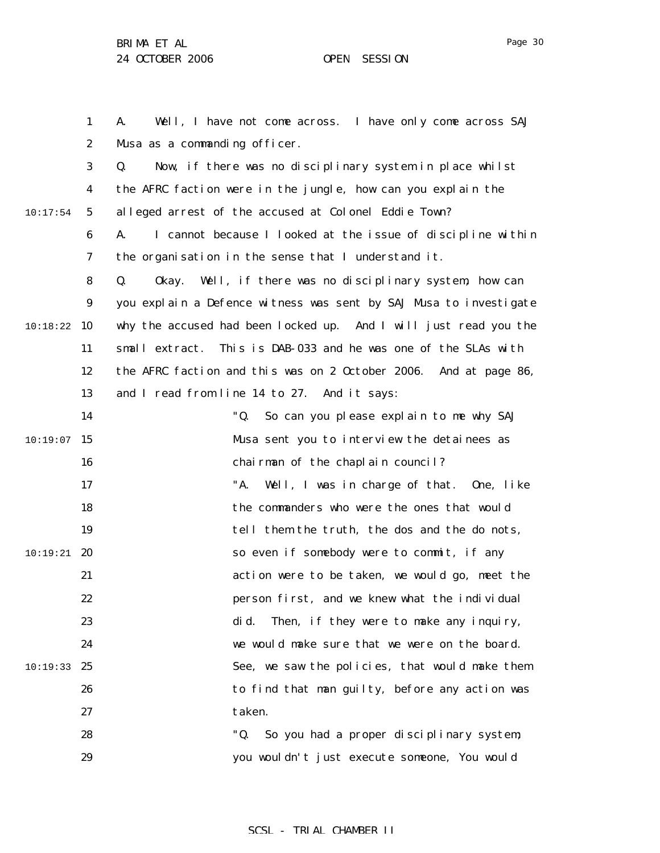Page 30

1 2 3 4 5 6 7 8 9 10 10:18:22 11 12 13 14  $10:19:07$  15 16 17 18 19  $10:19:21$  20 21 22 23 24 10:19:33 25 26 27 28 29 10:17:54 A. Well, I have not come across. I have only come across SAJ Musa as a commanding officer. Q. Now, if there was no disciplinary system in place whilst the AFRC faction were in the jungle, how can you explain the alleged arrest of the accused at Colonel Eddie Town? A. I cannot because I looked at the issue of discipline within the organisation in the sense that I understand it. Q. Okay. Well, if there was no disciplinary system, how can you explain a Defence witness was sent by SAJ Musa to investigate why the accused had been locked up. And I will just read you the small extract. This is DAB-033 and he was one of the SLAs with the AFRC faction and this was on 2 October 2006. And at page 86, and I read from line 14 to 27. And it says: "Q. So can you please explain to me why SAJ Musa sent you to interview the detainees as chairman of the chaplain council? "A. Well, I was in charge of that. One, like the commanders who were the ones that would tell them the truth, the dos and the do nots, so even if somebody were to commit, if any action were to be taken, we would go, meet the person first, and we knew what the individual did. Then, if they were to make any inquiry, we would make sure that we were on the board. See, we saw the policies, that would make them to find that man guilty, before any action was taken. "Q. So you had a proper disciplinary system; you wouldn't just execute someone, You would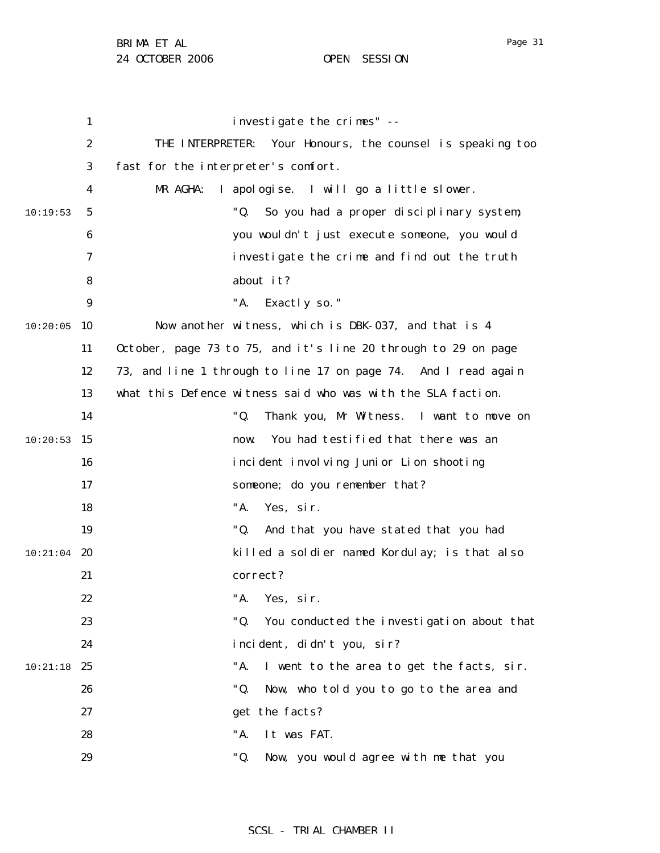|          | $\mathbf{1}$     | investigate the crimes" --                                     |
|----------|------------------|----------------------------------------------------------------|
|          | $\boldsymbol{2}$ | THE INTERPRETER:<br>Your Honours, the counsel is speaking too  |
|          | 3                | fast for the interpreter's comfort.                            |
|          | 4                | I apologise.<br>I will go a little slower.<br>MR AGHA:         |
| 10:19:53 | 5                | "Q.<br>So you had a proper disciplinary system;                |
|          | 6                | you wouldn't just execute someone, you would                   |
|          | 7                | investigate the crime and find out the truth                   |
|          | 8                | about it?                                                      |
|          | $\boldsymbol{9}$ | "A.<br>Exactly so."                                            |
| 10:20:05 | 10               | Now another witness, which is DBK-037, and that is 4           |
|          | 11               | October, page 73 to 75, and it's line 20 through to 29 on page |
|          | 12               | 73, and line 1 through to line 17 on page 74. And I read again |
|          | 13               | what this Defence witness said who was with the SLA faction.   |
|          | 14               | "Q.<br>Thank you, Mr Witness. I want to move on                |
| 10:20:53 | 15               | You had testified that there was an<br>now.                    |
|          | 16               | incident involving Junior Lion shooting                        |
|          | 17               | someone; do you remember that?                                 |
|          | 18               | "A.<br>Yes, sir.                                               |
|          | 19               | "Q.<br>And that you have stated that you had                   |
| 10:21:04 | 20               | killed a soldier named Kordulay; is that also                  |
|          | 21               | correct?                                                       |
|          | 22               | "A. Yes, sir.                                                  |
|          | 23               | "Q.<br>You conducted the investigation about that              |
|          | 24               | incident, didn't you, sir?                                     |
| 10:21:18 | 25               | "A.<br>I went to the area to get the facts, sir.               |
|          | 26               | "Q.<br>Now, who told you to go to the area and                 |
|          | 27               | get the facts?                                                 |
|          | 28               | "A.<br>It was FAT.                                             |
|          | 29               | "Q.<br>Now, you would agree with me that you                   |
|          |                  |                                                                |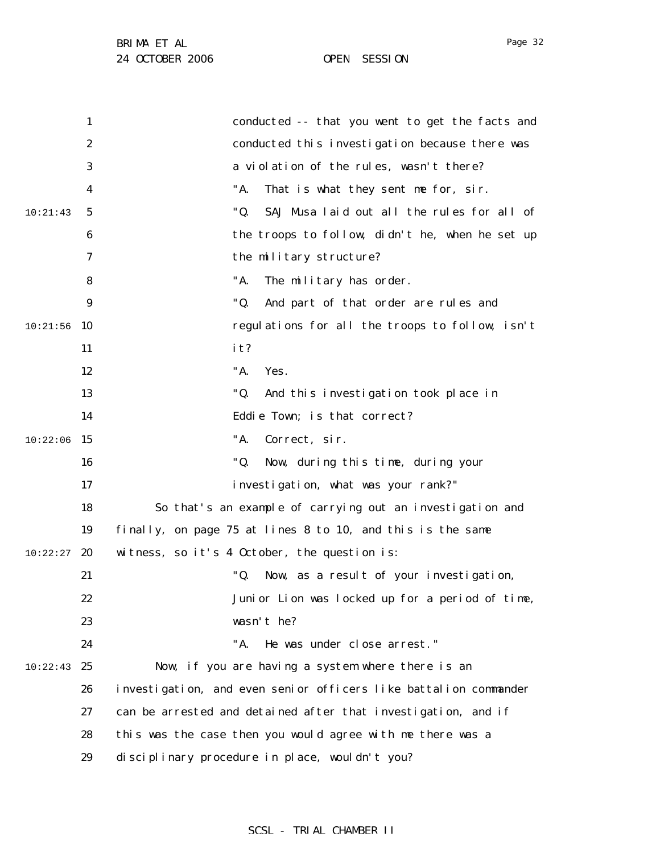|          | 1                | conducted -- that you went to get the facts and                  |
|----------|------------------|------------------------------------------------------------------|
|          | $\boldsymbol{2}$ | conducted this investigation because there was                   |
|          | 3                | a violation of the rules, wasn't there?                          |
|          | 4                | "A.<br>That is what they sent me for, sir.                       |
| 10:21:43 | 5                | "Q.<br>SAJ Musa laid out all the rules for all of                |
|          | 6                | the troops to follow, didn't he, when he set up                  |
|          | 7                | the military structure?                                          |
|          | 8                | "A.<br>The military has order.                                   |
|          | $\boldsymbol{9}$ | "Q.<br>And part of that order are rules and                      |
| 10:21:56 | 10               | regulations for all the troops to follow, isn't                  |
|          | 11               | it?                                                              |
|          | 12               | "A.<br>Yes.                                                      |
|          | 13               | "Q.<br>And this investigation took place in                      |
|          | 14               | Eddie Town; is that correct?                                     |
| 10:22:06 | 15               | "A.<br>Correct, sir.                                             |
|          | 16               | "Q.<br>Now, during this time, during your                        |
|          | 17               | investigation, what was your rank?"                              |
|          | 18               | So that's an example of carrying out an investigation and        |
|          | 19               | finally, on page 75 at lines 8 to 10, and this is the same       |
| 10:22:27 | 20               | witness, so it's 4 October, the question is:                     |
|          | 21               | "Q.<br>Now, as a result of your investigation,                   |
|          | 22               | Junior Lion was locked up for a period of time,                  |
|          | 23               | wasn't he?                                                       |
|          | 24               | He was under close arrest."<br>"A.                               |
| 10:22:43 | 25               | Now, if you are having a system where there is an                |
|          | 26               | investigation, and even senior officers like battalion commander |
|          | 27               | can be arrested and detained after that investigation, and if    |
|          | 28               | this was the case then you would agree with me there was a       |
|          | 29               | disciplinary procedure in place, wouldn't you?                   |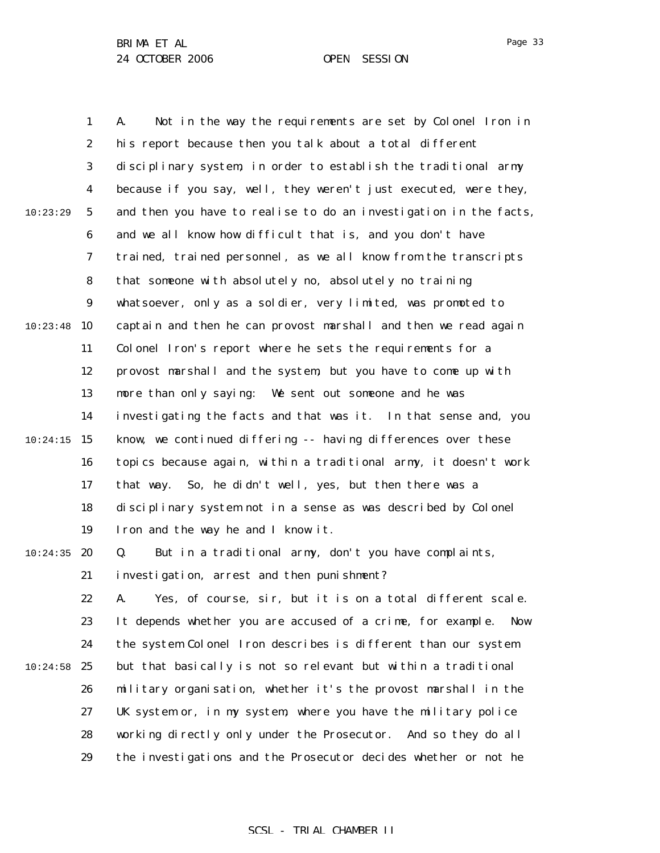Page 33

1 2 3 4 5 6 7 8 9 10:23:48 10 11 12 13 14  $10:24:15$  15 16 17 18 19  $10:24:35$  20 21 22 23 24  $10:24:58$  25 26 27 28 29 10:23:29 A. Not in the way the requirements are set by Colonel Iron in his report because then you talk about a total different disciplinary system, in order to establish the traditional army because if you say, well, they weren't just executed, were they, and then you have to realise to do an investigation in the facts, and we all know how difficult that is, and you don't have trained, trained personnel, as we all know from the transcripts that someone with absolutely no, absolutely no training whatsoever, only as a soldier, very limited, was promoted to captain and then he can provost marshall and then we read again Colonel Iron's report where he sets the requirements for a provost marshall and the system, but you have to come up with more than only saying: We sent out someone and he was investigating the facts and that was it. In that sense and, you know, we continued differing -- having differences over these topics because again, within a traditional army, it doesn't work that way. So, he didn't well, yes, but then there was a disciplinary system not in a sense as was described by Colonel Iron and the way he and I know it. Q. But in a traditional army, don't you have complaints, investigation, arrest and then punishment? A. Yes, of course, sir, but it is on a total different scale. It depends whether you are accused of a crime, for example. Now the system Colonel Iron describes is different than our system but that basically is not so relevant but within a traditional military organisation, whether it's the provost marshall in the UK system or, in my system, where you have the military police working directly only under the Prosecutor. And so they do all the investigations and the Prosecutor decides whether or not he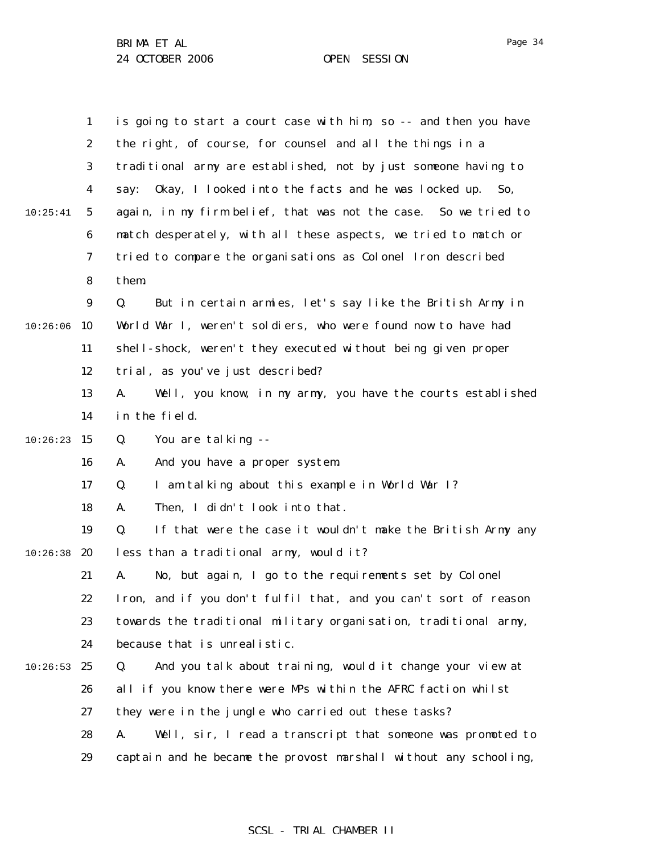|          | 1                | is going to start a court case with him, so -- and then you have   |
|----------|------------------|--------------------------------------------------------------------|
|          | $\boldsymbol{2}$ | the right, of course, for counsel and all the things in a          |
|          | 3                | traditional army are established, not by just someone having to    |
|          | 4                | Okay, I looked into the facts and he was locked up.<br>say:<br>So, |
| 10:25:41 | 5                | again, in my firm belief, that was not the case. So we tried to    |
|          | 6                | match desperately, with all these aspects, we tried to match or    |
|          | 7                | tried to compare the organisations as Colonel Iron described       |
|          | 8                | them.                                                              |
|          | 9                | But in certain armies, let's say like the British Army in<br>Q.    |
| 10:26:06 | 10               | World War I, weren't soldiers, who were found now to have had      |
|          | 11               | shell-shock, weren't they executed without being given proper      |
|          | 12               | trial, as you've just described?                                   |
|          | 13               | Well, you know, in my army, you have the courts established<br>A.  |
|          | 14               | in the field.                                                      |
| 10:26:23 | 15               | Q.<br>You are talking --                                           |
|          | 16               | And you have a proper system.<br>A.                                |
|          | 17               | I am talking about this example in World War I?<br>Q.              |
|          | 18               | Then, I didn't look into that.<br>A.                               |
|          | 19               | If that were the case it wouldn't make the British Army any<br>Q.  |
| 10:26:38 | 20               | less than a traditional army, would it?                            |
|          | 21               | No, but again, I go to the requirements set by Colonel<br>A.       |
|          | 22               | Iron, and if you don't fulfil that, and you can't sort of reason   |
|          | 23               | towards the traditional military organisation, traditional army,   |
|          | 24               | because that is unrealistic.                                       |
| 10:26:53 | 25               | And you talk about training, would it change your view at<br>Q.    |
|          | 26               | all if you know there were MPs within the AFRC faction whilst      |
|          | 27               | they were in the jungle who carried out these tasks?               |
|          | 28               | A.<br>Well, sir, I read a transcript that someone was promoted to  |
|          | 29               | captain and he became the provost marshall without any schooling,  |

Page 34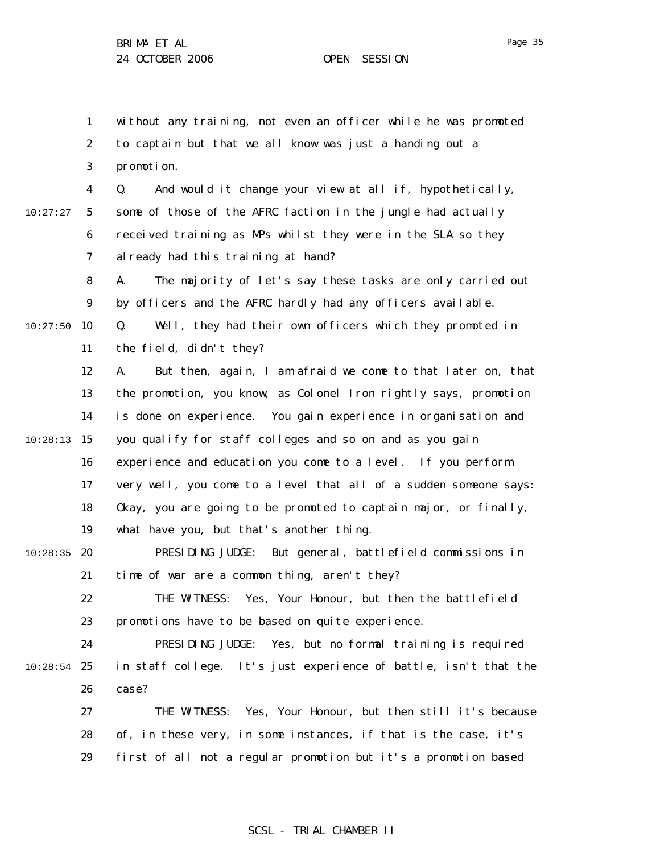1 2 3 4 5 6 7 8 9  $10:27:50$  10 11 12 13 14  $10:28:13$  15 16 17 18 19  $10:28:35$  20 21 22 23 24  $10:28:54$  25 26 27 28 29 10:27:27 without any training, not even an officer while he was promoted to captain but that we all know was just a handing out a promotion. Q. And would it change your view at all if, hypothetically, some of those of the AFRC faction in the jungle had actually received training as MPs whilst they were in the SLA so they already had this training at hand? A. The majority of let's say these tasks are only carried out by officers and the AFRC hardly had any officers available. Q. Well, they had their own officers which they promoted in the field, didn't they? A. But then, again, I am afraid we come to that later on, that the promotion, you know, as Colonel Iron rightly says, promotion is done on experience. You gain experience in organisation and you qualify for staff colleges and so on and as you gain experience and education you come to a level. If you perform very well, you come to a level that all of a sudden someone says: Okay, you are going to be promoted to captain major, or finally, what have you, but that's another thing. PRESIDING JUDGE: But general, battlefield commissions in time of war are a common thing, aren't they? THE WITNESS: Yes, Your Honour, but then the battlefield promotions have to be based on quite experience. PRESIDING JUDGE: Yes, but no formal training is required in staff college. It's just experience of battle, isn't that the case? THE WITNESS: Yes, Your Honour, but then still it's because of, in these very, in some instances, if that is the case, it's first of all not a regular promotion but it's a promotion based

Page 35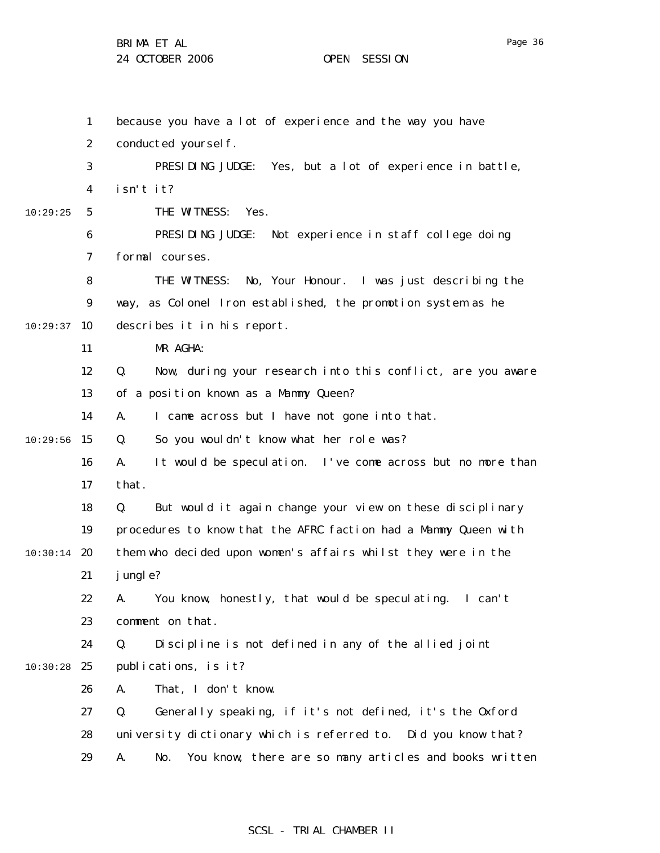BRIMA ET AL

24 OCTOBER 2006 OPEN SESSION

1 2 3 4 5 6 7 8 9  $10:29:37$  10 11 12 13 14  $10:29:56$  15 16 17 18 19  $10:30:14$  20 21 22 23 24 10:30:28 25 26 27 28 29 10:29:25 because you have a lot of experience and the way you have conducted yourself. PRESIDING JUDGE: Yes, but a lot of experience in battle, isn't it? THE WITNESS: Yes. PRESIDING JUDGE: Not experience in staff college doing formal courses. THE WITNESS: No, Your Honour. I was just describing the way, as Colonel Iron established, the promotion system as he describes it in his report. MR AGHA: Q. Now, during your research into this conflict, are you aware of a position known as a Mammy Queen? A. I came across but I have not gone into that. Q. So you wouldn't know what her role was? A. It would be speculation. I've come across but no more than that. Q. But would it again change your view on these disciplinary procedures to know that the AFRC faction had a Mammy Queen with them who decided upon women's affairs whilst they were in the jungle? A. You know, honestly, that would be speculating. I can't comment on that. Q. Discipline is not defined in any of the allied joint publications, is it? A. That, I don't know. Q. Generally speaking, if it's not defined, it's the Oxford university dictionary which is referred to. Did you know that? A. No. You know, there are so many articles and books written

Page 36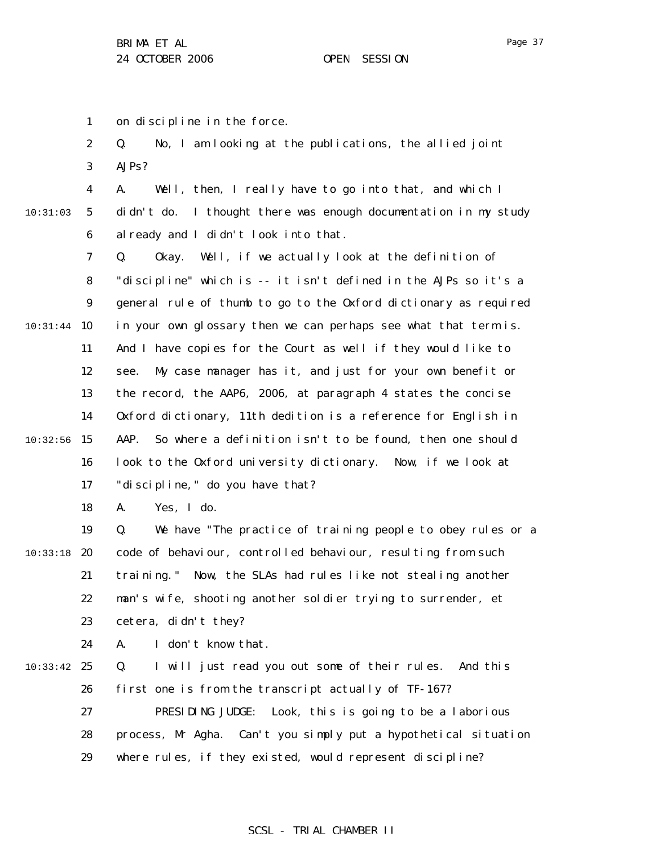Page 37

1 on discipline in the force.

|          | $\boldsymbol{2}$ | No, I am looking at the publications, the allied joint<br>Q.      |
|----------|------------------|-------------------------------------------------------------------|
|          | 3                | AJPs?                                                             |
|          | $\boldsymbol{4}$ | Well, then, I really have to go into that, and which I<br>A.      |
| 10:31:03 | $\mathbf{5}$     | didn't do. I thought there was enough documentation in my study   |
|          | 6                | al ready and I didn't look into that.                             |
|          | 7                | Well, if we actually look at the definition of<br>Q.<br>0kay.     |
|          | 8                | "discipline" which is -- it isn't defined in the AJPs so it's a   |
|          | $\boldsymbol{9}$ | general rule of thumb to go to the 0xford dictionary as required  |
| 10:31:44 | 10               | in your own glossary then we can perhaps see what that term is.   |
|          | 11               | And I have copies for the Court as well if they would like to     |
|          | 12               | My case manager has it, and just for your own benefit or<br>see.  |
|          | 13               | the record, the AAP6, 2006, at paragraph 4 states the concise     |
|          | 14               | Oxford dictionary, 11th dedition is a reference for English in    |
| 10:32:56 | 15               | So where a definition isn't to be found, then one should<br>AAP.  |
|          | 16               | look to the Oxford university dictionary. Now, if we look at      |
|          | 17               | "discipline," do you have that?                                   |
|          | 18               | Yes, I do.<br>A.                                                  |
|          | 19               | We have "The practice of training people to obey rules or a<br>Q. |
| 10:33:18 | 20               | code of behaviour, controlled behaviour, resulting from such      |
|          | 21               | training." Now, the SLAs had rules like not stealing another      |
|          | 22               | man's wife, shooting another soldier trying to surrender, et      |
|          | 23               | cetera, didn't they?                                              |
|          | 24               | I don't know that.<br>A.                                          |
| 10:33:42 | 25               | I will just read you out some of their rules. And this<br>Q.      |
|          | 26               | first one is from the transcript actually of TF-167?              |
|          | 27               | PRESIDING JUDGE:<br>Look, this is going to be a laborious         |
|          | 28               | process, Mr Agha. Can't you simply put a hypothetical situation   |
|          | 29               | where rules, if they existed, would represent discipline?         |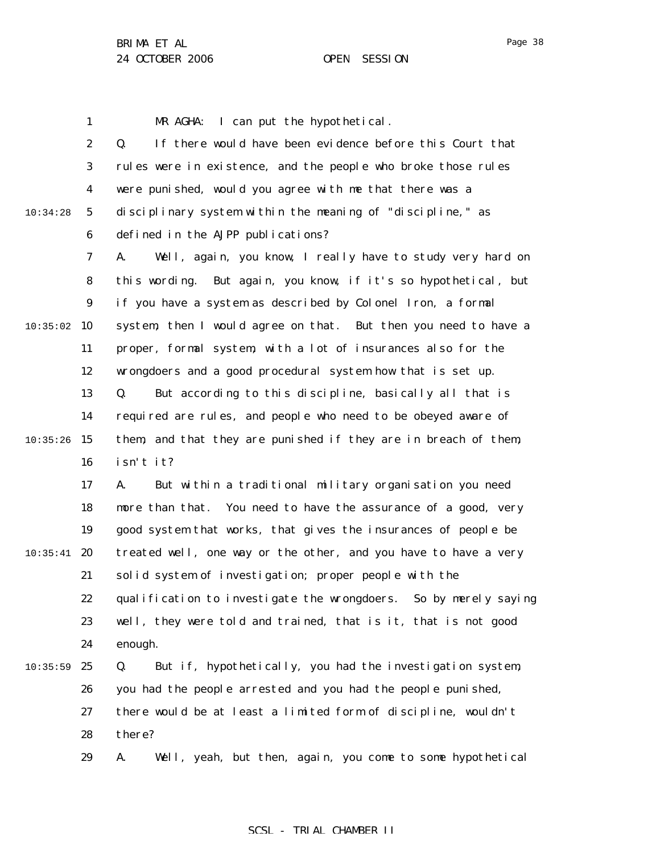1

MR AGHA: I can put the hypothetical.

2 3 4 5 6 7 8 9  $10:35:02$  10 11 12 13 14  $10:35:26$  15 16 17 18 19  $10:35:41$  20 21 22 23 24 25 26 27 28 29 10:34:28 10:35:59 Q. If there would have been evidence before this Court that rules were in existence, and the people who broke those rules were punished, would you agree with me that there was a disciplinary system within the meaning of "discipline," as defined in the AJPP publications? A. Well, again, you know, I really have to study very hard on this wording. But again, you know, if it's so hypothetical, but if you have a system as described by Colonel Iron, a formal system, then I would agree on that. But then you need to have a proper, formal system, with a lot of insurances also for the wrongdoers and a good procedural system how that is set up. Q. But according to this discipline, basically all that is required are rules, and people who need to be obeyed aware of them, and that they are punished if they are in breach of them, isn't it? A. But within a traditional military organisation you need more than that. You need to have the assurance of a good, very good system that works, that gives the insurances of people be treated well, one way or the other, and you have to have a very solid system of investigation; proper people with the qualification to investigate the wrongdoers. So by merely saying well, they were told and trained, that is it, that is not good enough. Q. But if, hypothetically, you had the investigation system, you had the people arrested and you had the people punished, there would be at least a limited form of discipline, wouldn't there? A. Well, yeah, but then, again, you come to some hypothetical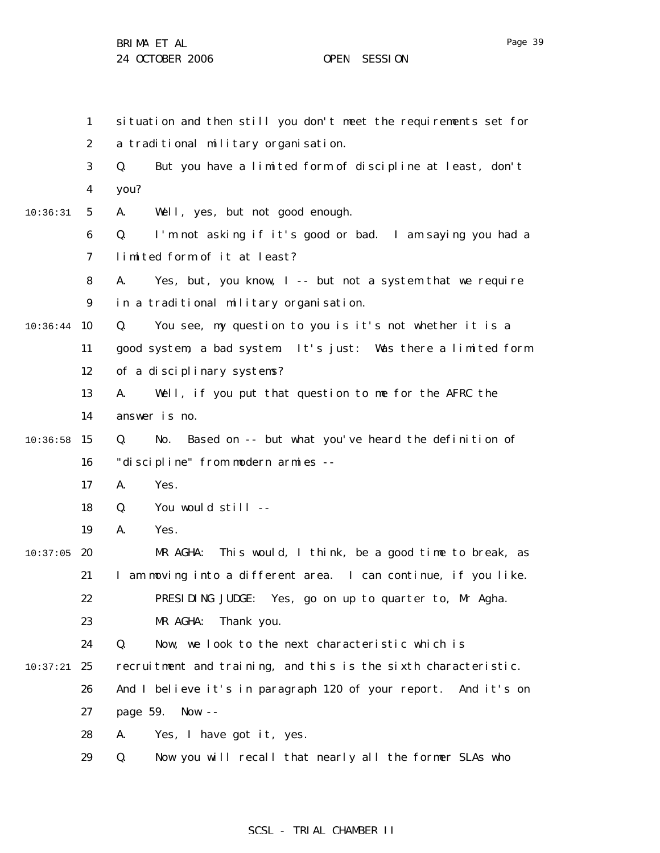1 2 3 4 5 6 7 8 9  $10:36:44$  10 11 12 13 14  $10:36:58$  15 16 17 18 19  $10:37:05$  20 21 22 23 24  $10:37:21$  25 26 27 28 29 10:36:31 situation and then still you don't meet the requirements set for a traditional military organisation. Q. But you have a limited form of discipline at least, don't you? A. Well, yes, but not good enough. Q. I'm not asking if it's good or bad. I am saying you had a limited form of it at least? A. Yes, but, you know, I -- but not a system that we require in a traditional military organisation. Q. You see, my question to you is it's not whether it is a good system, a bad system. It's just: Was there a limited form of a disciplinary systems? A. Well, if you put that question to me for the AFRC the answer is no. Q. No. Based on -- but what you've heard the definition of "discipline" from modern armies -- A. Yes. Q. You would still -- A. Yes. MR AGHA: This would, I think, be a good time to break, as I am moving into a different area. I can continue, if you like. PRESIDING JUDGE: Yes, go on up to quarter to, Mr Agha. MR AGHA: Thank you. Q. Now, we look to the next characteristic which is recruitment and training, and this is the sixth characteristic. And I believe it's in paragraph 120 of your report. And it's on page 59. Now -- A. Yes, I have got it, yes. Q. Now you will recall that nearly all the former SLAs who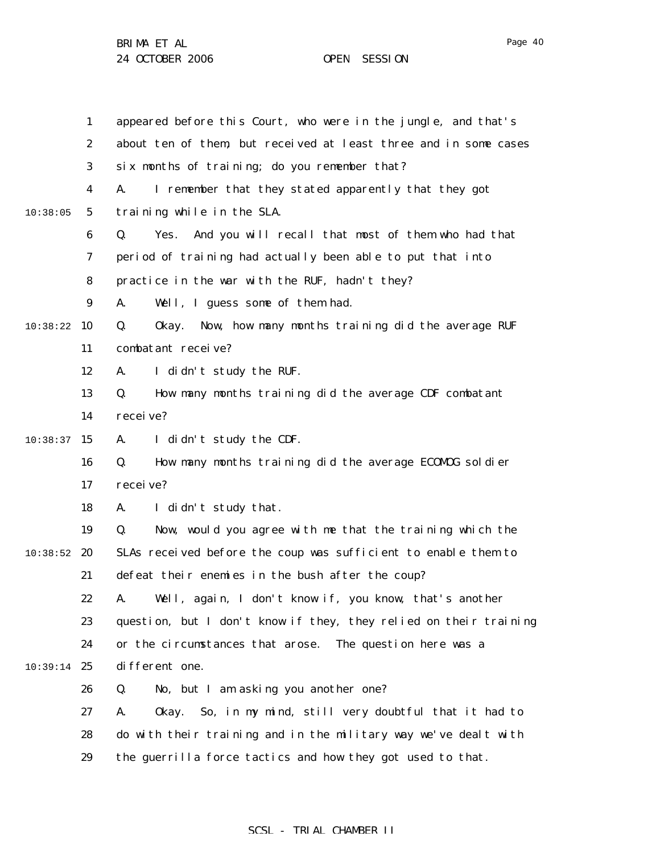1 2 3 4 5 6 7 8 9 10:38:22 10 11 12 13 14  $10:38:37$  15 16 17 18 19  $10:38:52$  20 21 22 23 24 10:39:14 25 26 27 28 29 10:38:05 appeared before this Court, who were in the jungle, and that's about ten of them, but received at least three and in some cases six months of training; do you remember that? A. I remember that they stated apparently that they got training while in the SLA. Q. Yes. And you will recall that most of them who had that period of training had actually been able to put that into practice in the war with the RUF, hadn't they? A. Well, I guess some of them had. Q. Okay. Now, how many months training did the average RUF combatant receive? A. I didn't study the RUF. Q. How many months training did the average CDF combatant receive? A. I didn't study the CDF. Q. How many months training did the average ECOMOG soldier receive? A. I didn't study that. Q. Now, would you agree with me that the training which the SLAs received before the coup was sufficient to enable them to defeat their enemies in the bush after the coup? A. Well, again, I don't know if, you know, that's another question, but I don't know if they, they relied on their training or the circumstances that arose. The question here was a different one. Q. No, but I am asking you another one? A. Okay. So, in my mind, still very doubtful that it had to do with their training and in the military way we've dealt with the guerrilla force tactics and how they got used to that.

### SCSL - TRIAL CHAMBER II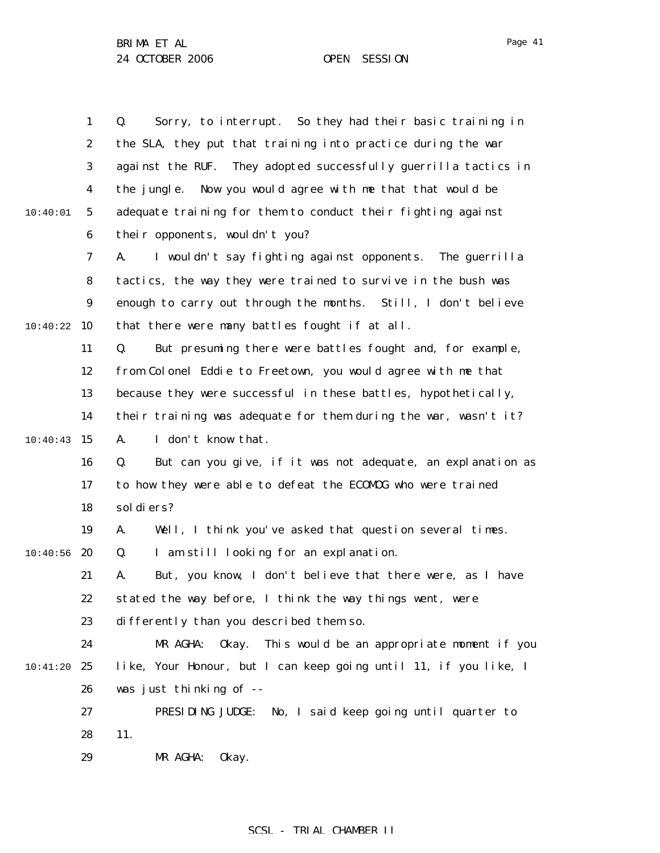|          | $\mathbf{1}$     | Sorry, to interrupt. So they had their basic training in<br>Q.    |
|----------|------------------|-------------------------------------------------------------------|
|          | $\boldsymbol{2}$ | the SLA, they put that training into practice during the war      |
|          | 3                | against the RUF. They adopted successfully guerrilla tactics in   |
|          | $\boldsymbol{4}$ | the jungle. Now you would agree with me that that would be        |
| 10:40:01 | $5\phantom{.0}$  | adequate training for them to conduct their fighting against      |
|          | $\boldsymbol{6}$ | their opponents, wouldn't you?                                    |
|          | 7                | I wouldn't say fighting against opponents. The guerrilla<br>A.    |
|          | 8                | tactics, the way they were trained to survive in the bush was     |
|          | $\boldsymbol{9}$ | enough to carry out through the months. Still, I don't believe    |
| 10:40:22 | 10               | that there were many battles fought if at all.                    |
|          | 11               | But presuming there were battles fought and, for example,<br>Q.   |
|          | 12               | from Colonel Eddie to Freetown, you would agree with me that      |
|          | 13               | because they were successful in these battles, hypothetically,    |
|          | 14               | their training was adequate for them during the war, wasn't it?   |
| 10:40:43 | 15               | I don't know that.<br>A.                                          |
|          | 16               | But can you give, if it was not adequate, an explanation as<br>Q. |
|          | 17               | to how they were able to defeat the ECOMDG who were trained       |
|          | 18               | sol di ers?                                                       |
|          | 19               | Well, I think you've asked that question several times.<br>A.     |
| 10:40:56 | 20               | I am still looking for an explanation.<br>Q.                      |
|          | 21               | But, you know, I don't believe that there were, as I have<br>A.   |
|          | 22               | stated the way before, I think the way things went, were          |
|          | 23               | differently than you described them so.                           |
|          | 24               | This would be an appropriate moment if you<br>MR AGHA:<br>0kay.   |
| 10:41:20 | 25               | like, Your Honour, but I can keep going until 11, if you like, I  |
|          | 26               | was just thinking of --                                           |
|          | 27               | PRESIDING JUDGE:<br>No, I said keep going until quarter to        |
|          | 28               | 11.                                                               |
|          | 29               | MR AGHA:<br>0kay.                                                 |
|          |                  |                                                                   |

Page 41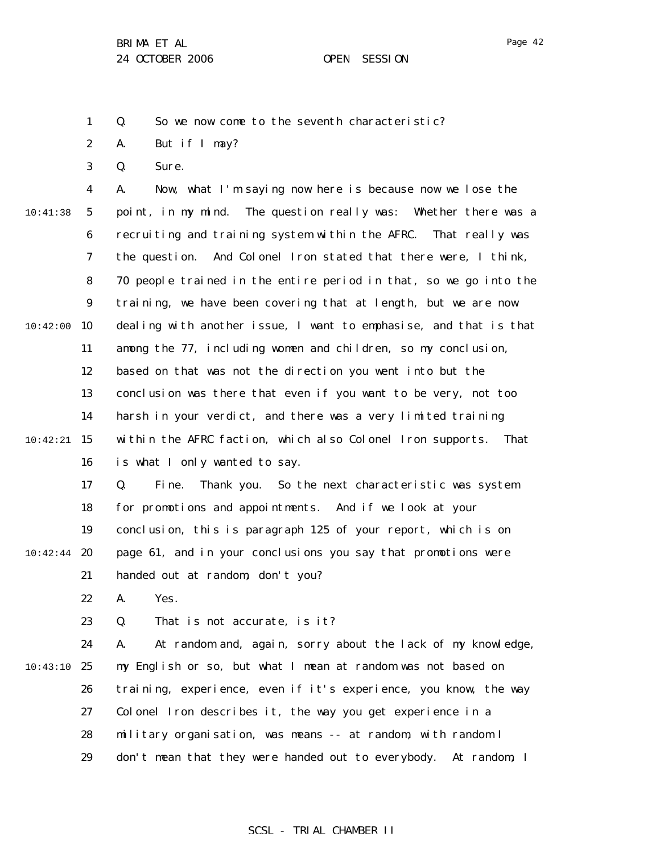1 Q. So we now come to the seventh characteristic?

2 A. But if I may?

3 Q. Sure.

4 5 6 7 8 9 10:42:00 10 11 12 13 14  $10:42:21$  15 16 17 10:41:38 A. Now, what I'm saying now here is because now we lose the point, in my mind. The question really was: Whether there was a recruiting and training system within the AFRC. That really was the question. And Colonel Iron stated that there were, I think, 70 people trained in the entire period in that, so we go into the training, we have been covering that at length, but we are now dealing with another issue, I want to emphasise, and that is that among the 77, including women and children, so my conclusion, based on that was not the direction you went into but the conclusion was there that even if you want to be very, not too harsh in your verdict, and there was a very limited training within the AFRC faction, which also Colonel Iron supports. That is what I only wanted to say. Q. Fine. Thank you. So the next characteristic was system

18 19  $10:42:44$  20 21 for promotions and appointments. And if we look at your conclusion, this is paragraph 125 of your report, which is on page 61, and in your conclusions you say that promotions were handed out at random, don't you?

> 22 A. Yes.

23 Q. That is not accurate, is it?

24 10:43:10 25 26 27 28 29 A. At random and, again, sorry about the lack of my knowledge, my English or so, but what I mean at random was not based on training, experience, even if it's experience, you know, the way Colonel Iron describes it, the way you get experience in a military organisation, was means -- at random, with random I don't mean that they were handed out to everybody. At random, I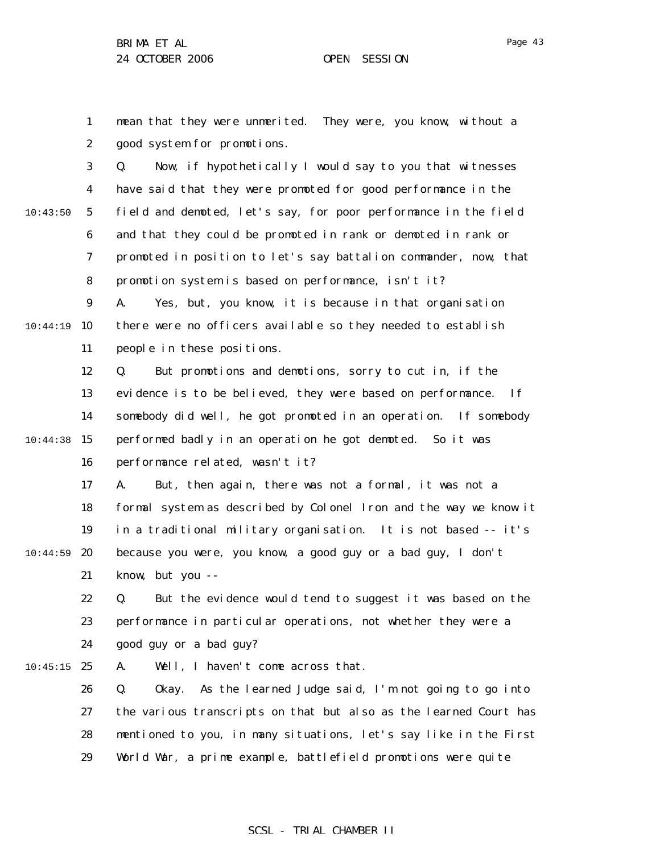Page 43

1 2 3 4 5 6 7 8 9 10:44:19 10 11 12 13 14  $10:44:38$  15 16 17 18 19 20 21 22 23 24  $10:45:15$  25 26 27 28 29 10:43:50 10:44:59 mean that they were unmerited. They were, you know, without a good system for promotions. Q. Now, if hypothetically I would say to you that witnesses have said that they were promoted for good performance in the field and demoted, let's say, for poor performance in the field and that they could be promoted in rank or demoted in rank or promoted in position to let's say battalion commander, now, that promotion system is based on performance, isn't it? A. Yes, but, you know, it is because in that organisation there were no officers available so they needed to establish people in these positions. Q. But promotions and demotions, sorry to cut in, if the evidence is to be believed, they were based on performance. If somebody did well, he got promoted in an operation. If somebody performed badly in an operation he got demoted. So it was performance related, wasn't it? A. But, then again, there was not a formal, it was not a formal system as described by Colonel Iron and the way we know it in a traditional military organisation. It is not based -- it's because you were, you know, a good guy or a bad guy, I don't know, but you -- Q. But the evidence would tend to suggest it was based on the performance in particular operations, not whether they were a good guy or a bad guy? A. Well, I haven't come across that. Q. Okay. As the learned Judge said, I'm not going to go into the various transcripts on that but also as the learned Court has mentioned to you, in many situations, let's say like in the First World War, a prime example, battlefield promotions were quite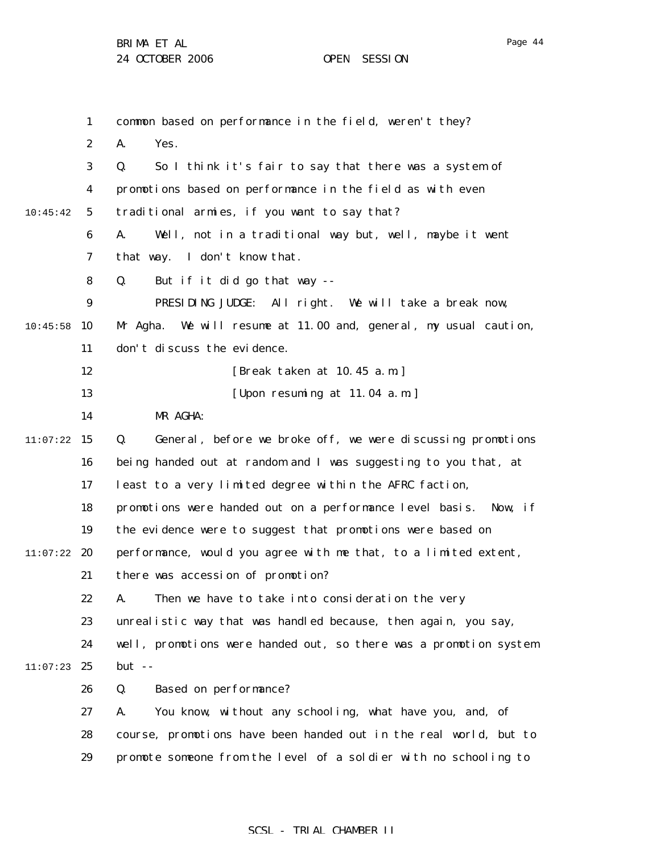|          | $\mathbf{1}$     | common based on performance in the field, weren't they?             |
|----------|------------------|---------------------------------------------------------------------|
|          | $\boldsymbol{2}$ | Yes.<br>A.                                                          |
|          | 3                | So I think it's fair to say that there was a system of<br>Q.        |
|          | 4                | promotions based on performance in the field as with even           |
| 10:45:42 | $5\phantom{.0}$  | traditional armies, if you want to say that?                        |
|          | 6                | A.<br>Well, not in a traditional way but, well, maybe it went       |
|          | 7                | that way. I don't know that.                                        |
|          | 8                | But if it did go that way --<br>Q.                                  |
|          | $\boldsymbol{9}$ | PRESIDING JUDGE: All right. We will take a break now,               |
| 10:45:58 | 10               | Mr Agha.<br>We will resume at 11.00 and, general, my usual caution, |
|          | 11               | don't discuss the evidence.                                         |
|          | 12               | [Break taken at 10.45 a.m.]                                         |
|          | 13               | [Upon resuming at 11.04 a.m.]                                       |
|          | 14               | MR AGHA:                                                            |
| 11:07:22 | 15               | Q.<br>General, before we broke off, we were discussing promotions   |
|          | 16               | being handed out at random and I was suggesting to you that, at     |
|          | 17               | least to a very limited degree within the AFRC faction,             |
|          | 18               | promotions were handed out on a performance level basis. Now, if    |
|          | 19               | the evidence were to suggest that promotions were based on          |
| 11:07:22 | 20               | performance, would you agree with me that, to a limited extent,     |
|          | 21               | there was accession of promotion?                                   |
|          | 22               | A. Then we have to take into consideration the very                 |
|          | 23               | unrealistic way that was handled because, then again, you say,      |
|          | 24               | well, promotions were handed out, so there was a promotion system   |
| 11:07:23 | 25               | $but - -$                                                           |
|          | 26               | <b>Based on performance?</b><br>Q.                                  |
|          | 27               | You know, without any schooling, what have you, and, of<br>A.       |
|          | 28               | course, promotions have been handed out in the real world, but to   |
|          | 29               | promote someone from the level of a soldier with no schooling to    |
|          |                  |                                                                     |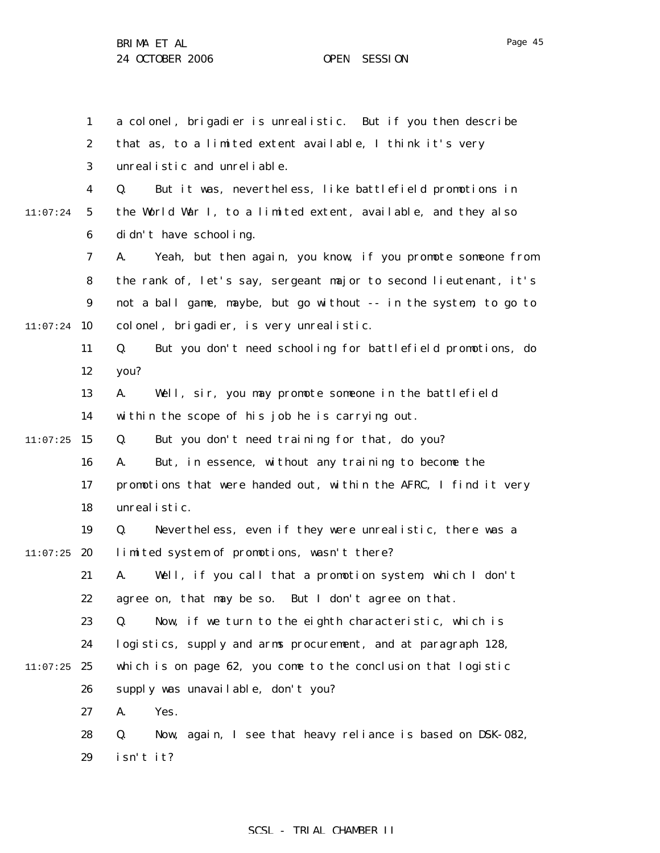1 2 3 4 5 6 7 8 9  $11:07:24$  10 11 12 13 14  $11:07:25$  15 16 17 18 19  $11:07:25$  20 21 22 23 24  $11:07:25$  25 26 27 28 29 11:07:24 a colonel, brigadier is unrealistic. But if you then describe that as, to a limited extent available, I think it's very unrealistic and unreliable. Q. But it was, nevertheless, like battlefield promotions in the World War I, to a limited extent, available, and they also didn't have schooling. A. Yeah, but then again, you know, if you promote someone from the rank of, let's say, sergeant major to second lieutenant, it's not a ball game, maybe, but go without -- in the system, to go to colonel, brigadier, is very unrealistic. Q. But you don't need schooling for battlefield promotions, do you? A. Well, sir, you may promote someone in the battlefield within the scope of his job he is carrying out. Q. But you don't need training for that, do you? A. But, in essence, without any training to become the promotions that were handed out, within the AFRC, I find it very unrealistic. Q. Nevertheless, even if they were unrealistic, there was a limited system of promotions, wasn't there? A. Well, if you call that a promotion system, which I don't agree on, that may be so. But I don't agree on that. Q. Now, if we turn to the eighth characteristic, which is logistics, supply and arms procurement, and at paragraph 128, which is on page 62, you come to the conclusion that logistic supply was unavailable, don't you? A. Yes. Q. Now, again, I see that heavy reliance is based on DSK-082, isn't it?

#### SCSL - TRIAL CHAMBER II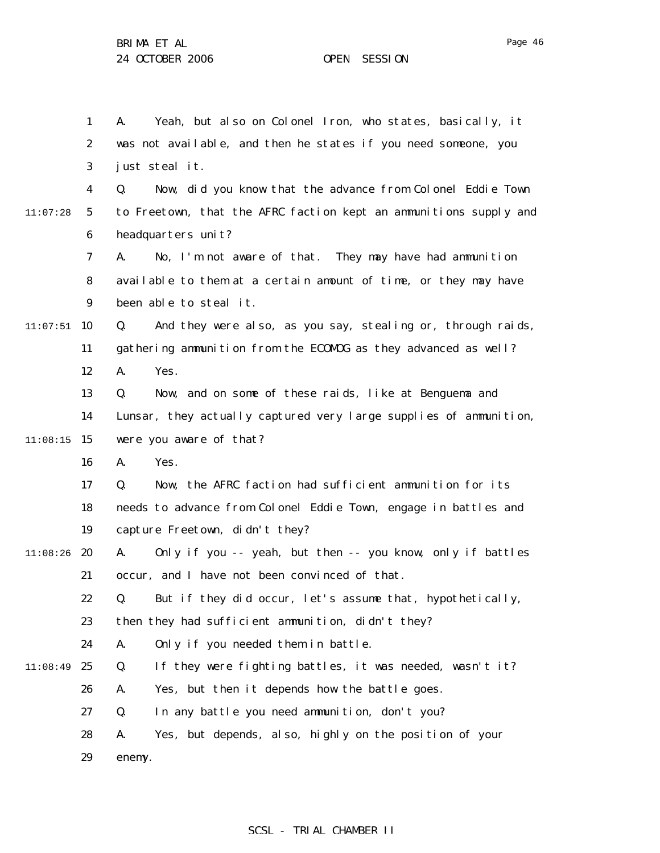|          | $\mathbf{1}$     | Yeah, but also on Colonel Iron, who states, basically, it<br>A.   |
|----------|------------------|-------------------------------------------------------------------|
|          | $\boldsymbol{2}$ | was not available, and then he states if you need someone, you    |
|          | 3                | just steal it.                                                    |
|          | 4                | Now, did you know that the advance from Colonel Eddie Town<br>Q.  |
| 11:07:28 | $\mathbf{5}$     | to Freetown, that the AFRC faction kept an ammunitions supply and |
|          | $\boldsymbol{6}$ | headquarters unit?                                                |
|          | 7                | No, I'm not aware of that. They may have had ammunition<br>A.     |
|          | 8                | available to them at a certain amount of time, or they may have   |
|          | $\boldsymbol{9}$ | been able to steal it.                                            |
| 11:07:51 | 10               | And they were also, as you say, stealing or, through raids,<br>Q. |
|          | 11               | gathering ammunition from the ECOMOG as they advanced as well?    |
|          | 12               | A.<br>Yes.                                                        |
|          | 13               | Now, and on some of these raids, like at Benguema and<br>Q.       |
|          | 14               | Lunsar, they actually captured very large supplies of ammunition, |
| 11:08:15 | 15               | were you aware of that?                                           |
|          | 16               | Yes.<br>A.                                                        |
|          | 17               | Now, the AFRC faction had sufficient ammunition for its<br>Q.     |
|          | 18               | needs to advance from Colonel Eddie Town, engage in battles and   |
|          | 19               | capture Freetown, didn't they?                                    |
| 11:08:26 | 20               | Only if you -- yeah, but then -- you know, only if battles<br>A.  |
|          | 21               | occur, and I have not been convinced of that.                     |
|          | 22               | Q. But if they did occur, let's assume that, hypothetically,      |
|          | 23               | then they had sufficient ammunition, didn't they?                 |
|          | 24               | Only if you needed them in battle.<br>A.                          |
| 11:08:49 | 25               | If they were fighting battles, it was needed, wasn't it?<br>Q.    |
|          | 26               | Yes, but then it depends how the battle goes.<br>A.               |
|          | 27               | In any battle you need ammunition, don't you?<br>Q.               |
|          | 28               | Yes, but depends, also, highly on the position of your<br>A.      |
|          | 29               | enemy.                                                            |
|          |                  |                                                                   |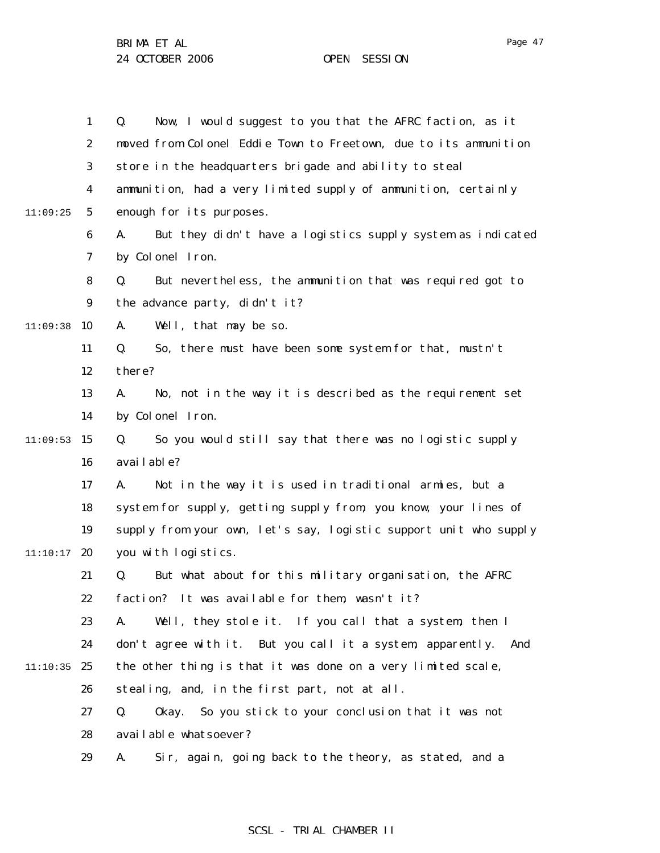|          | $\mathbf{1}$     | Now, I would suggest to you that the AFRC faction, as it<br>Q.    |
|----------|------------------|-------------------------------------------------------------------|
|          | $\boldsymbol{2}$ | moved from Colonel Eddie Town to Freetown, due to its ammunition  |
|          | $\boldsymbol{3}$ | store in the headquarters brigade and ability to steal            |
|          | 4                | ammunition, had a very limited supply of ammunition, certainly    |
| 11:09:25 | $\mathbf{5}$     | enough for its purposes.                                          |
|          | $\boldsymbol{6}$ | But they didn't have a logistics supply system as indicated<br>A. |
|          | $\boldsymbol{7}$ | by Colonel Iron.                                                  |
|          | 8                | Q.<br>But nevertheless, the ammunition that was required got to   |
|          | $\boldsymbol{9}$ | the advance party, didn't it?                                     |
| 11:09:38 | 10               | Well, that may be so.<br>A.                                       |
|          | 11               | So, there must have been some system for that, mustn't<br>Q.      |
|          | 12               | there?                                                            |
|          | 13               | No, not in the way it is described as the requirement set<br>A.   |
|          | 14               | by Colonel Iron.                                                  |
| 11:09:53 | 15               | So you would still say that there was no logistic supply<br>Q.    |
|          | 16               | avai l abl e?                                                     |
|          | 17               | Not in the way it is used in traditional armies, but a<br>A.      |
|          | 18               | system for supply, getting supply from, you know, your lines of   |
|          | 19               | supply from your own, let's say, logistic support unit who supply |
| 11:10:17 | 20               | you with logistics.                                               |
|          | 21               | Q.<br>But what about for this military organisation, the AFRC     |
|          | 22               | faction? It was available for them, wasn't it?                    |
|          | 23               | Well, they stole it. If you call that a system, then I<br>A.      |
|          | 24               | don't agree with it. But you call it a system, apparently.<br>And |
| 11:10:35 | 25               | the other thing is that it was done on a very limited scale,      |
|          | 26               | stealing, and, in the first part, not at all.                     |
|          | 27               | So you stick to your conclusion that it was not<br>Q.<br>0kay.    |
|          | 28               | available whatsoever?                                             |
|          | 29               | Sir, again, going back to the theory, as stated, and a<br>A.      |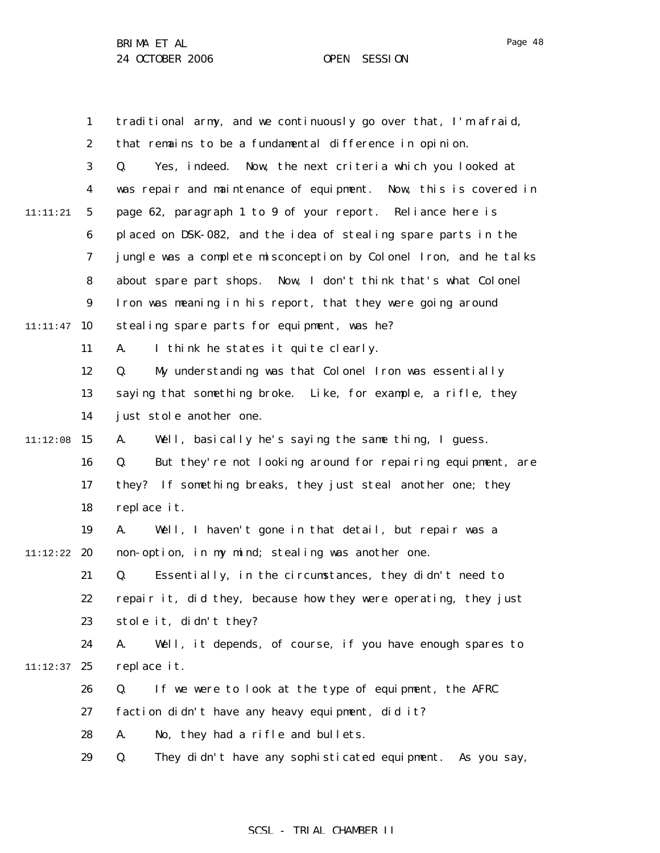1 2 3 4 5 6 7 8 9  $11:11:47$  10 11 12 13 14  $11:12:08$  15 16 17 18 19 11:12:22 **20** 21 22 23 24  $11:12:37$  25 26 27 28 29 11:11:21 traditional army, and we continuously go over that, I'm afraid, that remains to be a fundamental difference in opinion. Q. Yes, indeed. Now, the next criteria which you looked at was repair and maintenance of equipment. Now, this is covered in page 62, paragraph 1 to 9 of your report. Reliance here is placed on DSK-082, and the idea of stealing spare parts in the jungle was a complete misconception by Colonel Iron, and he talks about spare part shops. Now, I don't think that's what Colonel Iron was meaning in his report, that they were going around stealing spare parts for equipment, was he? A. I think he states it quite clearly. Q. My understanding was that Colonel Iron was essentially saying that something broke. Like, for example, a rifle, they just stole another one. A. Well, basically he's saying the same thing, I guess. Q. But they're not looking around for repairing equipment, are they? If something breaks, they just steal another one; they replace it. A. Well, I haven't gone in that detail, but repair was a non-option, in my mind; stealing was another one. Q. Essentially, in the circumstances, they didn't need to repair it, did they, because how they were operating, they just stole it, didn't they? A. Well, it depends, of course, if you have enough spares to replace it. Q. If we were to look at the type of equipment, the AFRC faction didn't have any heavy equipment, did it? A. No, they had a rifle and bullets. Q. They didn't have any sophisticated equipment. As you say,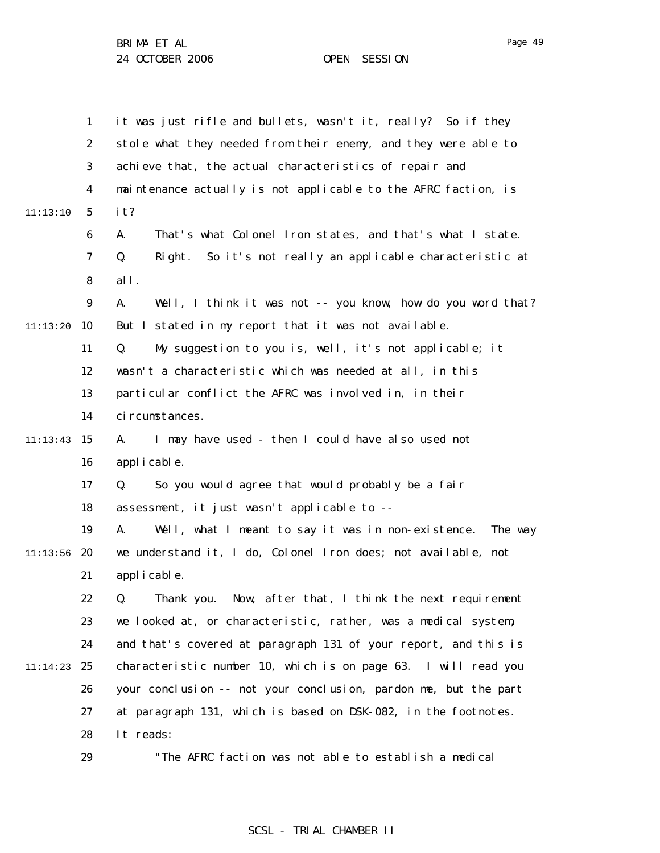|          | $\mathbf{1}$     | it was just rifle and bullets, wasn't it, really? So if they        |
|----------|------------------|---------------------------------------------------------------------|
|          | $\boldsymbol{2}$ | stole what they needed from their enemy, and they were able to      |
|          | $\bf{3}$         | achieve that, the actual characteristics of repair and              |
|          | $\boldsymbol{4}$ | maintenance actually is not applicable to the AFRC faction, is      |
| 11:13:10 | $\mathbf{5}$     | it?                                                                 |
|          | 6                | That's what Colonel Iron states, and that's what I state.<br>A.     |
|          | $\boldsymbol{7}$ | Q.<br>So it's not really an applicable characteristic at<br>Right.  |
|          | 8                | all.                                                                |
|          | $\boldsymbol{9}$ | A.<br>Well, I think it was not -- you know, how do you word that?   |
| 11:13:20 | 10               | But I stated in my report that it was not available.                |
|          | 11               | My suggestion to you is, well, it's not applicable; it<br>Q.        |
|          | 12               | wasn't a characteristic which was needed at all, in this            |
|          | 13               | particular conflict the AFRC was involved in, in their              |
|          | 14               | ci rcumstances.                                                     |
| 11:13:43 | 15               | I may have used - then I could have also used not<br>A.             |
|          | 16               | applicable.                                                         |
|          | 17               | So you would agree that would probably be a fair<br>Q.              |
|          | 18               | assessment, it just wasn't applicable to --                         |
|          | 19               | Well, what I meant to say it was in non-existence.<br>A.<br>The way |
| 11:13:56 | 20               | we understand it, I do, Colonel Iron does; not available, not       |
|          | 21               | applicable.                                                         |
|          | 22               | Q. Thank you. Now, after that, I think the next requirement         |
|          | 23               | we looked at, or characteristic, rather, was a medical system,      |
|          | 24               | and that's covered at paragraph 131 of your report, and this is     |
| 11:14:23 | 25               | characteristic number 10, which is on page 63. I will read you      |
|          | 26               | your conclusion -- not your conclusion, pardon me, but the part     |
|          | 27               | at paragraph 131, which is based on DSK-082, in the footnotes.      |
|          | 28               | It reads:                                                           |
|          | 29               | "The AFRC faction was not able to establish a medical               |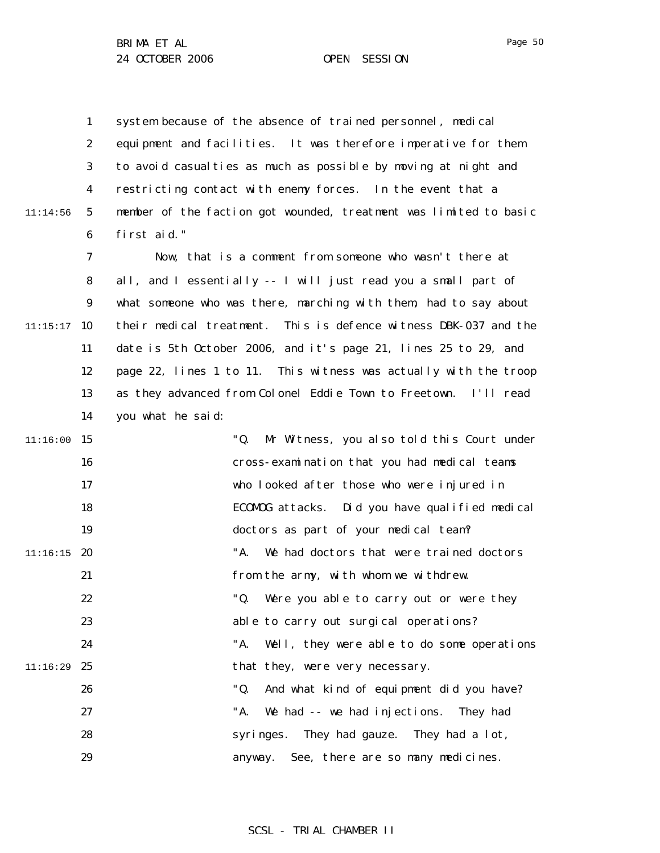11:14:56

1 2 3 4 5 6 system because of the absence of trained personnel, medical equipment and facilities. It was therefore imperative for them to avoid casualties as much as possible by moving at night and restricting contact with enemy forces. In the event that a member of the faction got wounded, treatment was limited to basic first aid."

7 8 9  $11:15:17$  10 11 12 13 14 Now, that is a comment from someone who wasn't there at all, and I essentially -- I will just read you a small part of what someone who was there, marching with them, had to say about their medical treatment. This is defence witness DBK-037 and the date is 5th October 2006, and it's page 21, lines 25 to 29, and page 22, lines 1 to 11. This witness was actually with the troop as they advanced from Colonel Eddie Town to Freetown. I'll read you what he said:

| $11:16:00$ 15 |      | "Q.<br>Mr Witness, you also told this Court under |
|---------------|------|---------------------------------------------------|
|               | 16   | cross-examination that you had medical teams      |
|               | 17   | who looked after those who were injured in        |
|               | 18   | ECOMOG attacks. Did you have qualified medical    |
|               | 19   | doctors as part of your medical team?             |
| $11:16:15$ 20 |      | "A. We had doctors that were trained doctors      |
|               | 21   | from the army, with whom we withdrew.             |
|               | 22   | "Q. Were you able to carry out or were they       |
|               | 23   | able to carry out surgical operations?            |
|               | 24   | "A. Well, they were able to do some operations    |
| 11:16:29      | - 25 | that they, were very necessary.                   |
|               | 26   | "Q.<br>And what kind of equipment did you have?   |
|               | 27   | "A. We had -- we had injections. They had         |
|               | 28   | syringes. They had gauze. They had a lot,         |
|               | 29   | anyway. See, there are so many medicines.         |
|               |      |                                                   |

SCSL - TRIAL CHAMBER II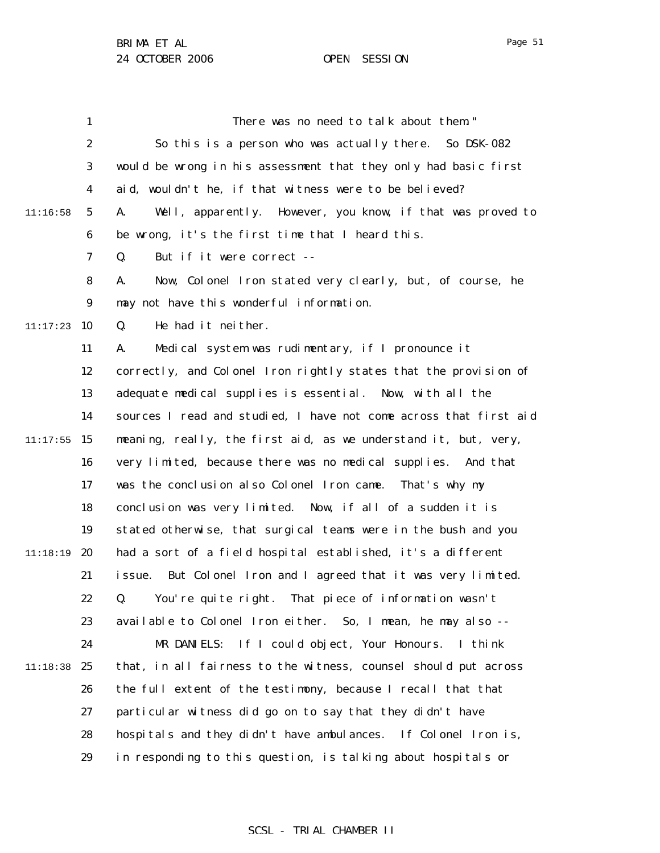1 2 3 4 5 6 7 8 9  $11:17:23$  10 11 12 13 14  $11:17:55$  15 16 17 18 19 11:18:19 20 21 22 23 24 11:18:38 25 26 27 28 29 11:16:58 There was no need to talk about them." So this is a person who was actually there. So DSK-082 would be wrong in his assessment that they only had basic first aid, wouldn't he, if that witness were to be believed? A. Well, apparently. However, you know, if that was proved to be wrong, it's the first time that I heard this. Q. But if it were correct -- A. Now, Colonel Iron stated very clearly, but, of course, he may not have this wonderful information. Q. He had it neither. A. Medical system was rudimentary, if I pronounce it correctly, and Colonel Iron rightly states that the provision of adequate medical supplies is essential. Now, with all the sources I read and studied, I have not come across that first aid meaning, really, the first aid, as we understand it, but, very, very limited, because there was no medical supplies. And that was the conclusion also Colonel Iron came. That's why my conclusion was very limited. Now, if all of a sudden it is stated otherwise, that surgical teams were in the bush and you had a sort of a field hospital established, it's a different issue. But Colonel Iron and I agreed that it was very limited. Q. You're quite right. That piece of information wasn't available to Colonel Iron either. So, I mean, he may also -- MR DANIELS: If I could object, Your Honours. I think that, in all fairness to the witness, counsel should put across the full extent of the testimony, because I recall that that particular witness did go on to say that they didn't have hospitals and they didn't have ambulances. If Colonel Iron is, in responding to this question, is talking about hospitals or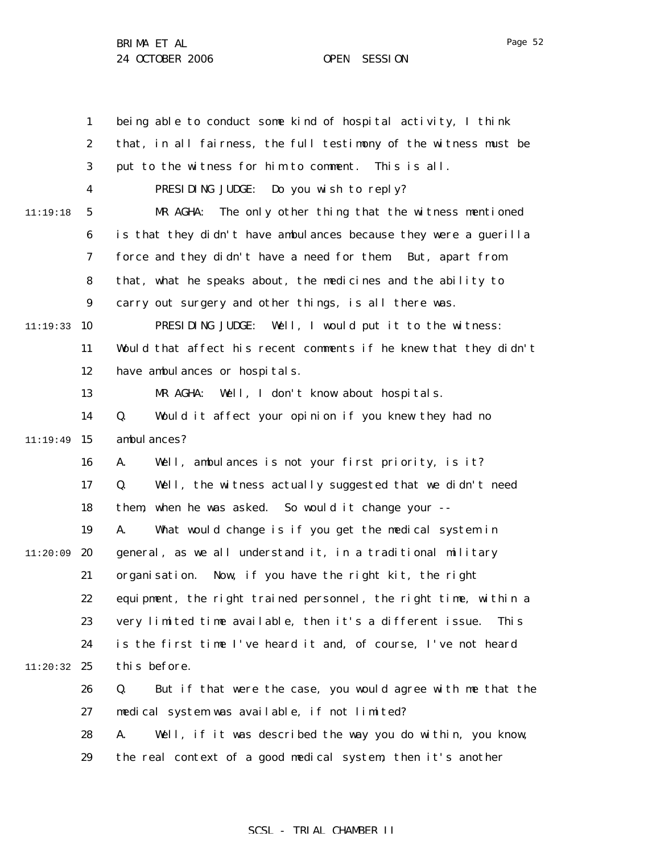1 2 3 4 5 6 7 8 9  $11:19:33$  10 11 12 13 14  $11:19:49$  15 16 17 18 19  $11:20:09$  20 21 22 23 24 11:20:32 25 26 27 28 29 11:19:18 being able to conduct some kind of hospital activity, I think that, in all fairness, the full testimony of the witness must be put to the witness for him to comment. This is all. PRESIDING JUDGE: Do you wish to reply? MR AGHA: The only other thing that the witness mentioned is that they didn't have ambulances because they were a guerilla force and they didn't have a need for them. But, apart from that, what he speaks about, the medicines and the ability to carry out surgery and other things, is all there was. PRESIDING JUDGE: Well, I would put it to the witness: Would that affect his recent comments if he knew that they didn't have ambulances or hospitals. MR AGHA: Well, I don't know about hospitals. Q. Would it affect your opinion if you knew they had no ambul ances? A. Well, ambulances is not your first priority, is it? Q. Well, the witness actually suggested that we didn't need them, when he was asked. So would it change your -- A. What would change is if you get the medical system in general, as we all understand it, in a traditional military organisation. Now, if you have the right kit, the right equipment, the right trained personnel, the right time, within a very limited time available, then it's a different issue. This is the first time I've heard it and, of course, I've not heard this before. Q. But if that were the case, you would agree with me that the medical system was available, if not limited? A. Well, if it was described the way you do within, you know, the real context of a good medical system, then it's another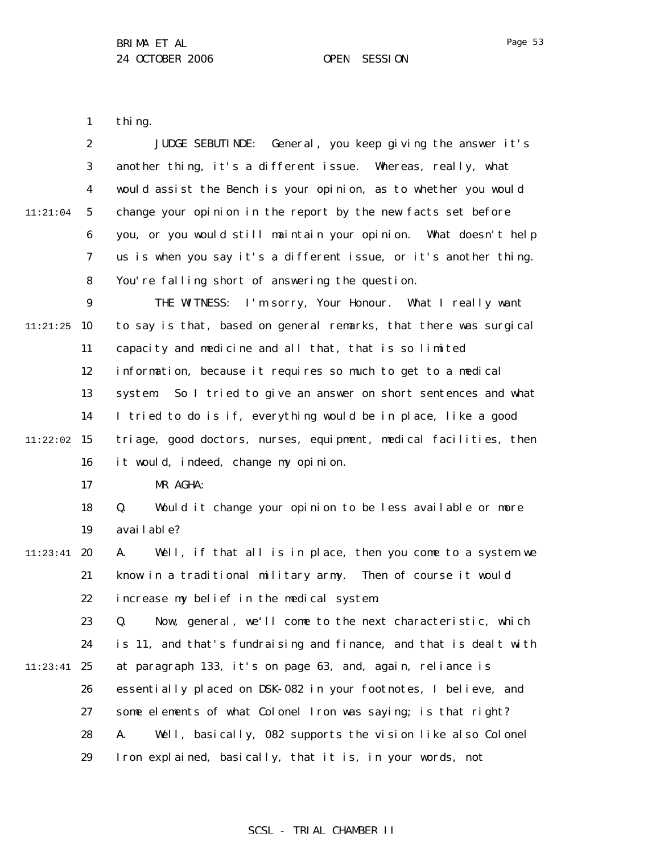1 thing.

|          | $\boldsymbol{2}$ | General, you keep giving the answer it's<br><b>JUDGE SEBUTINDE:</b>        |
|----------|------------------|----------------------------------------------------------------------------|
|          | 3                | another thing, it's a different issue.<br>Whereas, really, what            |
|          | $\boldsymbol{4}$ | would assist the Bench is your opinion, as to whether you would            |
| 11:21:04 | 5                | change your opinion in the report by the new facts set before              |
|          | $\boldsymbol{6}$ | you, or you would still maintain your opinion. What doesn't help           |
|          | 7                | us is when you say it's a different issue, or it's another thing.          |
|          | ${\bf 8}$        | You're falling short of answering the question.                            |
|          | $\boldsymbol{9}$ | I'm sorry, Your Honour. What I really want<br>THE WITNESS:                 |
| 11:21:25 | 10               | to say is that, based on general remarks, that there was surgical          |
|          | 11               | capacity and medicine and all that, that is so limited                     |
|          | 12               | information, because it requires so much to get to a medical               |
|          | 13               | So I tried to give an answer on short sentences and what<br><i>system.</i> |
|          | 14               | I tried to do is if, everything would be in place, like a good             |
| 11:22:02 | 15               | triage, good doctors, nurses, equipment, medical facilities, then          |
|          | 16               | it would, indeed, change my opinion.                                       |
|          | 17               | MR AGHA:                                                                   |
|          | 18               | Would it change your opinion to be less available or more<br>Q.            |
|          | 19               | avai l abl e?                                                              |
| 11:23:41 | 20               | Well, if that all is in place, then you come to a system we<br>A.          |
|          | 21               | know in a traditional military army.<br>Then of course it would            |
|          | 22               | increase my belief in the medical system.                                  |
|          | 23               | Q. Now, general, we'll come to the next characteristic, which              |
|          | 24               | is 11, and that's fundraising and finance, and that is dealt with          |
| 11:23:41 | 25               | at paragraph 133, it's on page 63, and, again, reliance is                 |
|          | 26               | essentially placed on DSK-082 in your footnotes, I believe, and            |
|          | 27               | some elements of what Colonel Iron was saying; is that right?              |
|          | 28               | Well, basically, 082 supports the vision like also Colonel<br>A.           |
|          | 29               | Iron explained, basically, that it is, in your words, not                  |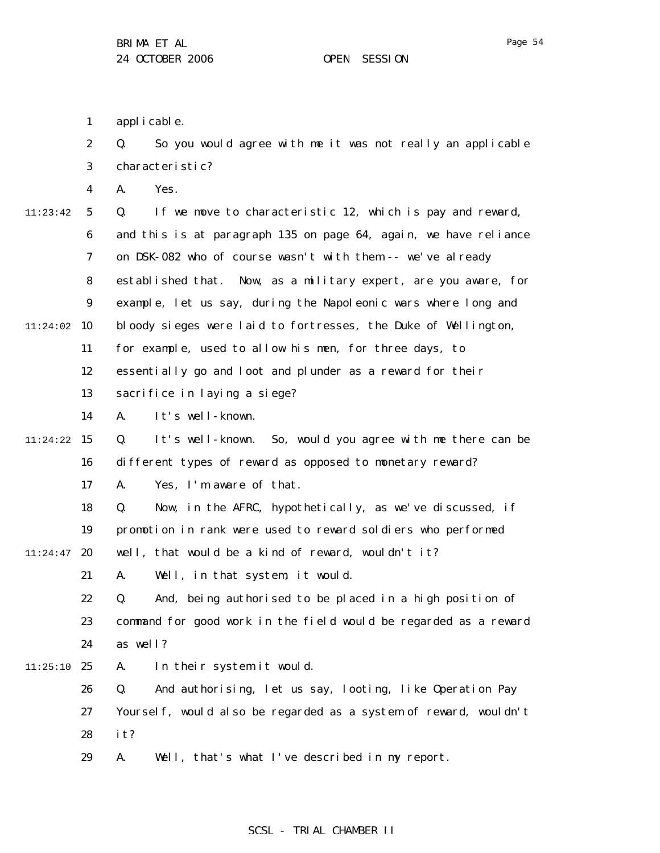|  | applicable. |
|--|-------------|
|--|-------------|

|          | $\boldsymbol{2}$ | So you would agree with me it was not really an applicable<br>Q. |
|----------|------------------|------------------------------------------------------------------|
|          | 3                | characteristic?                                                  |
|          | 4                | Yes.<br>A.                                                       |
| 11:23:42 | $\mathbf{5}$     | Q.<br>If we move to characteristic 12, which is pay and reward,  |
|          | 6                | and this is at paragraph 135 on page 64, again, we have reliance |
|          | 7                | on DSK-082 who of course wasn't with them -- we've already       |
|          | 8                | established that. Now, as a military expert, are you aware, for  |
|          | $\boldsymbol{9}$ | example, let us say, during the Napoleonic wars where long and   |
| 11:24:02 | 10               | bloody sieges were laid to fortresses, the Duke of Wellington,   |
|          | 11               | for example, used to allow his men, for three days, to           |
|          | 12               | essentially go and loot and plunder as a reward for their        |
|          | 13               | sacrifice in laying a siege?                                     |
|          | 14               | It's well-known.<br>A.                                           |
| 11:24:22 | 15               | It's well-known. So, would you agree with me there can be<br>Q.  |
|          | 16               | different types of reward as opposed to monetary reward?         |
|          | 17               | Yes, I'm aware of that.<br>A.                                    |
|          | 18               | Now, in the AFRC, hypothetically, as we've discussed, if<br>Q.   |
|          | 19               | promotion in rank were used to reward soldiers who performed     |
| 11:24:47 | 20               | well, that would be a kind of reward, wouldn't it?               |
|          | 21               | Well, in that system, it would.<br>A.                            |
|          | 22               | And, being authorised to be placed in a high position of<br>Q.   |
|          | 23               | command for good work in the field would be regarded as a reward |
|          | 24               | as well?                                                         |
| 11:25:10 | 25               | In their system it would.<br>A.                                  |
|          | 26               | And authorising, let us say, looting, like Operation Pay<br>Q.   |
|          | 27               | Yourself, would also be regarded as a system of reward, wouldn't |
|          | 28               | it?                                                              |
|          |                  |                                                                  |

29 A. Well, that's what I've described in my report.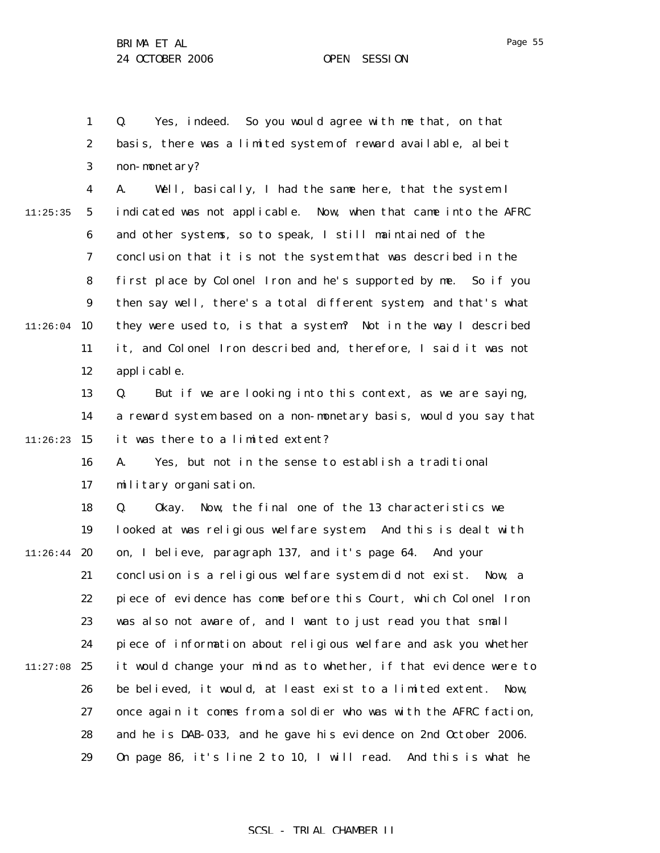1 2 3 Q. Yes, indeed. So you would agree with me that, on that basis, there was a limited system of reward available, albeit non-monetary?

4 5 6 7 8 9  $11:26:04$  10 11 12 11:25:35 A. Well, basically, I had the same here, that the system I indicated was not applicable. Now, when that came into the AFRC and other systems, so to speak, I still maintained of the conclusion that it is not the system that was described in the first place by Colonel Iron and he's supported by me. So if you then say well, there's a total different system, and that's what they were used to, is that a system? Not in the way I described it, and Colonel Iron described and, therefore, I said it was not applicable.

13 14  $11:26:23$  15 Q. But if we are looking into this context, as we are saying, a reward system based on a non-monetary basis, would you say that it was there to a limited extent?

> 16 17 A. Yes, but not in the sense to establish a traditional military organisation.

18 19  $11:26:44$  20 21 22 23 24  $11:27:08$  25 26 27 28 29 Q. Okay. Now, the final one of the 13 characteristics we looked at was religious welfare system. And this is dealt with on, I believe, paragraph 137, and it's page 64. And your conclusion is a religious welfare system did not exist. Now, a piece of evidence has come before this Court, which Colonel Iron was also not aware of, and I want to just read you that small piece of information about religious welfare and ask you whether it would change your mind as to whether, if that evidence were to be believed, it would, at least exist to a limited extent. Now, once again it comes from a soldier who was with the AFRC faction, and he is DAB-033, and he gave his evidence on 2nd October 2006. On page 86, it's line 2 to 10, I will read. And this is what he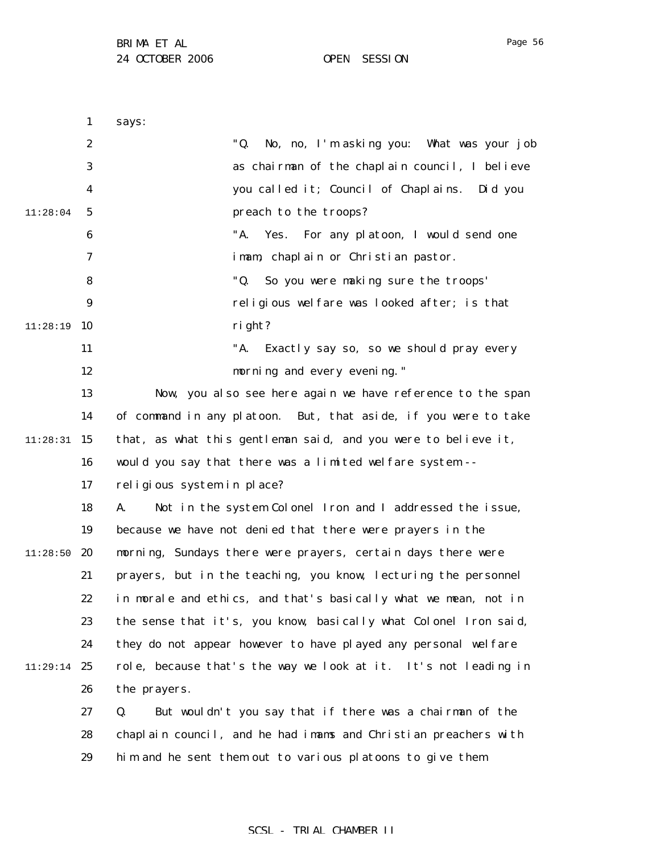1 2 3 4 5 6 7 8 9 11:28:19 10 11 12 13 14 11:28:31 15 16 17 18 19  $11:28:50$  20 21 22 23 24 11:29:14 25 26 27 28 29 11:28:04 says: "Q. No, no, I'm asking you: What was your job as chairman of the chaplain council, I believe you called it; Council of Chaplains. Did you preach to the troops? "A. Yes. For any platoon, I would send one imam, chaplain or Christian pastor. "Q. So you were making sure the troops' religious welfare was looked after; is that right? "A. Exactly say so, so we should pray every morning and every evening." Now, you also see here again we have reference to the span of command in any platoon. But, that aside, if you were to take that, as what this gentleman said, and you were to believe it, would you say that there was a limited welfare system - religious system in place? A. Not in the system Colonel Iron and I addressed the issue, because we have not denied that there were prayers in the morning, Sundays there were prayers, certain days there were prayers, but in the teaching, you know, lecturing the personnel in morale and ethics, and that's basically what we mean, not in the sense that it's, you know, basically what Colonel Iron said, they do not appear however to have played any personal welfare role, because that's the way we look at it. It's not leading in the prayers. Q. But wouldn't you say that if there was a chairman of the chaplain council, and he had imams and Christian preachers with him and he sent them out to various platoons to give them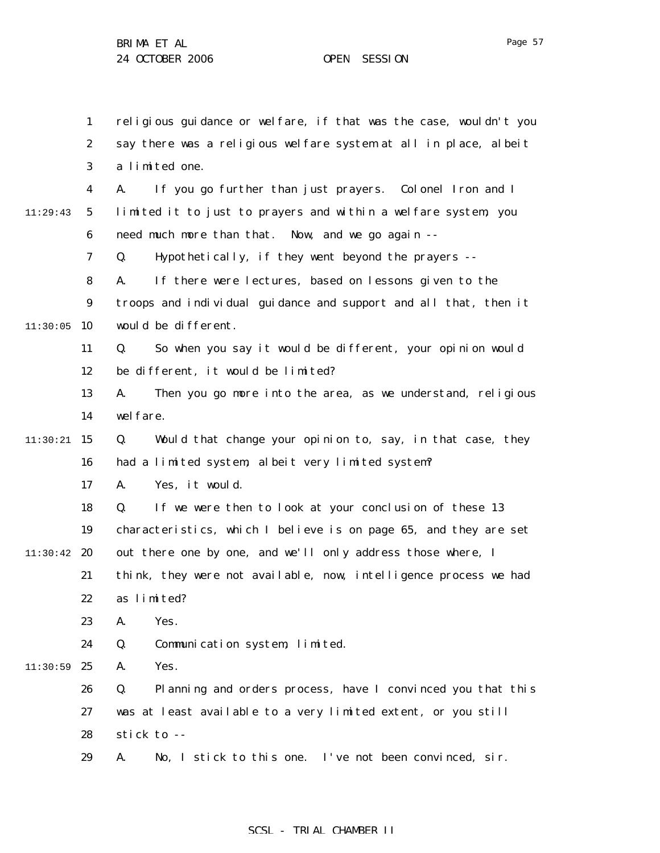1

2

3

4

5

6

7

8

9

11

12

13

14

16

17

18

19

21

22

23

24

 $11:30:05$  10

11:29:43

 $11:30:21$  15

 $11:30:42$  20

 $11:30:59$  25

religious guidance or welfare, if that was the case, wouldn't you

say there was a religious welfare system at all in place, albeit a limited one. A. If you go further than just prayers. Colonel Iron and I limited it to just to prayers and within a welfare system, you need much more than that. Now, and we go again -- Q. Hypothetically, if they went beyond the prayers -- A. If there were lectures, based on lessons given to the troops and individual guidance and support and all that, then it would be different. Q. So when you say it would be different, your opinion would be different, it would be limited? A. Then you go more into the area, as we understand, religious wel fare. Q. Would that change your opinion to, say, in that case, they had a limited system, albeit very limited system? A. Yes, it would. Q. If we were then to look at your conclusion of these 13 characteristics, which I believe is on page 65, and they are set out there one by one, and we'll only address those where, I think, they were not available, now, intelligence process we had as limited? A. Yes. Q. Communication system, limited. A. Yes.

26 27 28 Q. Planning and orders process, have I convinced you that this was at least available to a very limited extent, or you still stick to --

29 A. No, I stick to this one. I've not been convinced, sir.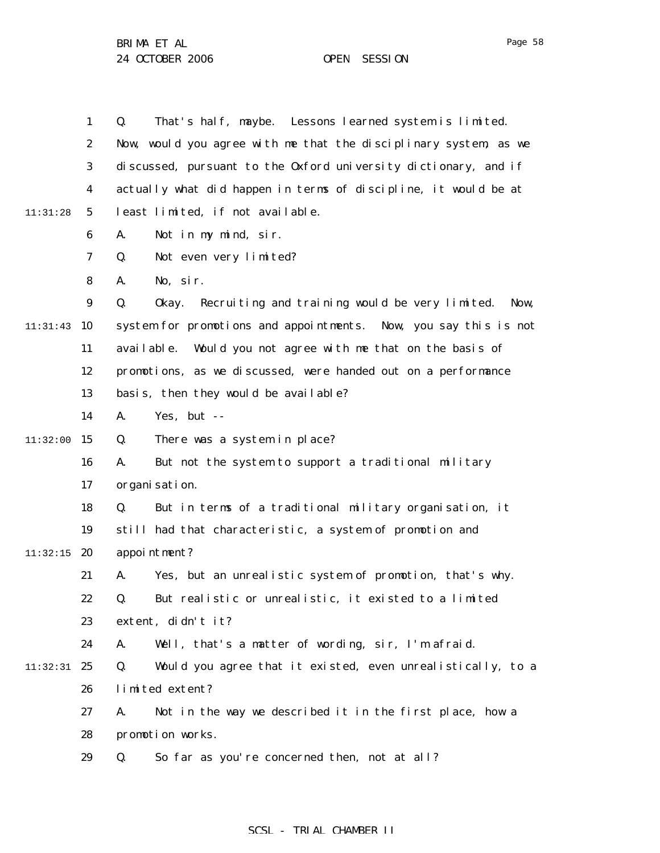1 2 3 4 5 6 7 8 9  $11:31:43$  10 11 12 13 14  $11:32:00$  15 16 17 18 19  $11:32:15$  20 21 22 23 24 11:32:31 25 26 27 28 29 11:31:28 Q. That's half, maybe. Lessons learned system is limited. Now, would you agree with me that the disciplinary system, as we discussed, pursuant to the Oxford university dictionary, and if actually what did happen in terms of discipline, it would be at least limited, if not available. A. Not in my mind, sir. Q. Not even very limited? A. No, sir. Q. Okay. Recruiting and training would be very limited. Now, system for promotions and appointments. Now, you say this is not available. Would you not agree with me that on the basis of promotions, as we discussed, were handed out on a performance basis, then they would be available? A. Yes, but -- Q. There was a system in place? A. But not the system to support a traditional military organisation. Q. But in terms of a traditional military organisation, it still had that characteristic, a system of promotion and appointment? A. Yes, but an unrealistic system of promotion, that's why. Q. But realistic or unrealistic, it existed to a limited extent, didn't it? A. Well, that's a matter of wording, sir, I'm afraid. Q. Would you agree that it existed, even unrealistically, to a limited extent? A. Not in the way we described it in the first place, how a promotion works. Q. So far as you're concerned then, not at all?

### SCSL - TRIAL CHAMBER II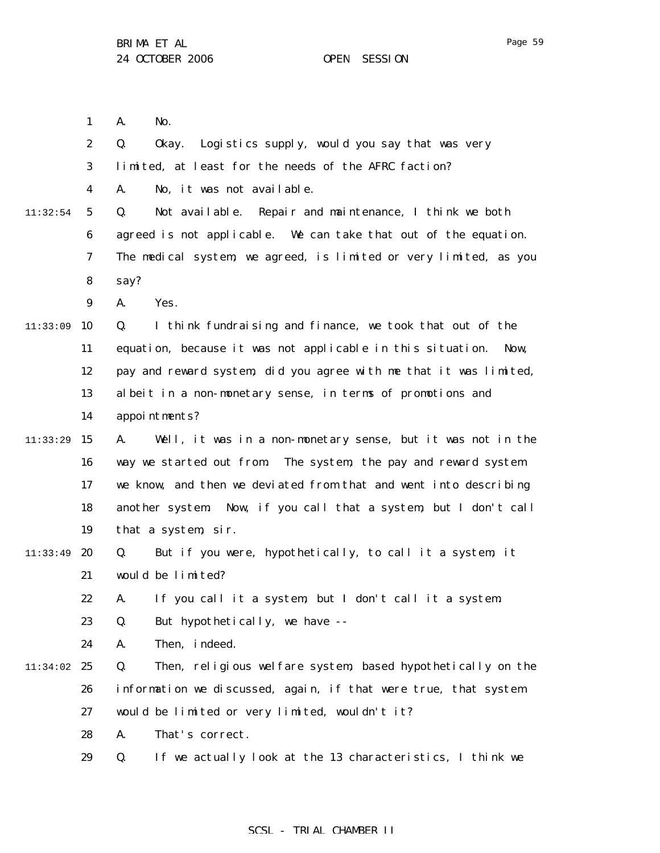|          | $\mathbf{1}$            | No.<br>A.                                                          |
|----------|-------------------------|--------------------------------------------------------------------|
|          | $\boldsymbol{2}$        | Okay. Logistics supply, would you say that was very<br>Q.          |
|          | 3                       | limited, at least for the needs of the AFRC faction?               |
|          | $\overline{\mathbf{4}}$ | No, it was not available.<br>A.                                    |
| 11:32:54 | $\sqrt{5}$              | Not available. Repair and maintenance, I think we both<br>Q.       |
|          | 6                       | agreed is not applicable. We can take that out of the equation.    |
|          | $\boldsymbol{7}$        | The medical system, we agreed, is limited or very limited, as you  |
|          | 8                       | say?                                                               |
|          | $\boldsymbol{9}$        | Yes.<br>A.                                                         |
| 11:33:09 | 10                      | I think fundraising and finance, we took that out of the<br>Q.     |
|          | 11                      | equation, because it was not applicable in this situation.<br>Now, |
|          | 12                      | pay and reward system, did you agree with me that it was limited,  |
|          | 13                      | albeit in a non-monetary sense, in terms of promotions and         |
|          | 14                      | appointments?                                                      |
| 11:33:29 | 15                      | Well, it was in a non-monetary sense, but it was not in the<br>A.  |
|          | 16                      | way we started out from. The system, the pay and reward system     |
|          | 17                      | we know, and then we deviated from that and went into describing   |
|          | 18                      | another system Now, if you call that a system, but I don't call    |
|          | 19                      | that a system, sir.                                                |
| 11:33:49 | 20                      | But if you were, hypothetically, to call it a system, it<br>Q.     |
|          | 21                      | would be limited?                                                  |
|          | 22                      | A. If you call it a system, but I don't call it a system.          |
|          | 23                      | But hypothetically, we have --<br>Q.                               |
|          | 24                      | Then, indeed.<br>A.                                                |
| 11:34:02 | 25                      | Then, religious welfare system, based hypothetically on the<br>Q.  |
|          | 26                      | information we discussed, again, if that were true, that system    |
|          | 27                      | would be limited or very limited, wouldn't it?                     |
|          | 28                      | That's correct.<br>A.                                              |
|          | 29                      | If we actually look at the 13 characteristics, I think we<br>Q.    |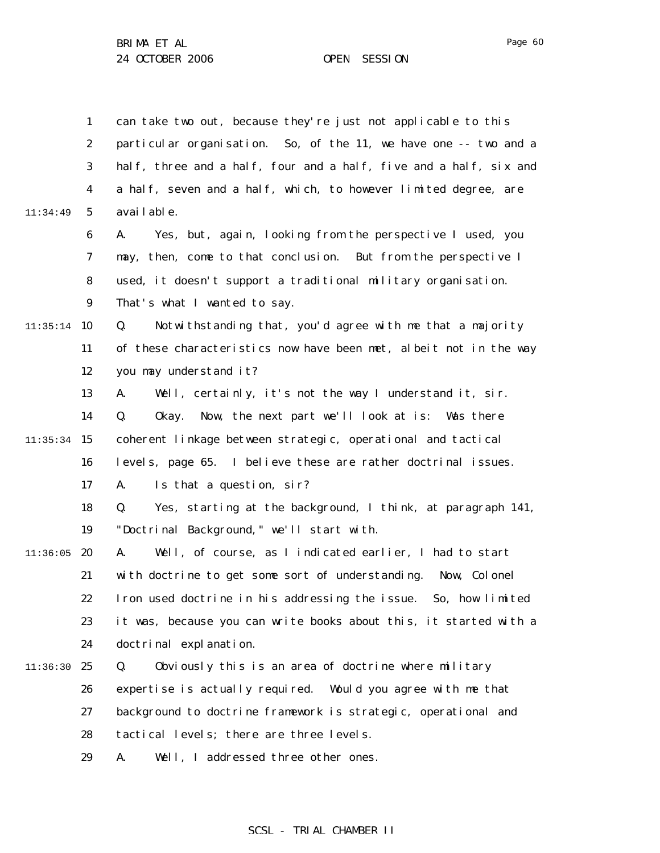1 2 3 4 5 6 7 8 9  $11:35:14$  10 11 12 13 14  $11:35:34$  15 16 17 18 19  $11:36:05$  20 21 22 23 24 11:36:30 25 26 27 28 29 11:34:49 can take two out, because they're just not applicable to this particular organisation. So, of the 11, we have one -- two and a half, three and a half, four and a half, five and a half, six and a half, seven and a half, which, to however limited degree, are available. A. Yes, but, again, looking from the perspective I used, you may, then, come to that conclusion. But from the perspective I used, it doesn't support a traditional military organisation. That's what I wanted to say. Q. Notwithstanding that, you'd agree with me that a majority of these characteristics now have been met, albeit not in the way you may understand it? A. Well, certainly, it's not the way I understand it, sir. Q. Okay. Now, the next part we'll look at is: Was there coherent linkage between strategic, operational and tactical levels, page 65. I believe these are rather doctrinal issues. A. Is that a question, sir? Q. Yes, starting at the background, I think, at paragraph 141, "Doctrinal Background," we'll start with. A. Well, of course, as I indicated earlier, I had to start with doctrine to get some sort of understanding. Now, Colonel Iron used doctrine in his addressing the issue. So, how limited it was, because you can write books about this, it started with a doctrinal explanation. Q. Obviously this is an area of doctrine where military expertise is actually required. Would you agree with me that background to doctrine framework is strategic, operational and tactical levels; there are three levels. A. Well, I addressed three other ones.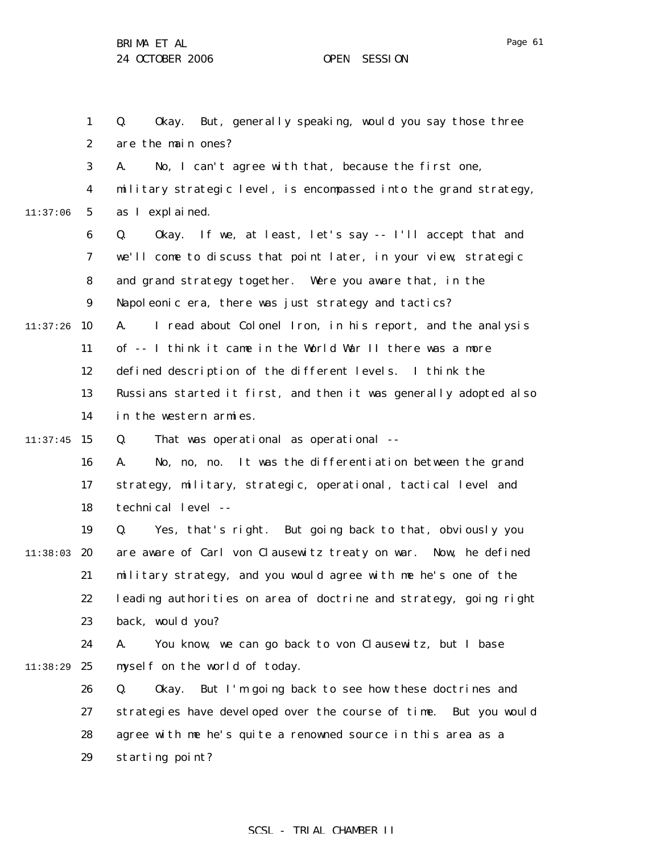1 2 3 4 5 6 7 8 9  $11:37:26$  10 11 12 13 14  $11:37:45$  15 16 17 18 19 11:38:03 20 21 22 23 24 11:38:29 25 26 27 28 29 11:37:06 Q. Okay. But, generally speaking, would you say those three are the main ones? A. No, I can't agree with that, because the first one, military strategic level, is encompassed into the grand strategy, as I explained. Q. Okay. If we, at least, let's say -- I'll accept that and we'll come to discuss that point later, in your view, strategic and grand strategy together. Were you aware that, in the Napoleonic era, there was just strategy and tactics? A. I read about Colonel Iron, in his report, and the analysis of -- I think it came in the World War II there was a more defined description of the different levels. I think the Russians started it first, and then it was generally adopted also in the western armies. Q. That was operational as operational -- A. No, no, no. It was the differentiation between the grand strategy, military, strategic, operational, tactical level and technical level -- Q. Yes, that's right. But going back to that, obviously you are aware of Carl von Clausewitz treaty on war. Now, he defined military strategy, and you would agree with me he's one of the leading authorities on area of doctrine and strategy, going right back, would you? A. You know, we can go back to von Clausewitz, but I base myself on the world of today. Q. Okay. But I'm going back to see how these doctrines and strategies have developed over the course of time. But you would agree with me he's quite a renowned source in this area as a starting point?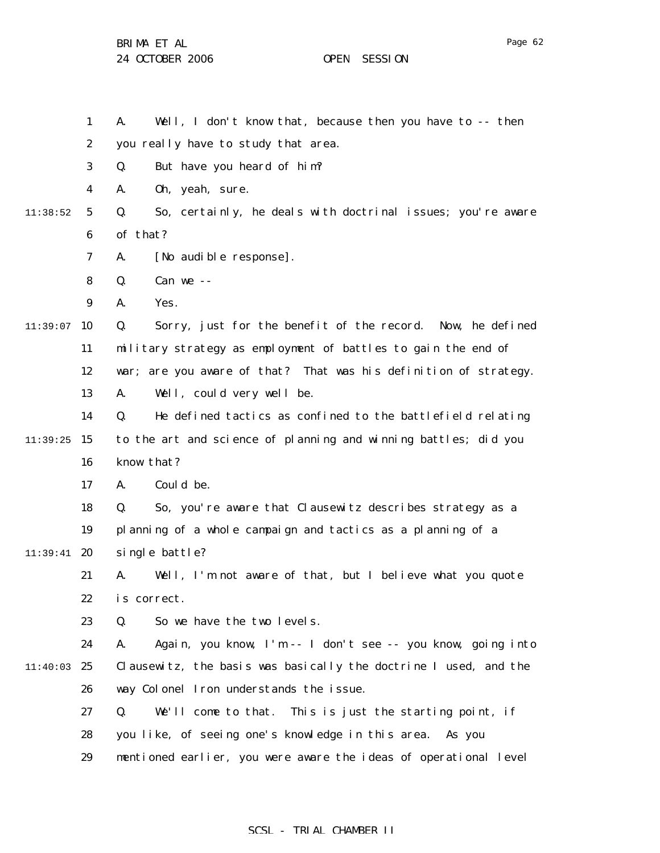BRIMA ET AL

24 OCTOBER 2006 OPEN SESSION

1 2 3 4 5 6 7 8 9  $11:39:07$  10 11 12 13 14  $11:39:25$  15 16 17 18 19 11:39:41 **20** 21 22 23 24 11:40:03 25 26 27 28 29 11:38:52 A. Well, I don't know that, because then you have to -- then you really have to study that area. Q. But have you heard of him? A. Oh, yeah, sure. Q. So, certainly, he deals with doctrinal issues; you're aware of that? A. [No audible response]. Q. Can we -- A. Yes. Q. Sorry, just for the benefit of the record. Now, he defined military strategy as employment of battles to gain the end of war; are you aware of that? That was his definition of strategy. A. Well, could very well be. Q. He defined tactics as confined to the battlefield relating to the art and science of planning and winning battles; did you know that? A. Could be. Q. So, you're aware that Clausewitz describes strategy as a planning of a whole campaign and tactics as a planning of a single battle? A. Well, I'm not aware of that, but I believe what you quote is correct. Q. So we have the two levels. A. Again, you know, I'm -- I don't see -- you know, going into Clausewitz, the basis was basically the doctrine I used, and the way Colonel Iron understands the issue. Q. We'll come to that. This is just the starting point, if you like, of seeing one's knowledge in this area. As you mentioned earlier, you were aware the ideas of operational level

### SCSL - TRIAL CHAMBER II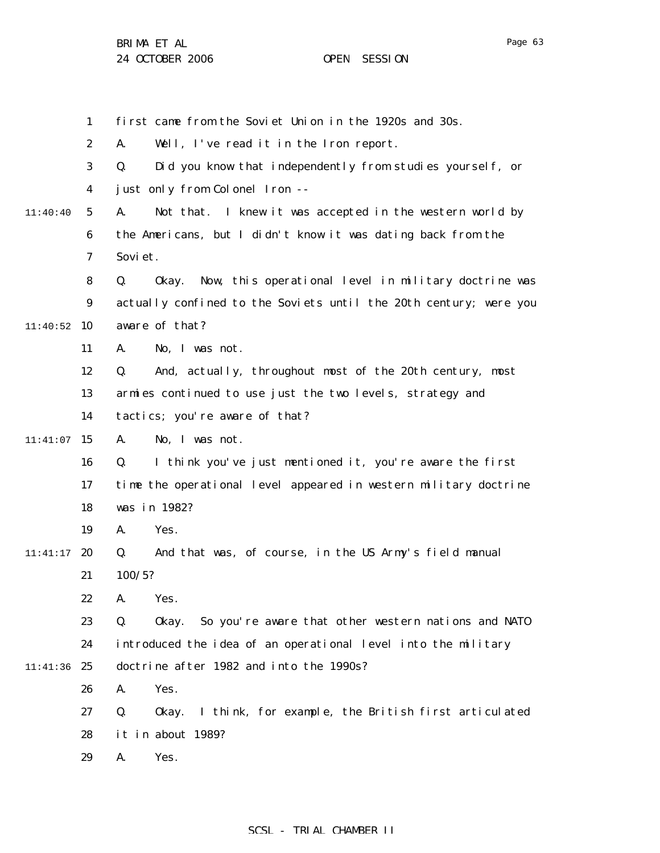|          | 1                | first came from the Soviet Union in the 1920s and 30s.             |
|----------|------------------|--------------------------------------------------------------------|
|          | $\boldsymbol{2}$ | Well, I've read it in the Iron report.<br>A.                       |
|          | 3                | Did you know that independently from studies yourself, or<br>Q.    |
|          | 4                | just only from Colonel Iron --                                     |
| 11:40:40 | $\mathbf{5}$     | Not that. I knew it was accepted in the western world by<br>A.     |
|          | 6                | the Americans, but I didn't know it was dating back from the       |
|          | 7                | Sovi et.                                                           |
|          | 8                | Okay. Now, this operational level in military doctrine was<br>Q.   |
|          | 9                | actually confined to the Soviets until the 20th century; were you  |
| 11:40:52 | 10               | aware of that?                                                     |
|          | 11               | No, I was not.<br>A.                                               |
|          | 12               | And, actually, throughout most of the 20th century, most<br>Q.     |
|          | 13               | armies continued to use just the two levels, strategy and          |
|          | 14               | tactics; you're aware of that?                                     |
| 11:41:07 | 15               | No, I was not.<br>A.                                               |
|          | 16               | I think you've just mentioned it, you're aware the first<br>Q.     |
|          | 17               | time the operational level appeared in western military doctrine   |
|          | 18               | was in 1982?                                                       |
|          | 19               | Yes.<br>A.                                                         |
| 11:41:17 | 20               | And that was, of course, in the US Army's field manual<br>Q.       |
|          | 21               | 100/5?                                                             |
|          | 22               | Yes.<br>A.                                                         |
|          | 23               | So you're aware that other western nations and NATO<br>Q.<br>0kay. |
|          | 24               | introduced the idea of an operational level into the military      |
| 11:41:36 | 25               | doctrine after 1982 and into the 1990s?                            |
|          | 26               | Yes.<br>A.                                                         |
|          | 27               | Q.<br>I think, for example, the British first articulated<br>0kay. |
|          | 28               | it in about 1989?                                                  |
|          | 29               | A.<br>Yes.                                                         |
|          |                  |                                                                    |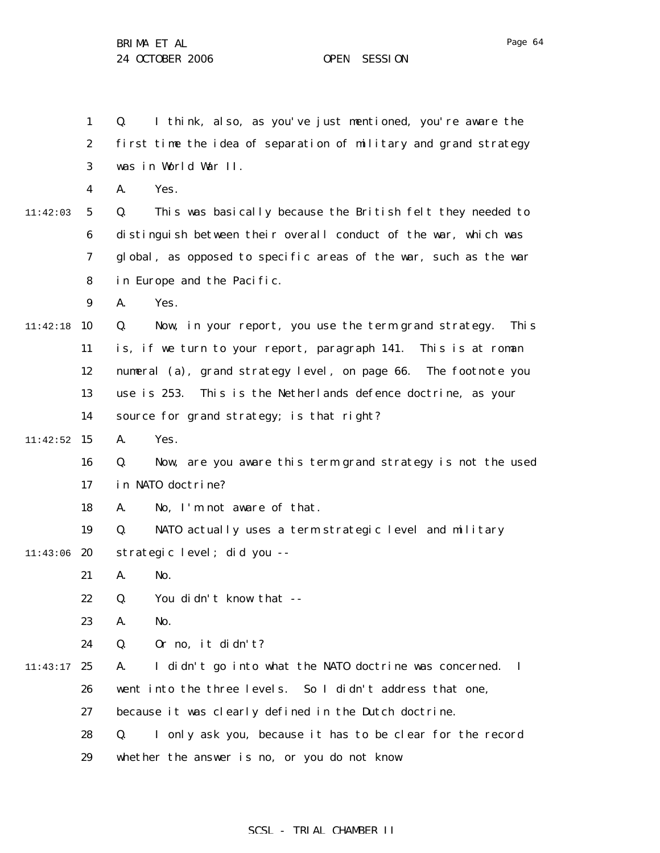1 2 3 4 5 6 7 8 9 11:42:18 10 11 12 13 14  $11:42:52$  15 16 17 18 19 11:43:06 20 21 22 23 24 11:43:17 25 26 27 28 29 11:42:03 Q. I think, also, as you've just mentioned, you're aware the first time the idea of separation of military and grand strategy was in World War II. A. Yes. Q. This was basically because the British felt they needed to distinguish between their overall conduct of the war, which was global, as opposed to specific areas of the war, such as the war in Europe and the Pacific. A. Yes. Q. Now, in your report, you use the term grand strategy. This is, if we turn to your report, paragraph 141. This is at roman numeral (a), grand strategy level, on page 66. The footnote you use is 253. This is the Netherlands defence doctrine, as your source for grand strategy; is that right? A. Yes. Q. Now, are you aware this term grand strategy is not the used in NATO doctrine? A. No, I'm not aware of that. Q. NATO actually uses a term strategic level and military strategic level; did you -- A. No. Q. You didn't know that -- A. No. Q. Or no, it didn't? A. I didn't go into what the NATO doctrine was concerned. I went into the three levels. So I didn't address that one, because it was clearly defined in the Dutch doctrine. Q. I only ask you, because it has to be clear for the record whether the answer is no, or you do not know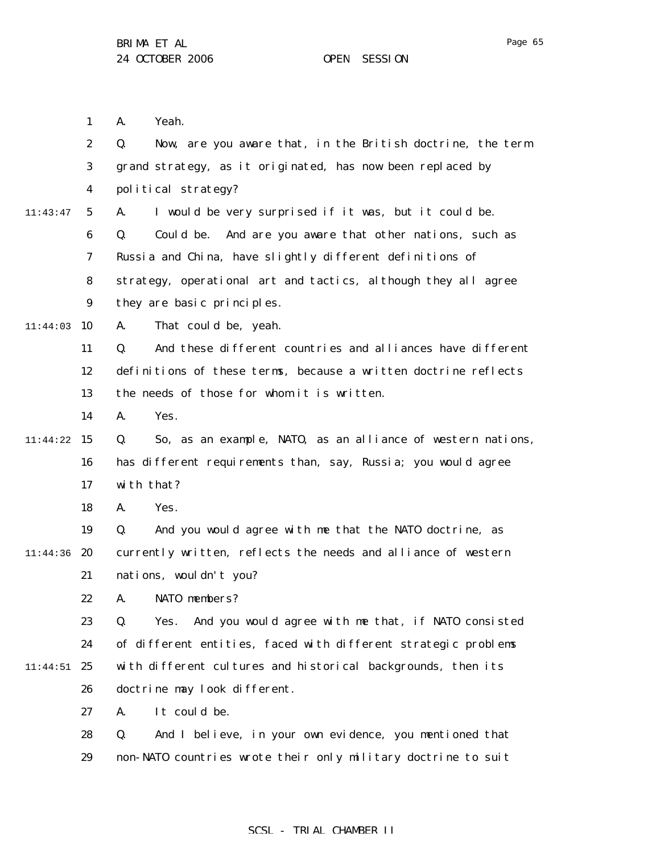1 2 3 4 5 6 7 8 9  $11:44:03$  10 11 12 13 14 11:44:22 15 16 17 18 19 11:44:36 20 21 22 23 24 11:44:51 25 26 27 28 29 11:43:47 A. Yeah. Q. Now, are you aware that, in the British doctrine, the term grand strategy, as it originated, has now been replaced by political strategy? A. I would be very surprised if it was, but it could be. Q. Could be. And are you aware that other nations, such as Russia and China, have slightly different definitions of strategy, operational art and tactics, although they all agree they are basic principles. A. That could be, yeah. Q. And these different countries and alliances have different definitions of these terms, because a written doctrine reflects the needs of those for whom it is written. A. Yes. Q. So, as an example, NATO, as an alliance of western nations, has different requirements than, say, Russia; you would agree with that? A. Yes. Q. And you would agree with me that the NATO doctrine, as currently written, reflects the needs and alliance of western nations, wouldn't you? A. NATO members? Q. Yes. And you would agree with me that, if NATO consisted of different entities, faced with different strategic problems with different cultures and historical backgrounds, then its doctrine may look different. A. It could be. Q. And I believe, in your own evidence, you mentioned that non-NATO countries wrote their only military doctrine to suit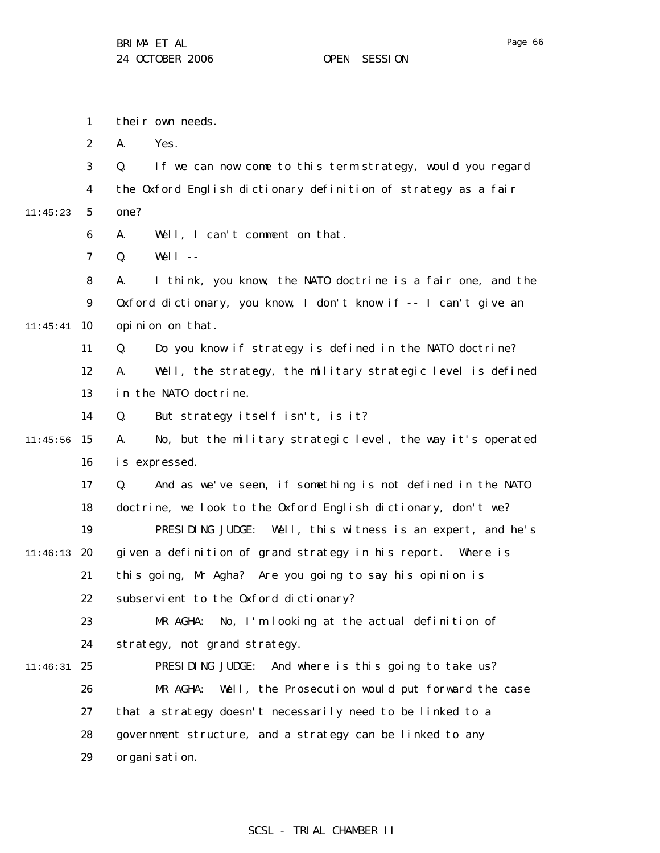1 2 3 4 5 6 7 8 9  $11:45:41$  10 11 12 13 14  $11:45:56$  15 16 17 18 19 11:46:13 20 21 22 23 24 11:46:31 25 26 27 28 29 11:45:23 their own needs. A. Yes. Q. If we can now come to this term strategy, would you regard the Oxford English dictionary definition of strategy as a fair one? A. Well, I can't comment on that. Q. Well -- A. I think, you know, the NATO doctrine is a fair one, and the Oxford dictionary, you know, I don't know if -- I can't give an opinion on that. Q. Do you know if strategy is defined in the NATO doctrine? A. Well, the strategy, the military strategic level is defined in the NATO doctrine. Q. But strategy itself isn't, is it? A. No, but the military strategic level, the way it's operated is expressed. Q. And as we've seen, if something is not defined in the NATO doctrine, we look to the Oxford English dictionary, don't we? PRESIDING JUDGE: Well, this witness is an expert, and he's given a definition of grand strategy in his report. Where is this going, Mr Agha? Are you going to say his opinion is subservient to the Oxford dictionary? MR AGHA: No, I'm looking at the actual definition of strategy, not grand strategy. PRESIDING JUDGE: And where is this going to take us? MR AGHA: Well, the Prosecution would put forward the case that a strategy doesn't necessarily need to be linked to a government structure, and a strategy can be linked to any organisation.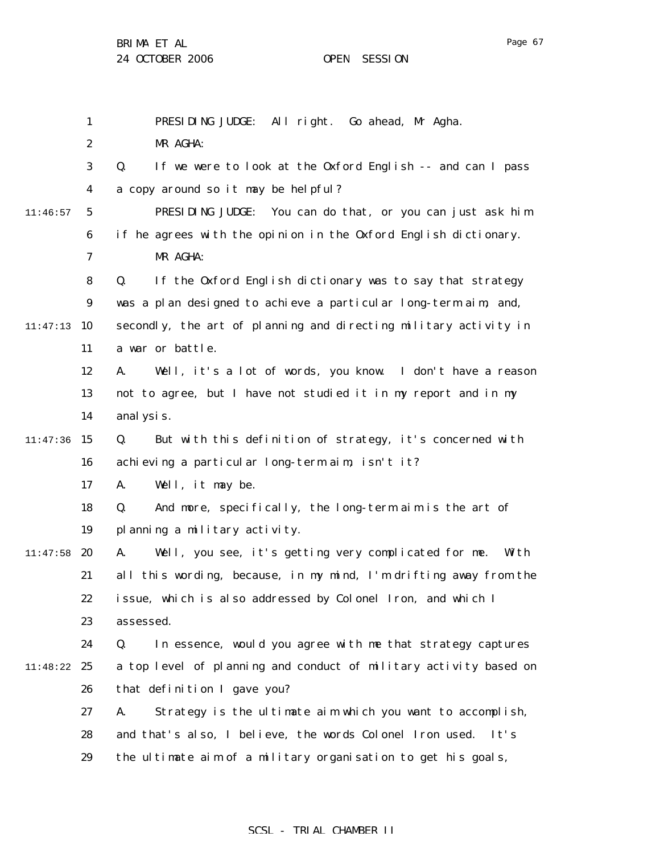BRIMA ET AL

|          | $\mathbf{1}$     | PRESIDING JUDGE: All right. Go ahead, Mr Agha.                      |
|----------|------------------|---------------------------------------------------------------------|
|          | $\boldsymbol{2}$ | MR AGHA:                                                            |
|          | 3                | Q.<br>If we were to look at the Oxford English -- and can I pass    |
|          | $\boldsymbol{4}$ | a copy around so it may be helpful?                                 |
| 11:46:57 | $\mathbf{5}$     | You can do that, or you can just ask him<br>PRESIDING JUDGE:        |
|          | 6                | if he agrees with the opinion in the Oxford English dictionary.     |
|          | 7                | MR AGHA:                                                            |
|          | 8                | If the Oxford English dictionary was to say that strategy<br>Q.     |
|          | $\boldsymbol{9}$ | was a plan designed to achieve a particular long-term aim, and,     |
| 11:47:13 | 10               | secondly, the art of planning and directing military activity in    |
|          | 11               | a war or battle.                                                    |
|          | 12               | Well, it's a lot of words, you know. I don't have a reason<br>A.    |
|          | 13               | not to agree, but I have not studied it in my report and in my      |
|          | 14               | anal ysis.                                                          |
| 11:47:36 | 15               | But with this definition of strategy, it's concerned with<br>Q.     |
|          | 16               | achieving a particular long-term aim, isn't it?                     |
|          | 17               | Well, it may be.<br>A.                                              |
|          | 18               | Q.<br>And more, specifically, the long-term aim is the art of       |
|          | 19               | planning a military activity.                                       |
| 11:47:58 | 20               | Well, you see, it's getting very complicated for me.<br>Wi th<br>A. |
|          | 21               | all this wording, because, in my mind, I'm drifting away from the   |
|          | 22               | issue, which is also addressed by Colonel Iron, and which I         |
|          | 23               | assessed.                                                           |
|          | 24               | In essence, would you agree with me that strategy captures<br>Q.    |
| 11:48:22 | 25               | a top level of planning and conduct of military activity based on   |
|          | 26               | that definition I gave you?                                         |
|          | 27               | Strategy is the ultimate aim which you want to accomplish,<br>A.    |
|          | 28               | and that's also, I believe, the words Colonel Iron used. It's       |
|          | 29               | the ultimate aim of a military organisation to get his goals,       |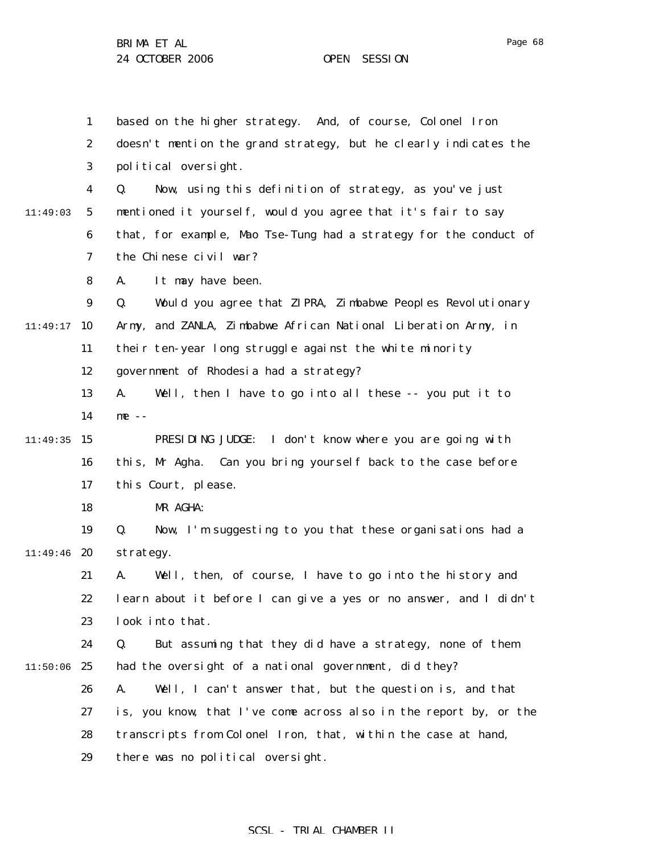1 2 3 4 5 6 7 8 9  $11:49:17$  10 11 12 13 14  $11:49:35$  15 16 17 18 19 11:49:46 **20** 21 22 23 24  $11:50:06$  25 26 27 28 29 11:49:03 based on the higher strategy. And, of course, Colonel Iron doesn't mention the grand strategy, but he clearly indicates the political oversight. Q. Now, using this definition of strategy, as you've just mentioned it yourself, would you agree that it's fair to say that, for example, Mao Tse-Tung had a strategy for the conduct of the Chinese civil war? A. It may have been. Q. Would you agree that ZIPRA, Zimbabwe Peoples Revolutionary Army, and ZANLA, Zimbabwe African National Liberation Army, in their ten-year long struggle against the white minority government of Rhodesia had a strategy? A. Well, then I have to go into all these -- you put it to me -- PRESIDING JUDGE: I don't know where you are going with this, Mr Agha. Can you bring yourself back to the case before this Court, please. MR AGHA: Q. Now, I'm suggesting to you that these organisations had a strategy. A. Well, then, of course, I have to go into the history and learn about it before I can give a yes or no answer, and I didn't look into that. Q. But assuming that they did have a strategy, none of them had the oversight of a national government, did they? A. Well, I can't answer that, but the question is, and that is, you know, that I've come across also in the report by, or the transcripts from Colonel Iron, that, within the case at hand, there was no political oversight.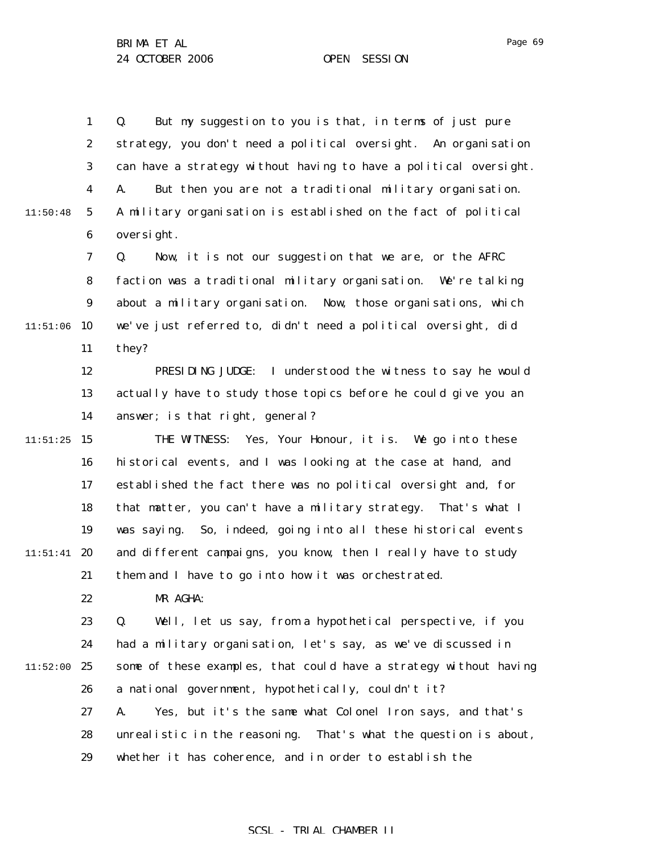1 2 3 4 5 6 7 8 9  $11:51:06$  10 11 12 13 14  $11:51:25$  15 16 17 18 19  $11:51:41$  20 21 22 23 24  $11:52:00$  25 26 11:50:48 Q. But my suggestion to you is that, in terms of just pure strategy, you don't need a political oversight. An organisation can have a strategy without having to have a political oversight. A. But then you are not a traditional military organisation. A military organisation is established on the fact of political oversight. Q. Now, it is not our suggestion that we are, or the AFRC faction was a traditional military organisation. We're talking about a military organisation. Now, those organisations, which we've just referred to, didn't need a political oversight, did they? PRESIDING JUDGE: I understood the witness to say he would actually have to study those topics before he could give you an answer; is that right, general? THE WITNESS: Yes, Your Honour, it is. We go into these historical events, and I was looking at the case at hand, and established the fact there was no political oversight and, for that matter, you can't have a military strategy. That's what I was saying. So, indeed, going into all these historical events and different campaigns, you know, then I really have to study them and I have to go into how it was orchestrated. MR AGHA: Q. Well, let us say, from a hypothetical perspective, if you had a military organisation, let's say, as we've discussed in some of these examples, that could have a strategy without having a national government, hypothetically, couldn't it?

27 28 29 A. Yes, but it's the same what Colonel Iron says, and that's unrealistic in the reasoning. That's what the question is about, whether it has coherence, and in order to establish the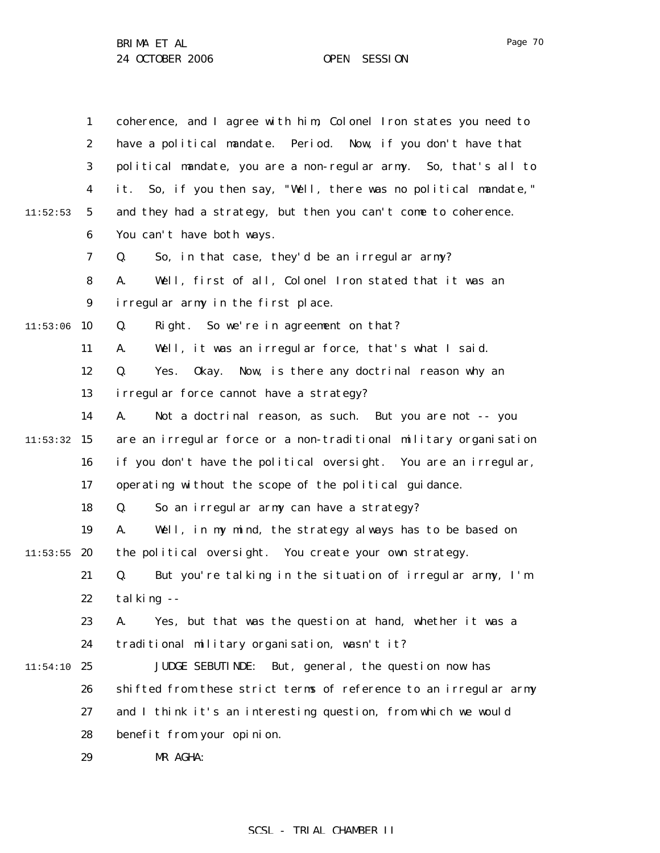|          | $\mathbf{1}$     | coherence, and I agree with him, Colonel Iron states you need to  |
|----------|------------------|-------------------------------------------------------------------|
|          | $\boldsymbol{2}$ | have a political mandate. Period. Now, if you don't have that     |
|          | 3                | political mandate, you are a non-regular army. So, that's all to  |
|          | $\boldsymbol{4}$ | it. So, if you then say, "Well, there was no political mandate,"  |
| 11:52:53 | $5\overline{)}$  | and they had a strategy, but then you can't come to coherence.    |
|          | $\boldsymbol{6}$ | You can't have both ways.                                         |
|          | 7                | So, in that case, they'd be an irregular army?<br>Q.              |
|          | 8                | Well, first of all, Colonel Iron stated that it was an<br>A.      |
|          | $9\phantom{.0}$  | irregular army in the first place.                                |
| 11:53:06 | 10               | Q.<br>Right. So we're in agreement on that?                       |
|          | 11               | Well, it was an irregular force, that's what I said.<br>A.        |
|          | 12               | Q.<br>0kay.<br>Now, is there any doctrinal reason why an<br>Yes.  |
|          | 13               | irregular force cannot have a strategy?                           |
|          | 14               | Not a doctrinal reason, as such. But you are not -- you<br>A.     |
| 11:53:32 | 15               | are an irregular force or a non-traditional military organisation |
|          | 16               | if you don't have the political oversight. You are an irregular,  |
|          | 17               | operating without the scope of the political guidance.            |
|          | 18               | So an irregular army can have a strategy?<br>Q.                   |
|          | 19               | Well, in my mind, the strategy always has to be based on<br>A.    |
| 11:53:55 | 20               | the political oversight. You create your own strategy.            |
|          | 21               | But you're talking in the situation of irregular army, I'm<br>Q.  |
|          | 22               | talking --                                                        |
|          | 23               | Yes, but that was the question at hand, whether it was a<br>A.    |
|          | 24               | traditional military organisation, wasn't it?                     |
| 11:54:10 | 25               | But, general, the question now has<br><b>JUDGE SEBUTINDE:</b>     |
|          | 26               | shifted from these strict terms of reference to an irregular army |
|          | 27               | and I think it's an interesting question, from which we would     |
|          | 28               | benefit from your opinion.                                        |
|          | 29               | MR AGHA:                                                          |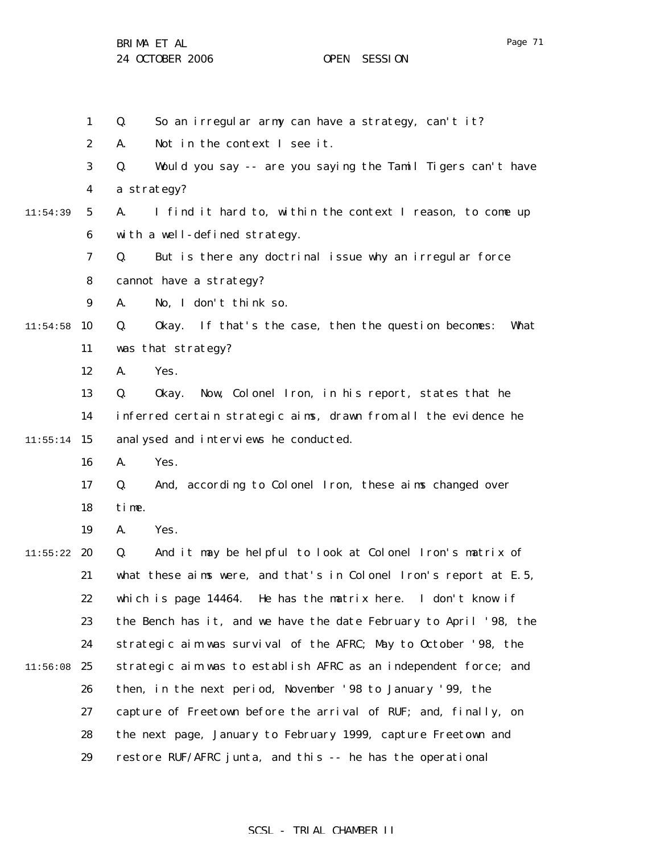BRIMA ET AL

|          | $\mathbf{1}$     | So an irregular army can have a strategy, can't it?<br>Q.             |
|----------|------------------|-----------------------------------------------------------------------|
|          | $\boldsymbol{2}$ | Not in the context I see it.<br>A.                                    |
|          | 3                | Would you say -- are you saying the Tamil Tigers can't have<br>Q.     |
|          | 4                | a strategy?                                                           |
| 11:54:39 | 5                | I find it hard to, within the context I reason, to come up<br>A.      |
|          | $\boldsymbol{6}$ | with a well-defined strategy.                                         |
|          | 7                | But is there any doctrinal issue why an irregular force<br>Q.         |
|          | 8                | cannot have a strategy?                                               |
|          | 9                | No, I don't think so.<br>A.                                           |
| 11:54:58 | 10               | If that's the case, then the question becomes:<br>Q.<br>0kay.<br>What |
|          | 11               | was that strategy?                                                    |
|          | 12               | Yes.<br>A.                                                            |
|          | 13               | Now, Colonel Iron, in his report, states that he<br>Q.<br>0kay.       |
|          | 14               | inferred certain strategic aims, drawn from all the evidence he       |
| 11:55:14 | 15               | analysed and interviews he conducted.                                 |
|          | 16               | Yes.<br>A.                                                            |
|          | 17               | And, according to Colonel Iron, these aims changed over<br>Q.         |
|          | 18               | time.                                                                 |
|          | 19               | Yes.<br>A.                                                            |
| 11:55:22 | 20               | And it may be helpful to look at Colonel Iron's matrix of<br>Q.       |
|          | 21               | what these aims were, and that's in Colonel Iron's report at E.5,     |
|          | 22               | which is page 14464. He has the matrix here. I don't know if          |
|          | 23               | the Bench has it, and we have the date February to April '98, the     |
|          | 24               | strategic aim was survival of the AFRC; May to October '98, the       |
| 11:56:08 | 25               | strategic aim was to establish AFRC as an independent force; and      |
|          | 26               | then, in the next period, November '98 to January '99, the            |
|          | 27               | capture of Freetown before the arrival of RUF; and, finally, on       |
|          | 28               | the next page, January to February 1999, capture Freetown and         |
|          | 29               | restore RUF/AFRC junta, and this -- he has the operational            |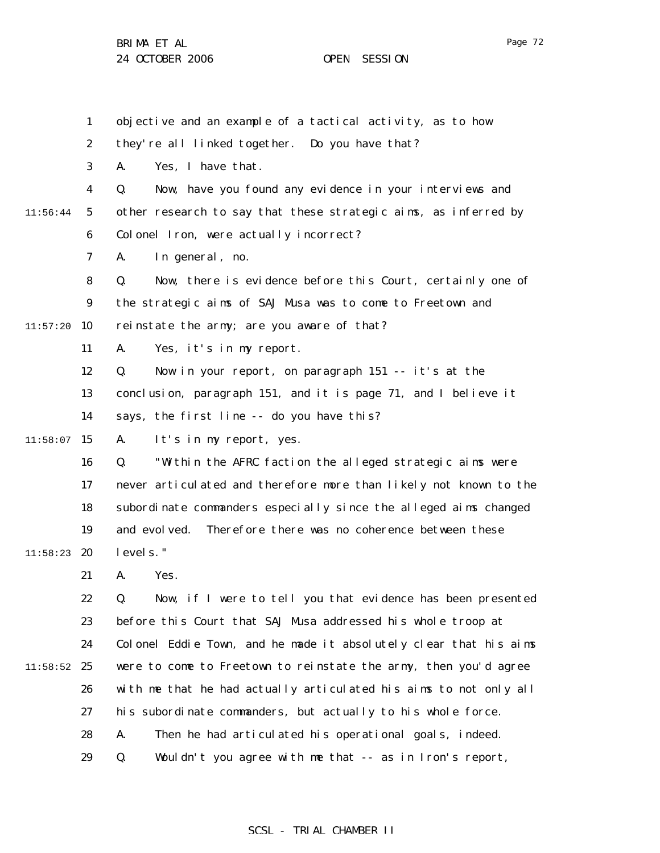1 2 3 4 5 6 7 8 9  $11:57:20$  10 11 12 13 14  $11:58:07$  15 16 17 18 19  $11:58:23$  20 21 22 23 24  $11:58:52$  25 26 27 28 29 11:56:44 objective and an example of a tactical activity, as to how they're all linked together. Do you have that? A. Yes, I have that. Q. Now, have you found any evidence in your interviews and other research to say that these strategic aims, as inferred by Colonel Iron, were actually incorrect? A. In general, no. Q. Now, there is evidence before this Court, certainly one of the strategic aims of SAJ Musa was to come to Freetown and reinstate the army; are you aware of that? A. Yes, it's in my report. Q. Now in your report, on paragraph 151 -- it's at the conclusion, paragraph 151, and it is page 71, and I believe it says, the first line -- do you have this? A. It's in my report, yes. Q. "Within the AFRC faction the alleged strategic aims were never articulated and therefore more than likely not known to the subordinate commanders especially since the alleged aims changed and evolved. Therefore there was no coherence between these levels." A. Yes. Q. Now, if I were to tell you that evidence has been presented before this Court that SAJ Musa addressed his whole troop at Colonel Eddie Town, and he made it absolutely clear that his aims were to come to Freetown to reinstate the army, then you'd agree with me that he had actually articulated his aims to not only all his subordinate commanders, but actually to his whole force. A. Then he had articulated his operational goals, indeed. Q. Wouldn't you agree with me that -- as in Iron's report,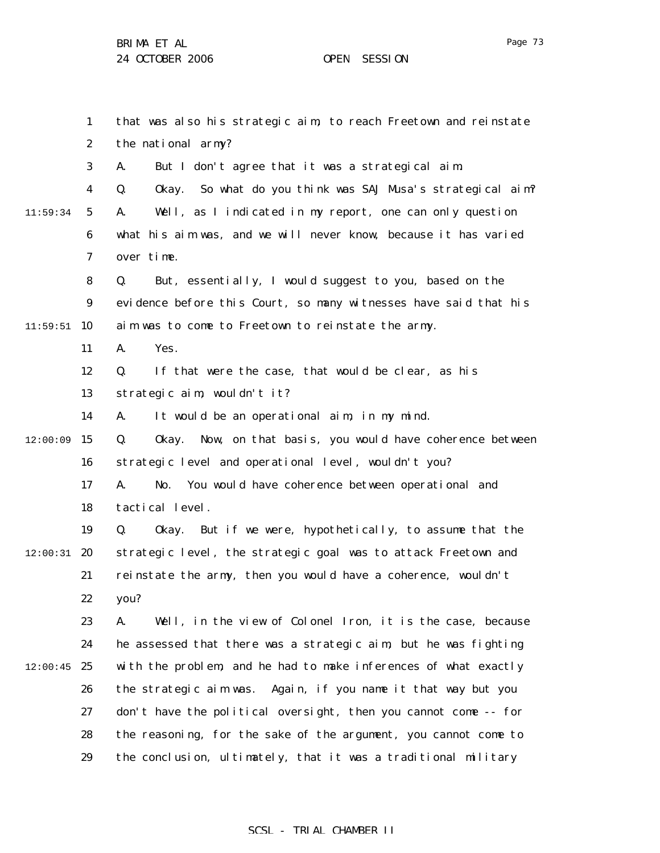Page 73

|          | $\mathbf{1}$     | that was also his strategic aim, to reach Freetown and reinstate    |
|----------|------------------|---------------------------------------------------------------------|
|          | $\boldsymbol{2}$ | the national army?                                                  |
|          | $\boldsymbol{3}$ | But I don't agree that it was a strategical aim.<br>A.              |
|          | $\boldsymbol{4}$ | Okay. So what do you think was SAJ Musa's strategical aim?<br>Q.    |
| 11:59:34 | $\mathbf{5}$     | Well, as I indicated in my report, one can only question<br>A.      |
|          | $\boldsymbol{6}$ | what his aim was, and we will never know, because it has varied     |
|          | 7                | over time.                                                          |
|          | 8                | But, essentially, I would suggest to you, based on the<br>Q.        |
|          | 9                | evidence before this Court, so many witnesses have said that his    |
| 11:59:51 | 10               | aim was to come to Freetown to reinstate the army.                  |
|          | 11               | A.<br>Yes.                                                          |
|          | 12               | If that were the case, that would be clear, as his<br>Q.            |
|          | 13               | strategic aim, wouldn't it?                                         |
|          | 14               | A.<br>It would be an operational aim, in my mind.                   |
| 12:00:09 | 15               | Q.<br>Now, on that basis, you would have coherence between<br>0kay. |
|          | 16               | strategic level and operational level, wouldn't you?                |
|          | 17               | You would have coherence between operational and<br>A.<br>No.       |
|          | 18               | tactical level.                                                     |
|          | 19               | But if we were, hypothetically, to assume that the<br>Q.<br>0kay.   |
| 12:00:31 | 20               | strategic level, the strategic goal was to attack Freetown and      |
|          | 21               | reinstate the army, then you would have a coherence, wouldn't       |
|          | 22               | you?                                                                |
|          | 23               | A.<br>Well, in the view of Colonel Iron, it is the case, because    |
|          | 24               | he assessed that there was a strategic aim, but he was fighting     |
| 12:00:45 | 25               | with the problem, and he had to make inferences of what exactly     |
|          | 26               | the strategic aim was. Again, if you name it that way but you       |
|          | 27               | don't have the political oversight, then you cannot come -- for     |
|          | 28               | the reasoning, for the sake of the argument, you cannot come to     |
|          | 29               | the conclusion, ultimately, that it was a traditional military      |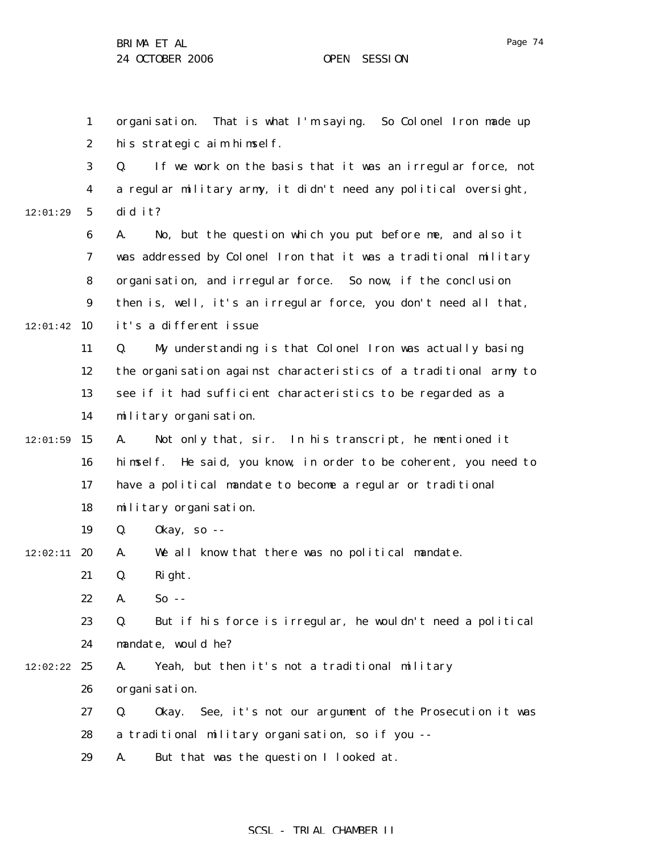1 2 3 4 5 6 7 8 9  $12:01:42$  10 11 12 13 14  $12:01:59$  15 16 17 18 19  $12:02:11$  20 21 22 23 24  $12:02:22$  25 26 27 12:01:29 organisation. That is what I'm saying. So Colonel Iron made up his strategic aim himself. Q. If we work on the basis that it was an irregular force, not a regular military army, it didn't need any political oversight, did it? A. No, but the question which you put before me, and also it was addressed by Colonel Iron that it was a traditional military organisation, and irregular force. So now, if the conclusion then is, well, it's an irregular force, you don't need all that, it's a different issue Q. My understanding is that Colonel Iron was actually basing the organisation against characteristics of a traditional army to see if it had sufficient characteristics to be regarded as a military organisation. A. Not only that, sir. In his transcript, he mentioned it himself. He said, you know, in order to be coherent, you need to have a political mandate to become a regular or traditional military organisation. Q. Okay, so -- A. We all know that there was no political mandate. Q. Right. A. So -- Q. But if his force is irregular, he wouldn't need a political mandate, would he? A. Yeah, but then it's not a traditional military organisation. Q. Okay. See, it's not our argument of the Prosecution it was

- 28 a traditional military organisation, so if you --
- 29 A. But that was the question I looked at.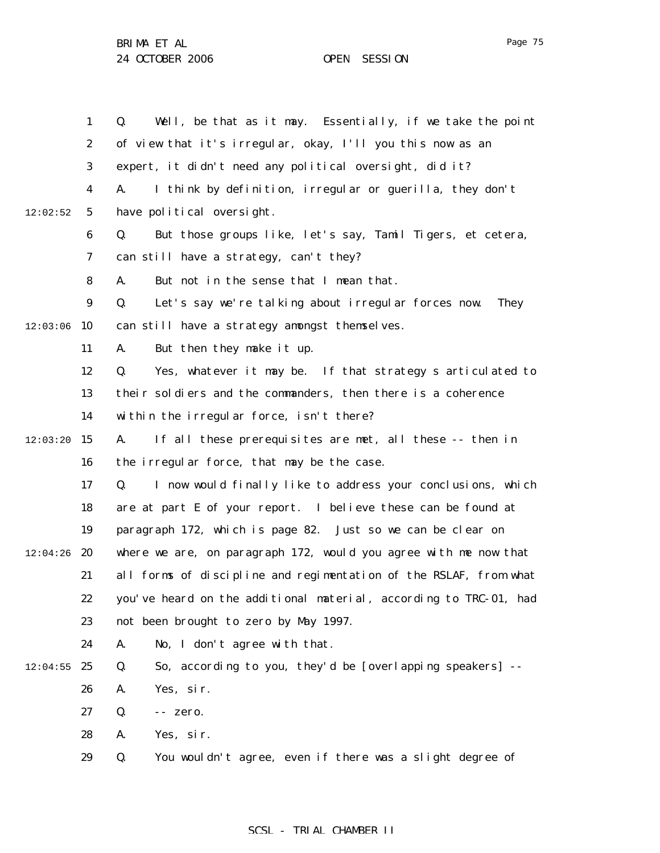|          | $\mathbf{1}$     | Well, be that as it may. Essentially, if we take the point<br>Q.         |
|----------|------------------|--------------------------------------------------------------------------|
|          | $\boldsymbol{2}$ | of view that it's irregular, okay, I'll you this now as an               |
|          | 3                | expert, it didn't need any political oversight, did it?                  |
|          | $\boldsymbol{4}$ | I think by definition, irregular or guerilla, they don't<br>A.           |
| 12:02:52 | $5\phantom{.0}$  | have political oversight.                                                |
|          | 6                | But those groups like, let's say, Tamil Tigers, et cetera,<br>Q.         |
|          | 7                | can still have a strategy, can't they?                                   |
|          | 8                | A.<br>But not in the sense that I mean that.                             |
|          | 9                | Let's say we're talking about irregular forces now.<br>Q.<br><b>They</b> |
| 12:03:06 | 10               | can still have a strategy amongst themselves.                            |
|          | 11               | But then they make it up.<br>A.                                          |
|          | 12               | Q.<br>Yes, whatever it may be. If that strategy s articulated to         |
|          | 13               | their soldiers and the commanders, then there is a coherence             |
|          | 14               | within the irregular force, isn't there?                                 |
| 12:03:20 | 15               | If all these prerequisites are met, all these -- then in<br>A.           |
|          | 16               | the irregular force, that may be the case.                               |
|          | 17               | I now would finally like to address your conclusions, which<br>Q.        |
|          | 18               | are at part E of your report. I believe these can be found at            |
|          | 19               | paragraph 172, which is page 82. Just so we can be clear on              |
| 12:04:26 | 20               | where we are, on paragraph 172, would you agree with me now that         |
|          | 21               | all forms of discipline and regimentation of the RSLAF, from what        |
|          | 22               | you've heard on the additional material, according to TRC-01, had        |
|          | 23               | not been brought to zero by May 1997.                                    |
|          | 24               | A.<br>No, I don't agree with that.                                       |
| 12:04:55 | 25               | So, according to you, they'd be [overlapping speakers] --<br>Q.          |
|          | 26               | Yes, sir.<br>A.                                                          |
|          | 27               | Q.<br>-- zero.                                                           |
|          | 28               | A.<br>Yes, sir.                                                          |
|          | 29               | You wouldn't agree, even if there was a slight degree of<br>Q.           |
|          |                  |                                                                          |

# SCSL - TRIAL CHAMBER II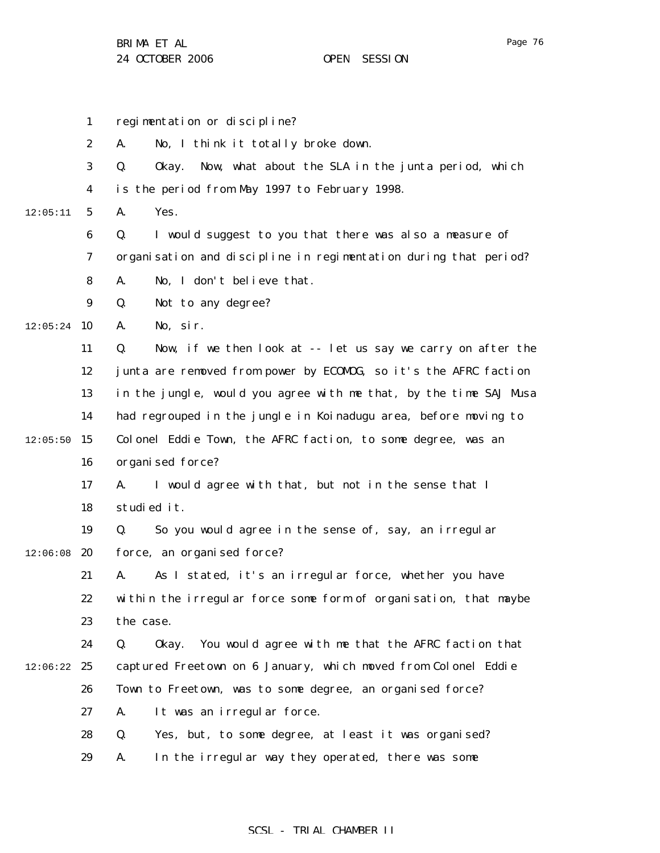1

2

3

4

5

6

7

8

9

11

12

13

14

16

17

18

19

21

22

23

24

26

27

 $12:05:24$  10

12:05:11

 $12:05:50$  15

 $12:06:08$  20

 $12:06:22$  25

regimentation or discipline? A. No, I think it totally broke down. Q. Okay. Now, what about the SLA in the junta period, which is the period from May 1997 to February 1998. A. Yes. Q. I would suggest to you that there was also a measure of organisation and discipline in regimentation during that period? A. No, I don't believe that. Q. Not to any degree? A. No, sir. Q. Now, if we then look at -- let us say we carry on after the junta are removed from power by ECOMOG, so it's the AFRC faction in the jungle, would you agree with me that, by the time SAJ Musa had regrouped in the jungle in Koinadugu area, before moving to Colonel Eddie Town, the AFRC faction, to some degree, was an organised force? A. I would agree with that, but not in the sense that I studied it. Q. So you would agree in the sense of, say, an irregular force, an organised force? A. As I stated, it's an irregular force, whether you have within the irregular force some form of organisation, that maybe the case. Q. Okay. You would agree with me that the AFRC faction that captured Freetown on 6 January, which moved from Colonel Eddie Town to Freetown, was to some degree, an organised force? A. It was an irregular force.

28 29 Q. Yes, but, to some degree, at least it was organised? A. In the irregular way they operated, there was some

SCSL - TRIAL CHAMBER II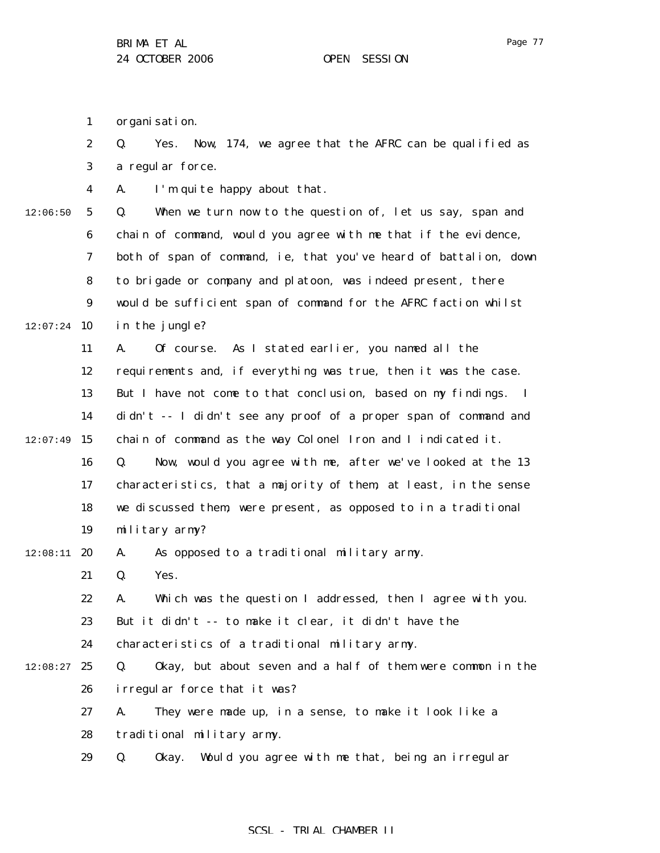1 organisation.

12:06:50

12:07:24

|   | $\mathbf{2}$     | Yes. Now, 174, we agree that the AFRC can be qualified as<br>Q.   |
|---|------------------|-------------------------------------------------------------------|
|   | 3                | a regular force.                                                  |
|   | $\boldsymbol{4}$ | I'm quite happy about that.<br>A.                                 |
| 0 | $5\phantom{.0}$  | When we turn now to the question of, let us say, span and<br>Q.   |
|   | $\bf{6}$         | chain of command, would you agree with me that if the evidence,   |
|   | 7                | both of span of command, ie, that you've heard of battalion, down |
|   | 8                | to brigade or company and platoon, was indeed present, there      |
|   | $\boldsymbol{9}$ | would be sufficient span of command for the AFRC faction whilst   |
|   | 4 10             | in the jungle?                                                    |
|   | 11               | Of course. As I stated earlier, you named all the<br>A.           |
|   | 12               | requirements and, if everything was true, then it was the case.   |
|   | 13               | But I have not come to that conclusion, based on my findings. I   |
|   | 14               | didn't -- I didn't see any proof of a proper span of command and  |

 $12:07:49$  15 chain of command as the way Colonel Iron and I indicated it.

16 17 18 19 Q. Now, would you agree with me, after we've looked at the 13 characteristics, that a majority of them, at least, in the sense we discussed them, were present, as opposed to in a traditional military army?

### $12:08:11$  20 A. As opposed to a traditional military army.

21 Q. Yes.

22 A. Which was the question I addressed, then I agree with you.

23 But it didn't -- to make it clear, it didn't have the

24 characteristics of a traditional military army.

- $12:08:27$  25 26 Q. Okay, but about seven and a half of them were common in the irregular force that it was?
	- 27 A. They were made up, in a sense, to make it look like a
	- 28 traditional military army.
	- 29 Q. Okay. Would you agree with me that, being an irregular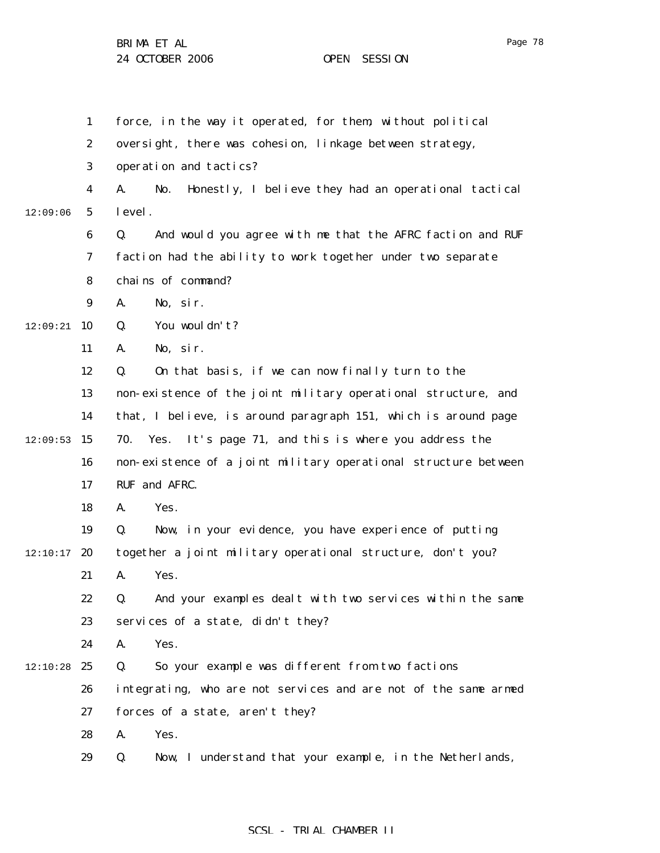|          | $\mathbf{1}$     | force, in the way it operated, for them, without political        |
|----------|------------------|-------------------------------------------------------------------|
|          | $\boldsymbol{2}$ | oversight, there was cohesion, linkage between strategy,          |
|          | 3                | operation and tactics?                                            |
|          | 4                | Honestly, I believe they had an operational tactical<br>A.<br>No. |
| 12:09:06 | $\sqrt{5}$       | level.                                                            |
|          | 6                | Q.<br>And would you agree with me that the AFRC faction and RUF   |
|          | 7                | faction had the ability to work together under two separate       |
|          | 8                | chains of command?                                                |
|          | $\boldsymbol{9}$ | No, sir.<br>A.                                                    |
| 12:09:21 | 10               | You wouldn't?<br>Q.                                               |
|          | 11               | No, sir.<br>A.                                                    |
|          | 12               | On that basis, if we can now finally turn to the<br>Q.            |
|          | 13               | non-existence of the joint military operational structure, and    |
|          | 14               | that, I believe, is around paragraph 151, which is around page    |
| 12:09:53 | 15               | 70. Yes. It's page 71, and this is where you address the          |
|          | 16               | non-existence of a joint military operational structure between   |
|          | 17               | RUF and AFRC.                                                     |
|          | 18               | Yes.<br>A.                                                        |
|          | 19               | Now, in your evidence, you have experience of putting<br>Q.       |
| 12:10:17 | 20               | together a joint military operational structure, don't you?       |
|          | 21               | A.<br>Yes.                                                        |
|          | 22               | And your examples dealt with two services within the same<br>Q.   |
|          | 23               | services of a state, didn't they?                                 |
|          | 24               | Yes.<br>A.                                                        |
| 12:10:28 | 25               | Q.<br>So your example was different from two factions             |
|          | 26               | integrating, who are not services and are not of the same armed   |
|          | 27               | forces of a state, aren't they?                                   |
|          | 28               | Yes.<br>A.                                                        |
|          | 29               | Now, I understand that your example, in the Netherlands,<br>Q.    |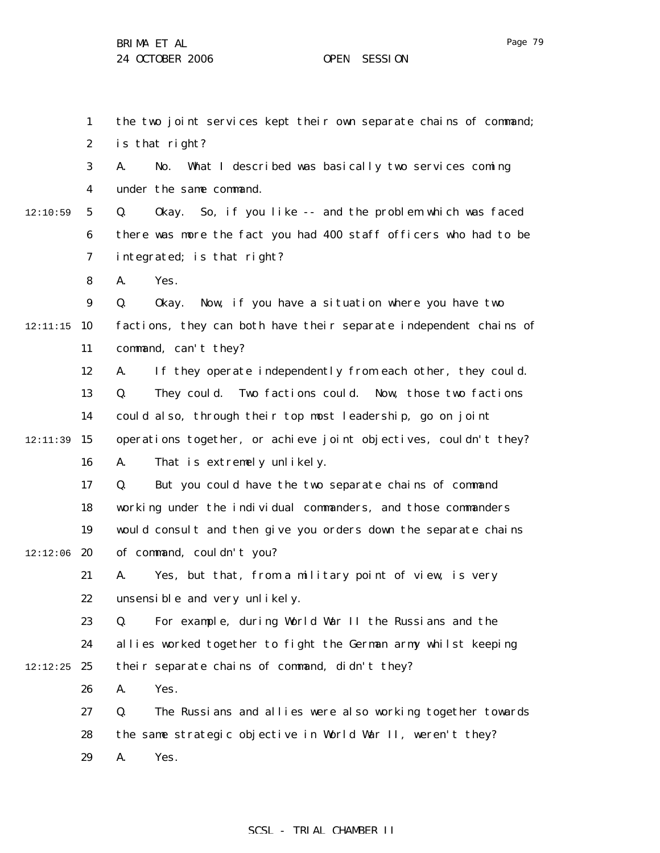1 2 3 4 5 6 7 8 9 12:11:15 10 11 12 13 14 12:11:39 15 16 17 18 19  $12:12:06$  20 21 22 23 24  $12:12:25$  25 26 27 28 29 12:10:59 the two joint services kept their own separate chains of command; is that right? A. No. What I described was basically two services coming under the same command. Q. Okay. So, if you like -- and the problem which was faced there was more the fact you had 400 staff officers who had to be integrated; is that right? A. Yes. Q. Okay. Now, if you have a situation where you have two factions, they can both have their separate independent chains of command, can't they? A. If they operate independently from each other, they could. Q. They could. Two factions could. Now, those two factions could also, through their top most leadership, go on joint operations together, or achieve joint objectives, couldn't they? A. That is extremely unlikely. Q. But you could have the two separate chains of command working under the individual commanders, and those commanders would consult and then give you orders down the separate chains of command, couldn't you? A. Yes, but that, from a military point of view, is very unsensible and very unlikely. Q. For example, during World War II the Russians and the allies worked together to fight the German army whilst keeping their separate chains of command, didn't they? A. Yes. Q. The Russians and allies were also working together towards the same strategic objective in World War II, weren't they? A. Yes.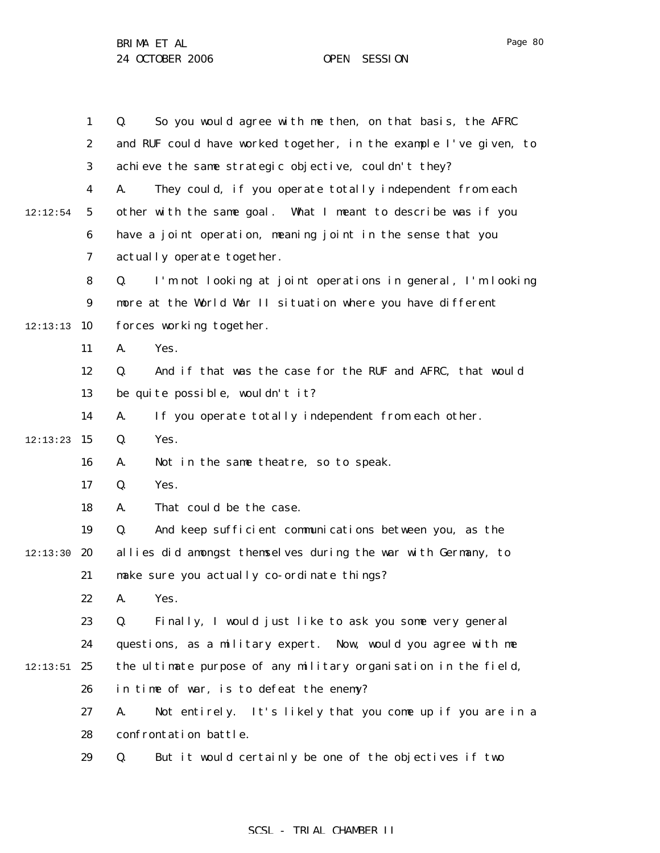1 2 3 4 5 6 7 8 9  $12:13:13$  10 11 12 13 14  $12:13:23$  15 16 17 18 19 12:13:30 **20** 21 22 23 24  $12:13:51$  25 26 27 28 29 12:12:54 Q. So you would agree with me then, on that basis, the AFRC and RUF could have worked together, in the example I've given, to achieve the same strategic objective, couldn't they? A. They could, if you operate totally independent from each other with the same goal. What I meant to describe was if you have a joint operation, meaning joint in the sense that you actually operate together. Q. I'm not looking at joint operations in general, I'm looking more at the World War II situation where you have different forces working together. A. Yes. Q. And if that was the case for the RUF and AFRC, that would be quite possible, wouldn't it? A. If you operate totally independent from each other. Q. Yes. A. Not in the same theatre, so to speak. Q. Yes. A. That could be the case. Q. And keep sufficient communications between you, as the allies did amongst themselves during the war with Germany, to make sure you actually co-ordinate things? A. Yes. Q. Finally, I would just like to ask you some very general questions, as a military expert. Now, would you agree with me the ultimate purpose of any military organisation in the field, in time of war, is to defeat the enemy? A. Not entirely. It's likely that you come up if you are in a confrontation battle. Q. But it would certainly be one of the objectives if two

### SCSL - TRIAL CHAMBER II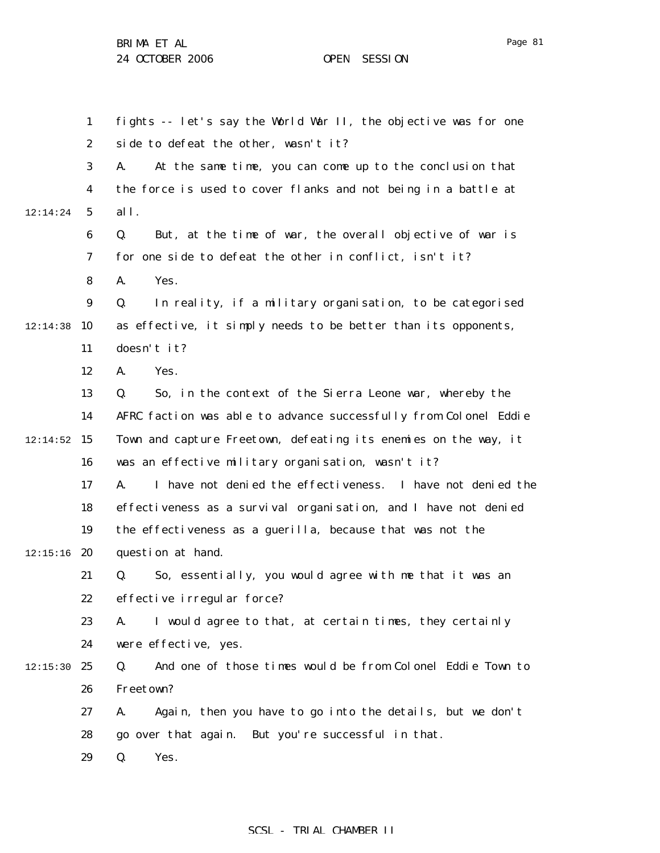1 2 3 4 5 6 7 8 9 12:14:38 10 11 12 13 14  $12:14:52$  15 16 17 18 19  $12:15:16$  20 21 22 23 24  $12:15:30$  25 26 27 28 29 12:14:24 fights -- let's say the World War II, the objective was for one side to defeat the other, wasn't it? A. At the same time, you can come up to the conclusion that the force is used to cover flanks and not being in a battle at all. Q. But, at the time of war, the overall objective of war is for one side to defeat the other in conflict, isn't it? A. Yes. Q. In reality, if a military organisation, to be categorised as effective, it simply needs to be better than its opponents, doesn't it? A. Yes. Q. So, in the context of the Sierra Leone war, whereby the AFRC faction was able to advance successfully from Colonel Eddie Town and capture Freetown, defeating its enemies on the way, it was an effective military organisation, wasn't it? A. I have not denied the effectiveness. I have not denied the effectiveness as a survival organisation, and I have not denied the effectiveness as a guerilla, because that was not the question at hand. Q. So, essentially, you would agree with me that it was an effective irregular force? A. I would agree to that, at certain times, they certainly were effective, yes. Q. And one of those times would be from Colonel Eddie Town to Freetown? A. Again, then you have to go into the details, but we don't go over that again. But you're successful in that. Q. Yes.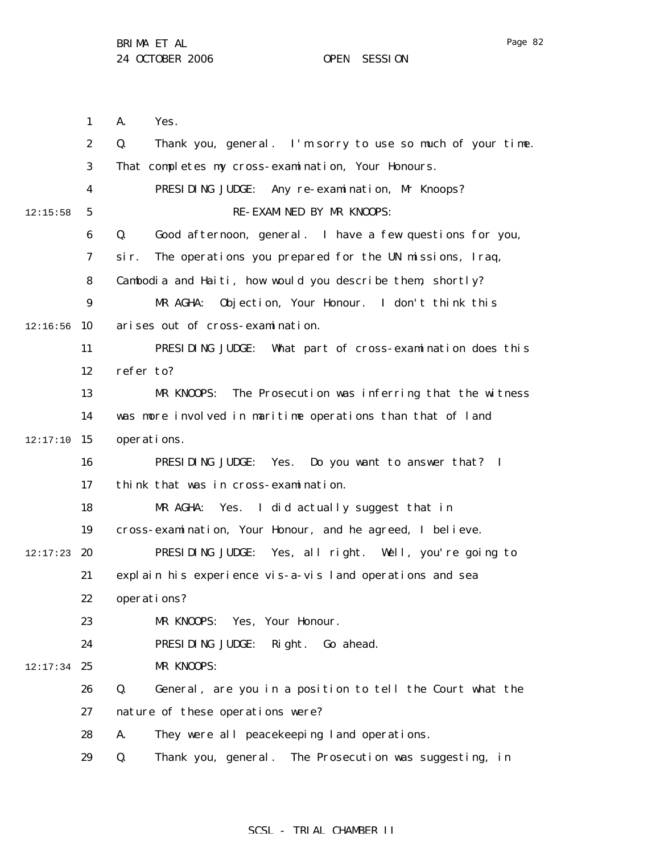1 2 3 4 5 6 7 8 9  $12:16:56$  10 11 12 13 14  $12:17:10$  15 16 17 18 19  $12:17:23$  20 21 22 23 24  $12:17:34$  25 26 27 28 29 12:15:58 A. Yes. Q. Thank you, general. I'm sorry to use so much of your time. That completes my cross-examination, Your Honours. PRESIDING JUDGE: Any re-examination, Mr Knoops? RE-EXAMINED BY MR KNOOPS: Q. Good afternoon, general. I have a few questions for you, sir. The operations you prepared for the UN missions, Iraq, Cambodia and Haiti, how would you describe them, shortly? MR AGHA: Objection, Your Honour. I don't think this arises out of cross-examination. PRESIDING JUDGE: What part of cross-examination does this refer to? MR KNOOPS: The Prosecution was inferring that the witness was more involved in maritime operations than that of land operations. PRESIDING JUDGE: Yes. Do you want to answer that? I think that was in cross-examination. MR AGHA: Yes. I did actually suggest that in cross-examination, Your Honour, and he agreed, I believe. PRESIDING JUDGE: Yes, all right. Well, you're going to explain his experience vis-a-vis land operations and sea operations? MR KNOOPS: Yes, Your Honour. PRESIDING JUDGE: Right. Go ahead. MR KNOOPS: Q. General, are you in a position to tell the Court what the nature of these operations were? A. They were all peacekeeping land operations. Q. Thank you, general. The Prosecution was suggesting, in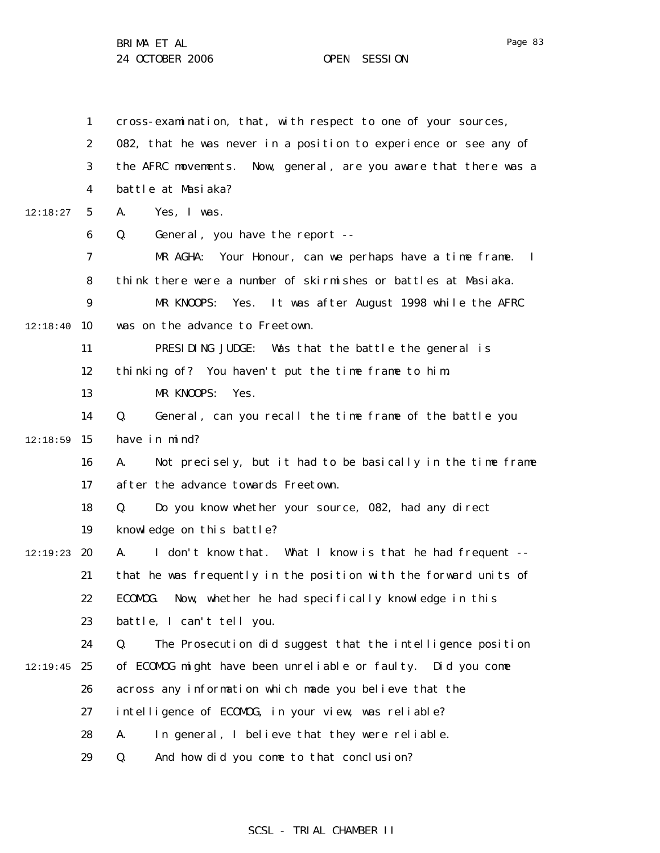1 2 3 4 5 6 7 8 9  $12:18:40$  10 11 12 13 14  $12:18:59$  15 16 17 18 19 12:19:23 20 21 22 23 24  $12:19:45$  25 26 27 28 29 12:18:27 cross-examination, that, with respect to one of your sources, 082, that he was never in a position to experience or see any of the AFRC movements. Now, general, are you aware that there was a battle at Masiaka? A. Yes, I was. Q. General, you have the report -- MR AGHA: Your Honour, can we perhaps have a time frame. I think there were a number of skirmishes or battles at Masiaka. MR KNOOPS: Yes. It was after August 1998 while the AFRC was on the advance to Freetown. PRESIDING JUDGE: Was that the battle the general is thinking of? You haven't put the time frame to him. MR KNOOPS: Yes. Q. General, can you recall the time frame of the battle you have in mind? A. Not precisely, but it had to be basically in the time frame after the advance towards Freetown. Q. Do you know whether your source, 082, had any direct knowledge on this battle? A. I don't know that. What I know is that he had frequent - that he was frequently in the position with the forward units of ECOMOG. Now, whether he had specifically knowledge in this battle, I can't tell you. Q. The Prosecution did suggest that the intelligence position of ECOMOG might have been unreliable or faulty. Did you come across any information which made you believe that the intelligence of ECOMOG, in your view, was reliable? A. In general, I believe that they were reliable. Q. And how did you come to that conclusion?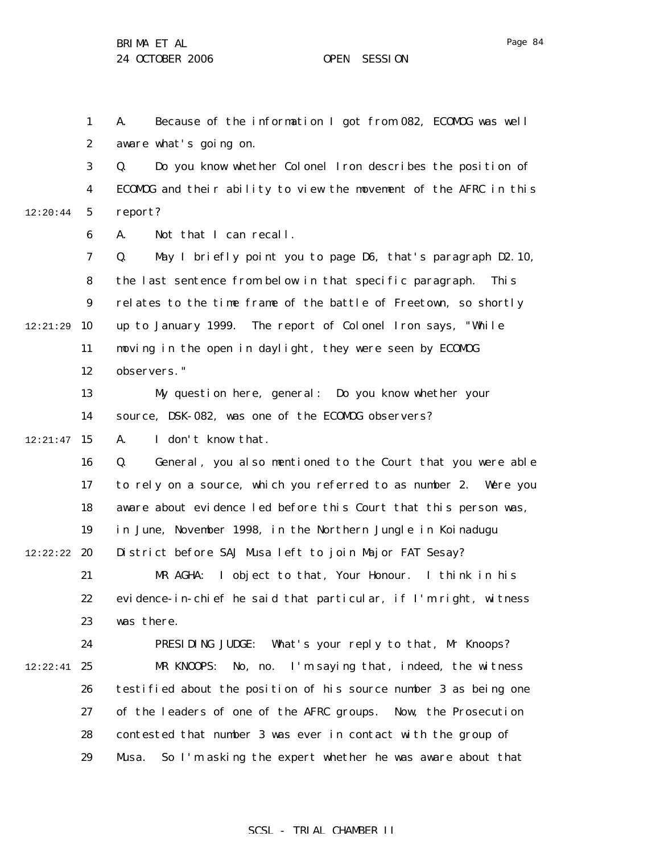1 2 A. Because of the information I got from 082, ECOMOG was well aware what's going on.

3 4 5 12:20:44 Q. Do you know whether Colonel Iron describes the position of ECOMOG and their ability to view the movement of the AFRC in this report?

> 6 A. Not that I can recall.

7 8 9 12:21:29 10 11 12 Q. May I briefly point you to page D6, that's paragraph D2.10, the last sentence from below in that specific paragraph. This relates to the time frame of the battle of Freetown, so shortly up to January 1999. The report of Colonel Iron says, "While moving in the open in daylight, they were seen by ECOMOG observers."

> 13 14 My question here, general: Do you know whether your source, DSK-082, was one of the ECOMOG observers?

 $12:21:47$  15

A. I don't know that.

16 17 18 19 12:22:22 **20** Q. General, you also mentioned to the Court that you were able to rely on a source, which you referred to as number 2. Were you aware about evidence led before this Court that this person was, in June, November 1998, in the Northern Jungle in Koinadugu District before SAJ Musa left to join Major FAT Sesay?

21 22 23 MR AGHA: I object to that, Your Honour. I think in his evidence-in-chief he said that particular, if I'm right, witness was there.

24  $12:22:41$  25 26 27 28 29 PRESIDING JUDGE: What's your reply to that, Mr Knoops? MR KNOOPS: No, no. I'm saying that, indeed, the witness testified about the position of his source number 3 as being one of the leaders of one of the AFRC groups. Now, the Prosecution contested that number 3 was ever in contact with the group of Musa. So I'm asking the expert whether he was aware about that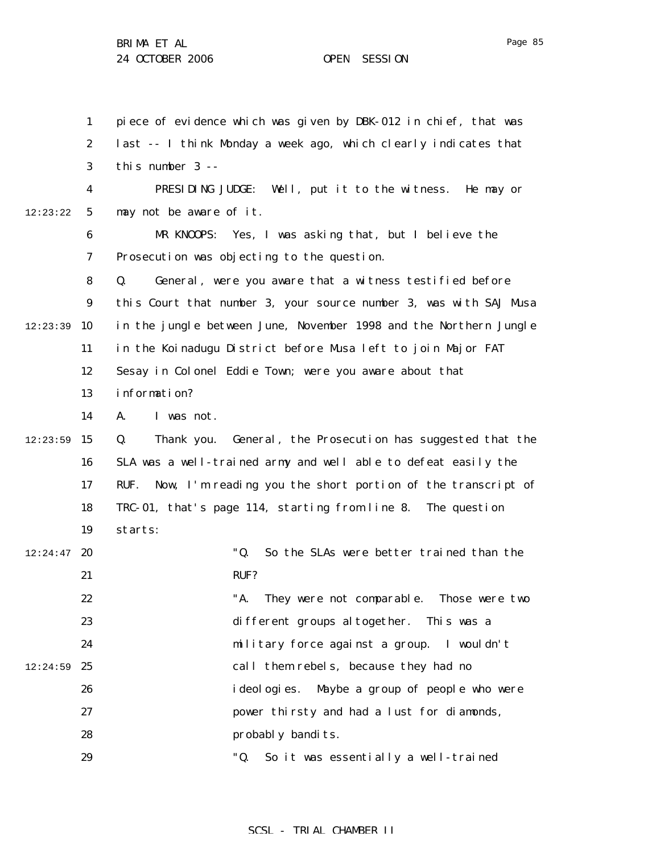1 2 3 4 5 6 7 8 9  $12:23:39$  10 11 12 13 14  $12:23:59$  15 16 17 18 19  $12:24:47$  20 21 22 23 24  $12:24:59$  25 26 27 28 29 12:23:22 piece of evidence which was given by DBK-012 in chief, that was last -- I think Monday a week ago, which clearly indicates that this number 3 -- PRESIDING JUDGE: Well, put it to the witness. He may or may not be aware of it. MR KNOOPS: Yes, I was asking that, but I believe the Prosecution was objecting to the question. Q. General, were you aware that a witness testified before this Court that number 3, your source number 3, was with SAJ Musa in the jungle between June, November 1998 and the Northern Jungle in the Koinadugu District before Musa left to join Major FAT Sesay in Colonel Eddie Town; were you aware about that information? A. I was not. Q. Thank you. General, the Prosecution has suggested that the SLA was a well-trained army and well able to defeat easily the RUF. Now, I'm reading you the short portion of the transcript of TRC-01, that's page 114, starting from line 8. The question starts: "Q. So the SLAs were better trained than the RUF? "A. They were not comparable. Those were two different groups altogether. This was a military force against a group. I wouldn't call them rebels, because they had no ideologies. Maybe a group of people who were power thirsty and had a lust for diamonds, probably bandits. "Q. So it was essentially a well-trained

### SCSL - TRIAL CHAMBER II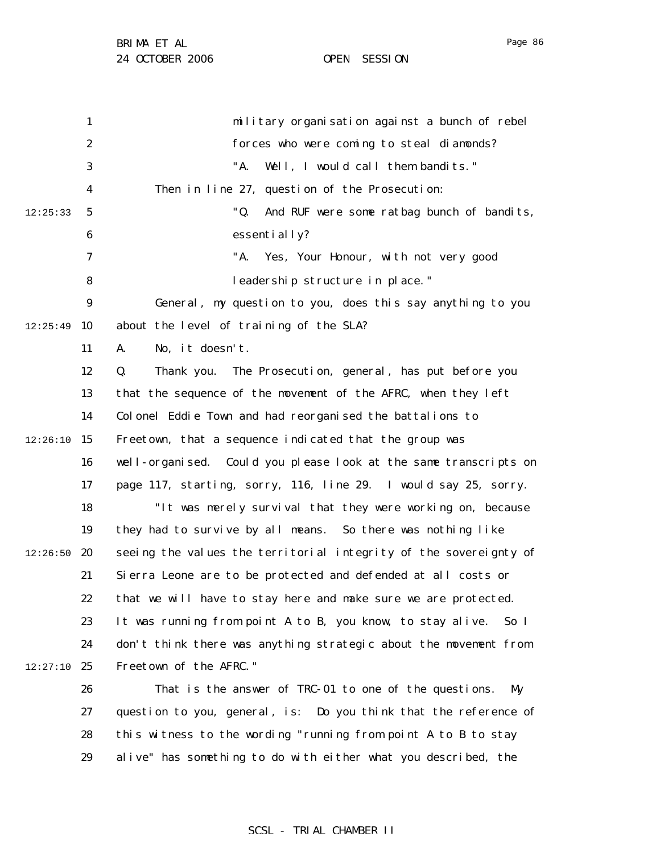1 2 3 4 5 6 7 8 9  $12:25:49$  10 11 12 13 14  $12:26:10$  15 16 17 18 19  $12:26:50$  20 21 22 23 24  $12:27:10$  25 26 27 28 29 12:25:33 military organisation against a bunch of rebel forces who were coming to steal diamonds? "A. Well, I would call them bandits." Then in line 27, question of the Prosecution: "Q. And RUF were some ratbag bunch of bandits, essentially? "A. Yes, Your Honour, with not very good leadership structure in place." General, my question to you, does this say anything to you about the level of training of the SLA? A. No, it doesn't. Q. Thank you. The Prosecution, general, has put before you that the sequence of the movement of the AFRC, when they left Colonel Eddie Town and had reorganised the battalions to Freetown, that a sequence indicated that the group was well-organised. Could you please look at the same transcripts on page 117, starting, sorry, 116, line 29. I would say 25, sorry. "It was merely survival that they were working on, because they had to survive by all means. So there was nothing like seeing the values the territorial integrity of the sovereignty of Sierra Leone are to be protected and defended at all costs or that we will have to stay here and make sure we are protected. It was running from point A to B, you know, to stay alive. So I don't think there was anything strategic about the movement from Freetown of the AFRC." That is the answer of TRC-01 to one of the questions. My question to you, general, is: Do you think that the reference of this witness to the wording "running from point A to B to stay alive" has something to do with either what you described, the

Page 86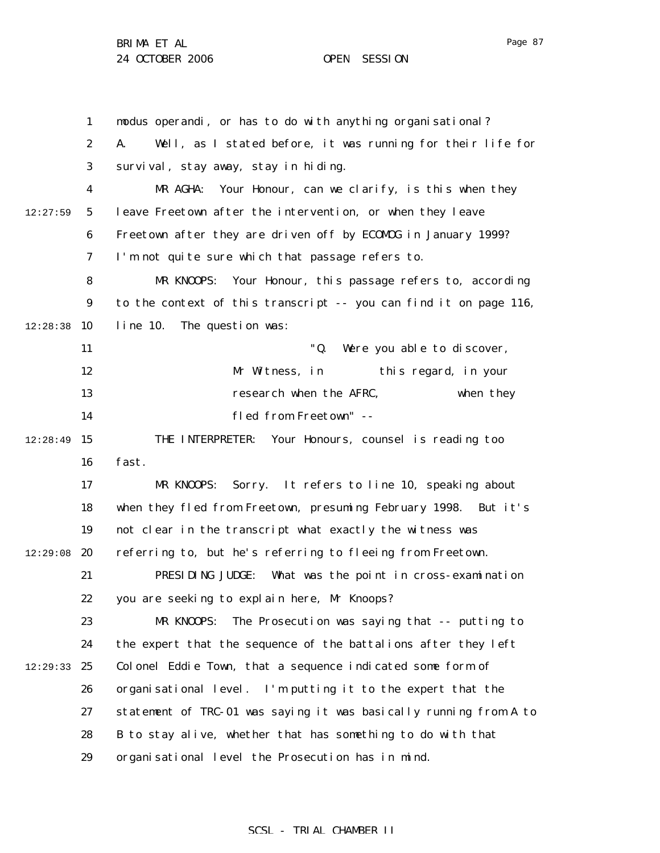1 2 3 4 5 6 7 8 9  $12:28:38$  10 11 12 13 14  $12:28:49$  15 16 17 18 19  $12:29:08$  20 21 22 23 24 12:29:33 25 26 27 28 29 12:27:59 modus operandi, or has to do with anything organisational? A. Well, as I stated before, it was running for their life for survival, stay away, stay in hiding. MR AGHA: Your Honour, can we clarify, is this when they leave Freetown after the intervention, or when they leave Freetown after they are driven off by ECOMOG in January 1999? I'm not quite sure which that passage refers to. MR KNOOPS: Your Honour, this passage refers to, according to the context of this transcript -- you can find it on page 116, line 10. The question was: "Q. Were you able to discover, Mr Witness, in this regard, in your research when the AFRC, when they fled from Freetown" -- THE INTERPRETER: Your Honours, counsel is reading too fast. MR KNOOPS: Sorry. It refers to line 10, speaking about when they fled from Freetown, presuming February 1998. But it's not clear in the transcript what exactly the witness was referring to, but he's referring to fleeing from Freetown. PRESIDING JUDGE: What was the point in cross-examination you are seeking to explain here, Mr Knoops? MR KNOOPS: The Prosecution was saying that -- putting to the expert that the sequence of the battalions after they left Colonel Eddie Town, that a sequence indicated some form of organisational level. I'm putting it to the expert that the statement of TRC-01 was saying it was basically running from A to B to stay alive, whether that has something to do with that organisational level the Prosecution has in mind.

### SCSL - TRIAL CHAMBER II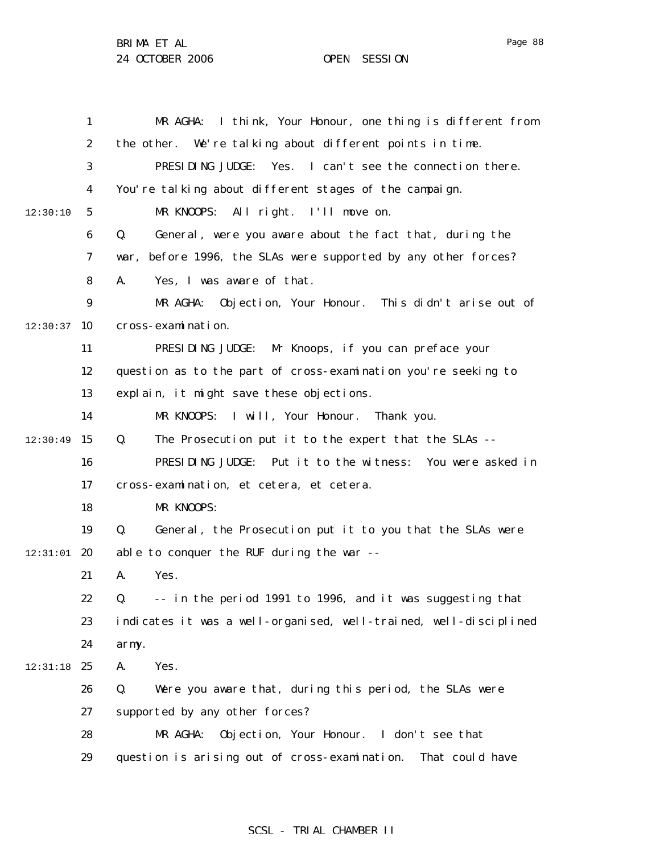BRIMA ET AL

24 OCTOBER 2006 OPEN SESSION

1 2 3 4 5 6 7 8 9  $12:30:37$  10 11 12 13 14  $12:30:49$  15 16 17 18 19  $12:31:01$  20 21 22 23 24 12:31:18 25 26 27 28 29 12:30:10 MR AGHA: I think, Your Honour, one thing is different from the other. We're talking about different points in time. PRESIDING JUDGE: Yes. I can't see the connection there. You're talking about different stages of the campaign. MR KNOOPS: All right. I'll move on. Q. General, were you aware about the fact that, during the war, before 1996, the SLAs were supported by any other forces? A. Yes, I was aware of that. MR AGHA: Objection, Your Honour. This didn't arise out of cross-examination. PRESIDING JUDGE: Mr Knoops, if you can preface your question as to the part of cross-examination you're seeking to explain, it might save these objections. MR KNOOPS: I will, Your Honour. Thank you. Q. The Prosecution put it to the expert that the SLAs -- PRESIDING JUDGE: Put it to the witness: You were asked in cross-examination, et cetera, et cetera. MR KNOOPS: Q. General, the Prosecution put it to you that the SLAs were able to conquer the RUF during the war -- A. Yes. Q. -- in the period 1991 to 1996, and it was suggesting that indicates it was a well-organised, well-trained, well-disciplined army. A. Yes. Q. Were you aware that, during this period, the SLAs were supported by any other forces? MR AGHA: Objection, Your Honour. I don't see that question is arising out of cross-examination. That could have

### Page 88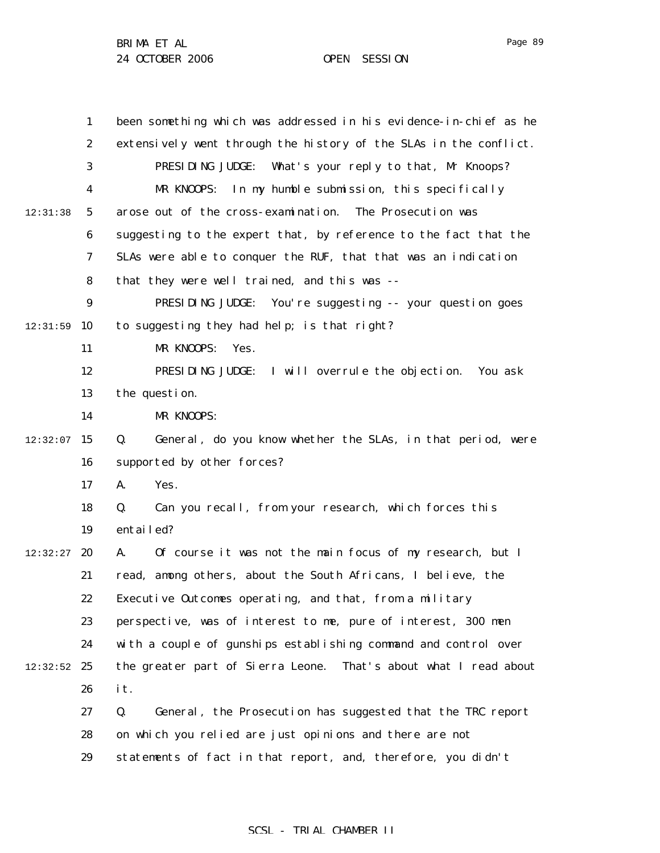1 2 3 4 5 6 7 8 9 12:31:59 10 11 12 13 14  $12:32:07$  15 16 17 18 19  $12:32:27$  20 21 22 23 24  $12:32:52$  25 26 27 28 29 12:31:38 been something which was addressed in his evidence-in-chief as he extensively went through the history of the SLAs in the conflict. PRESIDING JUDGE: What's your reply to that, Mr Knoops? MR KNOOPS: In my humble submission, this specifically arose out of the cross-examination. The Prosecution was suggesting to the expert that, by reference to the fact that the SLAs were able to conquer the RUF, that that was an indication that they were well trained, and this was -- PRESIDING JUDGE: You're suggesting -- your question goes to suggesting they had help; is that right? MR KNOOPS: Yes. PRESIDING JUDGE: I will overrule the objection. You ask the question. MR KNOOPS: Q. General, do you know whether the SLAs, in that period, were supported by other forces? A. Yes. Q. Can you recall, from your research, which forces this entailed? A. Of course it was not the main focus of my research, but I read, among others, about the South Africans, I believe, the Executive Outcomes operating, and that, from a military perspective, was of interest to me, pure of interest, 300 men with a couple of gunships establishing command and control over the greater part of Sierra Leone. That's about what I read about it. Q. General, the Prosecution has suggested that the TRC report on which you relied are just opinions and there are not statements of fact in that report, and, therefore, you didn't

### SCSL - TRIAL CHAMBER II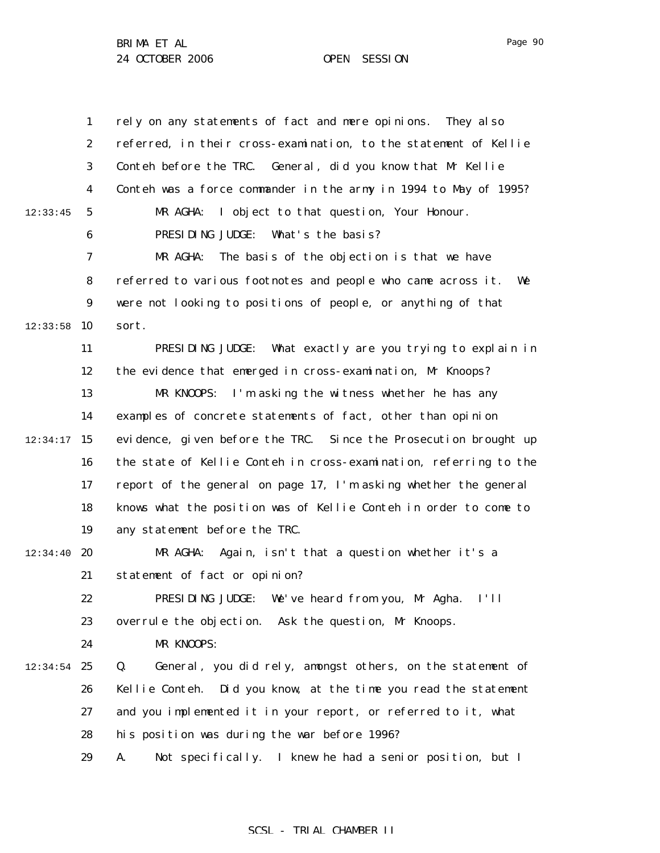|          | $\mathbf{1}$            | rely on any statements of fact and mere opinions.<br>They al so    |
|----------|-------------------------|--------------------------------------------------------------------|
|          | $\boldsymbol{2}$        | referred, in their cross-examination, to the statement of Kellie   |
|          | 3                       | Conteh before the TRC. General, did you know that Mr Kellie        |
|          | $\overline{\mathbf{4}}$ | Conteh was a force commander in the army in 1994 to May of 1995?   |
| 12:33:45 | $\mathbf{5}$            | MR AGHA:<br>I object to that question, Your Honour.                |
|          | 6                       | What's the basis?<br>PRESIDING JUDGE:                              |
|          | $\boldsymbol{7}$        | MR AGHA:<br>The basis of the objection is that we have             |
|          | 8                       | referred to various footnotes and people who came across it.<br>We |
|          | $\boldsymbol{9}$        | were not looking to positions of people, or anything of that       |
| 12:33:58 | 10                      | sort.                                                              |
|          | 11                      | PRESIDING JUDGE: What exactly are you trying to explain in         |
|          | 12                      | the evidence that emerged in cross-examination, Mr Knoops?         |
|          | 13                      | I'm asking the witness whether he has any<br>MR KNOOPS:            |
|          | 14                      | examples of concrete statements of fact, other than opinion        |
| 12:34:17 | 15                      | evidence, given before the TRC. Since the Prosecution brought up   |
|          | 16                      | the state of Kellie Conteh in cross-examination, referring to the  |
|          | 17                      | report of the general on page 17, I'm asking whether the general   |
|          | 18                      | knows what the position was of Kellie Conteh in order to come to   |
|          | 19                      | any statement before the TRC.                                      |
| 12:34:40 | 20                      | Again, isn't that a question whether it's a<br>MR AGHA:            |
|          | 21                      | statement of fact or opinion?                                      |
|          | 22                      | PRESIDING JUDGE:<br>We've heard from you, Mr Agha. I'll            |
|          | 23                      | overrule the objection.<br>Ask the question, Mr Knoops.            |
|          | 24                      | MR KNOOPS:                                                         |
| 12:34:54 | 25                      | General, you did rely, amongst others, on the statement of<br>Q.   |
|          | 26                      | Kellie Conteh. Did you know, at the time you read the statement    |
|          | 27                      | and you implemented it in your report, or referred to it, what     |
|          | 28                      | his position was during the war before 1996?                       |
|          | 29                      | Not specifically. I knew he had a senior position, but I<br>A.     |

# SCSL - TRIAL CHAMBER II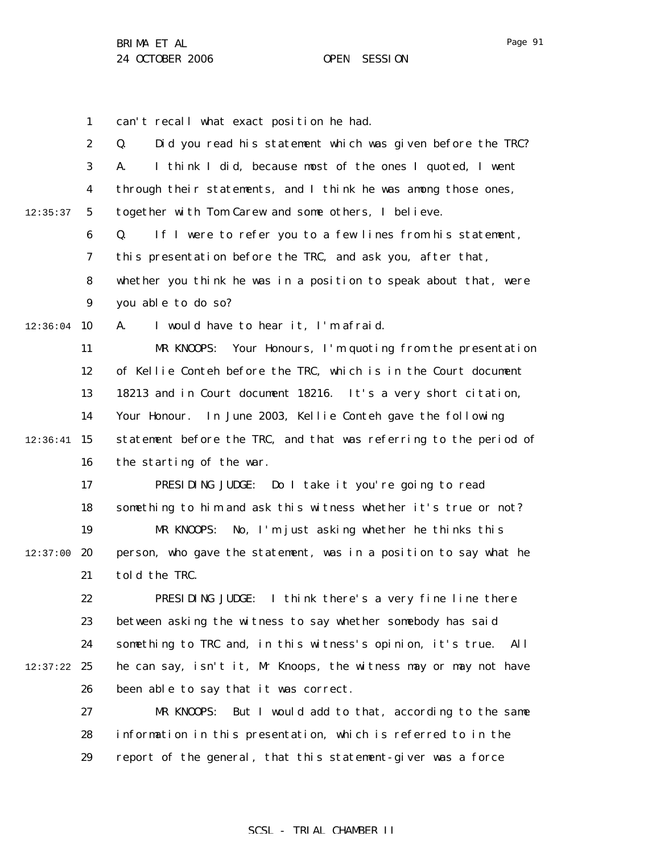1 can't recall what exact position he had.

|          | $\boldsymbol{2}$ | Q.<br>Did you read his statement which was given before the TRC?    |
|----------|------------------|---------------------------------------------------------------------|
|          | 3                | I think I did, because most of the ones I quoted, I went<br>A.      |
|          | 4                | through their statements, and I think he was among those ones,      |
| 12:35:37 | $\mathbf{5}$     | together with Tom Carew and some others, I believe.                 |
|          | 6                | If I were to refer you to a few lines from his statement,<br>Q.     |
|          | 7                | this presentation before the TRC, and ask you, after that,          |
|          | 8                | whether you think he was in a position to speak about that, were    |
|          | $\boldsymbol{9}$ | you able to do so?                                                  |
|          |                  |                                                                     |
| 12:36:04 | <b>10</b>        | A.<br>I would have to hear it, I'm afraid.                          |
|          | 11               | MR KNOOPS:<br>Your Honours, I'm quoting from the presentation       |
|          | 12               | of Kellie Conteh before the TRC, which is in the Court document     |
|          | 13               | 18213 and in Court document 18216. It's a very short citation,      |
|          | 14               | Your Honour.<br>In June 2003, Kellie Conteh gave the following      |
| 12:36:41 | 15               | statement before the TRC, and that was referring to the period of   |
|          | 16               | the starting of the war.                                            |
|          | 17               | PRESIDING JUDGE: Do I take it you're going to read                  |
|          | 18               | something to him and ask this witness whether it's true or not?     |
|          | 19               | MR KNOOPS:<br>No, I'm just asking whether he thinks this            |
| 12:37:00 | 20               | person, who gave the statement, was in a position to say what he    |
|          | 21               | told the TRC.                                                       |
|          | 22               | I think there's a very fine line there<br>PRESIDING JUDGE:          |
|          | 23               | between asking the witness to say whether somebody has said         |
|          | 24               | something to TRC and, in this witness's opinion, it's true.<br>Al 1 |
| 12:37:22 | 25               | he can say, isn't it, Mr Knoops, the witness may or may not have    |
|          | 26               | been able to say that it was correct.                               |
|          | 27               | But I would add to that, according to the same<br>MR KNOOPS:        |
|          | 28               | information in this presentation, which is referred to in the       |
|          | 29               | report of the general, that this statement-giver was a force        |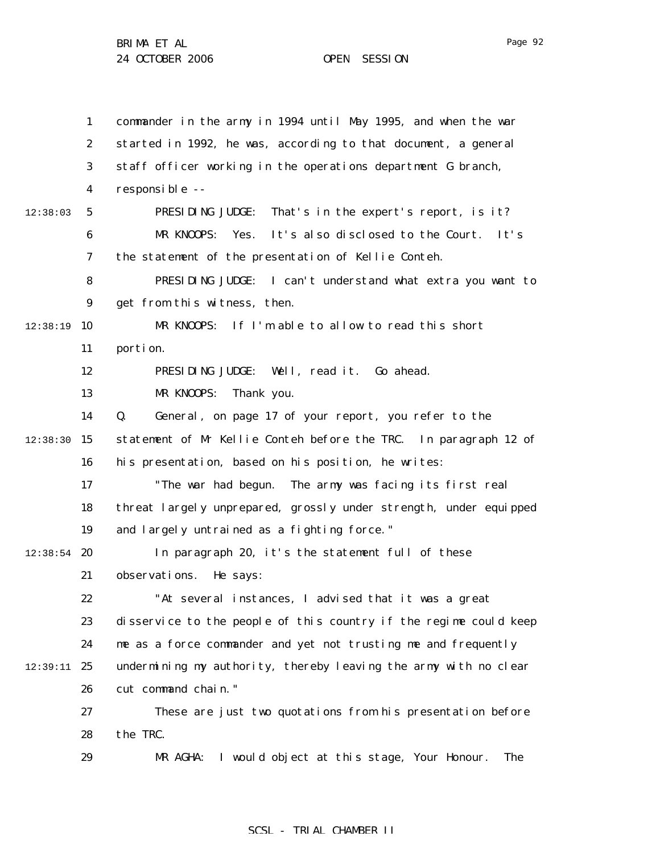1 2 3 4 5 6 7 8 9 12:38:19 10 11 12 13 14  $12:38:30$  15 16 17 18 19  $12:38:54$  20 21 22 23 24 12:39:11 25 26 27 28 29 12:38:03 commander in the army in 1994 until May 1995, and when the war started in 1992, he was, according to that document, a general staff officer working in the operations department G branch, responsible -- PRESIDING JUDGE: That's in the expert's report, is it? MR KNOOPS: Yes. It's also disclosed to the Court. It's the statement of the presentation of Kellie Conteh. PRESIDING JUDGE: I can't understand what extra you want to get from this witness, then. MR KNOOPS: If I'm able to allow to read this short portion. PRESIDING JUDGE: Well, read it. Go ahead. MR KNOOPS: Thank you. Q. General, on page 17 of your report, you refer to the statement of Mr Kellie Conteh before the TRC. In paragraph 12 of his presentation, based on his position, he writes: "The war had begun. The army was facing its first real threat largely unprepared, grossly under strength, under equipped and largely untrained as a fighting force." In paragraph 20, it's the statement full of these observations. He says: "At several instances, I advised that it was a great disservice to the people of this country if the regime could keep me as a force commander and yet not trusting me and frequently undermining my authority, thereby leaving the army with no clear cut command chain." These are just two quotations from his presentation before the TRC. MR AGHA: I would object at this stage, Your Honour. The

### SCSL - TRIAL CHAMBER II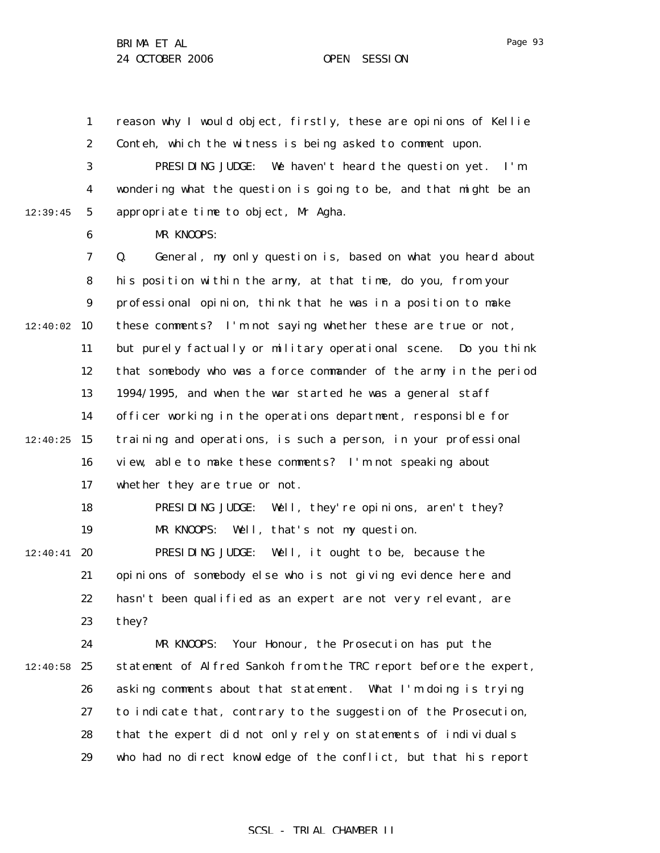1 2 3 4 5 6 7 8 9  $12:40:02$  10 11 12 13 14  $12:40:25$  15 16 17 18 19  $12:40:41$  20 21 22 23 24  $12:40:58$  25 26 27 28 29 12:39:45 reason why I would object, firstly, these are opinions of Kellie Conteh, which the witness is being asked to comment upon. PRESIDING JUDGE: We haven't heard the question yet. I'm wondering what the question is going to be, and that might be an appropriate time to object, Mr Agha. MR KNOOPS: Q. General, my only question is, based on what you heard about his position within the army, at that time, do you, from your professional opinion, think that he was in a position to make these comments? I'm not saying whether these are true or not, but purely factually or military operational scene. Do you think that somebody who was a force commander of the army in the period 1994/1995, and when the war started he was a general staff officer working in the operations department, responsible for training and operations, is such a person, in your professional view, able to make these comments? I'm not speaking about whether they are true or not. PRESIDING JUDGE: Well, they're opinions, aren't they? MR KNOOPS: Well, that's not my question. PRESIDING JUDGE: Well, it ought to be, because the opinions of somebody else who is not giving evidence here and hasn't been qualified as an expert are not very relevant, are they? MR KNOOPS: Your Honour, the Prosecution has put the statement of Alfred Sankoh from the TRC report before the expert, asking comments about that statement. What I'm doing is trying to indicate that, contrary to the suggestion of the Prosecution, that the expert did not only rely on statements of individuals who had no direct knowledge of the conflict, but that his report

### SCSL - TRIAL CHAMBER II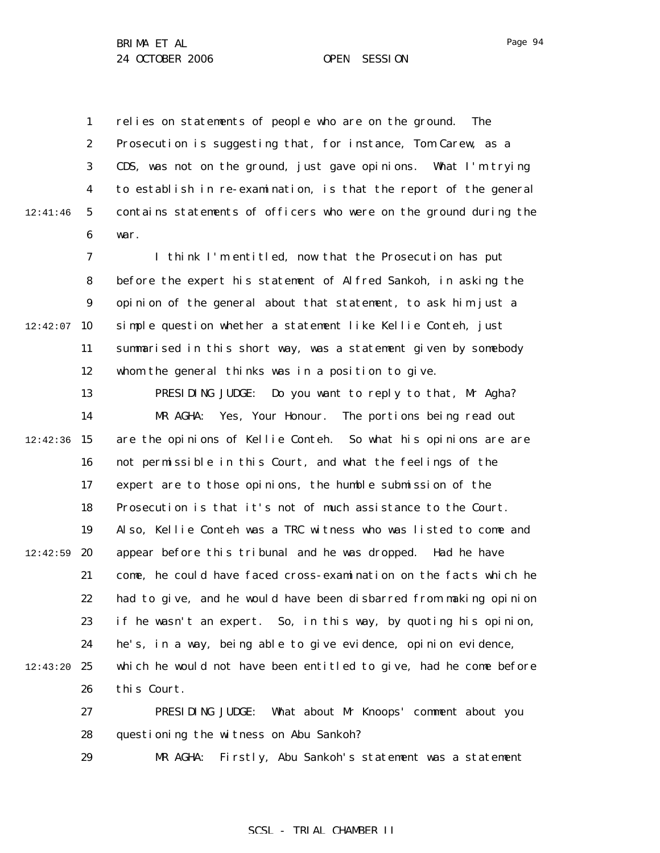1 2 3 4 5 6 12:41:46 relies on statements of people who are on the ground. The Prosecution is suggesting that, for instance, Tom Carew, as a CDS, was not on the ground, just gave opinions. What I'm trying to establish in re-examination, is that the report of the general contains statements of officers who were on the ground during the war.

7 8 9  $12:42:07$  10 11 12 I think I'm entitled, now that the Prosecution has put before the expert his statement of Alfred Sankoh, in asking the opinion of the general about that statement, to ask him just a simple question whether a statement like Kellie Conteh, just summarised in this short way, was a statement given by somebody whom the general thinks was in a position to give.

13 14  $12:42:36$  15 16 17 18 19  $12:42:59$  20 21 22 23 24 12:43:20 25 26 27 28 PRESIDING JUDGE: Do you want to reply to that, Mr Agha? MR AGHA: Yes, Your Honour. The portions being read out are the opinions of Kellie Conteh. So what his opinions are are not permissible in this Court, and what the feelings of the expert are to those opinions, the humble submission of the Prosecution is that it's not of much assistance to the Court. Also, Kellie Conteh was a TRC witness who was listed to come and appear before this tribunal and he was dropped. Had he have come, he could have faced cross-examination on the facts which he had to give, and he would have been disbarred from making opinion if he wasn't an expert. So, in this way, by quoting his opinion, he's, in a way, being able to give evidence, opinion evidence, which he would not have been entitled to give, had he come before this Court. PRESIDING JUDGE: What about Mr Knoops' comment about you questioning the witness on Abu Sankoh?

> 29 MR AGHA: Firstly, Abu Sankoh's statement was a statement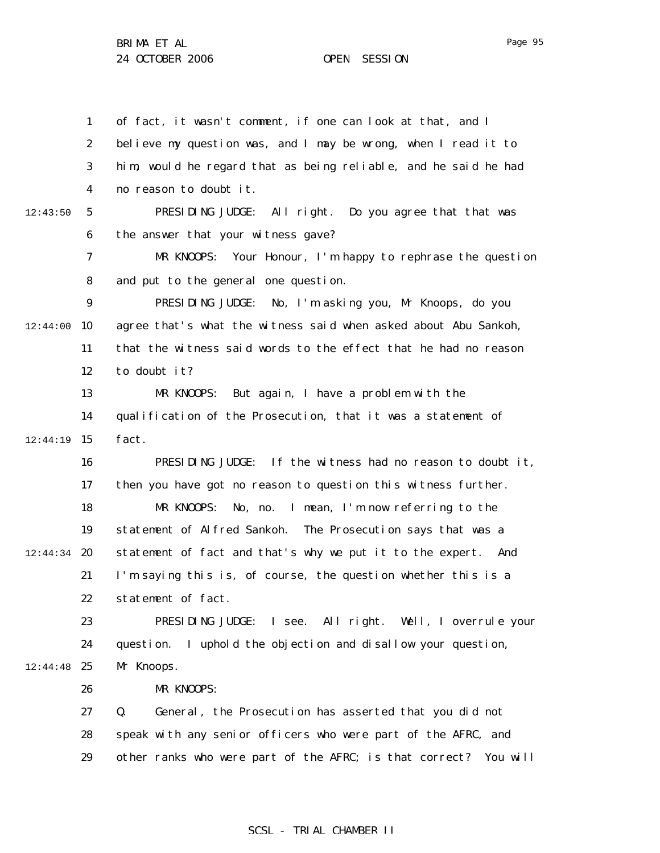1 2 3 4 5 6 7 8 9  $12:44:00$  10 11 12 13 14 12:44:19 15 16 17 18 19  $12:44:34$  20 21 22 23 24 12:44:48 25 26 27 28 29 12:43:50 of fact, it wasn't comment, if one can look at that, and I believe my question was, and I may be wrong, when I read it to him, would he regard that as being reliable, and he said he had no reason to doubt it. PRESIDING JUDGE: All right. Do you agree that that was the answer that your witness gave? MR KNOOPS: Your Honour, I'm happy to rephrase the question and put to the general one question. PRESIDING JUDGE: No, I'm asking you, Mr Knoops, do you agree that's what the witness said when asked about Abu Sankoh, that the witness said words to the effect that he had no reason to doubt it? MR KNOOPS: But again, I have a problem with the qualification of the Prosecution, that it was a statement of fact. PRESIDING JUDGE: If the witness had no reason to doubt it, then you have got no reason to question this witness further. MR KNOOPS: No, no. I mean, I'm now referring to the statement of Alfred Sankoh. The Prosecution says that was a statement of fact and that's why we put it to the expert. And I'm saying this is, of course, the question whether this is a statement of fact. PRESIDING JUDGE: I see. All right. Well, I overrule your question. I uphold the objection and disallow your question, Mr Knoops. MR KNOOPS: Q. General, the Prosecution has asserted that you did not speak with any senior officers who were part of the AFRC, and other ranks who were part of the AFRC; is that correct? You will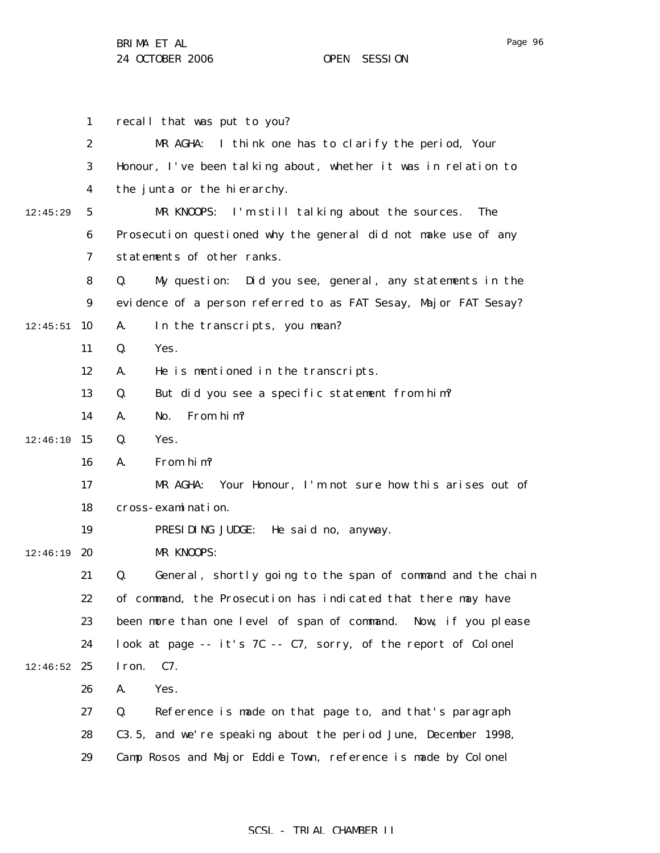|          | $\mathbf{1}$     | recall that was put to you?                                       |
|----------|------------------|-------------------------------------------------------------------|
|          | $\boldsymbol{2}$ | MR AGHA:<br>I think one has to clarify the period, Your           |
|          | 3                | Honour, I've been talking about, whether it was in relation to    |
|          | 4                | the junta or the hierarchy.                                       |
| 12:45:29 | $\mathbf{5}$     | I'm still talking about the sources.<br>MR KNOOPS:<br>The         |
|          | 6                | Prosecution questioned why the general did not make use of any    |
|          | 7                | statements of other ranks.                                        |
|          | 8                | Did you see, general, any statements in the<br>Q.<br>My question: |
|          | $\boldsymbol{9}$ | evidence of a person referred to as FAT Sesay, Major FAT Sesay?   |
| 12:45:51 | 10               | In the transcripts, you mean?<br>A.                               |
|          | 11               | Yes.<br>Q.                                                        |
|          | 12               | He is mentioned in the transcripts.<br>A.                         |
|          | 13               | But did you see a specific statement from him?<br>Q.              |
|          | 14               | From him?<br>A.<br>No.                                            |
| 12:46:10 | 15               | Yes.<br>Q.                                                        |
|          | 16               | From him?<br>A.                                                   |
|          | 17               | Your Honour, I'm not sure how this arises out of<br>MR AGHA:      |
|          | 18               | cross-examination.                                                |
|          | 19               | PRESIDING JUDGE:<br>He said no, anyway.                           |
| 12:46:19 | 20               | MR KNOOPS:                                                        |
|          | 21               | General, shortly going to the span of command and the chain<br>Q. |
|          | 22               | of command, the Prosecution has indicated that there may have     |
|          | 23               | been more than one level of span of command. Now, if you please   |
|          | 24               | look at page -- it's 7C -- C7, sorry, of the report of Colonel    |
| 12:46:52 | 25               | I ron.<br>C7.                                                     |
|          | 26               | Yes.<br>A.                                                        |
|          | 27               | Q.<br>Reference is made on that page to, and that's paragraph     |
|          | 28               | C3.5, and we're speaking about the period June, December 1998,    |
|          | 29               | Camp Rosos and Major Eddie Town, reference is made by Colonel     |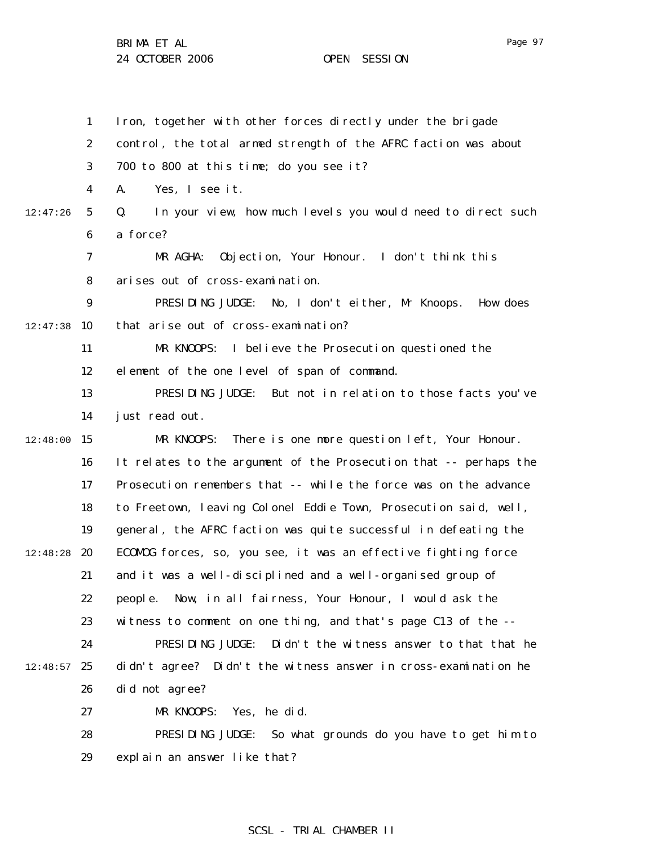1 2 3 4 5 6 7 8 9  $12:47:38$  10 11 12 13 14  $12:48:00$  15 16 17 18 19 12:48:28 **20** 21 22 23 24  $12:48:57$  25 26 27 28 29 12:47:26 Iron, together with other forces directly under the brigade control, the total armed strength of the AFRC faction was about 700 to 800 at this time; do you see it? A. Yes, I see it. Q. In your view, how much levels you would need to direct such a force? MR AGHA: Objection, Your Honour. I don't think this arises out of cross-examination. PRESIDING JUDGE: No, I don't either, Mr Knoops. How does that arise out of cross-examination? MR KNOOPS: I believe the Prosecution questioned the element of the one level of span of command. PRESIDING JUDGE: But not in relation to those facts you've just read out. MR KNOOPS: There is one more question left, Your Honour. It relates to the argument of the Prosecution that -- perhaps the Prosecution remembers that -- while the force was on the advance to Freetown, leaving Colonel Eddie Town, Prosecution said, well, general, the AFRC faction was quite successful in defeating the ECOMOG forces, so, you see, it was an effective fighting force and it was a well-disciplined and a well-organised group of people. Now, in all fairness, Your Honour, I would ask the witness to comment on one thing, and that's page C13 of the -- PRESIDING JUDGE: Didn't the witness answer to that that he didn't agree? Didn't the witness answer in cross-examination he did not agree? MR KNOOPS: Yes, he did. PRESIDING JUDGE: So what grounds do you have to get him to explain an answer like that?

### SCSL - TRIAL CHAMBER II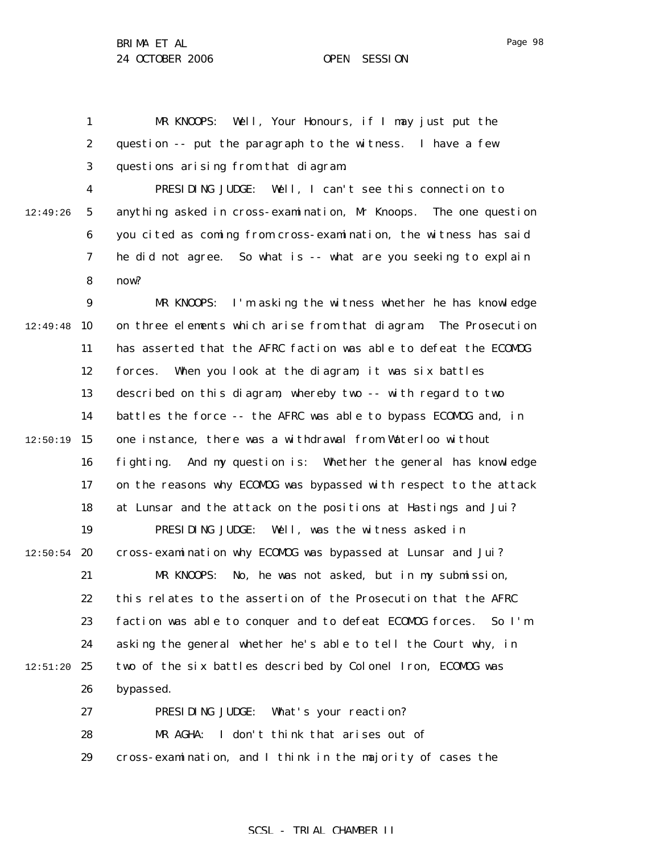Page 98

1 2 3 MR KNOOPS: Well, Your Honours, if I may just put the question -- put the paragraph to the witness. I have a few questions arising from that diagram.

4 5 6 7 8 12:49:26 PRESIDING JUDGE: Well, I can't see this connection to anything asked in cross-examination, Mr Knoops. The one question you cited as coming from cross-examination, the witness has said he did not agree. So what is -- what are you seeking to explain now?

9 12:49:48 10 11 12 13 14  $12:50:19$  15 16 17 18 19  $12:50:54$  20 21 22 23 24  $12:51:20$  25 26 27 28 MR KNOOPS: I'm asking the witness whether he has knowledge on three elements which arise from that diagram. The Prosecution has asserted that the AFRC faction was able to defeat the ECOMOG forces. When you look at the diagram, it was six battles described on this diagram, whereby two -- with regard to two battles the force -- the AFRC was able to bypass ECOMOG and, in one instance, there was a withdrawal from Waterloo without fighting. And my question is: Whether the general has knowledge on the reasons why ECOMOG was bypassed with respect to the attack at Lunsar and the attack on the positions at Hastings and Jui? PRESIDING JUDGE: Well, was the witness asked in cross-examination why ECOMOG was bypassed at Lunsar and Jui? MR KNOOPS: No, he was not asked, but in my submission, this relates to the assertion of the Prosecution that the AFRC faction was able to conquer and to defeat ECOMOG forces. So I'm asking the general whether he's able to tell the Court why, in two of the six battles described by Colonel Iron, ECOMOG was bypassed. PRESIDING JUDGE: What's your reaction? MR AGHA: I don't think that arises out of

> 29 cross-examination, and I think in the majority of cases the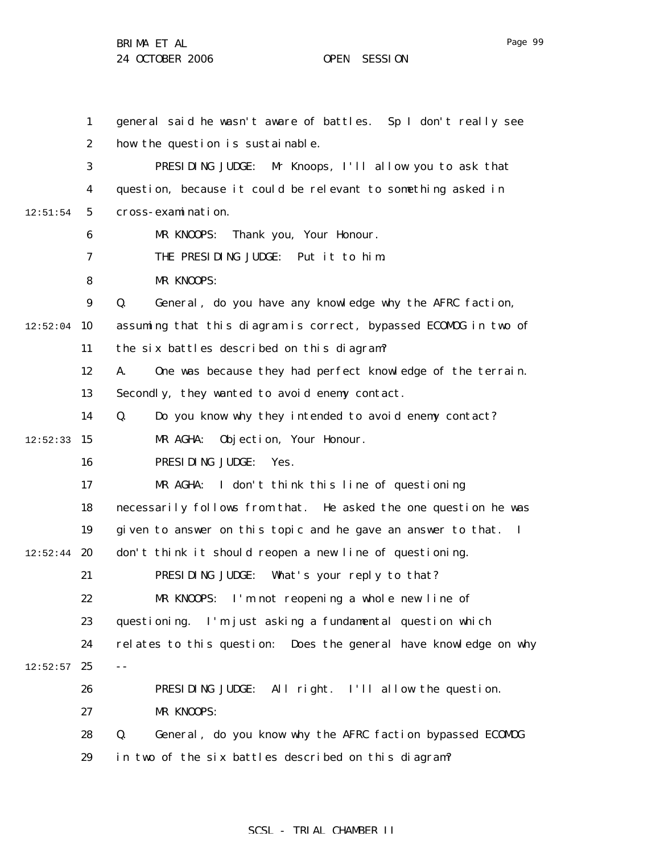1 2 3 4 5 6 7 8 9  $12:52:04$  10 11 12 13 14  $12:52:33$  15 16 17 18 19  $12:52:44$  20 21 22 23 24  $12:52:57$  25 26 27 28 29 12:51:54 general said he wasn't aware of battles. Sp I don't really see how the question is sustainable. PRESIDING JUDGE: Mr Knoops, I'll allow you to ask that question, because it could be relevant to something asked in cross-examination. MR KNOOPS: Thank you, Your Honour. THE PRESIDING JUDGE: Put it to him. MR KNOOPS: Q. General, do you have any knowledge why the AFRC faction, assuming that this diagram is correct, bypassed ECOMOG in two of the six battles described on this diagram? A. One was because they had perfect knowledge of the terrain. Secondly, they wanted to avoid enemy contact. Q. Do you know why they intended to avoid enemy contact? MR AGHA: Objection, Your Honour. PRESIDING JUDGE: Yes. MR AGHA: I don't think this line of questioning necessarily follows from that. He asked the one question he was given to answer on this topic and he gave an answer to that. I don't think it should reopen a new line of questioning. PRESIDING JUDGE: What's your reply to that? MR KNOOPS: I'm not reopening a whole new line of questioning. I'm just asking a fundamental question which relates to this question: Does the general have knowledge on why -- PRESIDING JUDGE: All right. I'll allow the question. MR KNOOPS: Q. General, do you know why the AFRC faction bypassed ECOMOG in two of the six battles described on this diagram?

## SCSL - TRIAL CHAMBER II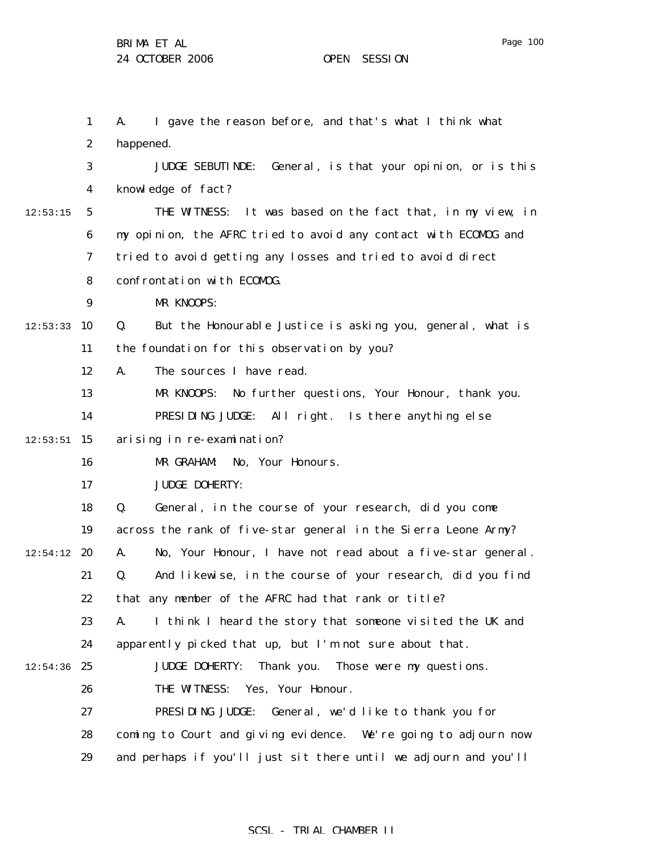1 2 3 4 5 6 7 8 9  $12:53:33$  10 11 12 13 14  $12:53:51$  15 16 17 18 19  $12:54:12$  20 21 22 23 24  $12:54:36$  25 26 27 28 29 12:53:15 A. I gave the reason before, and that's what I think what happened. JUDGE SEBUTINDE: General, is that your opinion, or is this knowledge of fact? THE WITNESS: It was based on the fact that, in my view, in my opinion, the AFRC tried to avoid any contact with ECOMOG and tried to avoid getting any losses and tried to avoid direct confrontation with ECOMOG. MR KNOOPS: Q. But the Honourable Justice is asking you, general, what is the foundation for this observation by you? A. The sources I have read. MR KNOOPS: No further questions, Your Honour, thank you. PRESIDING JUDGE: All right. Is there anything else arising in re-examination? MR GRAHAM: No, Your Honours. JUDGE DOHERTY: Q. General, in the course of your research, did you come across the rank of five-star general in the Sierra Leone Army? A. No, Your Honour, I have not read about a five-star general. Q. And likewise, in the course of your research, did you find that any member of the AFRC had that rank or title? A. I think I heard the story that someone visited the UK and apparently picked that up, but I'm not sure about that. JUDGE DOHERTY: Thank you. Those were my questions. THE WITNESS: Yes, Your Honour. PRESIDING JUDGE: General, we'd like to thank you for coming to Court and giving evidence. We're going to adjourn now and perhaps if you'll just sit there until we adjourn and you'll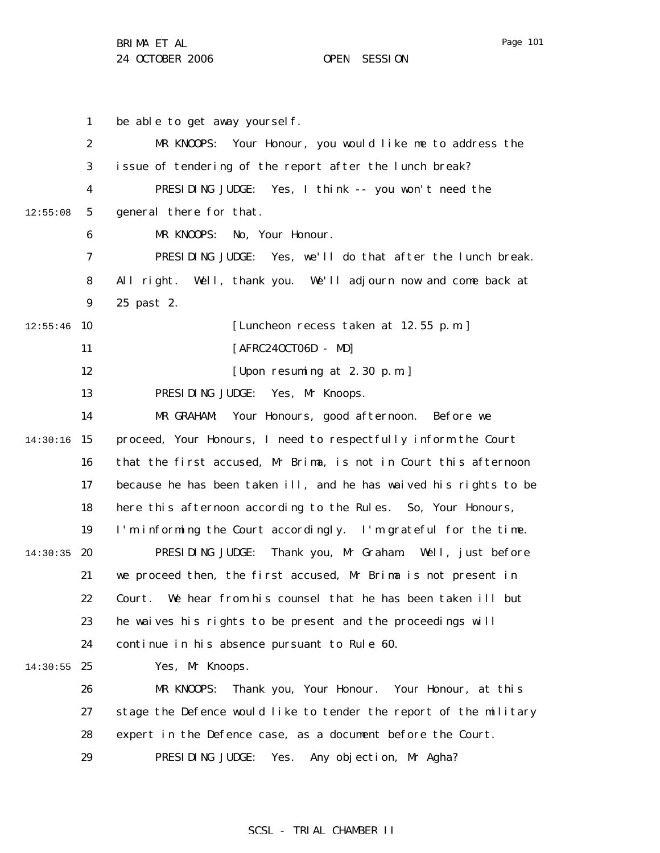Page 101

1 2 3 4 5 6 7 8 9  $12:55:46$  10 11 12 13 14 14:30:16 15 16 17 18 19 14:30:35 20 21 22 23 24  $14:30:55$  25 26 27 28 29 12:55:08 be able to get away yourself. MR KNOOPS: Your Honour, you would like me to address the issue of tendering of the report after the lunch break? PRESIDING JUDGE: Yes, I think -- you won't need the general there for that. MR KNOOPS: No, Your Honour. PRESIDING JUDGE: Yes, we'll do that after the lunch break. All right. Well, thank you. We'll adjourn now and come back at 25 past 2. [Luncheon recess taken at 12.55 p.m.] [AFRC24OCT06D - MD] [Upon resuming at 2.30 p.m.] PRESIDING JUDGE: Yes, Mr Knoops. MR GRAHAM: Your Honours, good afternoon. Before we proceed, Your Honours, I need to respectfully inform the Court that the first accused, Mr Brima, is not in Court this afternoon because he has been taken ill, and he has waived his rights to be here this afternoon according to the Rules. So, Your Honours, I'm informing the Court accordingly. I'm grateful for the time. PRESIDING JUDGE: Thank you, Mr Graham. Well, just before we proceed then, the first accused, Mr Brima is not present in Court. We hear from his counsel that he has been taken ill but he waives his rights to be present and the proceedings will continue in his absence pursuant to Rule 60. Yes, Mr Knoops. MR KNOOPS: Thank you, Your Honour. Your Honour, at this stage the Defence would like to tender the report of the military expert in the Defence case, as a document before the Court. PRESIDING JUDGE: Yes. Any objection, Mr Agha?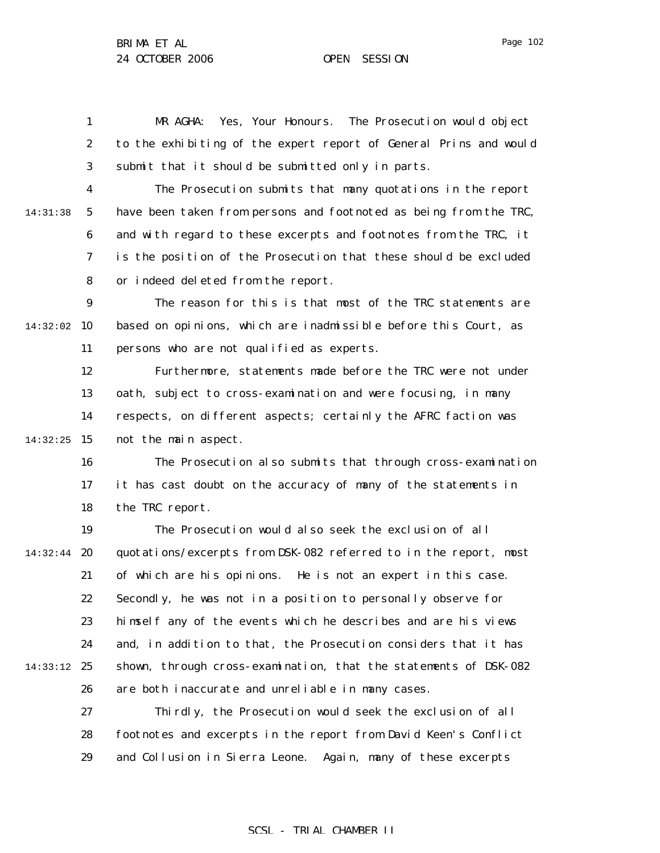Page 102

1 2 3 MR AGHA: Yes, Your Honours. The Prosecution would object to the exhibiting of the expert report of General Prins and would submit that it should be submitted only in parts.

4 5 6 7 8 14:31:38 The Prosecution submits that many quotations in the report have been taken from persons and footnoted as being from the TRC, and with regard to these excerpts and footnotes from the TRC, it is the position of the Prosecution that these should be excluded or indeed deleted from the report.

9 14:32:02 10 11 The reason for this is that most of the TRC statements are based on opinions, which are inadmissible before this Court, as persons who are not qualified as experts.

12 13 14 14:32:25 15 Furthermore, statements made before the TRC were not under oath, subject to cross-examination and were focusing, in many respects, on different aspects; certainly the AFRC faction was not the main aspect.

16 17 18 The Prosecution also submits that through cross-examination it has cast doubt on the accuracy of many of the statements in the TRC report.

19 14:32:44 **20** 21 22 23 24 14:33:12 25 26 The Prosecution would also seek the exclusion of all quotations/excerpts from DSK-082 referred to in the report, most of which are his opinions. He is not an expert in this case. Secondly, he was not in a position to personally observe for himself any of the events which he describes and are his views and, in addition to that, the Prosecution considers that it has shown, through cross-examination, that the statements of DSK-082 are both inaccurate and unreliable in many cases.

> 27 28 29 Thirdly, the Prosecution would seek the exclusion of all footnotes and excerpts in the report from David Keen's Conflict and Collusion in Sierra Leone. Again, many of these excerpts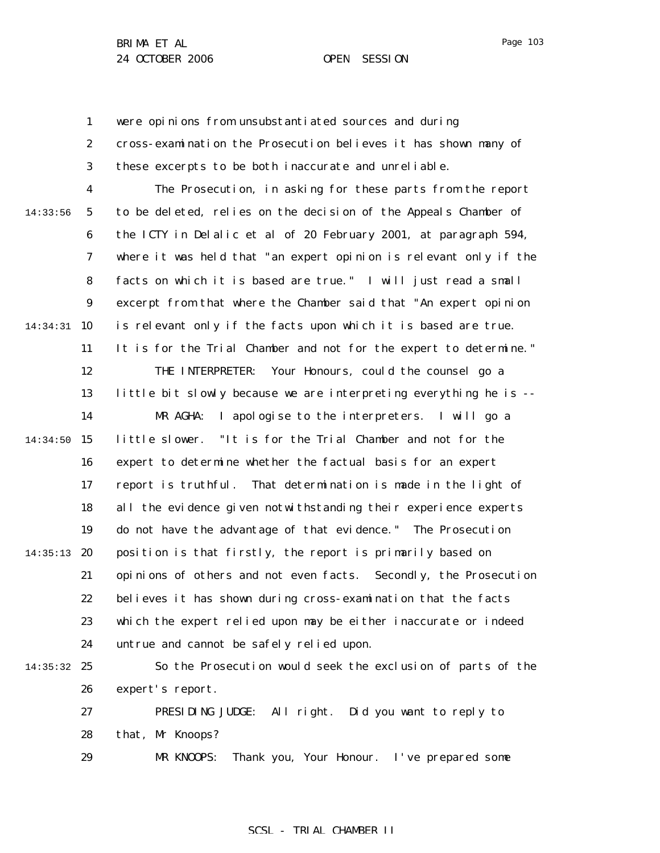1 2 3 4 5 6 7 8 9 14:34:31 10 11 12 13 14 14:34:50 15 16 17 18 19 14:35:13 20 21 22 23 24 14:35:32 25 26 27 28 29 14:33:56 were opinions from unsubstantiated sources and during cross-examination the Prosecution believes it has shown many of these excerpts to be both inaccurate and unreliable. The Prosecution, in asking for these parts from the report to be deleted, relies on the decision of the Appeals Chamber of the ICTY in Delalic et al of 20 February 2001, at paragraph 594, where it was held that "an expert opinion is relevant only if the facts on which it is based are true." I will just read a small excerpt from that where the Chamber said that "An expert opinion is relevant only if the facts upon which it is based are true. It is for the Trial Chamber and not for the expert to determine." THE INTERPRETER: Your Honours, could the counsel go a little bit slowly because we are interpreting everything he is -- MR AGHA: I apologise to the interpreters. I will go a little slower. "It is for the Trial Chamber and not for the expert to determine whether the factual basis for an expert report is truthful. That determination is made in the light of all the evidence given notwithstanding their experience experts do not have the advantage of that evidence." The Prosecution position is that firstly, the report is primarily based on opinions of others and not even facts. Secondly, the Prosecution believes it has shown during cross-examination that the facts which the expert relied upon may be either inaccurate or indeed untrue and cannot be safely relied upon. So the Prosecution would seek the exclusion of parts of the expert's report. PRESIDING JUDGE: All right. Did you want to reply to that, Mr Knoops? MR KNOOPS: Thank you, Your Honour. I've prepared some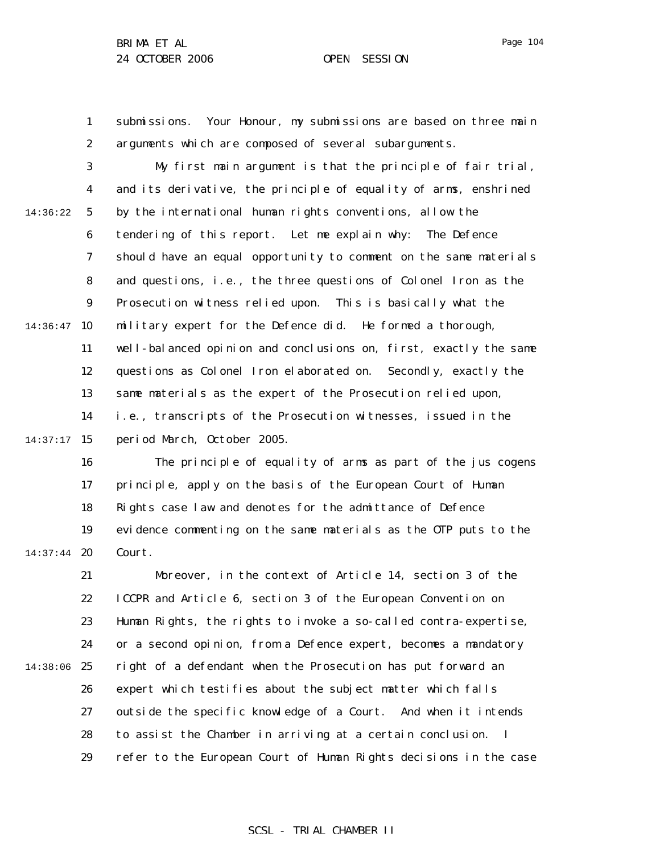1

2

submissions. Your Honour, my submissions are based on three main arguments which are composed of several subarguments.

3 4 5 6 7 8 9  $14:36:47$  10 11 12 13 14  $14:37:17$  15 14:36:22 My first main argument is that the principle of fair trial, and its derivative, the principle of equality of arms, enshrined by the international human rights conventions, allow the tendering of this report. Let me explain why: The Defence should have an equal opportunity to comment on the same materials and questions, i.e., the three questions of Colonel Iron as the Prosecution witness relied upon. This is basically what the military expert for the Defence did. He formed a thorough, well-balanced opinion and conclusions on, first, exactly the same questions as Colonel Iron elaborated on. Secondly, exactly the same materials as the expert of the Prosecution relied upon, i.e., transcripts of the Prosecution witnesses, issued in the period March, October 2005.

16 17 18 19 14:37:44 **20** The principle of equality of arms as part of the jus cogens principle, apply on the basis of the European Court of Human Rights case law and denotes for the admittance of Defence evidence commenting on the same materials as the OTP puts to the Court.

21 22 23 24 14:38:06 25 26 27 28 29 Moreover, in the context of Article 14, section 3 of the ICCPR and Article 6, section 3 of the European Convention on Human Rights, the rights to invoke a so-called contra-expertise, or a second opinion, from a Defence expert, becomes a mandatory right of a defendant when the Prosecution has put forward an expert which testifies about the subject matter which falls outside the specific knowledge of a Court. And when it intends to assist the Chamber in arriving at a certain conclusion. I refer to the European Court of Human Rights decisions in the case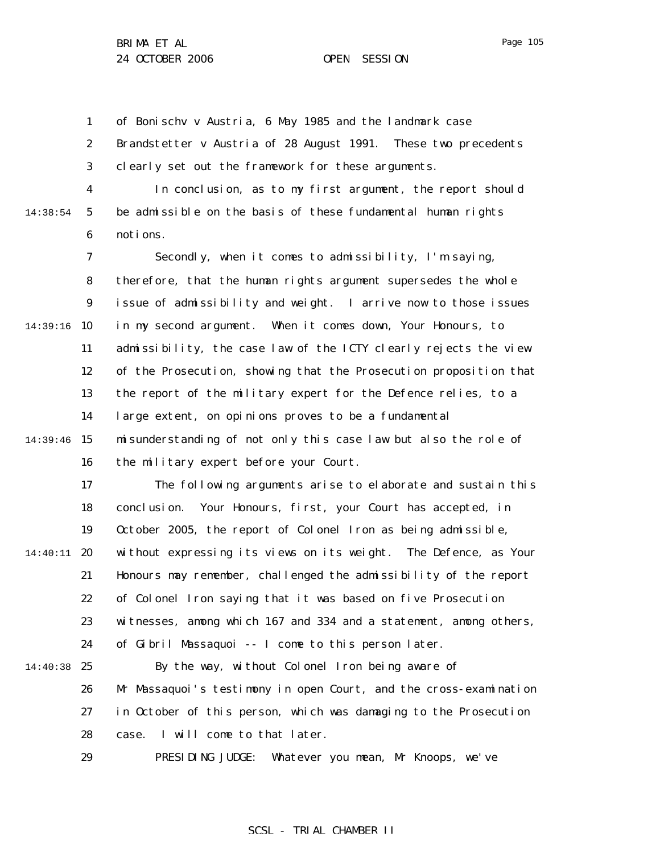1 2 3 of Bonischv v Austria, 6 May 1985 and the landmark case Brandstetter v Austria of 28 August 1991. These two precedents clearly set out the framework for these arguments.

14:38:54

4 5 6 In conclusion, as to my first argument, the report should be admissible on the basis of these fundamental human rights notions.

7 8 9 14:39:16 10 11 12 13 14 14:39:46 15 16 Secondly, when it comes to admissibility, I'm saying, therefore, that the human rights argument supersedes the whole issue of admissibility and weight. I arrive now to those issues in my second argument. When it comes down, Your Honours, to admissibility, the case law of the ICTY clearly rejects the view of the Prosecution, showing that the Prosecution proposition that the report of the military expert for the Defence relies, to a large extent, on opinions proves to be a fundamental misunderstanding of not only this case law but also the role of the military expert before your Court.

17 18 19 14:40:11 20 21 22 23 24 14:40:38 25 26 27 The following arguments arise to elaborate and sustain this conclusion. Your Honours, first, your Court has accepted, in October 2005, the report of Colonel Iron as being admissible, without expressing its views on its weight. The Defence, as Your Honours may remember, challenged the admissibility of the report of Colonel Iron saying that it was based on five Prosecution witnesses, among which 167 and 334 and a statement, among others, of Gibril Massaquoi -- I come to this person later. By the way, without Colonel Iron being aware of Mr Massaquoi's testimony in open Court, and the cross-examination in October of this person, which was damaging to the Prosecution

> 28 case. I will come to that later.

29 PRESIDING JUDGE: Whatever you mean, Mr Knoops, we've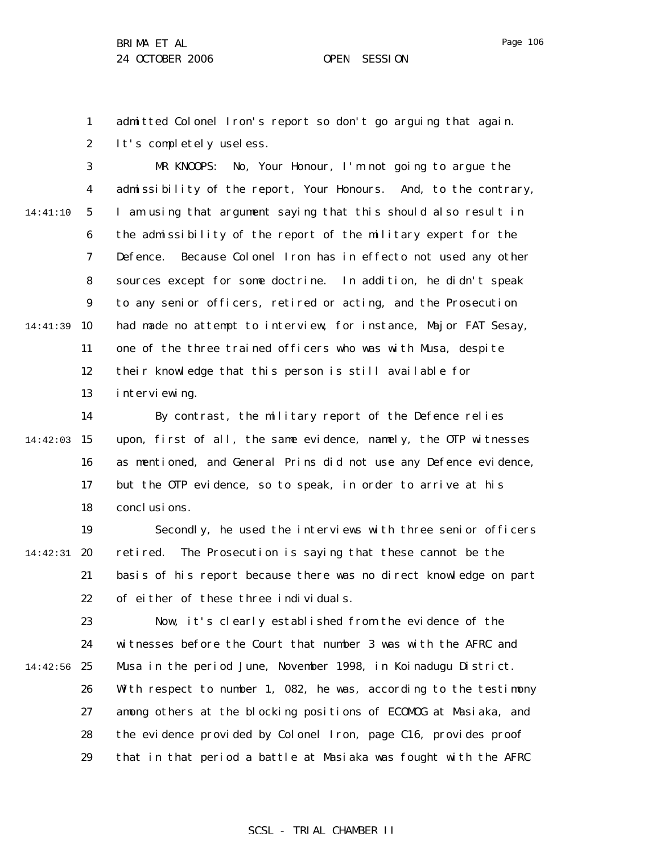1 2 admitted Colonel Iron's report so don't go arguing that again. It's completely useless.

3 4 5 6 7 8 9 14:41:39 10 11 12 13 14:41:10 MR KNOOPS: No, Your Honour, I'm not going to argue the admissibility of the report, Your Honours. And, to the contrary, I am using that argument saying that this should also result in the admissibility of the report of the military expert for the Defence. Because Colonel Iron has in *effecto* not used any other sources except for some doctrine. In addition, he didn't speak to any senior officers, retired or acting, and the Prosecution had made no attempt to interview, for instance, Major FAT Sesay, one of the three trained officers who was with Musa, despite their knowledge that this person is still available for interviewing.

14 14:42:03 15 16 17 18 By contrast, the military report of the Defence relies upon, first of all, the same evidence, namely, the OTP witnesses as mentioned, and General Prins did not use any Defence evidence, but the OTP evidence, so to speak, in order to arrive at his conclusions.

19 14:42:31 **20** 21 22 Secondly, he used the interviews with three senior officers retired. The Prosecution is saying that these cannot be the basis of his report because there was no direct knowledge on part of either of these three individuals.

23 24 14:42:56 25 26 27 28 29 Now, it's clearly established from the evidence of the witnesses before the Court that number 3 was with the AFRC and Musa in the period June, November 1998, in Koinadugu District. With respect to number 1, 082, he was, according to the testimony among others at the blocking positions of ECOMOG at Masiaka, and the evidence provided by Colonel Iron, page C16, provides proof that in that period a battle at Masiaka was fought with the AFRC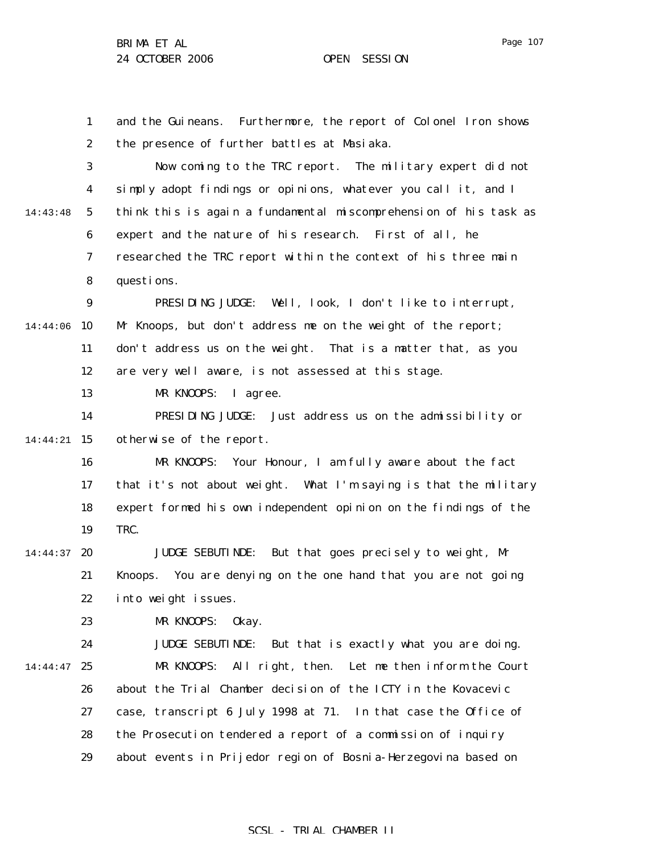1 2 3 4 5 6 7 8 9 14:44:06 10 11 12 13 14 14:44:21 15 16 17 18 19 14:44:37 **20** 21 22 23 24 14:44:47 25 26 27 28 29 14:43:48 and the Guineans. Furthermore, the report of Colonel Iron shows the presence of further battles at Masiaka. Now coming to the TRC report. The military expert did not simply adopt findings or opinions, whatever you call it, and I think this is again a fundamental miscomprehension of his task as expert and the nature of his research. First of all, he researched the TRC report within the context of his three main questions. PRESIDING JUDGE: Well, look, I don't like to interrupt, Mr Knoops, but don't address me on the weight of the report; don't address us on the weight. That is a matter that, as you are very well aware, is not assessed at this stage. MR KNOOPS: I agree. PRESIDING JUDGE: Just address us on the admissibility or otherwise of the report. MR KNOOPS: Your Honour, I am fully aware about the fact that it's not about weight. What I'm saying is that the military expert formed his own independent opinion on the findings of the TRC. JUDGE SEBUTINDE: But that goes precisely to weight, Mr Knoops. You are denying on the one hand that you are not going into weight issues. MR KNOOPS: Okay. JUDGE SEBUTINDE: But that is exactly what you are doing. MR KNOOPS: All right, then. Let me then inform the Court about the Trial Chamber decision of the ICTY in the Kovacevic case, transcript 6 July 1998 at 71. In that case the Office of the Prosecution tendered a report of a commission of inquiry about events in Prijedor region of Bosnia-Herzegovina based on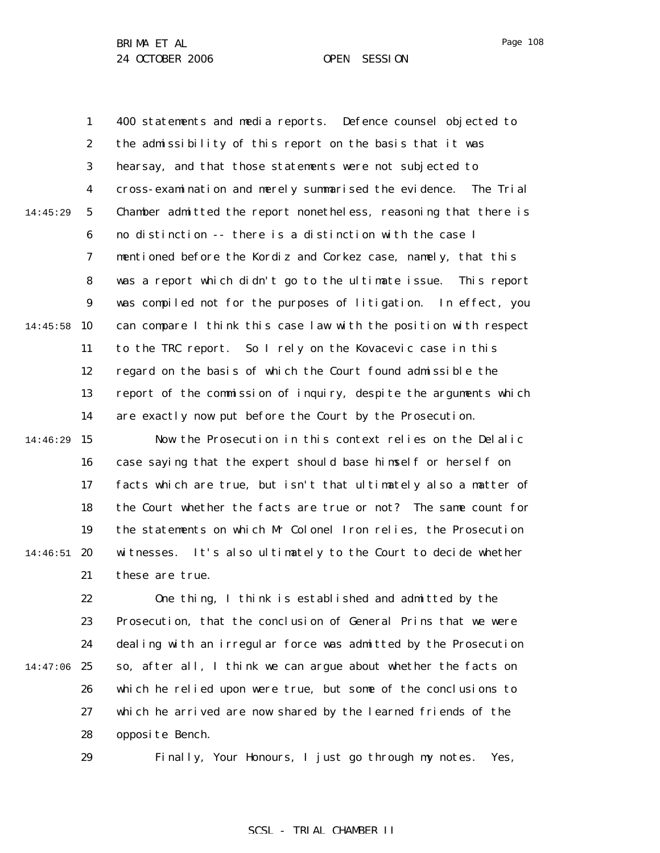1 2 3 4 5 6 7 8 9 14:45:58 10 11 12 13 14 14:46:29 15 14:45:29 400 statements and media reports. Defence counsel objected to the admissibility of this report on the basis that it was hearsay, and that those statements were not subjected to cross-examination and merely summarised the evidence. The Trial Chamber admitted the report nonetheless, reasoning that there is no distinction -- there is a distinction with the case I mentioned before the Kordiz and Corkez case, namely, that this was a report which didn't go to the ultimate issue. This report was compiled not for the purposes of litigation. In effect, you can compare I think this case law with the position with respect to the TRC report. So I rely on the Kovacevic case in this regard on the basis of which the Court found admissible the report of the commission of inquiry, despite the arguments which are exactly now put before the Court by the Prosecution. Now the Prosecution in this context relies on the Delalic

16 17 18 19 14:46:51 **20** 21 case saying that the expert should base himself or herself on facts which are true, but isn't that ultimately also a matter of the Court whether the facts are true or not? The same count for the statements on which Mr Colonel Iron relies, the Prosecution witnesses. It's also ultimately to the Court to decide whether these are true.

22 23 24 14:47:06 25 26 27 28 One thing, I think is established and admitted by the Prosecution, that the conclusion of General Prins that we were dealing with an irregular force was admitted by the Prosecution so, after all, I think we can argue about whether the facts on which he relied upon were true, but some of the conclusions to which he arrived are now shared by the learned friends of the opposite Bench.

29

Finally, Your Honours, I just go through my notes. Yes,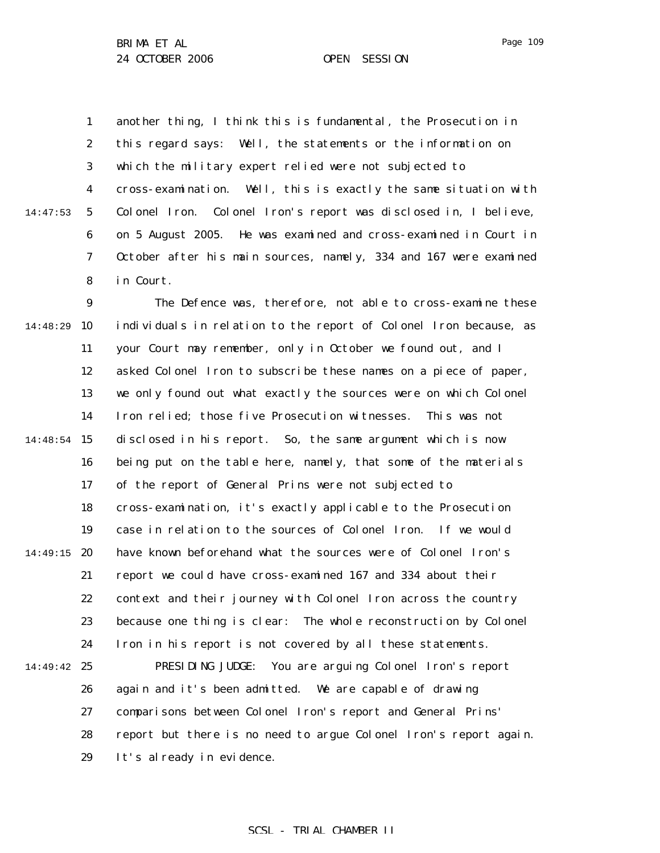14:47:53

1 2 3 4 5 6 7 8 another thing, I think this is fundamental, the Prosecution in this regard says: Well, the statements or the information on which the military expert relied were not subjected to cross-examination. Well, this is exactly the same situation with Colonel Iron. Colonel Iron's report was disclosed in, I believe, on 5 August 2005. He was examined and cross-examined in Court in October after his main sources, namely, 334 and 167 were examined in Court.

9 10 11 12 13 14 14:48:54 15 16 17 18 19 14:49:15 20 21 22 23 24 14:49:42 25 26 27 28 29 14:48:29 The Defence was, therefore, not able to cross-examine these individuals in relation to the report of Colonel Iron because, as your Court may remember, only in October we found out, and I asked Colonel Iron to subscribe these names on a piece of paper, we only found out what exactly the sources were on which Colonel Iron relied; those five Prosecution witnesses. This was not disclosed in his report. So, the same argument which is now being put on the table here, namely, that some of the materials of the report of General Prins were not subjected to cross-examination, it's exactly applicable to the Prosecution case in relation to the sources of Colonel Iron. If we would have known beforehand what the sources were of Colonel Iron's report we could have cross-examined 167 and 334 about their context and their journey with Colonel Iron across the country because one thing is clear: The whole reconstruction by Colonel Iron in his report is not covered by all these statements. PRESIDING JUDGE: You are arguing Colonel Iron's report again and it's been admitted. We are capable of drawing comparisons between Colonel Iron's report and General Prins' report but there is no need to argue Colonel Iron's report again. It's already in evidence.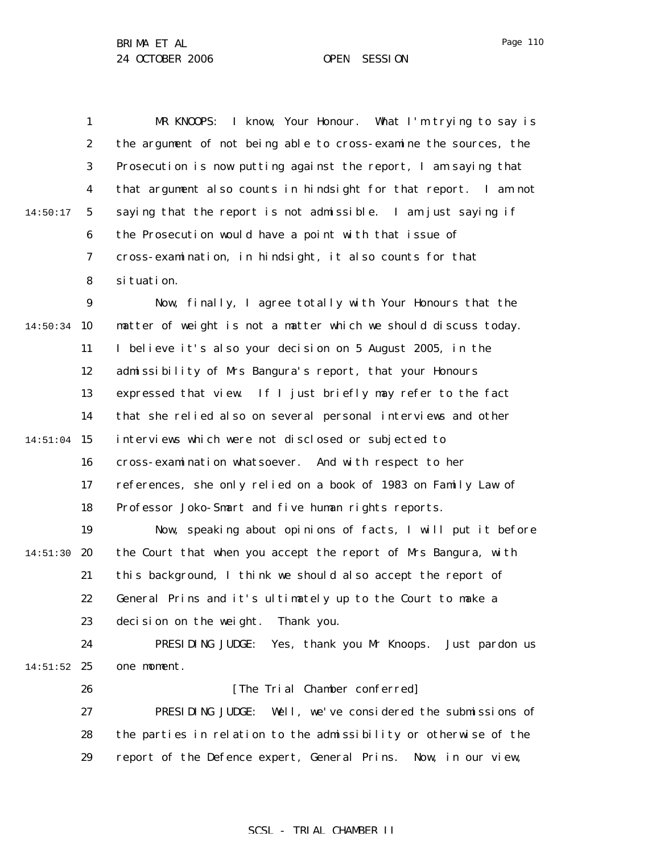|          | 1                | MR KNOOPS: I know, Your Honour. What I'm trying to say is        |
|----------|------------------|------------------------------------------------------------------|
|          | $\boldsymbol{2}$ | the argument of not being able to cross-examine the sources, the |
|          | 3                | Prosecution is now putting against the report, I am saying that  |
|          | $\boldsymbol{4}$ | that argument also counts in hindsight for that report. I am not |
| 14:50:17 | $\sqrt{5}$       | saying that the report is not admissible. I am just saying if    |
|          | 6                | the Prosecution would have a point with that issue of            |
|          | 7                | cross-examination, in hindsight, it also counts for that         |
|          | 8                | si tuati on.                                                     |
|          | $\boldsymbol{9}$ | Now, finally, I agree totally with Your Honours that the         |
| 14:50:34 | 10               | matter of weight is not a matter which we should discuss today.  |
|          | 11               | I believe it's also your decision on 5 August 2005, in the       |
|          | 12               | admissibility of Mrs Bangura's report, that your Honours         |
|          | 13               | expressed that view. If I just briefly may refer to the fact     |
|          | 14               | that she relied also on several personal interviews and other    |
| 14:51:04 | 15               | interviews which were not disclosed or subjected to              |
|          | 16               | cross-examination whatsoever. And with respect to her            |
|          | 17               | references, she only relied on a book of 1983 on Family Law of   |
|          | 18               | Professor Joko-Smart and five human rights reports.              |
|          | 19               | Now, speaking about opinions of facts, I will put it before      |
| 14:51:30 | 20               | the Court that when you accept the report of Mrs Bangura, with   |
|          | 21               | this background, I think we should also accept the report of     |
|          | 22               | General Prins and it's ultimately up to the Court to make a      |
|          | 23               | decision on the weight.<br>Thank you.                            |
|          | 24               | PRESIDING JUDGE:<br>Yes, thank you Mr Knoops. Just pardon us     |
| 14:51:52 | 25               | one moment.                                                      |
|          | 26               | [The Trial Chamber conferred]                                    |
|          | 27               | PRESIDING JUDGE:<br>Well, we've considered the submissions of    |
|          | 28               | the parties in relation to the admissibility or otherwise of the |
|          | 29               | report of the Defence expert, General Prins. Now, in our view,   |

SCSL - TRIAL CHAMBER II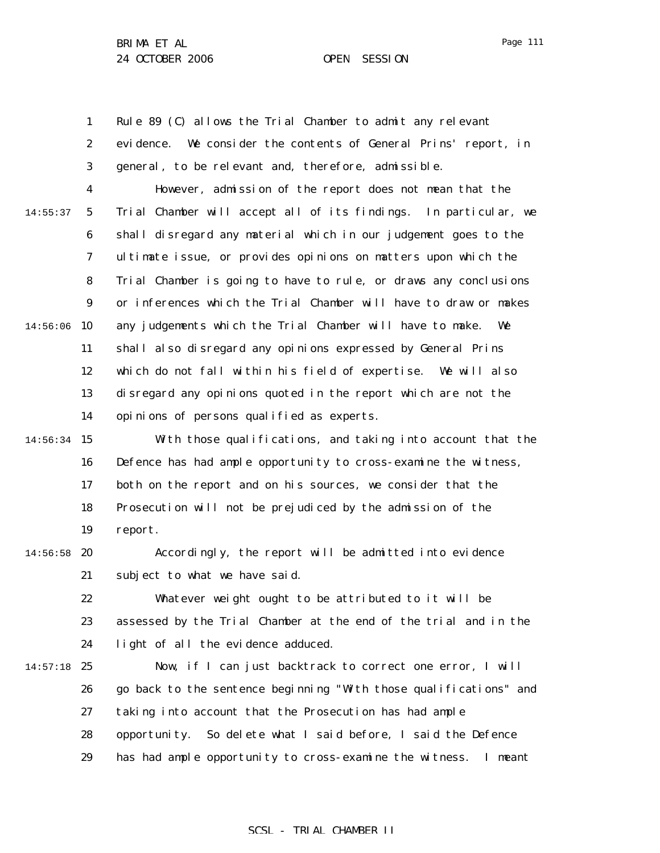1

Page 111

2 3 4 5 6 7 8 9  $14:56:06$  10 14:55:37 evidence. We consider the contents of General Prins' report, in general, to be relevant and, therefore, admissible. However, admission of the report does not mean that the Trial Chamber will accept all of its findings. In particular, we shall disregard any material which in our judgement goes to the ultimate issue, or provides opinions on matters upon which the Trial Chamber is going to have to rule, or draws any conclusions or inferences which the Trial Chamber will have to draw or makes any judgements which the Trial Chamber will have to make. We

Rule 89 (C) allows the Trial Chamber to admit any relevant

11 12 13 14 shall also disregard any opinions expressed by General Prins which do not fall within his field of expertise. We will also disregard any opinions quoted in the report which are not the opinions of persons qualified as experts.

14:56:34 15 16 17 18 19 With those qualifications, and taking into account that the Defence has had ample opportunity to cross-examine the witness, both on the report and on his sources, we consider that the Prosecution will not be prejudiced by the admission of the report.

 $14:56:58$  20 21 Accordingly, the report will be admitted into evidence subject to what we have said.

> 22 23 24 Whatever weight ought to be attributed to it will be assessed by the Trial Chamber at the end of the trial and in the light of all the evidence adduced.

 $14:57:18$  25 26 27 28 29 Now, if I can just backtrack to correct one error, I will go back to the sentence beginning "With those qualifications" and taking into account that the Prosecution has had ample opportunity. So delete what I said before, I said the Defence has had ample opportunity to cross-examine the witness. I meant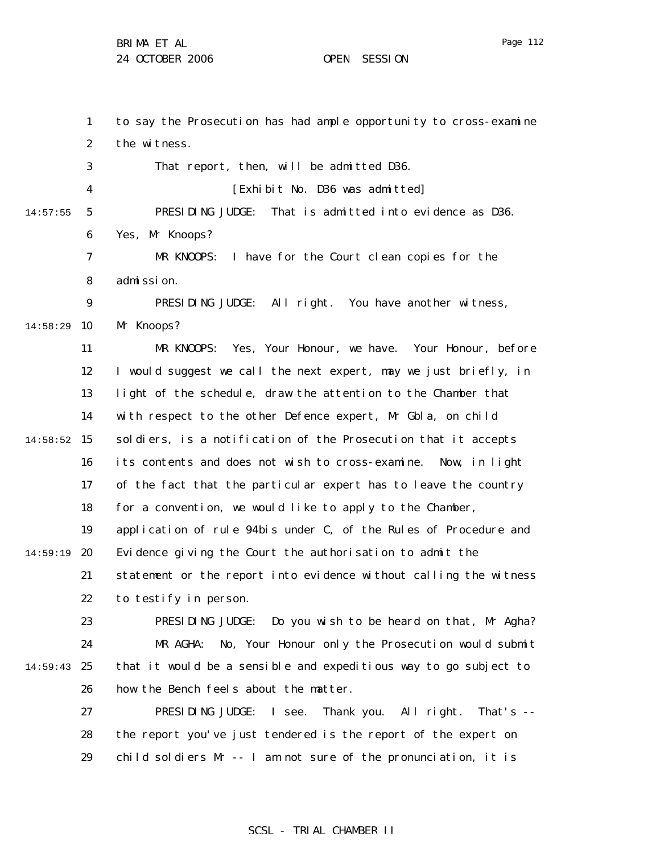1 2 3 4 5 6 7 8 9 14:58:29 10 11 12 13 14  $14:58:52$  15 16 17 18 19 14:59:19 20 21 22 23 24 14:59:43 25 26 27 28 29 14:57:55 to say the Prosecution has had ample opportunity to cross-examine the witness. That report, then, will be admitted D36. [Exhibit No. D36 was admitted] PRESIDING JUDGE: That is admitted into evidence as D36. Yes, Mr Knoops? MR KNOOPS: I have for the Court clean copies for the admission. PRESIDING JUDGE: All right. You have another witness, Mr Knoops? MR KNOOPS: Yes, Your Honour, we have. Your Honour, before I would suggest we call the next expert, may we just briefly, in light of the schedule, draw the attention to the Chamber that with respect to the other Defence expert, Mr Gbla, on child soldiers, is a notification of the Prosecution that it accepts its contents and does not wish to cross-examine. Now, in light of the fact that the particular expert has to leave the country for a convention, we would like to apply to the Chamber, application of rule 94*bis* under C, of the Rules of Procedure and Evidence giving the Court the authorisation to admit the statement or the report into evidence without calling the witness to testify in person. PRESIDING JUDGE: Do you wish to be heard on that, Mr Agha? MR AGHA: No, Your Honour only the Prosecution would submit that it would be a sensible and expeditious way to go subject to how the Bench feels about the matter. PRESIDING JUDGE: I see. Thank you. All right. That's - the report you've just tendered is the report of the expert on child soldiers Mr -- I am not sure of the pronunciation, it is

## SCSL - TRIAL CHAMBER II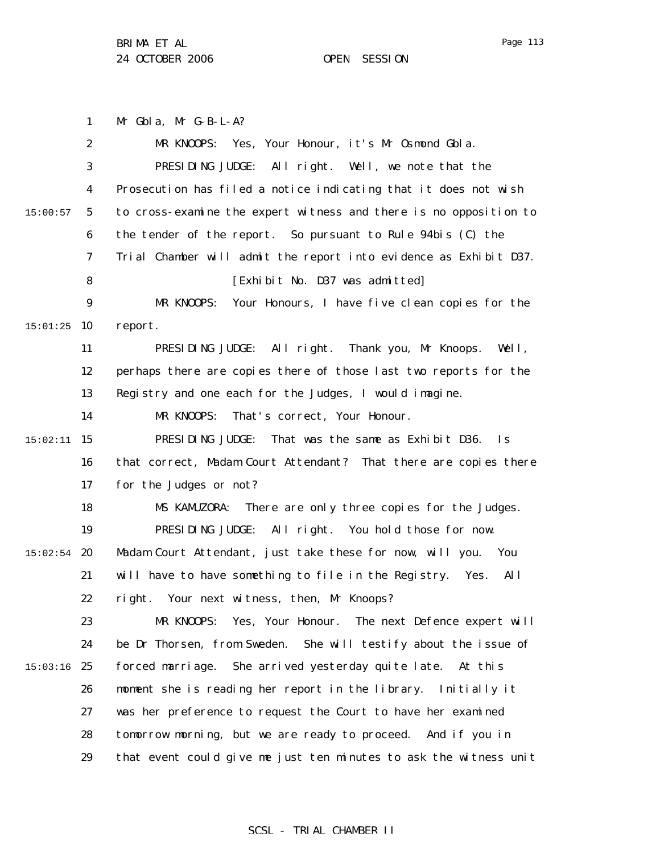Mr Gbla, Mr G-B-L-A?

1

2

MR KNOOPS: Yes, Your Honour, it's Mr Osmond Gbla.

3 4 5 6 7 8 9  $15:01:25$  10 11 12 13 14 15 15:02:11 16 17 18 19  $15:02:54$  20 21 22 23 24  $15:03:16$  25 26 27 28 29 15:00:57 PRESIDING JUDGE: All right. Well, we note that the Prosecution has filed a notice indicating that it does not wish to cross-examine the expert witness and there is no opposition to the tender of the report. So pursuant to Rule 94*bis* (C) the Trial Chamber will admit the report into evidence as Exhibit D37. [Exhibit No. D37 was admitted] MR KNOOPS: Your Honours, I have five clean copies for the report. PRESIDING JUDGE: All right. Thank you, Mr Knoops. Well, perhaps there are copies there of those last two reports for the Registry and one each for the Judges, I would imagine. MR KNOOPS: That's correct, Your Honour. PRESIDING JUDGE: That was the same as Exhibit D36. Is that correct, Madam Court Attendant? That there are copies there for the Judges or not? MS KAMUZORA: There are only three copies for the Judges. PRESIDING JUDGE: All right. You hold those for now. Madam Court Attendant, just take these for now, will you. You will have to have something to file in the Registry. Yes. All right. Your next witness, then, Mr Knoops? MR KNOOPS: Yes, Your Honour. The next Defence expert will be Dr Thorsen, from Sweden. She will testify about the issue of forced marriage. She arrived yesterday quite late. At this moment she is reading her report in the library. Initially it was her preference to request the Court to have her examined tomorrow morning, but we are ready to proceed. And if you in that event could give me just ten minutes to ask the witness unit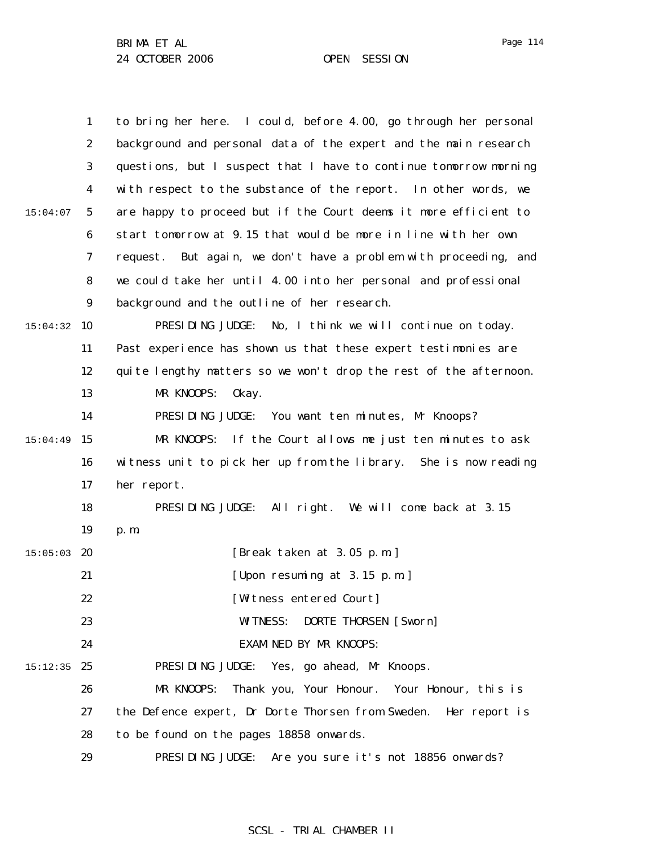|          | $\mathbf{1}$     | to bring her here. I could, before 4.00, go through her personal    |
|----------|------------------|---------------------------------------------------------------------|
|          | $\boldsymbol{2}$ | background and personal data of the expert and the main research    |
|          | 3                | questions, but I suspect that I have to continue tomorrow morning   |
|          | $\boldsymbol{4}$ | with respect to the substance of the report. In other words, we     |
| 15:04:07 | $\mathbf{5}$     | are happy to proceed but if the Court deems it more efficient to    |
|          | 6                | start tomorrow at 9.15 that would be more in line with her own      |
|          | 7                | But again, we don't have a problem with proceeding, and<br>request. |
|          | 8                | we could take her until 4.00 into her personal and professional     |
|          | 9                | background and the outline of her research.                         |
| 15:04:32 | 10               | PRESIDING JUDGE:<br>No, I think we will continue on today.          |
|          | 11               | Past experience has shown us that these expert testimonies are      |
|          | 12               | quite lengthy matters so we won't drop the rest of the afternoon.   |
|          | 13               | MR KNOOPS:<br>0kay.                                                 |
|          | 14               | PRESIDING JUDGE: You want ten minutes, Mr Knoops?                   |
| 15:04:49 | 15               | MR KNOOPS:<br>If the Court allows me just ten minutes to ask        |
|          | 16               | witness unit to pick her up from the library. She is now reading    |
|          | 17               | her report.                                                         |
|          | 18               | All right. We will come back at 3.15<br>PRESIDING JUDGE:            |
|          | 19               | p. m.                                                               |
| 15:05:03 | 20               | [Break taken at 3.05 p.m.]                                          |
|          | 21               | [Upon resuming at 3.15 p.m.]                                        |
|          | 22               | [Witness entered Court]                                             |
|          | 23               | <b>WITNESS:</b><br><b>DORTE THORSEN</b> [Sworn]                     |
|          | 24               | <b>EXAMINED BY MR KNOOPS:</b>                                       |
| 15:12:35 | 25               | PRESIDING JUDGE: Yes, go ahead, Mr Knoops.                          |
|          | 26               | Thank you, Your Honour. Your Honour, this is<br>MR KNOOPS:          |
|          | 27               | the Defence expert, Dr Dorte Thorsen from Sweden.<br>Her report is  |
|          | 28               | to be found on the pages 18858 onwards.                             |
|          | 29               | PRESIDING JUDGE: Are you sure it's not 18856 onwards?               |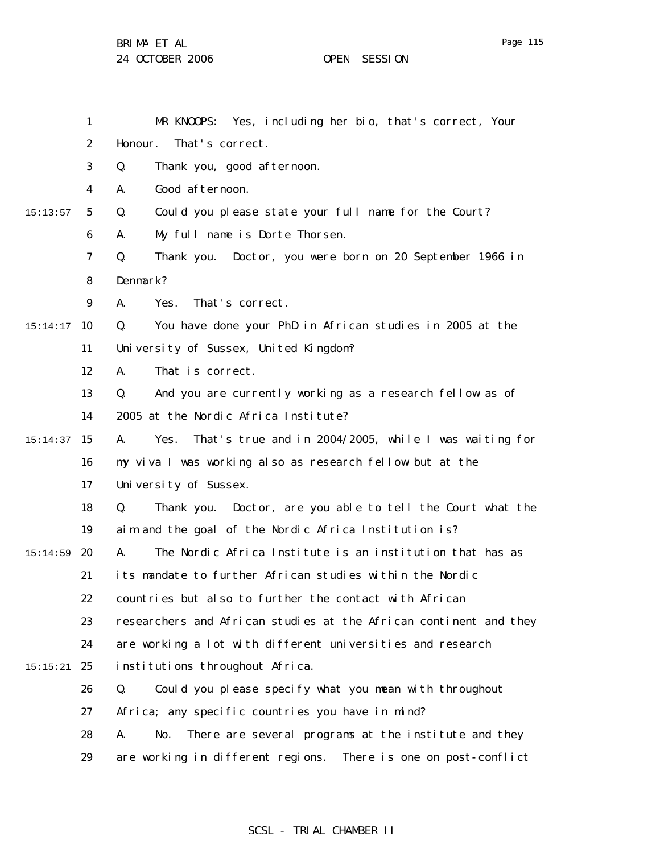BRIMA ET AL

1 2 3 4 5 6 7 8 9  $15:14:17$  10 11 12 13 14 15 15:14:37 16 17 18 19  $15:14:59$  20 21 22 23 24  $15:15:21$  25 26 27 28 29 15:13:57 MR KNOOPS: Yes, including her bio, that's correct, Your Honour. That's correct. Q. Thank you, good afternoon. A. Good afternoon. Q. Could you please state your full name for the Court? A. My full name is Dorte Thorsen. Q. Thank you. Doctor, you were born on 20 September 1966 in Denmark? A. Yes. That's correct. Q. You have done your PhD in African studies in 2005 at the University of Sussex, United Kingdom? A. That is correct. Q. And you are currently working as a research fellow as of 2005 at the Nordic Africa Institute? A. Yes. That's true and in 2004/2005, while I was waiting for my viva I was working also as research fellow but at the University of Sussex. Q. Thank you. Doctor, are you able to tell the Court what the aim and the goal of the Nordic Africa Institution is? A. The Nordic Africa Institute is an institution that has as its mandate to further African studies within the Nordic countries but also to further the contact with African researchers and African studies at the African continent and they are working a lot with different universities and research institutions throughout Africa. Q. Could you please specify what you mean with throughout Africa; any specific countries you have in mind? A. No. There are several programs at the institute and they are working in different regions. There is one on post-conflict

## SCSL - TRIAL CHAMBER II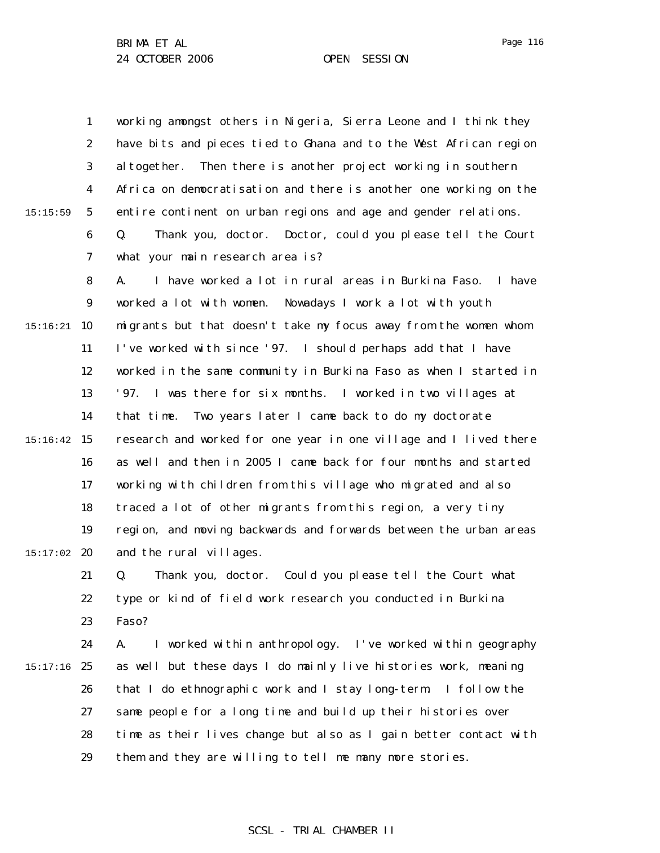1 2 3 4 5 6 7 15:15:59 working amongst others in Nigeria, Sierra Leone and I think they have bits and pieces tied to Ghana and to the West African region altogether. Then there is another project working in southern Africa on democratisation and there is another one working on the entire continent on urban regions and age and gender relations. Q. Thank you, doctor. Doctor, could you please tell the Court what your main research area is?

8 9  $15:16:21$  10 11 12 13 14 15 15:16:42 16 17 18 19  $15:17:02$  20 A. I have worked a lot in rural areas in Burkina Faso. I have worked a lot with women. Nowadays I work a lot with youth migrants but that doesn't take my focus away from the women whom I've worked with since '97. I should perhaps add that I have worked in the same community in Burkina Faso as when I started in '97. I was there for six months. I worked in two villages at that time. Two years later I came back to do my doctorate research and worked for one year in one village and I lived there as well and then in 2005 I came back for four months and started working with children from this village who migrated and also traced a lot of other migrants from this region, a very tiny region, and moving backwards and forwards between the urban areas and the rural villages.

21 22 23 Q. Thank you, doctor. Could you please tell the Court what type or kind of field work research you conducted in Burkina Faso?

24  $15:17:16$  25 26 27 28 29 A. I worked within anthropology. I've worked within geography as well but these days I do mainly live histories work, meaning that I do ethnographic work and I stay long-term. I follow the same people for a long time and build up their histories over time as their lives change but also as I gain better contact with them and they are willing to tell me many more stories.

### Page 116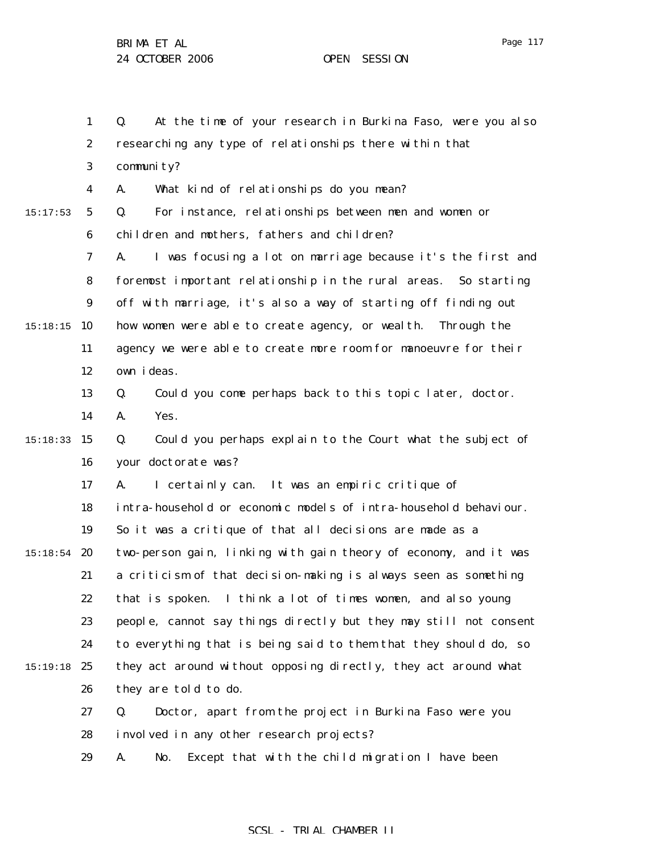1 2 3 4 5 6 7 8 9 15:18:15 10 11 12 13 14 15 15:18:33 16 17 18 19  $15:18:54$  20 21 22 23 24 15:19:18 25 26 27 28 29 15:17:53 Q. At the time of your research in Burkina Faso, were you also researching any type of relationships there within that community? A. What kind of relationships do you mean? Q. For instance, relationships between men and women or children and mothers, fathers and children? A. I was focusing a lot on marriage because it's the first and foremost important relationship in the rural areas. So starting off with marriage, it's also a way of starting off finding out how women were able to create agency, or wealth. Through the agency we were able to create more room for manoeuvre for their own ideas. Q. Could you come perhaps back to this topic later, doctor. A. Yes. Q. Could you perhaps explain to the Court what the subject of your doctorate was? A. I certainly can. It was an empiric critique of intra-household or economic models of intra-household behaviour. So it was a critique of that all decisions are made as a two-person gain, linking with gain theory of economy, and it was a criticism of that decision-making is always seen as something that is spoken. I think a lot of times women, and also young people, cannot say things directly but they may still not consent to everything that is being said to them that they should do, so they act around without opposing directly, they act around what they are told to do. Q. Doctor, apart from the project in Burkina Faso were you involved in any other research projects? A. No. Except that with the child migration I have been

## SCSL - TRIAL CHAMBER II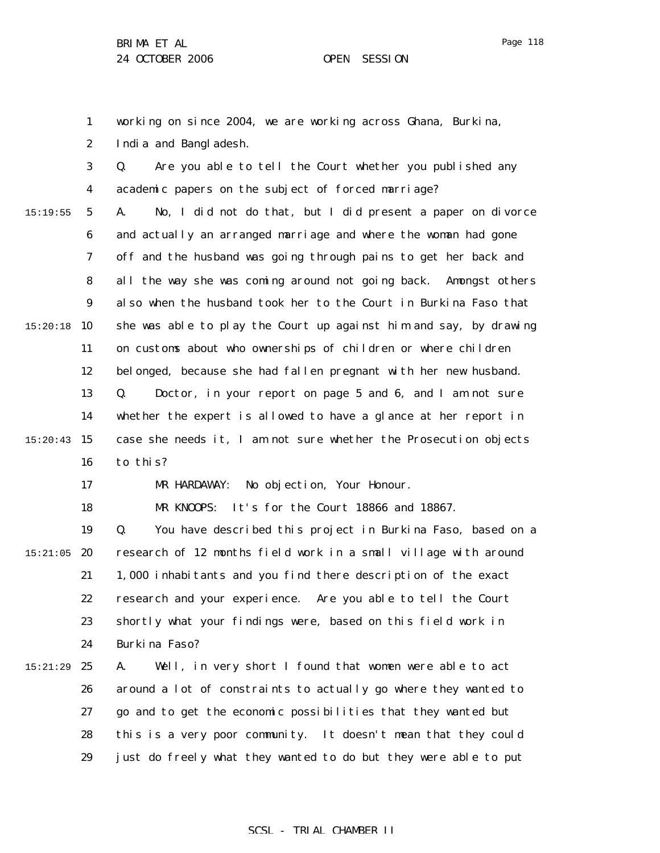1 2 working on since 2004, we are working across Ghana, Burkina, India and Bangladesh.

3 4 5 6 7 8 9  $15:20:18$  10 11 12 13 14 15:20:43 15 16 15:19:55 Q. Are you able to tell the Court whether you published any academic papers on the subject of forced marriage? A. No, I did not do that, but I did present a paper on divorce and actually an arranged marriage and where the woman had gone off and the husband was going through pains to get her back and all the way she was coming around not going back. Amongst others also when the husband took her to the Court in Burkina Faso that she was able to play the Court up against him and say, by drawing on customs about who ownerships of children or where children belonged, because she had fallen pregnant with her new husband. Q. Doctor, in your report on page 5 and 6, and I am not sure whether the expert is allowed to have a glance at her report in case she needs it, I am not sure whether the Prosecution objects to this?

17

18

MR KNOOPS: It's for the Court 18866 and 18867.

MR HARDAWAY: No objection, Your Honour.

19  $15:21:05$  20 21 22 23 24 Q. You have described this project in Burkina Faso, based on a research of 12 months field work in a small village with around 1,000 inhabitants and you find there description of the exact research and your experience. Are you able to tell the Court shortly what your findings were, based on this field work in Burkina Faso?

25 26 27 28 29 15:21:29 A. Well, in very short I found that women were able to act around a lot of constraints to actually go where they wanted to go and to get the economic possibilities that they wanted but this is a very poor community. It doesn't mean that they could just do freely what they wanted to do but they were able to put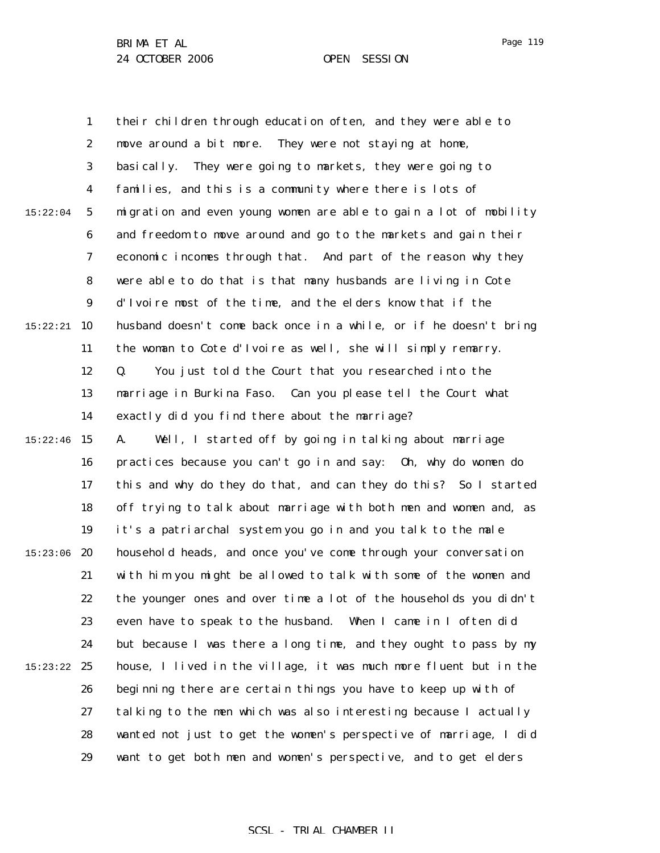1 2 3 4 5 6 7 8 9  $15:22:21$  10 11 12 13 14 15:22:46 15 16 17 18 19 15:23:06 20 21 22 23 24 15:23:22 25 26 27 28 29 15:22:04 their children through education often, and they were able to move around a bit more. They were not staying at home, basically. They were going to markets, they were going to families, and this is a community where there is lots of migration and even young women are able to gain a lot of mobility and freedom to move around and go to the markets and gain their economic incomes through that. And part of the reason why they were able to do that is that many husbands are living in Cote d'Ivoire most of the time, and the elders know that if the husband doesn't come back once in a while, or if he doesn't bring the woman to Cote d'Ivoire as well, she will simply remarry. Q. You just told the Court that you researched into the marriage in Burkina Faso. Can you please tell the Court what exactly did you find there about the marriage? A. Well, I started off by going in talking about marriage practices because you can't go in and say: Oh, why do women do this and why do they do that, and can they do this? So I started off trying to talk about marriage with both men and women and, as it's a patriarchal system you go in and you talk to the male household heads, and once you've come through your conversation with him you might be allowed to talk with some of the women and the younger ones and over time a lot of the households you didn't even have to speak to the husband. When I came in I often did but because I was there a long time, and they ought to pass by my house, I lived in the village, it was much more fluent but in the beginning there are certain things you have to keep up with of talking to the men which was also interesting because I actually wanted not just to get the women's perspective of marriage, I did want to get both men and women's perspective, and to get elders

Page 119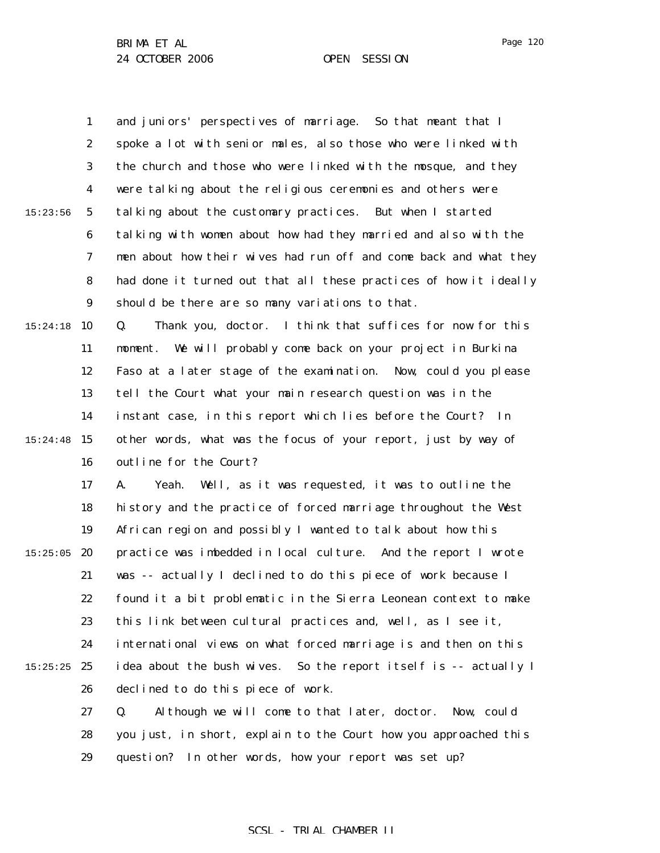1 2 3 4 5 6 7 8 9  $15:24:18$  10 11 12 13 14 15:24:48 15 16 17 18 19  $15:25:05$  20 21 22 23 24  $15:25:25$  25 26 27 28 15:23:56 and juniors' perspectives of marriage. So that meant that I spoke a lot with senior males, also those who were linked with the church and those who were linked with the mosque, and they were talking about the religious ceremonies and others were talking about the customary practices. But when I started talking with women about how had they married and also with the men about how their wives had run off and come back and what they had done it turned out that all these practices of how it ideally should be there are so many variations to that. Q. Thank you, doctor. I think that suffices for now for this moment. We will probably come back on your project in Burkina Faso at a later stage of the examination. Now, could you please tell the Court what your main research question was in the instant case, in this report which lies before the Court? In other words, what was the focus of your report, just by way of outline for the Court? A. Yeah. Well, as it was requested, it was to outline the history and the practice of forced marriage throughout the West African region and possibly I wanted to talk about how this practice was imbedded in local culture. And the report I wrote was -- actually I declined to do this piece of work because I found it a bit problematic in the Sierra Leonean context to make this link between cultural practices and, well, as I see it, international views on what forced marriage is and then on this idea about the bush wives. So the report itself is -- actually I declined to do this piece of work. Q. Although we will come to that later, doctor. Now, could you just, in short, explain to the Court how you approached this

> 29 question? In other words, how your report was set up?

Page 120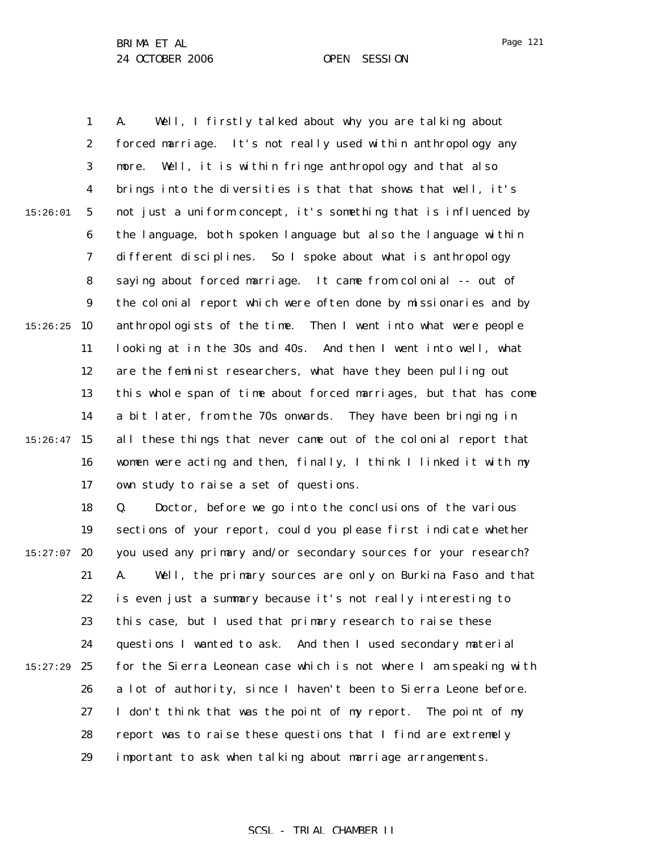1 2 3 4 5 6 7 8 9  $15:26:25$  10 11 12 13 14  $15:26:47$  15 16 17 15:26:01 A. Well, I firstly talked about why you are talking about forced marriage. It's not really used within anthropology any more. Well, it is within fringe anthropology and that also brings into the diversities is that that shows that well, it's not just a uniform concept, it's something that is influenced by the language, both spoken language but also the language within different disciplines. So I spoke about what is anthropology saying about forced marriage. It came from colonial -- out of the colonial report which were often done by missionaries and by anthropologists of the time. Then I went into what were people looking at in the 30s and 40s. And then I went into well, what are the feminist researchers, what have they been pulling out this whole span of time about forced marriages, but that has come a bit later, from the 70s onwards. They have been bringing in all these things that never came out of the colonial report that women were acting and then, finally, I think I linked it with my own study to raise a set of questions.

18 19  $15:27:07$  20 21 22 23 24 25 26 27 28 29 15:27:29 Q. Doctor, before we go into the conclusions of the various sections of your report, could you please first indicate whether you used any primary and/or secondary sources for your research? A. Well, the primary sources are only on Burkina Faso and that is even just a summary because it's not really interesting to this case, but I used that primary research to raise these questions I wanted to ask. And then I used secondary material for the Sierra Leonean case which is not where I am speaking with a lot of authority, since I haven't been to Sierra Leone before. I don't think that was the point of my report. The point of my report was to raise these questions that I find are extremely important to ask when talking about marriage arrangements.

## Page 121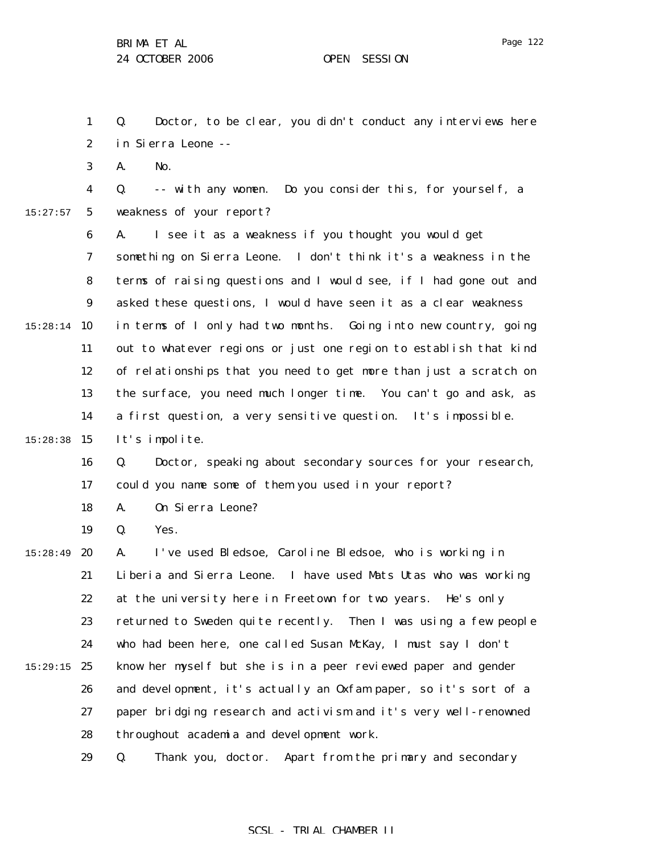Page 122

1 2 3 4 5 6 7 8 9  $15:28:14$  10 11 12 13 14 15:28:38 15 16 17 18 19 15:28:49 **20** 21 22 23 24  $15:29:15$  25 26 27 28 29 15:27:57 Q. Doctor, to be clear, you didn't conduct any interviews here in Sierra Leone -- A. No. Q. -- with any women. Do you consider this, for yourself, a weakness of your report? A. I see it as a weakness if you thought you would get something on Sierra Leone. I don't think it's a weakness in the terms of raising questions and I would see, if I had gone out and asked these questions, I would have seen it as a clear weakness in terms of I only had two months. Going into new country, going out to whatever regions or just one region to establish that kind of relationships that you need to get more than just a scratch on the surface, you need much longer time. You can't go and ask, as a first question, a very sensitive question. It's impossible. It's impolite. Q. Doctor, speaking about secondary sources for your research, could you name some of them you used in your report? A. On Sierra Leone? Q. Yes. A. I've used Bledsoe, Caroline Bledsoe, who is working in Liberia and Sierra Leone. I have used Mats Utas who was working at the university here in Freetown for two years. He's only returned to Sweden quite recently. Then I was using a few people who had been here, one called Susan McKay, I must say I don't know her myself but she is in a peer reviewed paper and gender and development, it's actually an Oxfam paper, so it's sort of a paper bridging research and activism and it's very well-renowned throughout academia and development work. Q. Thank you, doctor. Apart from the primary and secondary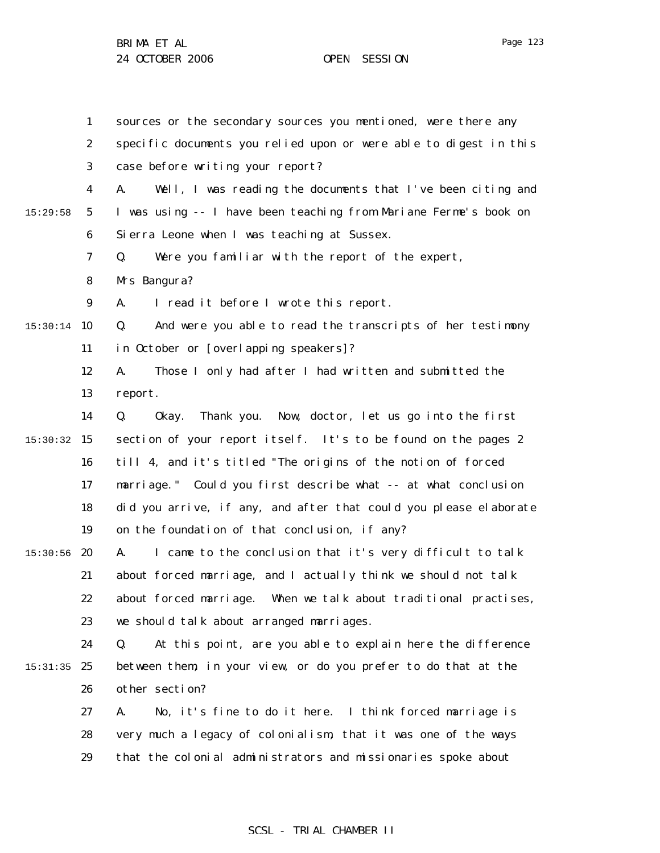1 2 3 4 5 6 7 8 9  $15:30:14$  10 11 12 13 14 15 15:30:32 16 17 18 19  $15:30:56$  20 21 22 23 24 15:31:35 25 26 27 28 29 15:29:58 sources or the secondary sources you mentioned, were there any specific documents you relied upon or were able to digest in this case before writing your report? A. Well, I was reading the documents that I've been citing and I was using -- I have been teaching from Mariane Ferme's book on Sierra Leone when I was teaching at Sussex. Q. Were you familiar with the report of the expert, Mrs Bangura? A. I read it before I wrote this report. Q. And were you able to read the transcripts of her testimony in October or [overlapping speakers]? A. Those I only had after I had written and submitted the report. Q. Okay. Thank you. Now, doctor, let us go into the first section of your report itself. It's to be found on the pages 2 till 4, and it's titled "The origins of the notion of forced marriage." Could you first describe what -- at what conclusion did you arrive, if any, and after that could you please elaborate on the foundation of that conclusion, if any? A. I came to the conclusion that it's very difficult to talk about forced marriage, and I actually think we should not talk about forced marriage. When we talk about traditional practises, we should talk about arranged marriages. Q. At this point, are you able to explain here the difference between them, in your view, or do you prefer to do that at the other section? A. No, it's fine to do it here. I think forced marriage is very much a legacy of colonialism, that it was one of the ways that the colonial administrators and missionaries spoke about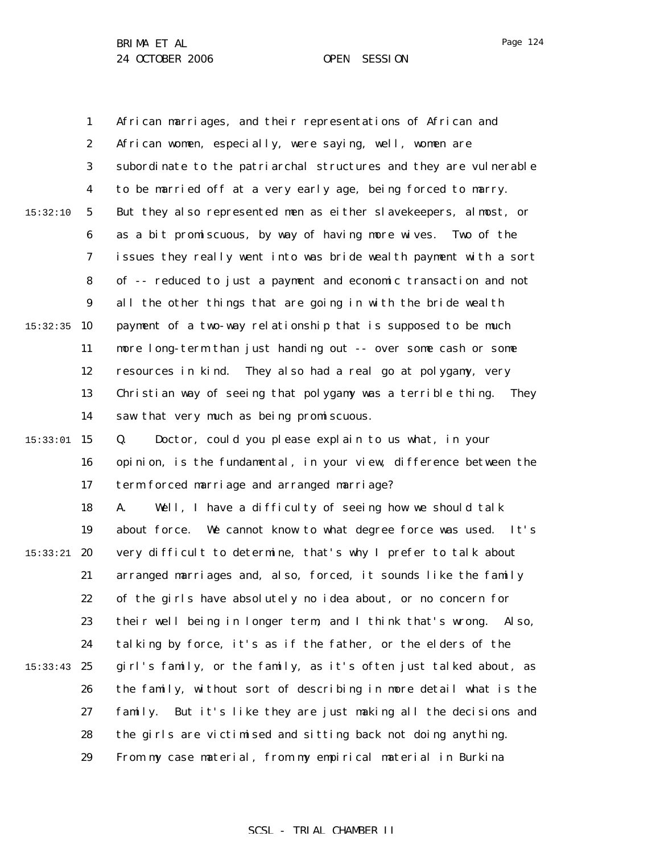1 2 3 4 5 6 7 8 9  $15:32:35$  10 11 12 13 14 15 15:33:01 16 17 18 19 15:33:21 **20** 21 22 23 24 15:33:43 25 26 27 28 29 15:32:10 African marriages, and their representations of African and African women, especially, were saying, well, women are subordinate to the patriarchal structures and they are vulnerable to be married off at a very early age, being forced to marry. But they also represented men as either slavekeepers, almost, or as a bit promiscuous, by way of having more wives. Two of the issues they really went into was bride wealth payment with a sort of -- reduced to just a payment and economic transaction and not all the other things that are going in with the bride wealth payment of a two-way relationship that is supposed to be much more long-term than just handing out -- over some cash or some resources in kind. They also had a real go at polygamy, very Christian way of seeing that polygamy was a terrible thing. They saw that very much as being promiscuous. Q. Doctor, could you please explain to us what, in your opinion, is the fundamental, in your view, difference between the term forced marriage and arranged marriage? A. Well, I have a difficulty of seeing how we should talk about force. We cannot know to what degree force was used. It's very difficult to determine, that's why I prefer to talk about arranged marriages and, also, forced, it sounds like the family of the girls have absolutely no idea about, or no concern for their well being in longer term, and I think that's wrong. Also, talking by force, it's as if the father, or the elders of the girl's family, or the family, as it's often just talked about, as the family, without sort of describing in more detail what is the family. But it's like they are just making all the decisions and the girls are victimised and sitting back not doing anything. From my case material, from my empirical material in Burkina

Page 124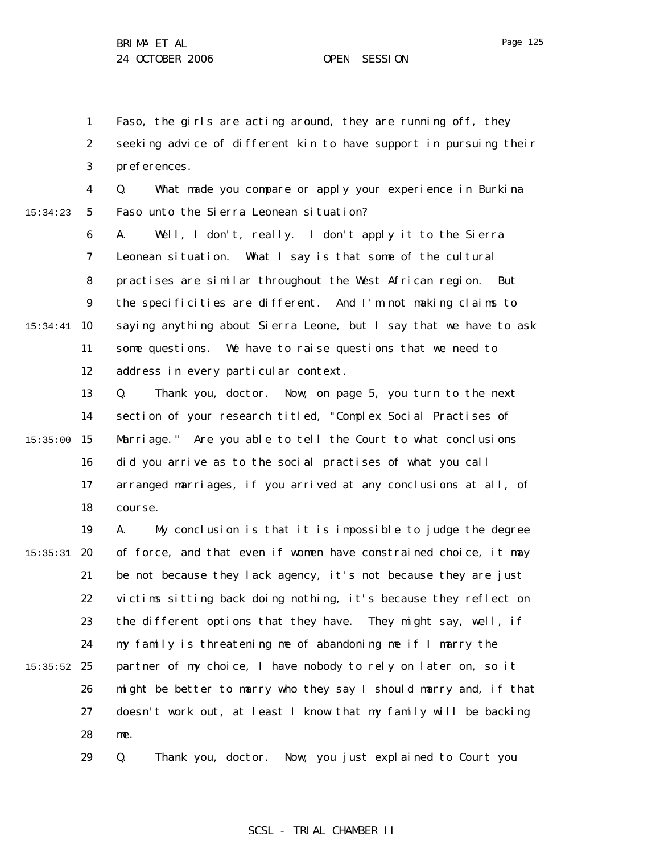1 2 3 Faso, the girls are acting around, they are running off, they seeking advice of different kin to have support in pursuing their preferences.

4 5 15:34:23 Q. What made you compare or apply your experience in Burkina Faso unto the Sierra Leonean situation?

6 7 8 9 15:34:41 10 11 12 A. Well, I don't, really. I don't apply it to the Sierra Leonean situation. What I say is that some of the cultural practises are similar throughout the West African region. But the specificities are different. And I'm not making claims to saying anything about Sierra Leone, but I say that we have to ask some questions. We have to raise questions that we need to address in every particular context.

13 14 15:35:00 15 16 17 18 Q. Thank you, doctor. Now, on page 5, you turn to the next section of your research titled, "Complex Social Practises of Marriage." Are you able to tell the Court to what conclusions did you arrive as to the social practises of what you call arranged marriages, if you arrived at any conclusions at all, of course.

19  $15:35:31$  20 21 22 23 24  $15:35:52$  25 26 27 28 A. My conclusion is that it is impossible to judge the degree of force, and that even if women have constrained choice, it may be not because they lack agency, it's not because they are just victims sitting back doing nothing, it's because they reflect on the different options that they have. They might say, well, if my family is threatening me of abandoning me if I marry the partner of my choice, I have nobody to rely on later on, so it might be better to marry who they say I should marry and, if that doesn't work out, at least I know that my family will be backing me.

> 29 Q. Thank you, doctor. Now, you just explained to Court you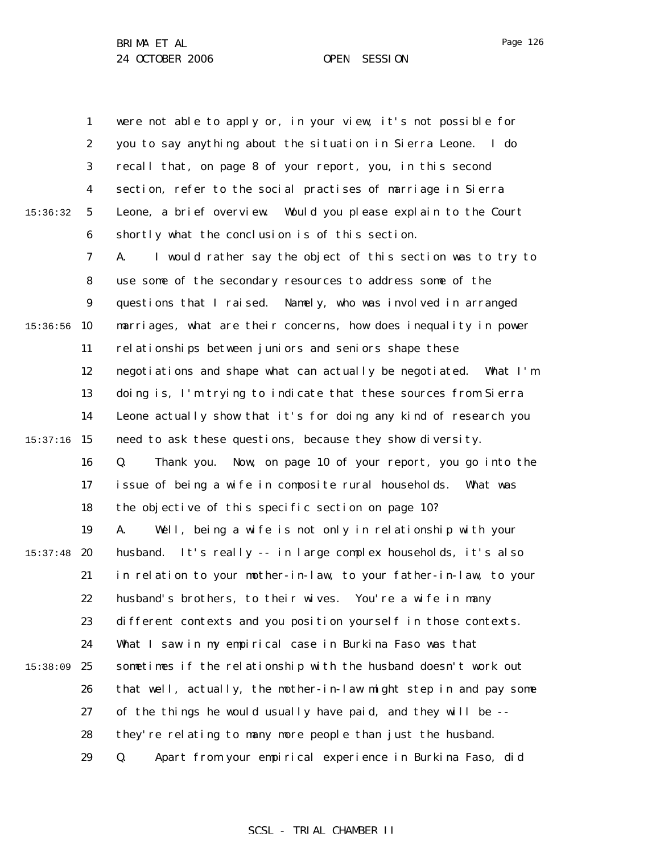1 2 3 4 5 6 7 8 9  $15:36:56$  10 11 12 13 14 15:37:16 15 16 17 18 19  $15:37:48$  20 21 22 23 24 25 26 27 28 29 15:36:32 15:38:09 were not able to apply or, in your view, it's not possible for you to say anything about the situation in Sierra Leone. I do recall that, on page 8 of your report, you, in this second section, refer to the social practises of marriage in Sierra Leone, a brief overview. Would you please explain to the Court shortly what the conclusion is of this section. A. I would rather say the object of this section was to try to use some of the secondary resources to address some of the questions that I raised. Namely, who was involved in arranged marriages, what are their concerns, how does inequality in power relationships between juniors and seniors shape these negotiations and shape what can actually be negotiated. What I'm doing is, I'm trying to indicate that these sources from Sierra Leone actually show that it's for doing any kind of research you need to ask these questions, because they show diversity. Q. Thank you. Now, on page 10 of your report, you go into the issue of being a wife in composite rural households. What was the objective of this specific section on page 10? A. Well, being a wife is not only in relationship with your husband. It's really -- in large complex households, it's also in relation to your mother-in-law, to your father-in-law, to your husband's brothers, to their wives. You're a wife in many different contexts and you position yourself in those contexts. What I saw in my empirical case in Burkina Faso was that sometimes if the relationship with the husband doesn't work out that well, actually, the mother-in-law might step in and pay some of the things he would usually have paid, and they will be - they're relating to many more people than just the husband. Q. Apart from your empirical experience in Burkina Faso, did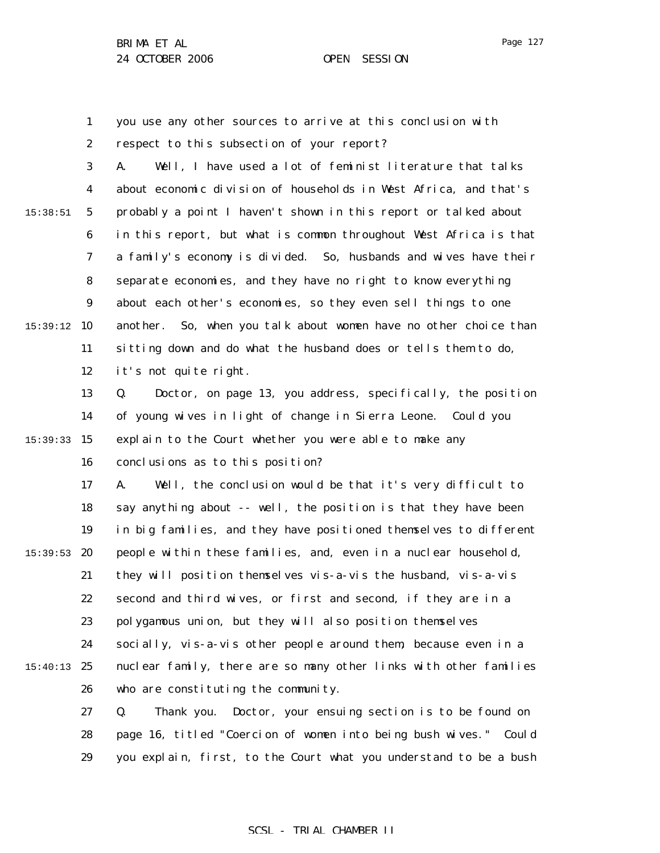Page 127

1 2 3 4 5 6 7 8 9 15:39:12 10 11 12 13 14 15:39:33 15 16 17 18 19 15:39:53 **20** 21 22 23 24 15:40:13 25 26 27 15:38:51 you use any other sources to arrive at this conclusion with respect to this subsection of your report? A. Well, I have used a lot of feminist literature that talks about economic division of households in West Africa, and that's probably a point I haven't shown in this report or talked about in this report, but what is common throughout West Africa is that a family's economy is divided. So, husbands and wives have their separate economies, and they have no right to know everything about each other's economies, so they even sell things to one another. So, when you talk about women have no other choice than sitting down and do what the husband does or tells them to do, it's not quite right. Q. Doctor, on page 13, you address, specifically, the position of young wives in light of change in Sierra Leone. Could you explain to the Court whether you were able to make any conclusions as to this position? A. Well, the conclusion would be that it's very difficult to say anything about -- well, the position is that they have been in big families, and they have positioned themselves to different people within these families, and, even in a nuclear household, they will position themselves vis-a-vis the husband, vis-a-vis second and third wives, or first and second, if they are in a polygamous union, but they will also position themselves socially, vis-a-vis other people around them, because even in a nuclear family, there are so many other links with other families who are constituting the community. Q. Thank you. Doctor, your ensuing section is to be found on

28 29 page 16, titled "Coercion of women into being bush wives." Could you explain, first, to the Court what you understand to be a bush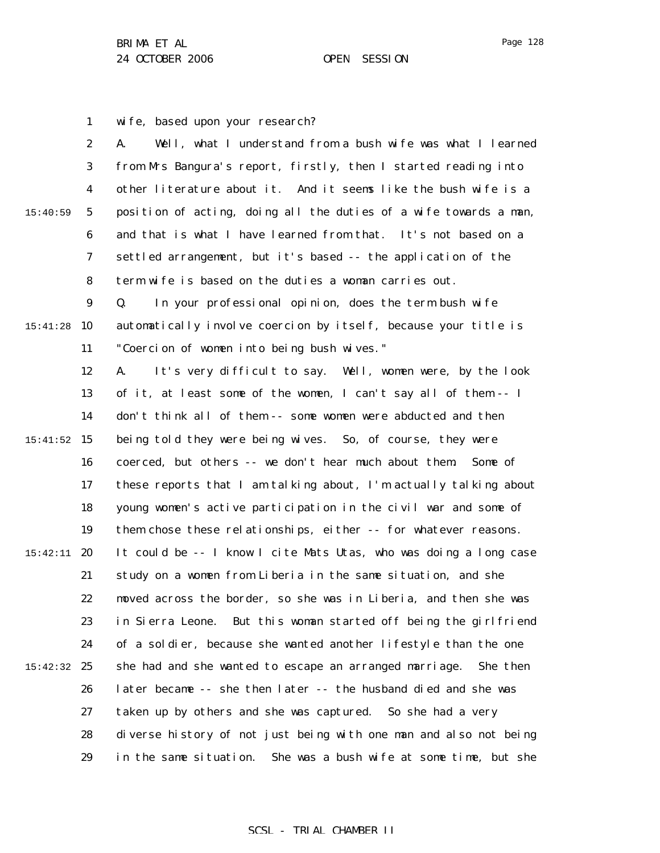1 2 3 4 5 6 7 8 9 15:41:28 10 11 12 13 14 15 15:41:52 16 17 18 19 15:42:11 **20** 21 22 23 24 15:42:32 25 26 27 28 29 15:40:59 wife, based upon your research? A. Well, what I understand from a bush wife was what I learned from Mrs Bangura's report, firstly, then I started reading into other literature about it. And it seems like the bush wife is a position of acting, doing all the duties of a wife towards a man, and that is what I have learned from that. It's not based on a settled arrangement, but it's based -- the application of the term wife is based on the duties a woman carries out. Q. In your professional opinion, does the term bush wife automatically involve coercion by itself, because your title is "Coercion of women into being bush wives." A. It's very difficult to say. Well, women were, by the look of it, at least some of the women, I can't say all of them -- I don't think all of them -- some women were abducted and then being told they were being wives. So, of course, they were coerced, but others -- we don't hear much about them. Some of these reports that I am talking about, I'm actually talking about young women's active participation in the civil war and some of them chose these relationships, either -- for whatever reasons. It could be -- I know I cite Mats Utas, who was doing a long case study on a women from Liberia in the same situation, and she moved across the border, so she was in Liberia, and then she was in Sierra Leone. But this woman started off being the girlfriend of a soldier, because she wanted another lifestyle than the one she had and she wanted to escape an arranged marriage. She then later became -- she then later -- the husband died and she was taken up by others and she was captured. So she had a very diverse history of not just being with one man and also not being in the same situation. She was a bush wife at some time, but she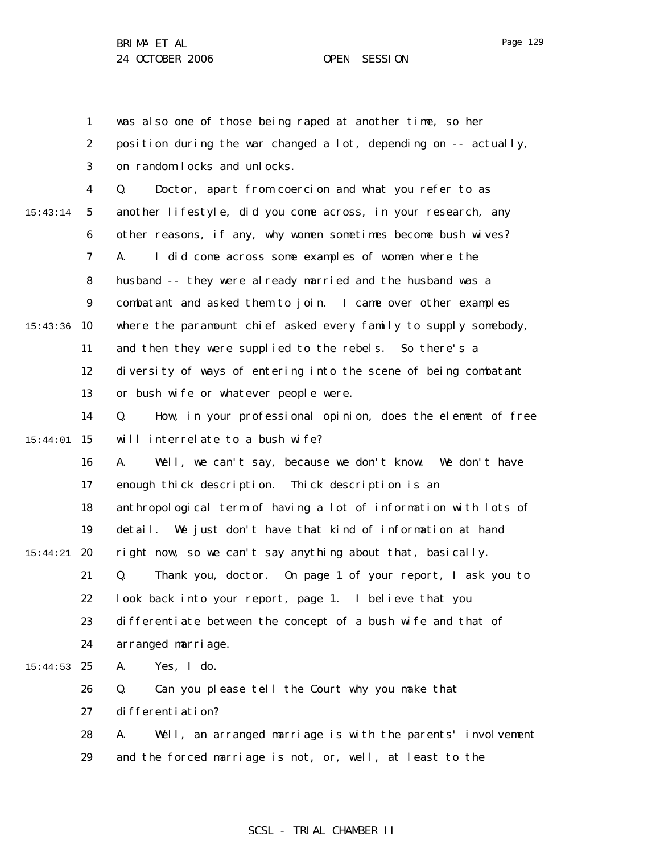Page 129

1 2 3 4 5 6 7 8 9 15:43:36 10 11 12 13 14 15 15:44:01 16 17 18 19 15:44:21 **20** 21 22 23 24 15:44:53 25 26 27 28 29 15:43:14 was also one of those being raped at another time, so her position during the war changed a lot, depending on -- actually, on random locks and unlocks. Q. Doctor, apart from coercion and what you refer to as another lifestyle, did you come across, in your research, any other reasons, if any, why women sometimes become bush wives? A. I did come across some examples of women where the husband -- they were already married and the husband was a combatant and asked them to join. I came over other examples where the paramount chief asked every family to supply somebody, and then they were supplied to the rebels. So there's a diversity of ways of entering into the scene of being combatant or bush wife or whatever people were. Q. How, in your professional opinion, does the element of free will interrelate to a bush wife? A. Well, we can't say, because we don't know. We don't have enough thick description. Thick description is an anthropological term of having a lot of information with lots of detail. We just don't have that kind of information at hand right now, so we can't say anything about that, basically. Q. Thank you, doctor. On page 1 of your report, I ask you to look back into your report, page 1. I believe that you differentiate between the concept of a bush wife and that of arranged marriage. A. Yes, I do. Q. Can you please tell the Court why you make that differentiation? A. Well, an arranged marriage is with the parents' involvement and the forced marriage is not, or, well, at least to the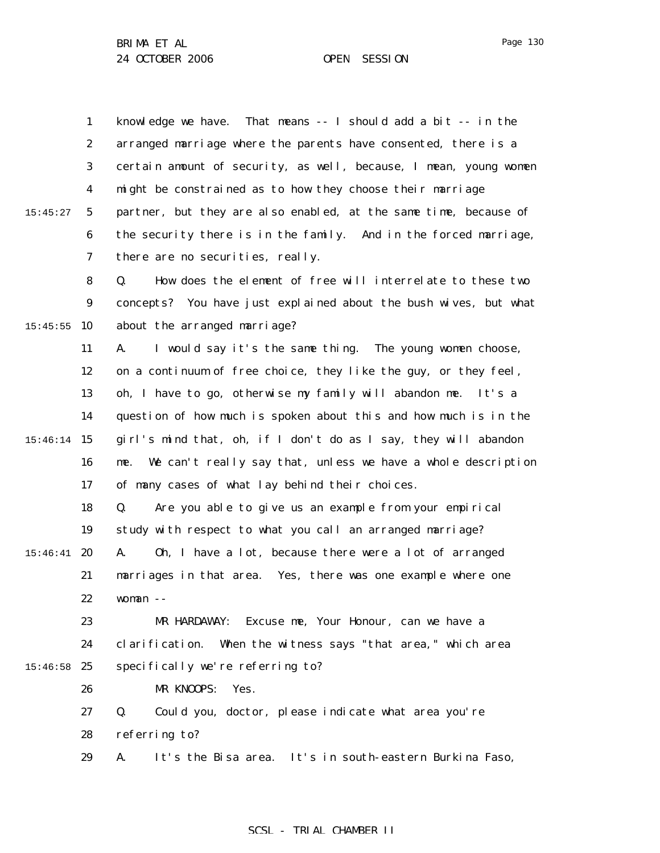1 2 3 4 5 6 7 15:45:27 knowledge we have. That means -- I should add a bit -- in the arranged marriage where the parents have consented, there is a certain amount of security, as well, because, I mean, young women might be constrained as to how they choose their marriage partner, but they are also enabled, at the same time, because of the security there is in the family. And in the forced marriage, there are no securities, really.

8 9  $15:45:55$  10 Q. How does the element of free will interrelate to these two concepts? You have just explained about the bush wives, but what about the arranged marriage?

11 12 13 14 15 15:46:14 16 17 A. I would say it's the same thing. The young women choose, on a continuum of free choice, they like the guy, or they feel, oh, I have to go, otherwise my family will abandon me. It's a question of how much is spoken about this and how much is in the girl's mind that, oh, if I don't do as I say, they will abandon me. We can't really say that, unless we have a whole description of many cases of what lay behind their choices.

18 19 Q. Are you able to give us an example from your empirical study with respect to what you call an arranged marriage?

 $15:46:41$  20 21 22 A. Oh, I have a lot, because there were a lot of arranged marriages in that area. Yes, there was one example where one woman --

23 24  $15:46:58$  25 MR HARDAWAY: Excuse me, Your Honour, can we have a clarification. When the witness says "that area," which area specifically we're referring to?

MR KNOOPS: Yes.

26

27 28 Q. Could you, doctor, please indicate what area you're referring to?

29 A. It's the Bisa area. It's in south-eastern Burkina Faso,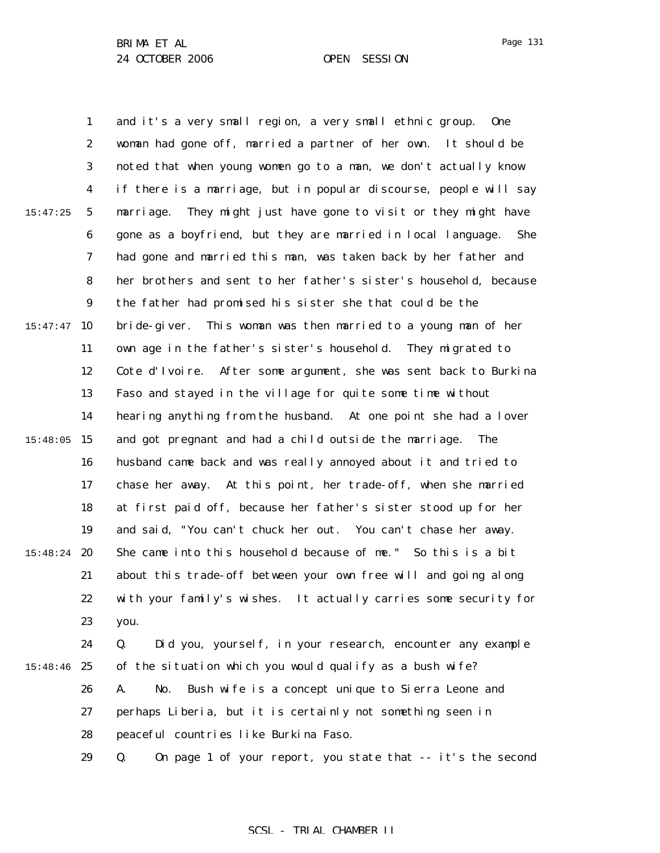Page 131

1 2 3 4 5 6 7 8 9  $15:47:47$  10 11 12 13 14 15:48:05 15 16 17 18 19 15:48:24 **20** 21 22 23 24 15:48:46 25 26 27 28 15:47:25 and it's a very small region, a very small ethnic group. One woman had gone off, married a partner of her own. It should be noted that when young women go to a man, we don't actually know if there is a marriage, but in popular discourse, people will say marriage. They might just have gone to visit or they might have gone as a boyfriend, but they are married in local language. She had gone and married this man, was taken back by her father and her brothers and sent to her father's sister's household, because the father had promised his sister she that could be the bride-giver. This woman was then married to a young man of her own age in the father's sister's household. They migrated to Cote d'Ivoire. After some argument, she was sent back to Burkina Faso and stayed in the village for quite some time without hearing anything from the husband. At one point she had a lover and got pregnant and had a child outside the marriage. The husband came back and was really annoyed about it and tried to chase her away. At this point, her trade-off, when she married at first paid off, because her father's sister stood up for her and said, "You can't chuck her out. You can't chase her away. She came into this household because of me." So this is a bit about this trade-off between your own free will and going along with your family's wishes. It actually carries some security for you. Q. Did you, yourself, in your research, encounter any example of the situation which you would qualify as a bush wife? A. No. Bush wife is a concept unique to Sierra Leone and perhaps Liberia, but it is certainly not something seen in peaceful countries like Burkina Faso.

29 Q. On page 1 of your report, you state that -- it's the second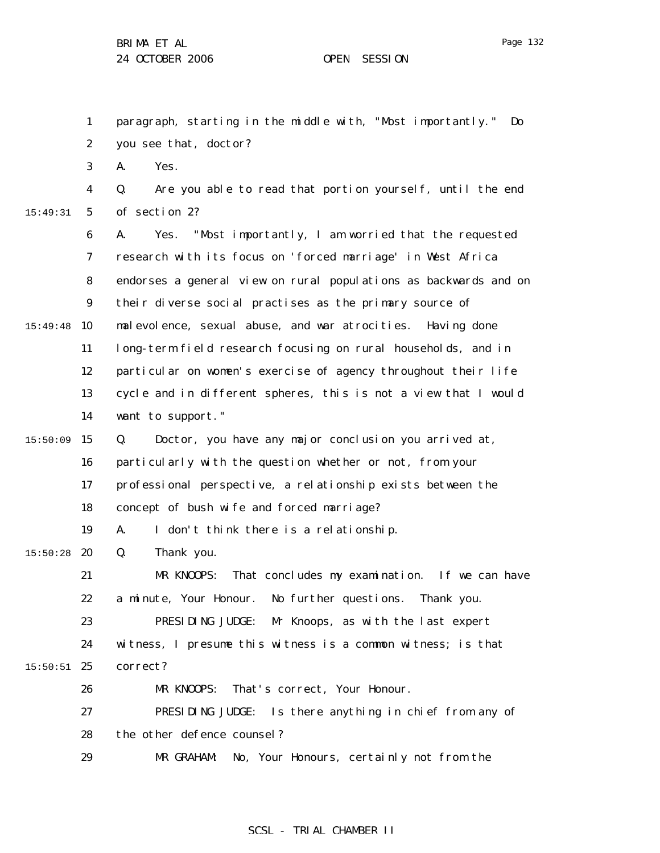Page 132

1 2 3 4 5 6 7 8 9 15:49:48 10 11 12 13 14  $15:50:09$  15 16 17 18 19  $15:50:28$  20 21 22 23 24  $15:50:51$  25 26 27 28 29 15:49:31 paragraph, starting in the middle with, "Most importantly." Do you see that, doctor? A. Yes. Q. Are you able to read that portion yourself, until the end of section 2? A. Yes. "Most importantly, I am worried that the requested research with its focus on 'forced marriage' in West Africa endorses a general view on rural populations as backwards and on their diverse social practises as the primary source of malevolence, sexual abuse, and war atrocities. Having done long-term field research focusing on rural households, and in particular on women's exercise of agency throughout their life cycle and in different spheres, this is not a view that I would want to support." Q. Doctor, you have any major conclusion you arrived at, particularly with the question whether or not, from your professional perspective, a relationship exists between the concept of bush wife and forced marriage? A. I don't think there is a relationship. Q. Thank you. MR KNOOPS: That concludes my examination. If we can have a minute, Your Honour. No further questions. Thank you. PRESIDING JUDGE: Mr Knoops, as with the last expert witness, I presume this witness is a common witness; is that correct? MR KNOOPS: That's correct, Your Honour. PRESIDING JUDGE: Is there anything in chief from any of the other defence counsel? MR GRAHAM: No, Your Honours, certainly not from the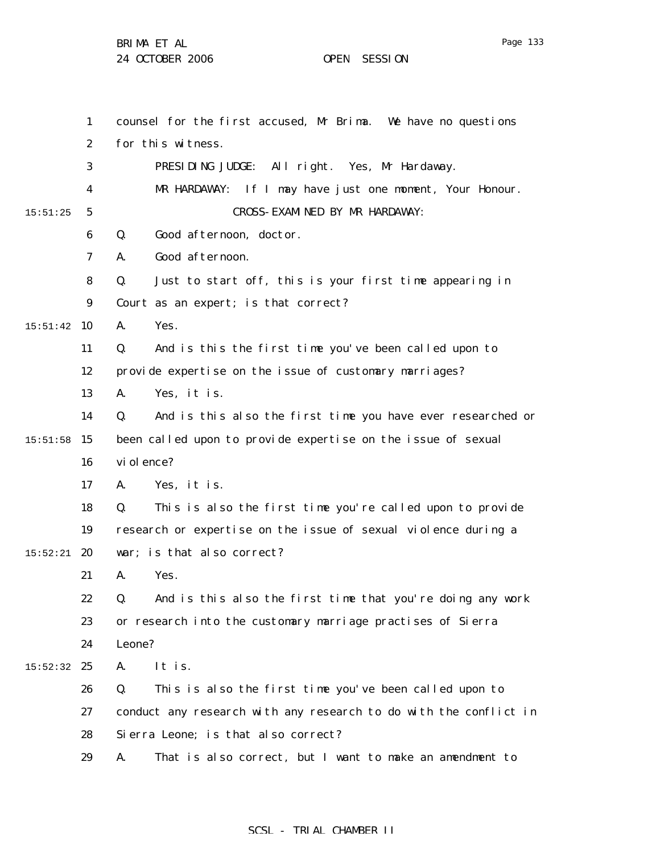BRIMA ET AL

24 OCTOBER 2006 OPEN SESSION

1 2 3 4 5 6 7 8 9  $15:51:42$  10 11 12 13 14  $15:51:58$  15 16 17 18 19  $15:52:21$  20 21 22 23 24  $15:52:32$  25 26 27 28 29 15:51:25 counsel for the first accused, Mr Brima. We have no questions for this witness. PRESIDING JUDGE: All right. Yes, Mr Hardaway. MR HARDAWAY: If I may have just one moment, Your Honour. CROSS-EXAMINED BY MR HARDAWAY: Q. Good afternoon, doctor. A. Good afternoon. Q. Just to start off, this is your first time appearing in Court as an expert; is that correct? A. Yes. Q. And is this the first time you've been called upon to provide expertise on the issue of customary marriages? A. Yes, it is. Q. And is this also the first time you have ever researched or been called upon to provide expertise on the issue of sexual vi ol ence? A. Yes, it is. Q. This is also the first time you're called upon to provide research or expertise on the issue of sexual violence during a war; is that also correct? A. Yes. Q. And is this also the first time that you're doing any work or research into the customary marriage practises of Sierra Leone? A. It is. Q. This is also the first time you've been called upon to conduct any research with any research to do with the conflict in Sierra Leone; is that also correct? A. That is also correct, but I want to make an amendment to

## SCSL - TRIAL CHAMBER II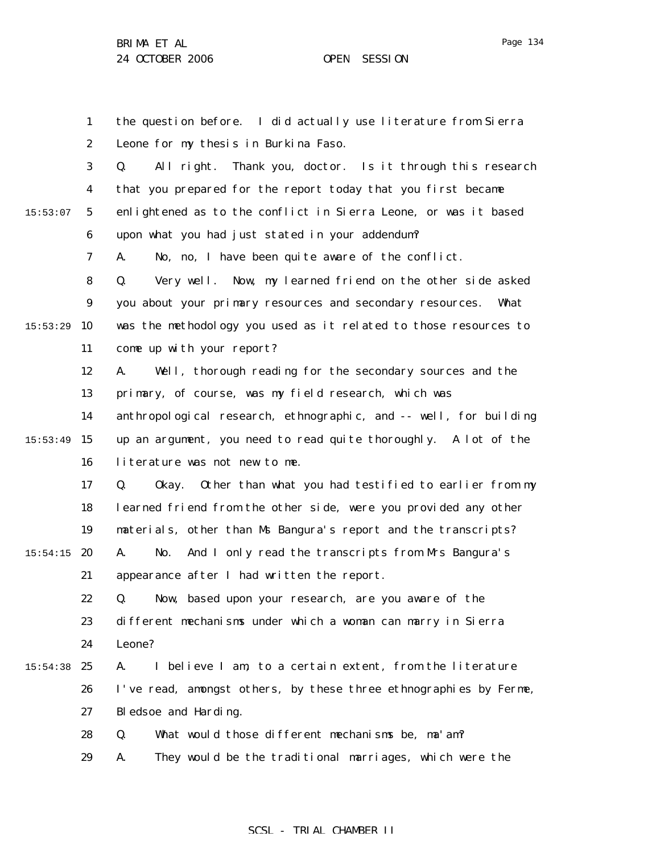1 2 3 4 5 6 7 8 9  $15:53:29$  10 11 12 13 14 15:53:49 15 16 17 18 19  $15:54:15$  20 21 22 23 24  $15:54:38$  25 26 27 28 29 15:53:07 the question before. I did actually use literature from Sierra Leone for my thesis in Burkina Faso. Q. All right. Thank you, doctor. Is it through this research that you prepared for the report today that you first became enlightened as to the conflict in Sierra Leone, or was it based upon what you had just stated in your addendum? A. No, no, I have been quite aware of the conflict. Q. Very well. Now, my learned friend on the other side asked you about your primary resources and secondary resources. What was the methodology you used as it related to those resources to come up with your report? A. Well, thorough reading for the secondary sources and the primary, of course, was my field research, which was anthropological research, ethnographic, and -- well, for building up an argument, you need to read quite thoroughly. A lot of the literature was not new to me. Q. Okay. Other than what you had testified to earlier from my learned friend from the other side, were you provided any other materials, other than Ms Bangura's report and the transcripts? A. No. And I only read the transcripts from Mrs Bangura's appearance after I had written the report. Q. Now, based upon your research, are you aware of the different mechanisms under which a woman can marry in Sierra Leone? A. I believe I am, to a certain extent, from the literature I've read, amongst others, by these three ethnographies by Ferme, Bledsoe and Harding. Q. What would those different mechanisms be, ma'am? A. They would be the traditional marriages, which were the

## SCSL - TRIAL CHAMBER II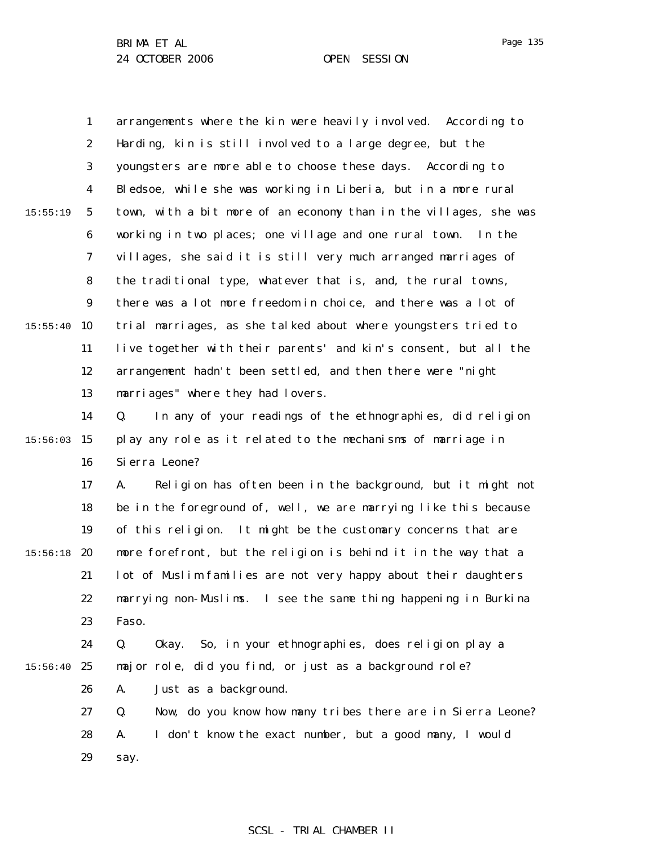|          | $\mathbf{1}$     | arrangements where the kin were heavily involved. According to    |
|----------|------------------|-------------------------------------------------------------------|
|          | $\boldsymbol{2}$ | Harding, kin is still involved to a large degree, but the         |
|          | 3                | youngsters are more able to choose these days. According to       |
|          | $\boldsymbol{4}$ | Bledsoe, while she was working in Liberia, but in a more rural    |
| 15:55:19 | $\mathbf{5}$     | town, with a bit more of an economy than in the villages, she was |
|          | $\bf 6$          | working in two places; one village and one rural town.<br>In the  |
|          | 7                | villages, she said it is still very much arranged marriages of    |
|          | 8                | the traditional type, whatever that is, and, the rural towns,     |
|          | $\boldsymbol{9}$ | there was a lot more freedom in choice, and there was a lot of    |
| 15:55:40 | 10               | trial marriages, as she talked about where youngsters tried to    |
|          | 11               | live together with their parents' and kin's consent, but all the  |
|          | 12               | arrangement hadn't been settled, and then there were "night       |
|          | 13               | marriages" where they had lovers.                                 |
|          | 14               | In any of your readings of the ethnographies, did religion<br>Q.  |
| 15:56:03 | 15               | play any role as it related to the mechanisms of marriage in      |
|          | 16               | Si erra Leone?                                                    |
|          | 17               | Religion has often been in the background, but it might not<br>A. |
|          | 18               | be in the foreground of, well, we are marrying like this because  |
|          | 19               | of this religion. It might be the customary concerns that are     |
| 15:56:18 | 20               | more forefront, but the religion is behind it in the way that a   |
|          | 21               | lot of Muslim families are not very happy about their daughters   |
|          | 22               | marrying non-Muslims. I see the same thing happening in Burkina   |
|          | 23               | Faso.                                                             |
|          | 24               | So, in your ethnographies, does religion play a<br>Q.<br>0kay.    |
| 15:56:40 | 25               | major role, did you find, or just as a background role?           |
|          | 26               | Just as a background.<br>A.                                       |
|          | 27               | Now, do you know how many tribes there are in Sierra Leone?<br>Q. |
|          | 28               | I don't know the exact number, but a good many, I would<br>A.     |
|          | 29               | say.                                                              |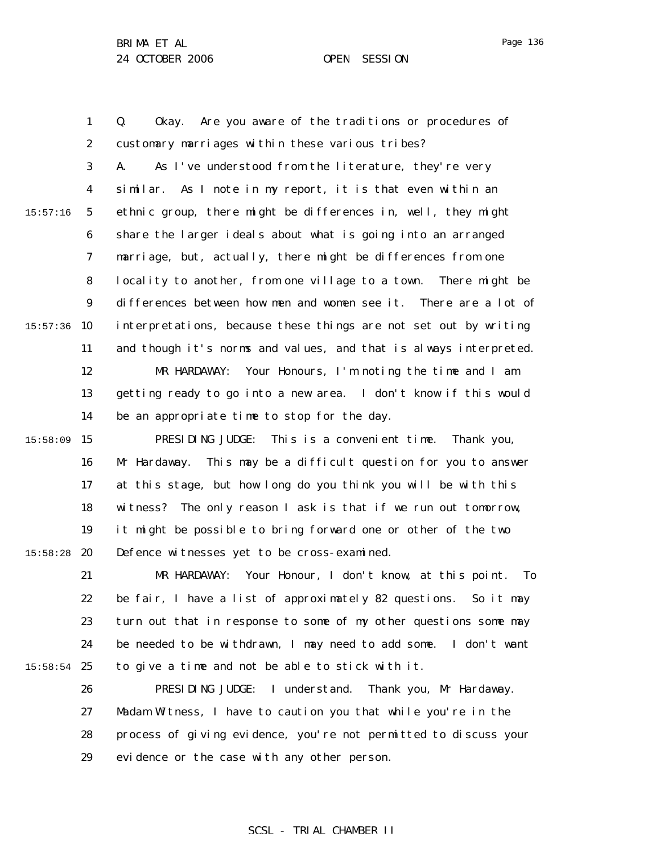Page 136

1 2 3 4 5 6 7 8 9  $15:57:36$  10 11 12 13 14 15:58:09 15 16 17 18 19  $15:58:28$  20 21 22 23 24  $15:58:54$  25 26 27 28 29 15:57:16 Q. Okay. Are you aware of the traditions or procedures of customary marriages within these various tribes? A. As I've understood from the literature, they're very similar. As I note in my report, it is that even within an ethnic group, there might be differences in, well, they might share the larger ideals about what is going into an arranged marriage, but, actually, there might be differences from one locality to another, from one village to a town. There might be differences between how men and women see it. There are a lot of interpretations, because these things are not set out by writing and though it's norms and values, and that is always interpreted. MR HARDAWAY: Your Honours, I'm noting the time and I am getting ready to go into a new area. I don't know if this would be an appropriate time to stop for the day. PRESIDING JUDGE: This is a convenient time. Thank you, Mr Hardaway. This may be a difficult question for you to answer at this stage, but how long do you think you will be with this witness? The only reason I ask is that if we run out tomorrow, it might be possible to bring forward one or other of the two Defence witnesses yet to be cross-examined. MR HARDAWAY: Your Honour, I don't know, at this point. To be fair, I have a list of approximately 82 questions. So it may turn out that in response to some of my other questions some may be needed to be withdrawn, I may need to add some. I don't want to give a time and not be able to stick with it. PRESIDING JUDGE: I understand. Thank you, Mr Hardaway. Madam Witness, I have to caution you that while you're in the process of giving evidence, you're not permitted to discuss your evidence or the case with any other person.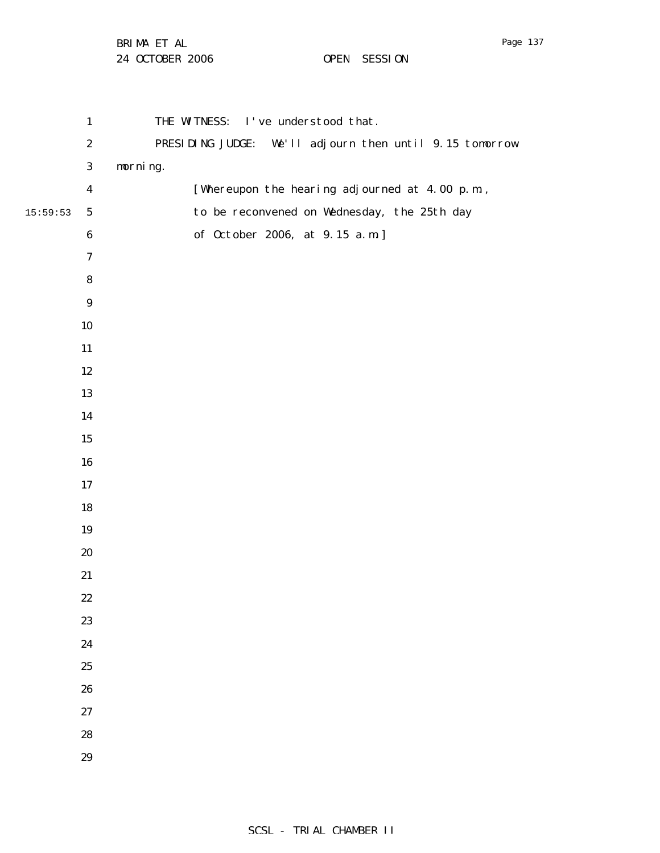|          | $\mathbf{1}$     | THE WITNESS: I've understood that.                         |
|----------|------------------|------------------------------------------------------------|
|          | $\boldsymbol{2}$ | PRESIDING JUDGE:<br>We'll adjourn then until 9.15 tomorrow |
|          | 3                | morning.                                                   |
|          | $\boldsymbol{4}$ | [Whereupon the hearing adjourned at 4.00 p.m.,             |
| 15:59:53 | ${\bf 5}$        | to be reconvened on Wednesday, the 25th day                |
|          | $\bf 6$          | of October 2006, at 9.15 a.m.]                             |
|          | $\boldsymbol{7}$ |                                                            |
|          | 8                |                                                            |
|          | $\boldsymbol{9}$ |                                                            |
|          | $10\,$           |                                                            |
|          | 11               |                                                            |
|          | $12 \,$          |                                                            |
|          | 13               |                                                            |
|          | 14               |                                                            |
|          | $15\,$           |                                                            |
|          | ${\bf 16}$       |                                                            |
|          | $17\,$           |                                                            |
|          | $18\,$           |                                                            |
|          | 19               |                                                            |
|          | 20               |                                                            |
|          | 21               |                                                            |
|          | $22\,$           |                                                            |
|          | 23               |                                                            |
|          | 24               |                                                            |
|          | 25               |                                                            |
|          | 26               |                                                            |
|          | $27\,$           |                                                            |
|          | 28               |                                                            |
|          | 29               |                                                            |